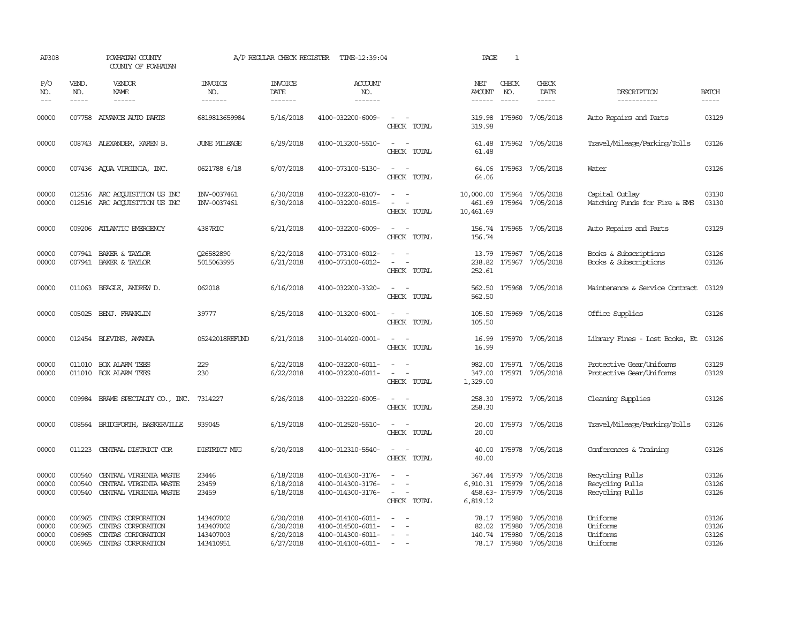| AP308                            |                                      | POWHATAN COUNTY<br>COUNTY OF POWHATAN                                                |                                                  | A/P REGULAR CHECK REGISTER                       | TIME-12:39:04                                                                    |                                                   | PAGE                             | $\mathbf{1}$                                  |                                                               |                                                       |                                  |
|----------------------------------|--------------------------------------|--------------------------------------------------------------------------------------|--------------------------------------------------|--------------------------------------------------|----------------------------------------------------------------------------------|---------------------------------------------------|----------------------------------|-----------------------------------------------|---------------------------------------------------------------|-------------------------------------------------------|----------------------------------|
| P/O<br>NO.                       | VEND.<br>NO.<br>$- - - - -$          | <b>VENDOR</b><br>NAME                                                                | <b>INVOICE</b><br>NO.<br>-------                 | <b>INVOICE</b><br><b>DATE</b>                    | <b>ACCOUNT</b><br>NO.<br>-------                                                 |                                                   | NET<br>AMOUNT<br>------          | CHECK<br>NO.<br>$\frac{1}{2}$                 | CHECK<br>DATE<br>$- - - - -$                                  | DESCRIPTION<br>-----------                            | <b>BATCH</b>                     |
| $---$                            |                                      | ------                                                                               |                                                  | -------                                          |                                                                                  |                                                   |                                  |                                               |                                                               |                                                       | -----                            |
| 00000                            |                                      | 007758 ADVANCE AUTO PARTS                                                            | 6819813659984                                    | 5/16/2018                                        | 4100-032200-6009-                                                                | $\sim$<br>CHECK TOTAL                             | 319.98<br>319.98                 | 175960                                        | 7/05/2018                                                     | Auto Repairs and Parts                                | 03129                            |
| 00000                            |                                      | 008743 ALEXANDER, KAREN B.                                                           | <b>JUNE MILEAGE</b>                              | 6/29/2018                                        | 4100-013200-5510-                                                                | $\sim$<br>CHECK TOTAL                             | 61.48                            |                                               | 61.48 175962 7/05/2018                                        | Travel/Mileage/Parking/Tolls                          | 03126                            |
| 00000                            |                                      | 007436 AQUA VIRGINIA, INC.                                                           | 0621788 6/18                                     | 6/07/2018                                        | 4100-073100-5130-                                                                | $\equiv$<br>$\sim$<br>CHECK TOTAL                 | 64.06<br>64.06                   |                                               | 175963 7/05/2018                                              | Water                                                 | 03126                            |
| 00000<br>00000                   |                                      | 012516 ARC ACQUISITION US INC<br>012516 ARC ACQUISITION US INC                       | INV-0037461<br>INV-0037461                       | 6/30/2018<br>6/30/2018                           | 4100-032200-8107-<br>4100-032200-6015-                                           | $\overline{\phantom{a}}$<br>CHECK TOTAL           | 10,000.00<br>461.69<br>10,461.69 |                                               | 175964 7/05/2018<br>175964 7/05/2018                          | Capital Outlay<br>Matching Funds for Fire & EMS       | 03130<br>03130                   |
| 00000                            |                                      | 009206 ATLANTIC EMERGENCY                                                            | 4387RIC                                          | 6/21/2018                                        | 4100-032200-6009-                                                                | CHECK TOTAL                                       | 156.74                           |                                               | 156.74 175965 7/05/2018                                       | Auto Repairs and Parts                                | 03129                            |
| 00000<br>00000                   |                                      | 007941 BAKER & TAYLOR<br>007941 BAKER & TAYLOR                                       | 026582890<br>5015063995                          | 6/22/2018<br>6/21/2018                           | 4100-073100-6012-<br>4100-073100-6012-                                           | $\equiv$<br>÷.<br>CHECK TOTAL                     | 13.79<br>238.82<br>252.61        |                                               | 175967 7/05/2018<br>175967 7/05/2018                          | Books & Subscriptions<br>Books & Subscriptions        | 03126<br>03126                   |
| 00000                            |                                      | 011063 BEAGLE, ANDREW D.                                                             | 062018                                           | 6/16/2018                                        | 4100-032200-3320-                                                                | CHECK TOTAL                                       | 562.50                           |                                               | 562.50 175968 7/05/2018                                       | Maintenance & Service Contract                        | 03129                            |
| 00000                            |                                      | 005025 BENJ. FRANKLIN                                                                | 39777                                            | 6/25/2018                                        | 4100-013200-6001-                                                                | $ -$<br>CHECK TOTAL                               | 105.50<br>105.50                 |                                               | 175969 7/05/2018                                              | Office Supplies                                       | 03126                            |
| 00000                            |                                      | 012454 BLEVINS, AMANDA                                                               | 05242018REFUND                                   | 6/21/2018                                        | 3100-014020-0001-                                                                | $\overline{\phantom{a}}$<br>$\sim$<br>CHECK TOTAL | 16.99<br>16.99                   |                                               | 175970 7/05/2018                                              | Library Fines - Lost Books, Et                        | 03126                            |
| 00000<br>00000                   | 011010<br>011010                     | <b>BOX ALARM TEES</b><br><b>BOX ALARM TEES</b>                                       | 229<br>230                                       | 6/22/2018<br>6/22/2018                           | 4100-032200-6011-<br>4100-032200-6011-                                           | CHECK TOTAL                                       | 347.00<br>1,329.00               |                                               | 982.00 175971 7/05/2018<br>175971 7/05/2018                   | Protective Gear/Uniforms<br>Protective Gear/Uniforms  | 03129<br>03129                   |
| 00000                            |                                      | 009984 BRAME SPECIALITY CO., INC.                                                    | 7314227                                          | 6/26/2018                                        | 4100-032220-6005-                                                                | CHECK TOTAL                                       | 258.30<br>258.30                 |                                               | 175972 7/05/2018                                              | Cleaning Supplies                                     | 03126                            |
| 00000                            |                                      | 008564 BRIDGFORIH, BASKERVILLE                                                       | 939045                                           | 6/19/2018                                        | 4100-012520-5510-                                                                | CHECK TOTAL                                       | 20.00<br>20.00                   |                                               | 175973 7/05/2018                                              | Travel/Mileage/Parking/Tolls                          | 03126                            |
| 00000                            | 011223                               | CENTRAL DISTRICT COR                                                                 | DISTRICT MTG                                     | 6/20/2018                                        | 4100-012310-5540-                                                                | CHECK TOTAL                                       | 40.00<br>40.00                   |                                               | 175978 7/05/2018                                              | Conferences & Training                                | 03126                            |
| 00000<br>00000<br>00000          | 000540<br>000540<br>000540           | CENIRAL VIRGINIA WASTE<br>CENTRAL VIRGINIA WASTE<br>CENTRAL VIRGINIA WASTE           | 23446<br>23459<br>23459                          | 6/18/2018<br>6/18/2018<br>6/18/2018              | 4100-014300-3176-<br>4100-014300-3176-<br>4100-014300-3176-                      | $\overline{\phantom{a}}$<br>CHECK TOTAL           | 6,910.31 175979<br>6,819.12      | 367.44 175979                                 | 7/05/2018<br>7/05/2018<br>458.63-175979 7/05/2018             | Recycling Pulls<br>Recycling Pulls<br>Recycling Pulls | 03126<br>03126<br>03126          |
| 00000<br>00000<br>00000<br>00000 | 006965<br>006965<br>006965<br>006965 | CINIAS CORPORATION<br>CINIAS CORPORATION<br>CINIAS CORPORATION<br>CINIAS CORPORATION | 143407002<br>143407002<br>143407003<br>143410951 | 6/20/2018<br>6/20/2018<br>6/20/2018<br>6/27/2018 | 4100-014100-6011-<br>4100-014500-6011-<br>4100-014300-6011-<br>4100-014100-6011- | $\sim$<br>$\sim$<br>$\sim$ $ \sim$                |                                  | 78.17 175980<br>82.02 175980<br>140.74 175980 | 7/05/2018<br>7/05/2018<br>7/05/2018<br>78.17 175980 7/05/2018 | Uniforms<br>Uniforms<br>Uniforms<br>Uniforms          | 03126<br>03126<br>03126<br>03126 |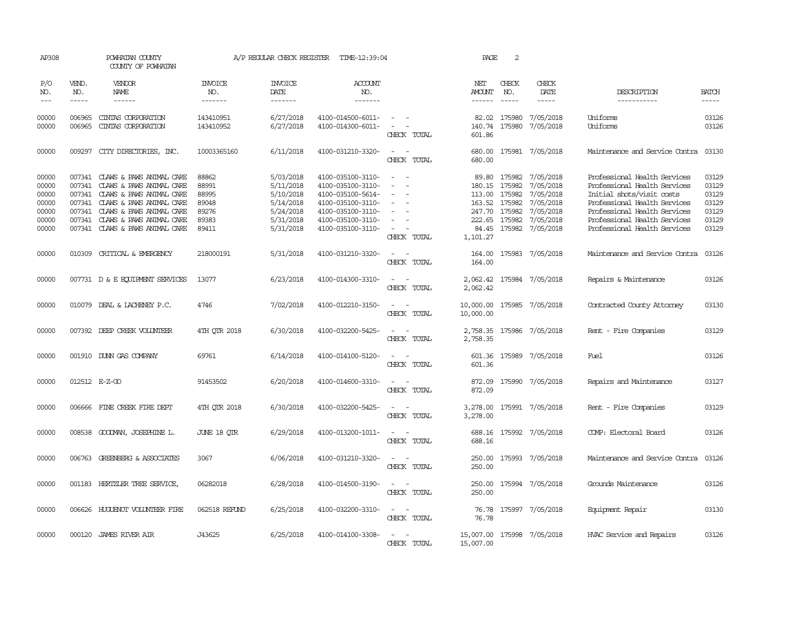| AP308                                                       |                                                          | POWHATAN COUNTY<br>COUNTY OF POWHATAN                                                                                                                                                                   |                                                             | A/P REGULAR CHECK REGISTER                                                              | TIME-12:39:04                                                                                                                                   |                                                                 | PAGE                                            | 2                                                                      |                                                                                                      |                                                                                                                                                                                                                           |                                                             |
|-------------------------------------------------------------|----------------------------------------------------------|---------------------------------------------------------------------------------------------------------------------------------------------------------------------------------------------------------|-------------------------------------------------------------|-----------------------------------------------------------------------------------------|-------------------------------------------------------------------------------------------------------------------------------------------------|-----------------------------------------------------------------|-------------------------------------------------|------------------------------------------------------------------------|------------------------------------------------------------------------------------------------------|---------------------------------------------------------------------------------------------------------------------------------------------------------------------------------------------------------------------------|-------------------------------------------------------------|
| P/O<br>NO.<br>$---$                                         | VEND.<br>NO.<br>$- - - - -$                              | VENDOR<br>NAME<br>$- - - - - -$                                                                                                                                                                         | <b>INVOICE</b><br>NO.<br>-------                            | <b>INVOICE</b><br><b>DATE</b><br>-------                                                | <b>ACCOUNT</b><br>NO.<br>-------                                                                                                                |                                                                 | NET<br>AMOUNT<br>$- - - - - -$                  | CHECK<br>NO.<br>$\frac{1}{2}$                                          | CHECK<br>DATE<br>-----                                                                               | DESCRIPTION<br>-----------                                                                                                                                                                                                | <b>BATCH</b><br>-----                                       |
| 00000<br>00000                                              | 006965<br>006965                                         | CINIAS CORPORATION<br>CINIAS CORPORATION                                                                                                                                                                | 143410951<br>143410952                                      | 6/27/2018<br>6/27/2018                                                                  | 4100-014500-6011-<br>4100-014300-6011-                                                                                                          | $\sim$ 100 $\mu$<br>$\sim$<br>CHECK TOTAL                       | 82.02<br>601.86                                 | 175980<br>140.74 175980                                                | 7/05/2018<br>7/05/2018                                                                               | Uniforms<br>Uniforms                                                                                                                                                                                                      | 03126<br>03126                                              |
| 00000                                                       | 009297                                                   | CITY DIRECTORIES, INC.                                                                                                                                                                                  | 10003365160                                                 | 6/11/2018                                                                               | 4100-031210-3320-                                                                                                                               | $\overline{\phantom{a}}$<br>CHECK TOTAL                         | 680.00<br>680.00                                |                                                                        | 175981 7/05/2018                                                                                     | Maintenance and Service Contra                                                                                                                                                                                            | 03130                                                       |
| 00000<br>00000<br>00000<br>00000<br>00000<br>00000<br>00000 | 007341<br>007341<br>007341<br>007341<br>007341<br>007341 | CLAWS & PAWS ANIMAL CARE<br>CLAWS & PAWS ANIMAL CARE<br>CLAWS & PAWS ANIMAL CARE<br>CLAWS & PAWS ANIMAL CARE<br>CLAWS & PAWS ANIMAL CARE<br>CLAWS & PAWS ANIMAL CARE<br>007341 CLAWS & PAWS ANIMAL CARE | 88862<br>88991<br>88995<br>89048<br>89276<br>89383<br>89411 | 5/03/2018<br>5/11/2018<br>5/10/2018<br>5/14/2018<br>5/24/2018<br>5/31/2018<br>5/31/2018 | 4100-035100-3110-<br>4100-035100-3110-<br>4100-035100-5614-<br>4100-035100-3110-<br>4100-035100-3110-<br>4100-035100-3110-<br>4100-035100-3110- | $\equiv$<br>$\overline{\phantom{a}}$<br>$\equiv$<br>CHECK TOTAL | 89.80<br>113.00<br>247.70<br>222.65<br>1,101.27 | 175982<br>180.15 175982<br>175982<br>163.52 175982<br>175982<br>175982 | 7/05/2018<br>7/05/2018<br>7/05/2018<br>7/05/2018<br>7/05/2018<br>7/05/2018<br>84.45 175982 7/05/2018 | Professional Health Services<br>Professional Health Services<br>Initial shots/visit costs<br>Professional Health Services<br>Professional Health Services<br>Professional Health Services<br>Professional Health Services | 03129<br>03129<br>03129<br>03129<br>03129<br>03129<br>03129 |
| 00000                                                       |                                                          | 010309 CRITICAL & EMERGENCY                                                                                                                                                                             | 218000191                                                   | 5/31/2018                                                                               | 4100-031210-3320-                                                                                                                               | CHECK TOTAL                                                     | 164.00<br>164.00                                |                                                                        | 175983 7/05/2018                                                                                     | Maintenance and Service Contra                                                                                                                                                                                            | 03126                                                       |
| 00000                                                       |                                                          | 007731 D & E EQUIPMENT SERVICES                                                                                                                                                                         | 13077                                                       | 6/23/2018                                                                               | 4100-014300-3310-                                                                                                                               | $\sim$<br>CHECK TOTAL                                           | 2,062.42                                        |                                                                        | 2,062.42 175984 7/05/2018                                                                            | Repairs & Maintenance                                                                                                                                                                                                     | 03126                                                       |
| 00000                                                       |                                                          | 010079 DEAL & LACHENEY P.C.                                                                                                                                                                             | 4746                                                        | 7/02/2018                                                                               | 4100-012210-3150-                                                                                                                               | CHECK TOTAL                                                     | 10,000.00<br>10,000.00                          |                                                                        | 175985 7/05/2018                                                                                     | Contracted County Attorney                                                                                                                                                                                                | 03130                                                       |
| 00000                                                       |                                                          | 007392 DEEP CREEK VOLUNTEER                                                                                                                                                                             | 4TH OTR 2018                                                | 6/30/2018                                                                               | 4100-032200-5425-                                                                                                                               | CHECK TOTAL                                                     | 2,758.35<br>2,758.35                            |                                                                        | 175986 7/05/2018                                                                                     | Rent - Fire Companies                                                                                                                                                                                                     | 03129                                                       |
| 00000                                                       |                                                          | 001910 DUNN GAS COMPANY                                                                                                                                                                                 | 69761                                                       | 6/14/2018                                                                               | 4100-014100-5120-                                                                                                                               | CHECK TOTAL                                                     | 601.36<br>601.36                                |                                                                        | 175989 7/05/2018                                                                                     | Fuel                                                                                                                                                                                                                      | 03126                                                       |
| 00000                                                       |                                                          | 012512 E-Z-GO                                                                                                                                                                                           | 91453502                                                    | 6/20/2018                                                                               | 4100-014600-3310-                                                                                                                               | $\overline{\phantom{a}}$<br>CHECK TOTAL                         | 872.09<br>872.09                                |                                                                        | 175990 7/05/2018                                                                                     | Repairs and Maintenance                                                                                                                                                                                                   | 03127                                                       |
| 00000                                                       |                                                          | 006666 FINE CREEK FIRE DEPT                                                                                                                                                                             | 4TH OTR 2018                                                | 6/30/2018                                                                               | 4100-032200-5425-                                                                                                                               | CHECK TOTAL                                                     | 3,278.00                                        |                                                                        | 3,278.00 175991 7/05/2018                                                                            | Rent - Fire Companies                                                                                                                                                                                                     | 03129                                                       |
| 00000                                                       |                                                          | 008538 GOODMAN, JOSEPHINE L.                                                                                                                                                                            | JUNE 18 QTR                                                 | 6/29/2018                                                                               | 4100-013200-1011-                                                                                                                               | $\sim$<br>CHECK TOTAL                                           | 688.16                                          |                                                                        | 688.16 175992 7/05/2018                                                                              | COMP: Electoral Board                                                                                                                                                                                                     | 03126                                                       |
| 00000                                                       |                                                          | 006763 GREENBERG & ASSOCIATES                                                                                                                                                                           | 3067                                                        | 6/06/2018                                                                               | 4100-031210-3320-                                                                                                                               | CHECK TOTAL                                                     | 250.00<br>250.00                                |                                                                        | 175993 7/05/2018                                                                                     | Maintenance and Service Contra                                                                                                                                                                                            | 03126                                                       |
| 00000                                                       |                                                          | 001183 HERTZLER TREE SERVICE,                                                                                                                                                                           | 06282018                                                    | 6/28/2018                                                                               | 4100-014500-3190-                                                                                                                               | $\equiv$<br>$\sim$<br>CHECK TOTAL                               | 250.00<br>250.00                                |                                                                        | 175994 7/05/2018                                                                                     | Grounds Maintenance                                                                                                                                                                                                       | 03126                                                       |
| 00000                                                       |                                                          | 006626 HUGUENOT VOLUNTEER FIRE                                                                                                                                                                          | 062518 REFUND                                               | 6/25/2018                                                                               | 4100-032200-3310-                                                                                                                               | CHECK TOTAL                                                     | 76.78<br>76.78                                  |                                                                        | 175997 7/05/2018                                                                                     | Equipment Repair                                                                                                                                                                                                          | 03130                                                       |
| 00000                                                       |                                                          | 000120 JAMES RIVER AIR                                                                                                                                                                                  | J43625                                                      | 6/25/2018                                                                               | 4100-014100-3308-                                                                                                                               | CHECK TOTAL                                                     | 15,007.00<br>15,007.00                          |                                                                        | 175998 7/05/2018                                                                                     | HVAC Service and Repairs                                                                                                                                                                                                  | 03126                                                       |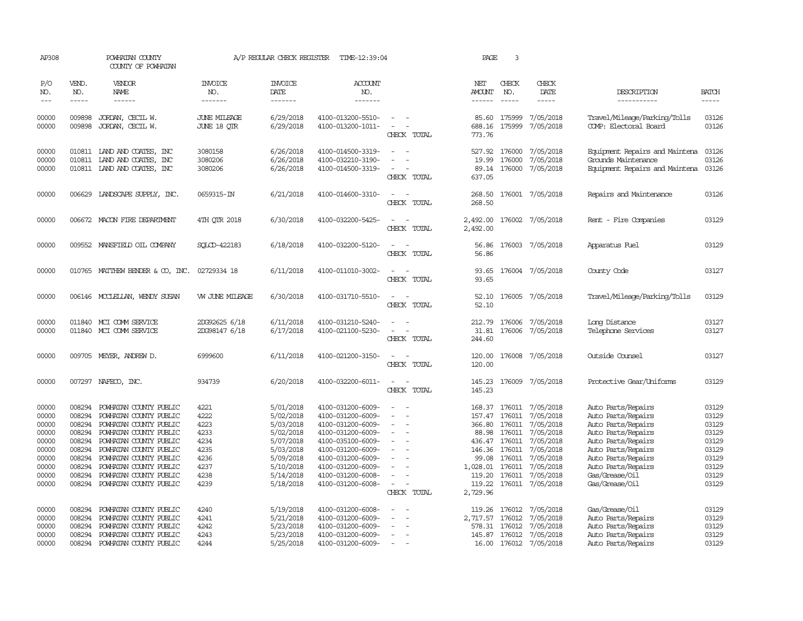| AP308                                                                                  |                                                                                                  | POWHATAN COUNTY<br>COUNTY OF POWHATAN                                                                                                                                                                                                                            |                                                                              | A/P REGULAR CHECK REGISTER                                                                                                     | TIME-12:39:04                                                                                                                                                                                                  |                                                                                                         | PAGE                                                                                                                    | $\overline{3}$                                 |                                                                                                                                                     |                                                                                                                                                                                                                  |                                                                                        |
|----------------------------------------------------------------------------------------|--------------------------------------------------------------------------------------------------|------------------------------------------------------------------------------------------------------------------------------------------------------------------------------------------------------------------------------------------------------------------|------------------------------------------------------------------------------|--------------------------------------------------------------------------------------------------------------------------------|----------------------------------------------------------------------------------------------------------------------------------------------------------------------------------------------------------------|---------------------------------------------------------------------------------------------------------|-------------------------------------------------------------------------------------------------------------------------|------------------------------------------------|-----------------------------------------------------------------------------------------------------------------------------------------------------|------------------------------------------------------------------------------------------------------------------------------------------------------------------------------------------------------------------|----------------------------------------------------------------------------------------|
| P/O<br>NO.                                                                             | VEND.<br>NO.                                                                                     | VENDOR<br>NAME                                                                                                                                                                                                                                                   | <b>INVOICE</b><br>NO.                                                        | <b>INVOICE</b><br>DATE                                                                                                         | <b>ACCOUNT</b><br>NO.                                                                                                                                                                                          |                                                                                                         | NET<br><b>AMOUNT</b>                                                                                                    | CHECK<br>NO.                                   | CHECK<br>DATE                                                                                                                                       | DESCRIPTION                                                                                                                                                                                                      | <b>BATCH</b>                                                                           |
| $\qquad \qquad -$                                                                      | -----                                                                                            | $- - - - - -$                                                                                                                                                                                                                                                    | -------                                                                      | -------                                                                                                                        | -------                                                                                                                                                                                                        |                                                                                                         | $- - - - - -$                                                                                                           | $\frac{1}{2}$                                  |                                                                                                                                                     | -----------                                                                                                                                                                                                      | -----                                                                                  |
| 00000<br>00000                                                                         | 009898<br>009898                                                                                 | JORDAN, CECIL W.<br>JORDAN, CECIL W.                                                                                                                                                                                                                             | JUNE MILEAGE<br>JUNE 18 QIR                                                  | 6/29/2018<br>6/29/2018                                                                                                         | 4100-013200-5510-<br>4100-013200-1011-                                                                                                                                                                         | $\equiv$<br>$\overline{\phantom{a}}$<br>CHECK TOTAL                                                     | 85.60<br>688.16 175999<br>773.76                                                                                        | 175999                                         | 7/05/2018<br>7/05/2018                                                                                                                              | Travel/Mileage/Parking/Tolls<br>COMP: Electoral Board                                                                                                                                                            | 03126<br>03126                                                                         |
| 00000<br>00000<br>00000                                                                |                                                                                                  | 010811 LAND AND COATES, INC<br>010811 LAND AND COATES, INC<br>010811 LAND AND COATES, INC                                                                                                                                                                        | 3080158<br>3080206<br>3080206                                                | 6/26/2018<br>6/26/2018<br>6/26/2018                                                                                            | 4100-014500-3319-<br>4100-032210-3190-<br>4100-014500-3319-                                                                                                                                                    | $\overline{\phantom{a}}$<br>CHECK TOTAL                                                                 | 527.92<br>19.99<br>637.05                                                                                               | 176000<br>176000                               | 7/05/2018<br>7/05/2018<br>89.14 176000 7/05/2018                                                                                                    | Equipment Repairs and Maintena<br>Grounds Maintenance<br>Equipment Repairs and Maintena 03126                                                                                                                    | 03126<br>03126                                                                         |
| 00000                                                                                  |                                                                                                  | 006629 LANDSCAPE SUPPLY, INC.                                                                                                                                                                                                                                    | 0659315-IN                                                                   | 6/21/2018                                                                                                                      | 4100-014600-3310-                                                                                                                                                                                              | $\sim$ $\sim$<br>CHECK TOTAL                                                                            | 268.50<br>268.50                                                                                                        |                                                | 176001 7/05/2018                                                                                                                                    | Repairs and Maintenance                                                                                                                                                                                          | 03126                                                                                  |
| 00000                                                                                  |                                                                                                  | 006672 MACON FIRE DEPARIMENT                                                                                                                                                                                                                                     | 4TH QTR 2018                                                                 | 6/30/2018                                                                                                                      | 4100-032200-5425-                                                                                                                                                                                              | CHECK TOTAL                                                                                             | 2,492.00<br>2,492.00                                                                                                    |                                                | 176002 7/05/2018                                                                                                                                    | Rent - Fire Companies                                                                                                                                                                                            | 03129                                                                                  |
| 00000                                                                                  |                                                                                                  | 009552 MANSFIELD OIL COMPANY                                                                                                                                                                                                                                     | SOLCD-422183                                                                 | 6/18/2018                                                                                                                      | 4100-032200-5120-                                                                                                                                                                                              | $\equiv$<br>CHECK TOTAL                                                                                 | 56.86<br>56.86                                                                                                          |                                                | 176003 7/05/2018                                                                                                                                    | Apparatus Fuel                                                                                                                                                                                                   | 03129                                                                                  |
| 00000                                                                                  | 010765                                                                                           | MATTHEW BENDER & CO, INC.                                                                                                                                                                                                                                        | 02729334 18                                                                  | 6/11/2018                                                                                                                      | 4100-011010-3002-                                                                                                                                                                                              | $\equiv$<br>CHECK TOTAL                                                                                 | 93.65<br>93.65                                                                                                          |                                                | 176004 7/05/2018                                                                                                                                    | County Code                                                                                                                                                                                                      | 03127                                                                                  |
| 00000                                                                                  |                                                                                                  | 006146 MCCLELLAN, WENDY SUSAN                                                                                                                                                                                                                                    | W JUNE MILEAGE                                                               | 6/30/2018                                                                                                                      | 4100-031710-5510-                                                                                                                                                                                              | $\equiv$<br>CHECK TOTAL                                                                                 | 52.10<br>52.10                                                                                                          |                                                | 176005 7/05/2018                                                                                                                                    | Travel/Mileage/Parking/Tolls                                                                                                                                                                                     | 03129                                                                                  |
| 00000<br>00000                                                                         |                                                                                                  | 011840 MCI COMM SERVICE<br>011840 MCI COMM SERVICE                                                                                                                                                                                                               | 2DG92625 6/18<br>2DG98147 6/18                                               | 6/11/2018<br>6/17/2018                                                                                                         | 4100-031210-5240-<br>4100-021100-5230-                                                                                                                                                                         | $\equiv$<br>CHECK TOTAL                                                                                 | 212.79<br>31.81<br>244.60                                                                                               | 176006<br>176006                               | 7/05/2018<br>7/05/2018                                                                                                                              | Long Distance<br>Telephone Services                                                                                                                                                                              | 03127<br>03127                                                                         |
| 00000                                                                                  |                                                                                                  | 009705 MEYER, ANDREW D.                                                                                                                                                                                                                                          | 6999600                                                                      | 6/11/2018                                                                                                                      | 4100-021200-3150-                                                                                                                                                                                              | $\equiv$<br>CHECK TOTAL                                                                                 | 120.00<br>120.00                                                                                                        |                                                | 176008 7/05/2018                                                                                                                                    | Outside Counsel                                                                                                                                                                                                  | 03127                                                                                  |
| 00000                                                                                  |                                                                                                  | 007297 NAFECO, INC.                                                                                                                                                                                                                                              | 934739                                                                       | 6/20/2018                                                                                                                      | 4100-032200-6011-                                                                                                                                                                                              | $\sim$<br>CHECK TOTAL                                                                                   | 145.23<br>145.23                                                                                                        |                                                | 176009 7/05/2018                                                                                                                                    | Protective Gear/Uniforms                                                                                                                                                                                         | 03129                                                                                  |
| 00000<br>00000<br>00000<br>00000<br>00000<br>00000<br>00000<br>00000<br>00000<br>00000 | 008294<br>008294<br>008294<br>008294<br>008294<br>008294<br>008294<br>008294<br>008294<br>008294 | POWHATAN COUNTY PUBLIC<br>POWHATAN COUNTY PUBLIC<br>POWHATAN COUNTY PUBLIC<br>POWHATAN COUNTY PUBLIC<br>POWHATAN COUNTY PUBLIC<br>POWHATAN COUNTY PUBLIC<br>POWHATAN COUNTY PUBLIC<br>POWHATAN COUNTY PUBLIC<br>POWHATAN COUNTY PUBLIC<br>POWHATAN COUNTY PUBLIC | 4221<br>4222<br>4223<br>4233<br>4234<br>4235<br>4236<br>4237<br>4238<br>4239 | 5/01/2018<br>5/02/2018<br>5/03/2018<br>5/02/2018<br>5/07/2018<br>5/03/2018<br>5/09/2018<br>5/10/2018<br>5/14/2018<br>5/18/2018 | 4100-031200-6009-<br>4100-031200-6009-<br>4100-031200-6009-<br>4100-031200-6009-<br>4100-035100-6009-<br>4100-031200-6009-<br>4100-031200-6009-<br>4100-031200-6009-<br>4100-031200-6008-<br>4100-031200-6008- | $\sim$<br>$\overline{\phantom{a}}$<br>$\overline{\phantom{a}}$<br>$\equiv$<br>$\sim$ $-$<br>CHECK TOTAL | 157.47<br>366.80 176011<br>88.98<br>436.47 176011<br>146.36<br>99.08<br>1,028.01 176011<br>119.20<br>119.22<br>2,729.96 | 176011<br>176011<br>176011<br>176011<br>176011 | 168.37 176011 7/05/2018<br>7/05/2018<br>7/05/2018<br>7/05/2018<br>7/05/2018<br>7/05/2018<br>7/05/2018<br>7/05/2018<br>7/05/2018<br>176011 7/05/2018 | Auto Parts/Repairs<br>Auto Parts/Repairs<br>Auto Parts/Repairs<br>Auto Parts/Repairs<br>Auto Parts/Repairs<br>Auto Parts/Repairs<br>Auto Parts/Repairs<br>Auto Parts/Repairs<br>Gas/Grease/Oil<br>Gas/Grease/Oil | 03129<br>03129<br>03129<br>03129<br>03129<br>03129<br>03129<br>03129<br>03129<br>03129 |
| 00000<br>00000<br>00000<br>00000<br>00000                                              | 008294<br>008294<br>008294<br>008294<br>008294                                                   | POWHATAN COUNTY PUBLIC<br>POWHATAN COUNTY PUBLIC<br>POWHATAN COUNTY PUBLIC<br>POWHATAN COUNTY PUBLIC<br>POWHATAN COUNTY PUBLIC                                                                                                                                   | 4240<br>4241<br>4242<br>4243<br>4244                                         | 5/19/2018<br>5/21/2018<br>5/23/2018<br>5/23/2018<br>5/25/2018                                                                  | 4100-031200-6008-<br>4100-031200-6009-<br>4100-031200-6009-<br>4100-031200-6009-<br>4100-031200-6009-                                                                                                          | $\overline{\phantom{a}}$<br>$\sim$                                                                      | 119.26<br>2,717.57<br>578.31 176012<br>145.87 176012                                                                    | 176012<br>176012                               | 7/05/2018<br>7/05/2018<br>7/05/2018<br>7/05/2018<br>16.00 176012 7/05/2018                                                                          | Gas/Grease/Oil<br>Auto Parts/Repairs<br>Auto Parts/Repairs<br>Auto Parts/Repairs<br>Auto Parts/Repairs                                                                                                           | 03129<br>03129<br>03129<br>03129<br>03129                                              |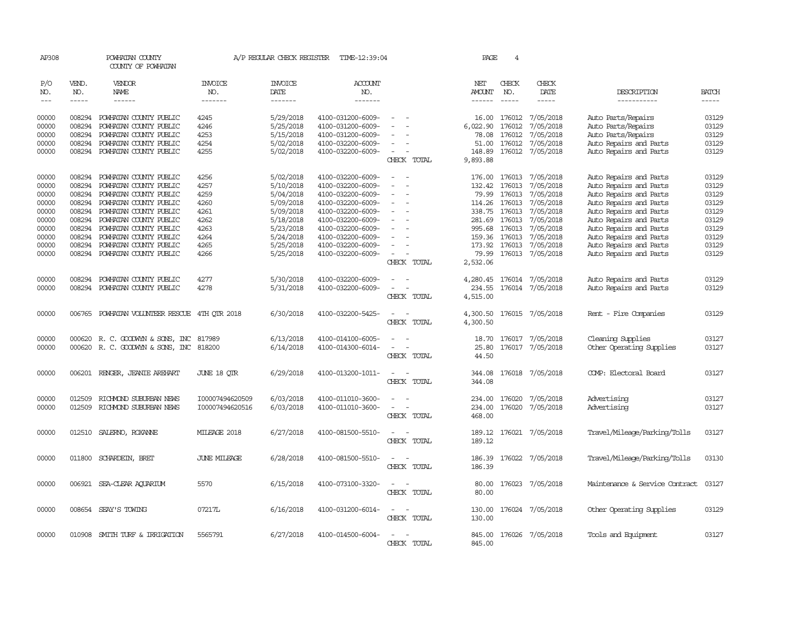| AP308               |                  | POWHATAN COUNTY<br>COUNTY OF POWHATAN            |                       | A/P REGULAR CHECK REGISTER | TIME-12:39:04                          |                                                      | PAGE                 | 4                |                         |                                          |                |
|---------------------|------------------|--------------------------------------------------|-----------------------|----------------------------|----------------------------------------|------------------------------------------------------|----------------------|------------------|-------------------------|------------------------------------------|----------------|
| P/O<br>NO.          | VEND.<br>NO.     | <b>VENDOR</b><br>NAME                            | <b>INVOICE</b><br>NO. | <b>INVOICE</b><br>DATE     | ACCOUNT<br>NO.                         |                                                      | NET<br>AMOUNT        | CHECK<br>NO.     | CHECK<br>DATE           | DESCRIPTION                              | <b>BATCH</b>   |
| $\qquad \qquad - -$ | $- - - - -$      | $- - - - - -$                                    | -------               | -------                    | -------                                |                                                      | $- - - - - -$        | $- - - - -$      | $- - - - -$             | -----------                              | $- - - - -$    |
| 00000<br>00000      | 008294<br>008294 | POWHATAN COUNTY PUBLIC<br>POWHATAN COUNTY PUBLIC | 4245<br>4246          | 5/29/2018<br>5/25/2018     | 4100-031200-6009-<br>4100-031200-6009- |                                                      | 16.00<br>6,022.90    | 176012<br>176012 | 7/05/2018<br>7/05/2018  | Auto Parts/Repairs<br>Auto Parts/Repairs | 03129<br>03129 |
| 00000               | 008294           | POWHATAN COUNTY PUBLIC                           | 4253                  | 5/15/2018                  | 4100-031200-6009-                      |                                                      | 78.08                | 176012           | 7/05/2018               | Auto Parts/Repairs                       | 03129          |
| 00000               | 008294           | POWHATAN COUNTY PUBLIC                           | 4254                  | 5/02/2018                  | 4100-032200-6009-                      |                                                      | 51.00                | 176012           | 7/05/2018               | Auto Repairs and Parts                   | 03129          |
| 00000               |                  | 008294 POWHATAN COUNTY PUBLIC                    | 4255                  | 5/02/2018                  | 4100-032200-6009-                      | $\overline{\phantom{a}}$                             | 148.89               |                  | 176012 7/05/2018        | Auto Repairs and Parts                   | 03129          |
|                     |                  |                                                  |                       |                            |                                        | CHECK TOTAL                                          | 9,893.88             |                  |                         |                                          |                |
| 00000               | 008294           | POWHATAN COUNTY PUBLIC                           | 4256                  | 5/02/2018                  | 4100-032200-6009-                      | ÷,                                                   | 176.00               | 176013           | 7/05/2018               | Auto Repairs and Parts                   | 03129          |
| 00000               | 008294           | POWHATAN COUNTY PUBLIC                           | 4257                  | 5/10/2018                  | 4100-032200-6009-                      | $\overline{\phantom{a}}$<br>$\overline{\phantom{a}}$ | 132.42               | 176013           | 7/05/2018               | Auto Repairs and Parts                   | 03129          |
| 00000               | 008294           | POWHATAN COUNTY PUBLIC                           | 4259                  | 5/04/2018                  | 4100-032200-6009-                      |                                                      | 79.99                | 176013           | 7/05/2018               | Auto Repairs and Parts                   | 03129          |
| 00000               | 008294           | POWHATAN COUNTY PUBLIC                           | 4260                  | 5/09/2018                  | 4100-032200-6009-                      |                                                      | 114.26               | 176013           | 7/05/2018               | Auto Repairs and Parts                   | 03129          |
| 00000               | 008294           | POWHATAN COUNTY PUBLIC                           | 4261                  | 5/09/2018                  | 4100-032200-6009-                      | $\sim$                                               |                      | 338.75 176013    | 7/05/2018               | Auto Repairs and Parts                   | 03129          |
| 00000               | 008294           | POWHATAN COUNTY PUBLIC                           | 4262                  | 5/18/2018                  | 4100-032200-6009-                      |                                                      | 281.69               | 176013           | 7/05/2018               | Auto Repairs and Parts                   | 03129          |
| 00000               | 008294           | POWHATAN COUNTY PUBLIC                           | 4263                  | 5/23/2018                  | 4100-032200-6009-                      |                                                      | 995.68               | 176013           | 7/05/2018               | Auto Repairs and Parts                   | 03129          |
| 00000               | 008294           | POWHATAN COUNTY PUBLIC                           | 4264                  | 5/24/2018                  | 4100-032200-6009-                      |                                                      |                      | 159.36 176013    | 7/05/2018               | Auto Repairs and Parts                   | 03129          |
| 00000               | 008294           | POWHATAN COUNTY PUBLIC                           | 4265                  | 5/25/2018                  | 4100-032200-6009-                      |                                                      | 173.92               | 176013           | 7/05/2018               | Auto Repairs and Parts                   | 03129          |
| 00000               |                  | 008294 POWHATAN COUNTY PUBLIC                    | 4266                  | 5/25/2018                  | 4100-032200-6009-                      |                                                      | 79.99                |                  | 176013 7/05/2018        | Auto Repairs and Parts                   | 03129          |
|                     |                  |                                                  |                       |                            |                                        | CHECK TOTAL                                          | 2,532.06             |                  |                         |                                          |                |
| 00000               | 008294           | POWHATAN COUNTY PUBLIC                           | 4277                  | 5/30/2018                  | 4100-032200-6009-                      | $\overline{\phantom{a}}$<br>$\overline{\phantom{a}}$ | 4,280.45             |                  | 176014 7/05/2018        | Auto Repairs and Parts                   | 03129          |
| 00000               | 008294           | POWHATAN COUNTY PUBLIC                           | 4278                  | 5/31/2018                  | 4100-032200-6009-                      | $\overline{\phantom{a}}$<br>$\overline{\phantom{a}}$ | 234.55               |                  | 176014 7/05/2018        | Auto Repairs and Parts                   | 03129          |
|                     |                  |                                                  |                       |                            |                                        | CHECK TOTAL                                          | 4,515.00             |                  |                         |                                          |                |
| 00000               |                  | 006765 POWHATAN VOLUNTEER RESCUE 4TH QTR 2018    |                       | 6/30/2018                  | 4100-032200-5425-                      | $\overline{\phantom{a}}$<br>CHECK TOTAL              | 4,300.50<br>4,300.50 |                  | 176015 7/05/2018        | Rent - Fire Companies                    | 03129          |
| 00000               | 000620           | R. C. GOODWYN & SONS, INC                        | 817989                | 6/13/2018                  | 4100-014100-6005-                      |                                                      | 18.70                | 176017           | 7/05/2018               | Cleaning Supplies                        | 03127          |
| 00000               |                  | 000620 R. C. GOODWYN & SONS, INC                 | 818200                | 6/14/2018                  | 4100-014300-6014-                      |                                                      | 25.80                |                  | 176017 7/05/2018        | Other Operating Supplies                 | 03127          |
|                     |                  |                                                  |                       |                            |                                        | CHECK TOTAL                                          | 44.50                |                  |                         |                                          |                |
| 00000               | 006201           | RENGER, JEANIE AREHART                           | JUNE 18 QTR           | 6/29/2018                  | 4100-013200-1011-                      | $\sim$<br>$\overline{\phantom{a}}$<br>CHECK TOTAL    | 344.08<br>344.08     |                  | 176018 7/05/2018        | COMP: Electoral Board                    | 03127          |
| 00000               | 012509           | RICHMOND SUBURBAN NEWS                           | I00007494620509       | 6/03/2018                  | 4100-011010-3600-                      | $\overline{\phantom{a}}$<br>$\overline{\phantom{a}}$ | 234.00               | 176020           | 7/05/2018               | Advertising                              | 03127          |
| 00000               | 012509           | RICHMOND SUBURBAN NEWS                           | I00007494620516       | 6/03/2018                  | 4100-011010-3600-                      | $\sim$<br>$\overline{\phantom{a}}$                   | 234.00               | 176020           | 7/05/2018               | Advertising                              | 03127          |
|                     |                  |                                                  |                       |                            |                                        | CHECK TOTAL                                          | 468.00               |                  |                         |                                          |                |
| 00000               |                  | 012510 SALERNO, ROXANNE                          | MILEAGE 2018          | 6/27/2018                  | 4100-081500-5510-                      | $\sim$<br>$\sim$<br>CHECK TOTAL                      | 189.12<br>189.12     |                  | 176021 7/05/2018        | Travel/Mileage/Parking/Tolls             | 03127          |
| 00000               | 011800           | SCHARDEIN, BRET                                  | <b>JUNE MILEAGE</b>   | 6/28/2018                  | 4100-081500-5510-                      | $\overline{a}$<br>$\sim$<br>CHECK TOTAL              | 186.39<br>186.39     |                  | 176022 7/05/2018        | Travel/Mileage/Parking/Tolls             | 03130          |
| 00000               |                  | 006921 SEA-CLEAR AQUARIUM                        | 5570                  | 6/15/2018                  | 4100-073100-3320-                      | $\overline{\phantom{a}}$<br>$\sim$<br>CHECK TOTAL    | 80.00<br>80.00       |                  | 176023 7/05/2018        | Maintenance & Service Contract           | 03127          |
| 00000               |                  | 008654 SEAY'S TOWING                             | 07217L                | 6/16/2018                  | 4100-031200-6014-                      | $\sim$<br>$\overline{\phantom{a}}$<br>CHECK TOTAL    | 130.00               |                  | 130.00 176024 7/05/2018 | Other Operating Supplies                 | 03129          |
| 00000               |                  | 010908 SMITH TURF & IRRIGATION                   | 5565791               | 6/27/2018                  | 4100-014500-6004-                      | $\overline{\phantom{a}}$<br>CHECK TOTAL              | 845.00<br>845.00     |                  | 176026 7/05/2018        | Tools and Equipment                      | 03127          |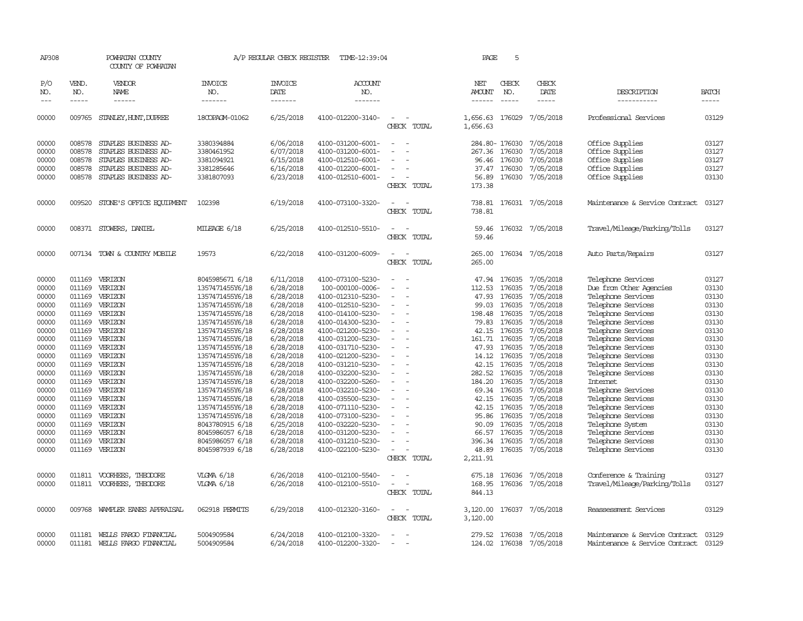| AP308      |              | POWHATAN COUNTY<br>COUNTY OF POWHATAN |                       | A/P REGULAR CHECK REGISTER | TIME-12:39:04         |                                                                                                              | PAGE                 | 5              |                         |                                      |              |
|------------|--------------|---------------------------------------|-----------------------|----------------------------|-----------------------|--------------------------------------------------------------------------------------------------------------|----------------------|----------------|-------------------------|--------------------------------------|--------------|
| P/O<br>NO. | VEND.<br>NO. | VENDOR<br>NAME                        | <b>INVOICE</b><br>NO. | <b>INVOICE</b><br>DATE     | <b>ACCOUNT</b><br>NO. |                                                                                                              | NET<br>AMOUNT        | CHECK<br>NO.   | CHECK<br>DATE           | DESCRIPTION                          | <b>BATCH</b> |
| $---$      | $- - - - -$  |                                       | -------               | -------                    | -------               |                                                                                                              | $- - - - - -$        | $\frac{1}{2}$  | $- - - - -$             | -----------                          | -----        |
| 00000      |              | 009765 STANLEY, HUNT, DUPREE          | 18COPAGM-01062        | 6/25/2018                  | 4100-012200-3140-     | $\equiv$<br>CHECK TOTAL                                                                                      | 1,656.63<br>1,656.63 | 176029         | 7/05/2018               | Professional Services                | 03129        |
| 00000      | 008578       | STAPLES BUSINESS AD-                  | 3380394884            | 6/06/2018                  | 4100-031200-6001-     | $\overline{\phantom{a}}$                                                                                     |                      | 284.80- 176030 | 7/05/2018               | Office Supplies                      | 03127        |
| 00000      | 008578       | STAPLES BUSINESS AD-                  | 3380461952            | 6/07/2018                  | 4100-031200-6001-     |                                                                                                              | 267.36               | 176030         | 7/05/2018               | Office Supplies                      | 03127        |
| 00000      | 008578       | STAPLES BUSINESS AD-                  | 3381094921            | 6/15/2018                  | 4100-012510-6001-     |                                                                                                              | 96.46                | 176030         | 7/05/2018               | Office Supplies                      | 03127        |
| 00000      | 008578       | STAPLES BUSINESS AD-                  | 3381285646            | 6/16/2018                  | 4100-012200-6001-     | $\overline{\phantom{a}}$                                                                                     |                      | 37.47 176030   | 7/05/2018               | Office Supplies                      | 03127        |
| 00000      | 008578       | STAPLES BUSINESS AD-                  | 3381807093            | 6/23/2018                  | 4100-012510-6001-     | $\overline{\phantom{a}}$                                                                                     | 56.89                | 176030         | 7/05/2018               | Office Supplies                      | 03130        |
|            |              |                                       |                       |                            |                       | CHECK TOTAL                                                                                                  | 173.38               |                |                         |                                      |              |
| 00000      | 009520       | STONE'S OFFICE EQUIPMENT              | 102398                | 6/19/2018                  | 4100-073100-3320-     | $\overline{\phantom{a}}$                                                                                     | 738.81               |                | 176031 7/05/2018        | Maintenance & Service Contract       | 03127        |
|            |              |                                       |                       |                            |                       | CHECK TOTAL                                                                                                  | 738.81               |                |                         |                                      |              |
| 00000      |              | 008371 STOWERS, DANIEL                | MILEAGE 6/18          | 6/25/2018                  | 4100-012510-5510-     |                                                                                                              | 59.46                |                | 176032 7/05/2018        | Travel/Mileage/Parking/Tolls         | 03127        |
|            |              |                                       |                       |                            |                       | CHECK TOTAL                                                                                                  | 59.46                |                |                         |                                      |              |
| 00000      |              | 007134 TOWN & COUNTRY MOBILE          | 19573                 | 6/22/2018                  | 4100-031200-6009-     | $\sim$                                                                                                       | 265.00               |                | 176034 7/05/2018        | Auto Parts/Repairs                   | 03127        |
|            |              |                                       |                       |                            |                       | CHECK TOTAL                                                                                                  | 265.00               |                |                         |                                      |              |
| 00000      | 011169       | VERIZON                               | 8045985671 6/18       | 6/11/2018                  | 4100-073100-5230-     |                                                                                                              | 47.94                | 176035         | 7/05/2018               | Telephone Services                   | 03127        |
| 00000      | 011169       | VERIZON                               | 1357471455Y6/18       | 6/28/2018                  | 100-000100-0006-      | $\sim$                                                                                                       | 112.53               | 176035         | 7/05/2018               | Due from Other Agencies              | 03130        |
| 00000      | 011169       | VERIZON                               | 1357471455Y6/18       | 6/28/2018                  | 4100-012310-5230-     | $\overline{\phantom{a}}$                                                                                     | 47.93                | 176035         | 7/05/2018               | Telephone Services                   | 03130        |
| 00000      | 011169       | VERIZON                               | 1357471455Y6/18       | 6/28/2018                  | 4100-012510-5230-     |                                                                                                              | 99.03                | 176035         | 7/05/2018               | Telephone Services                   | 03130        |
| 00000      |              | 011169 VERIZON                        | 1357471455Y6/18       | 6/28/2018                  | 4100-014100-5230-     | $\equiv$                                                                                                     | 198.48               | 176035         | 7/05/2018               | Telephone Services                   | 03130        |
| 00000      |              | 011169 VERIZON                        | 1357471455Y6/18       | 6/28/2018                  | 4100-014300-5230-     |                                                                                                              | 79.83                | 176035         | 7/05/2018               | Telephone Services                   | 03130        |
| 00000      | 011169       | VERIZON                               | 1357471455Y6/18       | 6/28/2018                  | 4100-021200-5230-     |                                                                                                              |                      | 42.15 176035   | 7/05/2018               | Telephone Services                   | 03130        |
| 00000      | 011169       | VERIZON                               | 1357471455Y6/18       | 6/28/2018                  | 4100-031200-5230-     |                                                                                                              | 161.71               | 176035         | 7/05/2018               | Telephone Services                   | 03130        |
| 00000      | 011169       | VERIZON                               | 1357471455Y6/18       | 6/28/2018                  | 4100-031710-5230-     | $\overline{\phantom{a}}$                                                                                     | 47.93                | 176035         | 7/05/2018               | Telephone Services                   | 03130        |
| 00000      | 011169       | VERIZON                               | 1357471455Y6/18       | 6/28/2018                  | 4100-021200-5230-     |                                                                                                              | 14.12                | 176035         | 7/05/2018               | Telephone Services                   | 03130        |
| 00000      | 011169       | VERIZON                               | 1357471455Y6/18       | 6/28/2018                  | 4100-031210-5230-     |                                                                                                              | 42.15                | 176035         | 7/05/2018               | Telephone Services                   | 03130        |
| 00000      |              | 011169 VERIZON                        | 1357471455Y6/18       | 6/28/2018                  | 4100-032200-5230-     | $\equiv$                                                                                                     |                      | 282.52 176035  | 7/05/2018               | Telephone Services                   | 03130        |
| 00000      |              | 011169 VERIZON                        | 1357471455Y6/18       | 6/28/2018                  | 4100-032200-5260-     |                                                                                                              | 184.20               | 176035         | 7/05/2018               | Internet                             | 03130        |
| 00000      | 011169       | VERIZON                               | 1357471455Y6/18       | 6/28/2018                  | 4100-032210-5230-     |                                                                                                              | 69.34                | 176035         | 7/05/2018               | Telephone Services                   | 03130        |
| 00000      | 011169       | VERIZON                               | 1357471455Y6/18       | 6/28/2018                  | 4100-035500-5230-     |                                                                                                              | 42.15                | 176035         | 7/05/2018               | Telephone Services                   | 03130        |
| 00000      | 011169       | VERIZON                               | 1357471455Y6/18       | 6/28/2018                  | 4100-071110-5230-     |                                                                                                              | 42.15                | 176035         | 7/05/2018               | Telephone Services                   | 03130        |
| 00000      | 011169       | VERIZON                               | 1357471455Y6/18       | 6/28/2018                  | 4100-073100-5230-     |                                                                                                              | 95.86                | 176035         | 7/05/2018               | Telephone Services                   | 03130        |
| 00000      | 011169       | VERIZON                               | 8043780915 6/18       | 6/25/2018                  | 4100-032220-5230-     |                                                                                                              | 90.09                | 176035         | 7/05/2018               | Telephone System                     | 03130        |
| 00000      | 011169       | VERIZON                               | 8045986057 6/18       | 6/28/2018                  | 4100-031200-5230-     |                                                                                                              |                      | 66.57 176035   | 7/05/2018               | Telephone Services                   | 03130        |
| 00000      | 011169       | VERIZON                               | 8045986057 6/18       | 6/28/2018                  | 4100-031210-5230-     |                                                                                                              | 396.34               | 176035         | 7/05/2018               | Telephone Services                   | 03130        |
| 00000      | 011169       | VERIZON                               | 8045987939 6/18       | 6/28/2018                  | 4100-022100-5230-     |                                                                                                              | 48.89                |                | 176035 7/05/2018        | Telephone Services                   | 03130        |
|            |              |                                       |                       |                            |                       | CHECK TOTAL                                                                                                  | 2,211.91             |                |                         |                                      |              |
| 00000      |              | 011811 VOORHEES, THEODORE             | VLGMA 6/18            | 6/26/2018                  | 4100-012100-5540-     |                                                                                                              | 675.18               | 176036         | 7/05/2018               | Conference & Training                | 03127        |
| 00000      |              | 011811 VOORHEES, THEODORE             | VLGMA 6/18            | 6/26/2018                  | 4100-012100-5510-     | $\sim$                                                                                                       | 168.95               |                | 176036 7/05/2018        | Travel/Mileage/Parking/Tolls         | 03127        |
|            |              |                                       |                       |                            |                       | CHECK TOTAL                                                                                                  | 844.13               |                |                         |                                      |              |
| 00000      |              | 009768 WAMPLER EANES APPRAISAL        | 062918 PERMITS        | 6/29/2018                  | 4100-012320-3160-     | $\frac{1}{2} \left( \frac{1}{2} \right) \left( \frac{1}{2} \right) = \frac{1}{2} \left( \frac{1}{2} \right)$ | 3,120.00             |                | 176037 7/05/2018        | Reassessment Services                | 03129        |
|            |              |                                       |                       |                            |                       | CHECK TOTAL                                                                                                  | 3,120.00             |                |                         |                                      |              |
| 00000      |              | 011181 WELLS FARGO FINANCIAL          | 5004909584            | 6/24/2018                  | 4100-012100-3320-     | $\sim$                                                                                                       |                      |                | 279.52 176038 7/05/2018 | Maintenance & Service Contract 03129 |              |
| 00000      | 011181       | WELLS FARGO FINANCIAL                 | 5004909584            | 6/24/2018                  | 4100-012200-3320-     |                                                                                                              | 124.02               |                | 176038 7/05/2018        | Maintenance & Service Contract       | 03129        |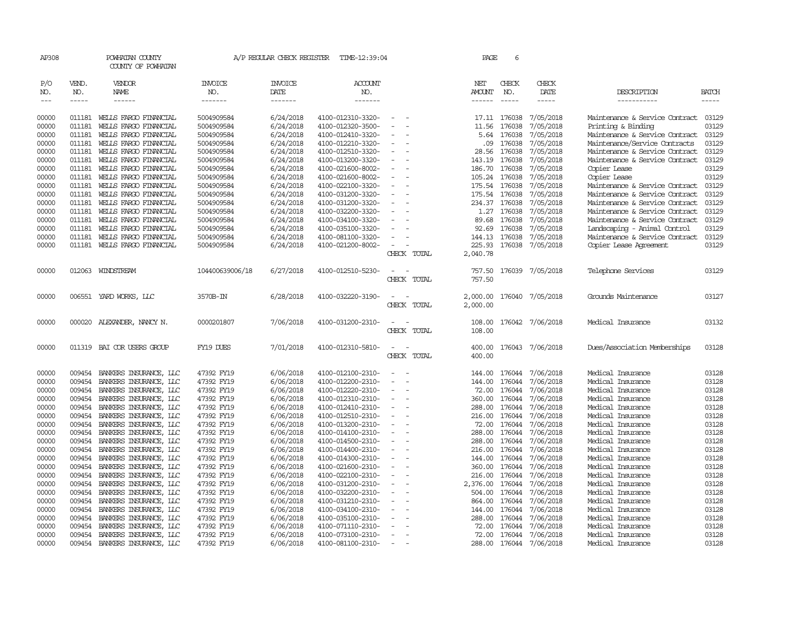| AP308               |                       | POWHATAN COUNTY<br>COUNTY OF POWHATAN |                           | A/P REGULAR CHECK REGISTER        | TIME-12:39:04                    |                          |             | PAGE                    | 6                           |                        |                                |                       |
|---------------------|-----------------------|---------------------------------------|---------------------------|-----------------------------------|----------------------------------|--------------------------|-------------|-------------------------|-----------------------------|------------------------|--------------------------------|-----------------------|
| P/O<br>NO.<br>$---$ | VEND.<br>NO.<br>----- | VENDOR<br>NAME<br>------              | INVOICE<br>NO.<br>------- | <b>INVOICE</b><br>DATE<br>------- | <b>ACCOUNT</b><br>NO.<br>------- |                          |             | NET<br>AMOUNT<br>------ | CHECK<br>NO.<br>$- - - - -$ | CHECK<br>DATE<br>----- | DESCRIPTION<br>-----------     | <b>BATCH</b><br>----- |
| 00000               | 011181                | WELLS FARGO FINANCIAL                 | 5004909584                | 6/24/2018                         | 4100-012310-3320-                |                          |             |                         | 17.11 176038                | 7/05/2018              | Maintenance & Service Contract | 03129                 |
| 00000               | 011181                | WELLS FARGO FINANCIAL                 | 5004909584                | 6/24/2018                         | 4100-012320-3500-                | $\equiv$                 |             | 11.56                   | 176038                      | 7/05/2018              | Printing & Binding             | 03129                 |
| 00000               | 011181                | WELLS FARGO FINANCIAL                 | 5004909584                | 6/24/2018                         | 4100-012410-3320-                |                          |             | 5.64                    | 176038                      | 7/05/2018              | Maintenance & Service Contract | 03129                 |
| 00000               | 011181                | WELLS FARGO FINANCIAL                 | 5004909584                | 6/24/2018                         | 4100-012210-3320-                |                          |             | .09                     | 176038                      | 7/05/2018              | Maintenance/Service Contracts  | 03129                 |
| 00000               | 011181                | WELLS FARGO FINANCIAL                 | 5004909584                | 6/24/2018                         | 4100-012510-3320-                | $\overline{\phantom{a}}$ |             | 28.56                   | 176038                      | 7/05/2018              | Maintenance & Service Contract | 03129                 |
| 00000               | 011181                | WELLS FARGO FINANCIAL                 | 5004909584                | 6/24/2018                         | 4100-013200-3320-                |                          |             | 143.19                  | 176038                      | 7/05/2018              | Maintenance & Service Contract | 03129                 |
| 00000               | 011181                | WELLS FARGO FINANCIAL                 | 5004909584                | 6/24/2018                         | 4100-021600-8002-                |                          |             | 186.70                  | 176038                      | 7/05/2018              | Copier Lease                   | 03129                 |
| 00000               | 011181                | WELLS FARGO FINANCIAL                 | 5004909584                | 6/24/2018                         | 4100-021600-8002-                | $\sim$                   |             | 105.24                  | 176038                      | 7/05/2018              | Copier Lease                   | 03129                 |
| 00000               | 011181                | WELLS FARGO FINANCIAL                 | 5004909584                | 6/24/2018                         | 4100-022100-3320-                |                          |             | 175.54                  | 176038                      | 7/05/2018              | Maintenance & Service Contract | 03129                 |
| 00000               | 011181                | WELLS FARGO FINANCIAL                 | 5004909584                | 6/24/2018                         | 4100-031200-3320-                |                          |             | 175.54                  | 176038                      | 7/05/2018              | Maintenance & Service Contract | 03129                 |
| 00000               | 011181                | WEILS FARGO FINANCIAL                 | 5004909584                | 6/24/2018                         | 4100-031200-3320-                |                          |             | 234.37                  | 176038                      | 7/05/2018              | Maintenance & Service Contract | 03129                 |
| 00000               | 011181                | WELLS FARGO FINANCIAL                 | 5004909584                | 6/24/2018                         | 4100-032200-3320-                | $\overline{\phantom{a}}$ |             | 1.27                    | 176038                      | 7/05/2018              | Maintenance & Service Contract | 03129                 |
| 00000               | 011181                | WELLS FARGO FINANCIAL                 | 5004909584                | 6/24/2018                         | 4100-034100-3320-                |                          |             | 89.68                   | 176038                      | 7/05/2018              | Maintenance & Service Contract | 03129                 |
| 00000               | 011181                | WELLS FARGO FINANCIAL                 | 5004909584                | 6/24/2018                         | 4100-035100-3320-                |                          |             | 92.69                   | 176038                      | 7/05/2018              | Landscaping - Animal Control   | 03129                 |
| 00000               | 011181                | WELLS FARGO FINANCIAL                 | 5004909584                | 6/24/2018                         | 4100-081100-3320-                |                          |             | 144.13                  | 176038                      | 7/05/2018              | Maintenance & Service Contract | 03129                 |
| 00000               | 011181                | WELLS FARGO FINANCIAL                 | 5004909584                | 6/24/2018                         | 4100-021200-8002-                |                          |             | 225.93                  | 176038                      | 7/05/2018              | Copier Lease Agreement         | 03129                 |
|                     |                       |                                       |                           |                                   |                                  |                          | CHECK TOTAL | 2,040.78                |                             |                        |                                |                       |
| 00000               |                       | 012063 WINDSTREAM                     | 104400639006/18           | 6/27/2018                         | 4100-012510-5230-                |                          | CHECK TOTAL | 757.50<br>757.50        |                             | 176039 7/05/2018       | Telephone Services             | 03129                 |
|                     |                       |                                       |                           |                                   |                                  |                          |             |                         |                             |                        |                                |                       |
| 00000               |                       | 006551 YARD WORKS, LLC                | 3570B-IN                  | 6/28/2018                         | 4100-032220-3190-                |                          |             | 2,000.00                |                             | 176040 7/05/2018       | Grounds Maintenance            | 03127                 |
|                     |                       |                                       |                           |                                   |                                  |                          | CHECK TOTAL | 2,000.00                |                             |                        |                                |                       |
| 00000               | 000020                | ALEXANDER, NANCY N.                   | 0000201807                | 7/06/2018                         | 4100-031200-2310-                |                          |             | 108.00                  |                             | 176042 7/06/2018       | Medical Insurance              | 03132                 |
|                     |                       |                                       |                           |                                   |                                  |                          | CHECK TOTAL | 108.00                  |                             |                        |                                |                       |
| 00000               | 011319                | BAI COR USERS GROUP                   | FY19 DUES                 | 7/01/2018                         | 4100-012310-5810-                |                          | CHECK TOTAL | 400.00<br>400.00        |                             | 176043 7/06/2018       | Dues/Association Memberships   | 03128                 |
| 00000               | 009454                | BANKERS INSURANCE, LLC                | 47392 FY19                | 6/06/2018                         | 4100-012100-2310-                |                          |             | 144.00                  | 176044                      | 7/06/2018              | Medical Insurance              | 03128                 |
| 00000               | 009454                | BANKERS INSURANCE, LLC                | 47392 FY19                | 6/06/2018                         | 4100-012200-2310-                |                          |             | 144.00                  | 176044                      | 7/06/2018              | Medical Insurance              | 03128                 |
| 00000               | 009454                | BANKERS INSURANCE, LLC                | 47392 FY19                | 6/06/2018                         | 4100-012220-2310-                |                          |             | 72.00                   | 176044                      | 7/06/2018              | Medical Insurance              | 03128                 |
| 00000               | 009454                | BANKERS INSURANCE, LLC                | 47392 FY19                | 6/06/2018                         | 4100-012310-2310-                | $\equiv$                 |             | 360.00                  | 176044                      | 7/06/2018              | Medical Insurance              | 03128                 |
| 00000               | 009454                | BANKERS INSURANCE, LLC                | 47392 FY19                | 6/06/2018                         | 4100-012410-2310-                |                          |             | 288.00                  | 176044                      | 7/06/2018              | Medical Insurance              | 03128                 |
| 00000               | 009454                | BANKERS INSURANCE, LLC                | 47392 FY19                | 6/06/2018                         | 4100-012510-2310-                |                          |             | 216.00                  | 176044                      | 7/06/2018              | Medical Insurance              | 03128                 |
| 00000               | 009454                | BANKERS INSURANCE, LLC                | 47392 FY19                | 6/06/2018                         | 4100-013200-2310-                |                          |             | 72.00                   | 176044                      | 7/06/2018              | Medical Insurance              | 03128                 |
| 00000               | 009454                | BANKERS INSURANCE, LLC                | 47392 FY19                | 6/06/2018                         | 4100-014100-2310-                |                          |             | 288.00                  | 176044                      | 7/06/2018              | Medical Insurance              | 03128                 |
| 00000               | 009454                | BANKERS INSURANCE, LLC                | 47392 FY19                | 6/06/2018                         | 4100-014500-2310-                |                          |             | 288.00                  | 176044                      | 7/06/2018              | Medical Insurance              | 03128                 |
| 00000               | 009454                | BANKERS INSURANCE, LLC                | 47392 FY19                | 6/06/2018                         | 4100-014400-2310-                |                          |             | 216.00                  | 176044                      | 7/06/2018              | Medical Insurance              | 03128                 |
| 00000               | 009454                | BANKERS INSURANCE, LLC                | 47392 FY19                | 6/06/2018                         | 4100-014300-2310-                | $\sim$                   |             | 144.00                  | 176044                      | 7/06/2018              | Medical Insurance              | 03128                 |
| 00000               | 009454                | BANKERS INSURANCE, LLC                | 47392 FY19                | 6/06/2018                         | 4100-021600-2310-                |                          |             | 360.00                  | 176044                      | 7/06/2018              | Medical Insurance              | 03128                 |
| 00000               | 009454                | BANKERS INSURANCE, LLC                | 47392 FY19                | 6/06/2018                         | 4100-022100-2310-                |                          |             | 216.00                  | 176044                      | 7/06/2018              | Medical Insurance              | 03128                 |
| 00000               | 009454                | BANKERS INSURANCE, LLC                | 47392 FY19                | 6/06/2018                         | 4100-031200-2310-                |                          |             | 2,376.00                | 176044                      | 7/06/2018              | Medical Insurance              | 03128                 |
| 00000               | 009454                | BANKERS INSURANCE, LLC                | 47392 FY19                | 6/06/2018                         | 4100-032200-2310-                | $\equiv$                 |             | 504.00                  | 176044                      | 7/06/2018              | Medical Insurance              | 03128                 |
| 00000               | 009454                | BANKERS INSURANCE, LLC                | 47392 FY19                | 6/06/2018                         | 4100-031210-2310-                |                          |             | 864.00                  | 176044                      | 7/06/2018              | Medical Insurance              | 03128                 |
| 00000               | 009454                | BANKERS INSURANCE, LLC                | 47392 FY19                | 6/06/2018                         | 4100-034100-2310-                |                          |             | 144.00                  | 176044                      | 7/06/2018              | Medical Insurance              | 03128                 |
| 00000               | 009454                | BANKERS INSURANCE, LLC                | 47392 FY19                | 6/06/2018                         | 4100-035100-2310-                |                          |             | 288.00                  | 176044                      | 7/06/2018              | Medical Insurance              | 03128                 |
| 00000               | 009454                | BANKERS INSURANCE, LLC                | 47392 FY19                | 6/06/2018                         | 4100-071110-2310-                |                          |             | 72.00                   | 176044                      | 7/06/2018              | Medical Insurance              | 03128                 |
| 00000               | 009454                | BANKERS INSURANCE, LLC                | 47392 FY19                | 6/06/2018                         | 4100-073100-2310-                |                          |             | 72.00                   | 176044                      | 7/06/2018              | Medical Insurance              | 03128                 |
| 00000               | 009454                | BANKERS INSURANCE, LLC                | 47392 FY19                | 6/06/2018                         | 4100-081100-2310-                | $\overline{\phantom{a}}$ |             |                         | 288.00 176044               | 7/06/2018              | Medical Insurance              | 03128                 |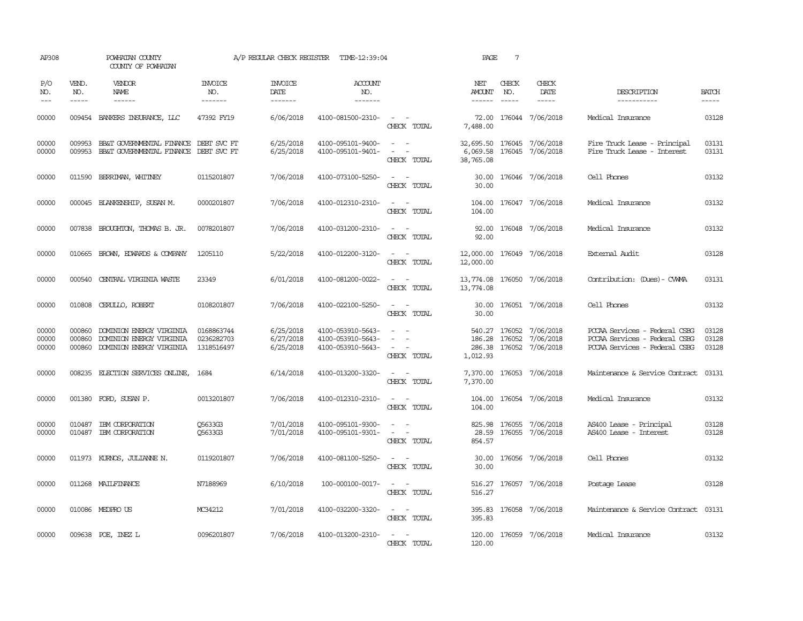| AP308                   |                               | POWHATAN COUNTY<br>COUNTY OF POWHATAN                                            |                                        |                                     | A/P REGULAR CHECK REGISTER TIME-12:39:04                    |                                                                                                                             | PAGE                                                | $7\phantom{.0}$               |                                                                               |                                                                                                 |                             |
|-------------------------|-------------------------------|----------------------------------------------------------------------------------|----------------------------------------|-------------------------------------|-------------------------------------------------------------|-----------------------------------------------------------------------------------------------------------------------------|-----------------------------------------------------|-------------------------------|-------------------------------------------------------------------------------|-------------------------------------------------------------------------------------------------|-----------------------------|
| P/O<br>NO.<br>$ -$      | VEND.<br>NO.<br>$\frac{1}{2}$ | <b>VENDOR</b><br>NAME                                                            | <b>INVOICE</b><br>NO.<br>-------       | <b>INVOICE</b><br>DATE<br>--------  | ACCOUNT<br>NO.<br>$- - - - - - -$                           |                                                                                                                             | NET<br>AMOUNT                                       | CHECK<br>NO.<br>$\frac{1}{2}$ | CHECK<br>DATE<br>$\frac{1}{2}$                                                | DESCRIPTION<br>-----------                                                                      | <b>BATCH</b><br>$- - - - -$ |
| 00000                   |                               | 009454 BANKERS INSURANCE, LLC                                                    | 47392 FY19                             | 6/06/2018                           | 4100-081500-2310-                                           | $\sim$ $ -$<br>CHECK TOTAL                                                                                                  | 7,488,00                                            |                               | 72.00 176044 7/06/2018                                                        | Medical Insurance                                                                               | 03128                       |
| 00000<br>00000          | 009953<br>009953              | BB&T GOVERNMENTAL FINANCE DEBT SVC FT<br>BB&T GOVERNMENTAL FINANCE               | DEBT SVC FT                            | 6/25/2018<br>6/25/2018              | 4100-095101-9400-<br>4100-095101-9401-                      | $\omega_{\rm{max}}$ and $\omega_{\rm{max}}$<br>$\omega_{\rm{max}}$ and $\omega_{\rm{max}}$<br>CHECK TOTAL                   | 32,695.50 176045 7/06/2018<br>6,069.58<br>38,765.08 |                               | 176045 7/06/2018                                                              | Fire Truck Lease - Principal<br>Fire Truck Lease - Interest                                     | 03131<br>03131              |
| 00000                   | 011590                        | BERRIMAN, WHITNEY                                                                | 0115201807                             | 7/06/2018                           | 4100-073100-5250-                                           | $\frac{1}{2} \left( \frac{1}{2} \right) \left( \frac{1}{2} \right) = \frac{1}{2} \left( \frac{1}{2} \right)$<br>CHECK TOTAL | 30.00<br>30.00                                      |                               | 176046 7/06/2018                                                              | Cell Phones                                                                                     | 03132                       |
| 00000                   |                               | 000045 BLANKENSHIP, SUSAN M.                                                     | 0000201807                             | 7/06/2018                           | 4100-012310-2310-                                           | $\sim$ 100 $\sim$<br>CHECK TOTAL                                                                                            | 104.00                                              |                               | 104.00 176047 7/06/2018                                                       | Medical Insurance                                                                               | 03132                       |
| 00000                   |                               | 007838 BROUGHTON, THOMAS B. JR.                                                  | 0078201807                             | 7/06/2018                           | 4100-031200-2310-                                           | $\omega_{\rm{max}}$ , $\omega_{\rm{max}}$<br>CHECK TOTAL                                                                    | 92.00<br>92.00                                      |                               | 176048 7/06/2018                                                              | Medical Insurance                                                                               | 03132                       |
| 00000                   |                               | 010665 BROWN, EDWARDS & COMPANY                                                  | 1205110                                | 5/22/2018                           | 4100-012200-3120-                                           | $\sim$ 100 $\sim$ 100 $\sim$<br>CHECK TOTAL                                                                                 | 12,000.00 176049 7/06/2018<br>12,000.00             |                               |                                                                               | External Audit                                                                                  | 03128                       |
| 00000                   | 000540                        | CENTRAL VIRGINIA WASTE                                                           | 23349                                  | 6/01/2018                           | 4100-081200-0022-                                           | CHECK TOTAL                                                                                                                 | 13,774.08 176050 7/06/2018<br>13,774.08             |                               |                                                                               | Contribution: (Dues) - CWMA                                                                     | 03131                       |
| 00000                   |                               | 010808 CERULLO, ROBERT                                                           | 0108201807                             | 7/06/2018                           | 4100-022100-5250-                                           | $\sim$ $ -$<br>CHECK TOTAL                                                                                                  | 30.00<br>30.00                                      |                               | 176051 7/06/2018                                                              | Cell Phones                                                                                     | 03132                       |
| 00000<br>00000<br>00000 | 000860<br>000860<br>000860    | DOMINION ENERGY VIRGINIA<br>DOMINION ENERGY VIRGINIA<br>DOMINION ENERGY VIRGINIA | 0168863744<br>0236282703<br>1318516497 | 6/25/2018<br>6/27/2018<br>6/25/2018 | 4100-053910-5643-<br>4100-053910-5643-<br>4100-053910-5643- | $\omega_{\rm{max}}$ and $\omega_{\rm{max}}$<br>CHECK TOTAL                                                                  | 1,012.93                                            |                               | 540.27 176052 7/06/2018<br>186.28 176052 7/06/2018<br>286.38 176052 7/06/2018 | PCCAA Services - Federal CSBG<br>PCCAA Services - Federal CSBG<br>PCCAA Services - Federal CSBG | 03128<br>03128<br>03128     |
| 00000                   |                               | 008235 ELECTION SERVICES ONLINE,                                                 | 1684                                   | 6/14/2018                           | 4100-013200-3320-                                           | $\sim$ 100 $\sim$ 100 $\sim$<br>CHECK TOTAL                                                                                 | 7,370.00                                            |                               | 7,370.00 176053 7/06/2018                                                     | Maintenance & Service Contract                                                                  | 03131                       |
| 00000                   |                               | 001380 FORD, SUSAN P.                                                            | 0013201807                             | 7/06/2018                           | 4100-012310-2310-                                           | $\frac{1}{2} \left( \frac{1}{2} \right) \left( \frac{1}{2} \right) = \frac{1}{2} \left( \frac{1}{2} \right)$<br>CHECK TOTAL | 104.00<br>104.00                                    |                               | 176054 7/06/2018                                                              | Medical Insurance                                                                               | 03132                       |
| 00000<br>00000          |                               | 010487 IBM CORPORATION<br>010487 IBM CORPORATION                                 | 05633G3<br>05633G3                     | 7/01/2018<br>7/01/2018              | 4100-095101-9300-<br>4100-095101-9301-                      | $\omega_{\rm{max}}$ and $\omega_{\rm{max}}$<br>$\sim$ $ -$<br>CHECK TOTAL                                                   | 854.57                                              |                               | 825.98 176055 7/06/2018<br>28.59 176055 7/06/2018                             | AS400 Lease - Principal<br>AS400 Lease - Interest                                               | 03128<br>03128              |
| 00000                   |                               | 011973 KURNOS, JULIANNE N.                                                       | 0119201807                             | 7/06/2018                           | 4100-081100-5250-                                           | $\sim$ $ \sim$<br>CHECK TOTAL                                                                                               | 30.00<br>30.00                                      |                               | 176056 7/06/2018                                                              | Cell Phones                                                                                     | 03132                       |
| 00000                   |                               | 011268 MAILFINANCE                                                               | N7188969                               | 6/10/2018                           | 100-000100-0017-                                            | $\sim$ $ \sim$<br>CHECK TOTAL                                                                                               | 516.27<br>516.27                                    |                               | 176057 7/06/2018                                                              | Postage Lease                                                                                   | 03128                       |
| 00000                   |                               | 010086 MEDPRO US                                                                 | MC34212                                | 7/01/2018                           | 4100-032200-3320-                                           | $\omega_{\rm{max}}$ and $\omega_{\rm{max}}$<br>CHECK TOTAL                                                                  | 395.83                                              |                               | 395.83 176058 7/06/2018                                                       | Maintenance & Service Contract 03131                                                            |                             |
| 00000                   |                               | 009638 POE, INEZ L                                                               | 0096201807                             | 7/06/2018                           | 4100-013200-2310-                                           | $\sim$ $ \sim$<br>CHECK TOTAL                                                                                               | 120.00                                              |                               | 120.00 176059 7/06/2018                                                       | Medical Insurance                                                                               | 03132                       |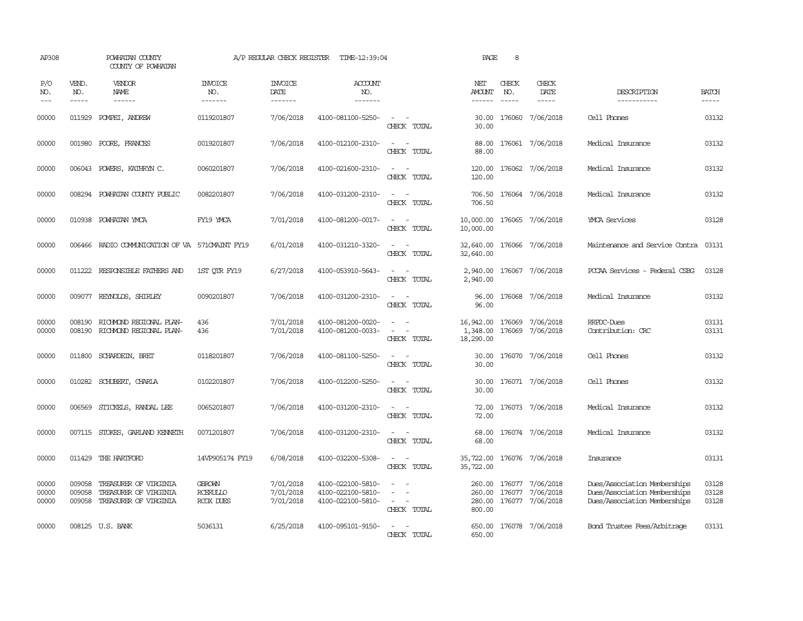| AP308                   |                  | POWHATAN COUNTY<br>COUNTY OF POWHATAN                                          |                                               | A/P REGULAR CHECK REGISTER               | TIME-12:39:04                                               |                                         | PAGE                               | 8                           |                                                                                                                                                                                                                                                                                                                                                                                                                                                                                                      |                                                                                              |                         |
|-------------------------|------------------|--------------------------------------------------------------------------------|-----------------------------------------------|------------------------------------------|-------------------------------------------------------------|-----------------------------------------|------------------------------------|-----------------------------|------------------------------------------------------------------------------------------------------------------------------------------------------------------------------------------------------------------------------------------------------------------------------------------------------------------------------------------------------------------------------------------------------------------------------------------------------------------------------------------------------|----------------------------------------------------------------------------------------------|-------------------------|
| P/O<br>NO.<br>$---$     | VEND.<br>NO.     | VENDOR<br>NAME<br>$- - - - - -$                                                | <b>INVOICE</b><br>NO.<br>-------              | <b>INVOICE</b><br><b>DATE</b><br>------- | <b>ACCOUNT</b><br>NO.<br>-------                            |                                         | NET<br>AMOUNT                      | CHECK<br>NO.<br>$- - - - -$ | CHECK<br>DATE<br>$\begin{tabular}{ccccc} \multicolumn{2}{c}{} & \multicolumn{2}{c}{} & \multicolumn{2}{c}{} & \multicolumn{2}{c}{} & \multicolumn{2}{c}{} & \multicolumn{2}{c}{} & \multicolumn{2}{c}{} & \multicolumn{2}{c}{} & \multicolumn{2}{c}{} & \multicolumn{2}{c}{} & \multicolumn{2}{c}{} & \multicolumn{2}{c}{} & \multicolumn{2}{c}{} & \multicolumn{2}{c}{} & \multicolumn{2}{c}{} & \multicolumn{2}{c}{} & \multicolumn{2}{c}{} & \multicolumn{2}{c}{} & \multicolumn{2}{c}{} & \mult$ | DESCRIPTION<br>-----------                                                                   | <b>BATCH</b><br>-----   |
| 00000                   | 011929           | POMPEI, ANDREW                                                                 | 0119201807                                    | 7/06/2018                                | 4100-081100-5250-                                           | CHECK TOTAL                             | 30.00<br>30.00                     |                             | 176060 7/06/2018                                                                                                                                                                                                                                                                                                                                                                                                                                                                                     | Cell Phones                                                                                  | 03132                   |
| 00000                   | 001980           | POORE, FRANCES                                                                 | 0019201807                                    | 7/06/2018                                | 4100-012100-2310-                                           | $\overline{\phantom{a}}$<br>CHECK TOTAL | 88.00<br>88.00                     |                             | 176061 7/06/2018                                                                                                                                                                                                                                                                                                                                                                                                                                                                                     | Medical Insurance                                                                            | 03132                   |
| 00000                   | 006043           | POWERS, KATHRYN C.                                                             | 0060201807                                    | 7/06/2018                                | 4100-021600-2310-                                           | $\overline{\phantom{a}}$<br>CHECK TOTAL | 120.00<br>120.00                   |                             | 176062 7/06/2018                                                                                                                                                                                                                                                                                                                                                                                                                                                                                     | Medical Insurance                                                                            | 03132                   |
| 00000                   | 008294           | POWHATAN COUNTY PUBLIC                                                         | 0082201807                                    | 7/06/2018                                | 4100-031200-2310-                                           | $\overline{\phantom{a}}$<br>CHECK TOTAL | 706.50<br>706.50                   |                             | 176064 7/06/2018                                                                                                                                                                                                                                                                                                                                                                                                                                                                                     | Medical Insurance                                                                            | 03132                   |
| 00000                   |                  | 010938 POWHATAN YMCA                                                           | FY19 YMCA                                     | 7/01/2018                                | 4100-081200-0017-                                           | $\sim$<br>$\sim$<br>CHECK TOTAL         | 10,000.00<br>10,000.00             |                             | 176065 7/06/2018                                                                                                                                                                                                                                                                                                                                                                                                                                                                                     | <b>YMCA Services</b>                                                                         | 03128                   |
| 00000                   |                  | 006466 RADIO COMMUNICATION OF VA 571 CMAINT FY19                               |                                               | 6/01/2018                                | 4100-031210-3320-                                           | $\sim$<br>CHECK TOTAL                   | 32,640.00<br>32,640.00             |                             | 176066 7/06/2018                                                                                                                                                                                                                                                                                                                                                                                                                                                                                     | Maintenance and Service Contra 03131                                                         |                         |
| 00000                   |                  | 011222 RESPONSIBLE FAIHERS AND                                                 | 1ST OTR FY19                                  | 6/27/2018                                | 4100-053910-5643-                                           | $\sim$<br>$\sim$<br>CHECK TOTAL         | 2,940.00<br>2,940.00               |                             | 176067 7/06/2018                                                                                                                                                                                                                                                                                                                                                                                                                                                                                     | PCCAA Services - Federal CSBG                                                                | 03128                   |
| 00000                   |                  | 009077 REYNOLDS, SHIRLEY                                                       | 0090201807                                    | 7/06/2018                                | 4100-031200-2310-                                           | $\sim$ $\sim$<br>CHECK TOTAL            | 96.00<br>96.00                     |                             | 176068 7/06/2018                                                                                                                                                                                                                                                                                                                                                                                                                                                                                     | Medical Insurance                                                                            | 03132                   |
| 00000<br>00000          | 008190<br>008190 | RICHMOND REGIONAL PLAN-<br>RICHMOND REGIONAL PLAN-                             | 436<br>436                                    | 7/01/2018<br>7/01/2018                   | 4100-081200-0020-<br>4100-081200-0033-                      | $\equiv$<br>CHECK TOTAL                 | 16,942.00<br>1,348.00<br>18,290.00 | 176069                      | 7/06/2018<br>176069 7/06/2018                                                                                                                                                                                                                                                                                                                                                                                                                                                                        | RRPDC-Dues<br>Contribution: CRC                                                              | 03131<br>03131          |
| 00000                   | 011800           | SCHARDEIN, BRET                                                                | 0118201807                                    | 7/06/2018                                | 4100-081100-5250-                                           | $\overline{\phantom{a}}$<br>CHECK TOTAL | 30.00<br>30.00                     |                             | 176070 7/06/2018                                                                                                                                                                                                                                                                                                                                                                                                                                                                                     | Cell Phones                                                                                  | 03132                   |
| 00000                   |                  | 010282 SCHUBERT, CHARLA                                                        | 0102201807                                    | 7/06/2018                                | 4100-012200-5250-                                           | CHECK TOTAL                             | 30.00<br>30.00                     |                             | 176071 7/06/2018                                                                                                                                                                                                                                                                                                                                                                                                                                                                                     | Cell Phones                                                                                  | 03132                   |
| 00000                   | 006569           | STICKELS, RANDAL LEE                                                           | 0065201807                                    | 7/06/2018                                | 4100-031200-2310-                                           | CHECK TOTAL                             | 72.00<br>72.00                     |                             | 176073 7/06/2018                                                                                                                                                                                                                                                                                                                                                                                                                                                                                     | Medical Insurance                                                                            | 03132                   |
| 00000                   |                  | 007115 STOKES, GARLAND KENNETH                                                 | 0071201807                                    | 7/06/2018                                | 4100-031200-2310-                                           | CHECK TOTAL                             | 68.00<br>68.00                     |                             | 176074 7/06/2018                                                                                                                                                                                                                                                                                                                                                                                                                                                                                     | Medical Insurance                                                                            | 03132                   |
| 00000                   | 011429           | THE HARTFORD                                                                   | 14VP905174 FY19                               | 6/08/2018                                | 4100-032200-5308-                                           | CHECK TOTAL                             | 35,722.00<br>35,722.00             |                             | 176076 7/06/2018                                                                                                                                                                                                                                                                                                                                                                                                                                                                                     | Insurance                                                                                    | 03131                   |
| 00000<br>00000<br>00000 | 009058<br>009058 | TREASURER OF VIRGINIA<br>TREASURER OF VIRGINIA<br>009058 TREASURER OF VIRGINIA | <b>GBROWN</b><br><b>RCERULLO</b><br>RCOX DUES | 7/01/2018<br>7/01/2018<br>7/01/2018      | 4100-022100-5810-<br>4100-022100-5810-<br>4100-022100-5810- | $\sim$<br>CHECK TOTAL                   | 260.00<br>260.00<br>800.00         |                             | 176077 7/06/2018<br>176077 7/06/2018<br>280.00 176077 7/06/2018                                                                                                                                                                                                                                                                                                                                                                                                                                      | Dues/Association Memberships<br>Dues/Association Memberships<br>Dues/Association Memberships | 03128<br>03128<br>03128 |
| 00000                   |                  | 008125 U.S. BANK                                                               | 5036131                                       | 6/25/2018                                | 4100-095101-9150-                                           | CHECK TOTAL                             | 650.00<br>650.00                   |                             | 176078 7/06/2018                                                                                                                                                                                                                                                                                                                                                                                                                                                                                     | Bond Trustee Fees/Arbitrage                                                                  | 03131                   |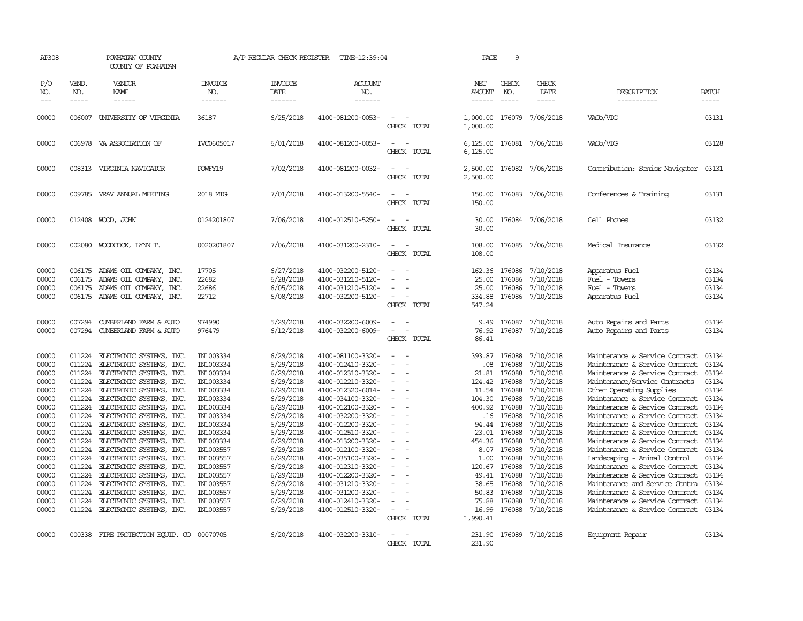| AP308                                                                                                                                                                   |                                                                                                                                                                        | POWHATAN COUNTY<br>COUNTY OF POWHATAN                                                                                                                                                                                                                                                                                                                                                                                                                                                                                                                                |                                                                                                                                                                                                                                                     | A/P REGULAR CHECK REGISTER                                                                                                                                                                                                                          | TIME-12:39:04                                                                                                                                                                                                                                                                                                                                                                                               |                                   | PAGE                                                                                                                                                                         | 9                                                                                                                                                                                              |                                                                                                                                                                                                                                                     |                                                                                                                                                                                                                                                                                                                                                                                                                                                                                                                                                                                                                                                                       |                                                                                                                                                       |
|-------------------------------------------------------------------------------------------------------------------------------------------------------------------------|------------------------------------------------------------------------------------------------------------------------------------------------------------------------|----------------------------------------------------------------------------------------------------------------------------------------------------------------------------------------------------------------------------------------------------------------------------------------------------------------------------------------------------------------------------------------------------------------------------------------------------------------------------------------------------------------------------------------------------------------------|-----------------------------------------------------------------------------------------------------------------------------------------------------------------------------------------------------------------------------------------------------|-----------------------------------------------------------------------------------------------------------------------------------------------------------------------------------------------------------------------------------------------------|-------------------------------------------------------------------------------------------------------------------------------------------------------------------------------------------------------------------------------------------------------------------------------------------------------------------------------------------------------------------------------------------------------------|-----------------------------------|------------------------------------------------------------------------------------------------------------------------------------------------------------------------------|------------------------------------------------------------------------------------------------------------------------------------------------------------------------------------------------|-----------------------------------------------------------------------------------------------------------------------------------------------------------------------------------------------------------------------------------------------------|-----------------------------------------------------------------------------------------------------------------------------------------------------------------------------------------------------------------------------------------------------------------------------------------------------------------------------------------------------------------------------------------------------------------------------------------------------------------------------------------------------------------------------------------------------------------------------------------------------------------------------------------------------------------------|-------------------------------------------------------------------------------------------------------------------------------------------------------|
| P/O<br>NO.<br>$- - -$                                                                                                                                                   | VEND.<br>NO.<br>$\frac{1}{2}$                                                                                                                                          | VENDOR<br>NAME                                                                                                                                                                                                                                                                                                                                                                                                                                                                                                                                                       | <b>INVOICE</b><br>NO.<br>--------                                                                                                                                                                                                                   | <b>INVOICE</b><br>DATE<br>-------                                                                                                                                                                                                                   | ACCOUNT<br>NO.<br>-------                                                                                                                                                                                                                                                                                                                                                                                   |                                   | NET<br>AMOUNT<br>$- - - - - -$                                                                                                                                               | CHECK<br>NO.<br>$\frac{1}{2}$                                                                                                                                                                  | CHECK<br>DATE<br>$\frac{1}{2}$                                                                                                                                                                                                                      | DESCRIPTION<br>-----------                                                                                                                                                                                                                                                                                                                                                                                                                                                                                                                                                                                                                                            | <b>BATCH</b><br>-----                                                                                                                                 |
| 00000                                                                                                                                                                   | 006007                                                                                                                                                                 | UNIVERSITY OF VIRGINIA                                                                                                                                                                                                                                                                                                                                                                                                                                                                                                                                               | 36187                                                                                                                                                                                                                                               | 6/25/2018                                                                                                                                                                                                                                           | 4100-081200-0053-                                                                                                                                                                                                                                                                                                                                                                                           | CHECK TOTAL                       | 1,000.00<br>1,000.00                                                                                                                                                         | 176079                                                                                                                                                                                         | 7/06/2018                                                                                                                                                                                                                                           | VAC <sub>b</sub> /VIG                                                                                                                                                                                                                                                                                                                                                                                                                                                                                                                                                                                                                                                 | 03131                                                                                                                                                 |
| 00000                                                                                                                                                                   |                                                                                                                                                                        | 006978 VA ASSOCIATION OF                                                                                                                                                                                                                                                                                                                                                                                                                                                                                                                                             | IVC0605017                                                                                                                                                                                                                                          | 6/01/2018                                                                                                                                                                                                                                           | 4100-081200-0053-                                                                                                                                                                                                                                                                                                                                                                                           | CHECK<br>TOTAL                    | 6,125.00<br>6,125.00                                                                                                                                                         |                                                                                                                                                                                                | 176081 7/06/2018                                                                                                                                                                                                                                    | VAC <sub>b</sub> /VIG                                                                                                                                                                                                                                                                                                                                                                                                                                                                                                                                                                                                                                                 | 03128                                                                                                                                                 |
| 00000                                                                                                                                                                   |                                                                                                                                                                        | 008313 VIRGINIA NAVIGATOR                                                                                                                                                                                                                                                                                                                                                                                                                                                                                                                                            | POWFY19                                                                                                                                                                                                                                             | 7/02/2018                                                                                                                                                                                                                                           | 4100-081200-0032-                                                                                                                                                                                                                                                                                                                                                                                           | CHECK TOTAL                       | 2,500.00<br>2,500.00                                                                                                                                                         |                                                                                                                                                                                                | 176082 7/06/2018                                                                                                                                                                                                                                    | Contribution: Senior Navigator                                                                                                                                                                                                                                                                                                                                                                                                                                                                                                                                                                                                                                        | 03131                                                                                                                                                 |
| 00000                                                                                                                                                                   |                                                                                                                                                                        | 009785 VRAV ANNUAL MEETING                                                                                                                                                                                                                                                                                                                                                                                                                                                                                                                                           | 2018 MTG                                                                                                                                                                                                                                            | 7/01/2018                                                                                                                                                                                                                                           | 4100-013200-5540-                                                                                                                                                                                                                                                                                                                                                                                           | CHECK TOTAL                       | 150.00<br>150.00                                                                                                                                                             |                                                                                                                                                                                                | 176083 7/06/2018                                                                                                                                                                                                                                    | Conferences & Training                                                                                                                                                                                                                                                                                                                                                                                                                                                                                                                                                                                                                                                | 03131                                                                                                                                                 |
| 00000                                                                                                                                                                   |                                                                                                                                                                        | 012408 WOOD, JOHN                                                                                                                                                                                                                                                                                                                                                                                                                                                                                                                                                    | 0124201807                                                                                                                                                                                                                                          | 7/06/2018                                                                                                                                                                                                                                           | 4100-012510-5250-                                                                                                                                                                                                                                                                                                                                                                                           | CHECK TOTAL                       | 30.00<br>30.00                                                                                                                                                               |                                                                                                                                                                                                | 176084 7/06/2018                                                                                                                                                                                                                                    | Cell Phones                                                                                                                                                                                                                                                                                                                                                                                                                                                                                                                                                                                                                                                           | 03132                                                                                                                                                 |
| 00000                                                                                                                                                                   | 002080                                                                                                                                                                 | WOODCOCK, LYNN T.                                                                                                                                                                                                                                                                                                                                                                                                                                                                                                                                                    | 0020201807                                                                                                                                                                                                                                          | 7/06/2018                                                                                                                                                                                                                                           | 4100-031200-2310-                                                                                                                                                                                                                                                                                                                                                                                           | CHECK TOTAL                       | 108.00<br>108.00                                                                                                                                                             |                                                                                                                                                                                                | 176085 7/06/2018                                                                                                                                                                                                                                    | Medical Insurance                                                                                                                                                                                                                                                                                                                                                                                                                                                                                                                                                                                                                                                     | 03132                                                                                                                                                 |
| 00000<br>00000<br>00000<br>00000                                                                                                                                        | 006175<br>006175<br>006175<br>006175                                                                                                                                   | ADAMS OIL COMPANY, INC.<br>ADAMS OIL COMPANY, INC.<br>ADAMS OIL COMPANY, INC.<br>ADAMS OIL COMPANY, INC.                                                                                                                                                                                                                                                                                                                                                                                                                                                             | 17705<br>22682<br>22686<br>22712                                                                                                                                                                                                                    | 6/27/2018<br>6/28/2018<br>6/05/2018<br>6/08/2018                                                                                                                                                                                                    | 4100-032200-5120-<br>4100-031210-5120-<br>4100-031210-5120-<br>4100-032200-5120-                                                                                                                                                                                                                                                                                                                            | CHECK TOTAL                       | 162.36<br>25.00<br>25.00<br>334.88<br>547.24                                                                                                                                 | 176086<br>176086<br>176086<br>176086                                                                                                                                                           | 7/10/2018<br>7/10/2018<br>7/10/2018<br>7/10/2018                                                                                                                                                                                                    | Apparatus Fuel<br>Fuel - Towers<br>Fuel - Towers<br>Apparatus Fuel                                                                                                                                                                                                                                                                                                                                                                                                                                                                                                                                                                                                    | 03134<br>03134<br>03134<br>03134                                                                                                                      |
| 00000<br>00000                                                                                                                                                          | 007294<br>007294                                                                                                                                                       | CUMBERLAND FARM & AUTO<br>CUMBERLAND FARM & AUTO                                                                                                                                                                                                                                                                                                                                                                                                                                                                                                                     | 974990<br>976479                                                                                                                                                                                                                                    | 5/29/2018<br>6/12/2018                                                                                                                                                                                                                              | 4100-032200-6009-<br>4100-032200-6009-                                                                                                                                                                                                                                                                                                                                                                      | CHECK TOTAL                       | 9.49<br>76.92<br>86.41                                                                                                                                                       | 176087<br>176087                                                                                                                                                                               | 7/10/2018<br>7/10/2018                                                                                                                                                                                                                              | Auto Repairs and Parts<br>Auto Repairs and Parts                                                                                                                                                                                                                                                                                                                                                                                                                                                                                                                                                                                                                      | 03134<br>03134                                                                                                                                        |
| 00000<br>00000<br>00000<br>00000<br>00000<br>00000<br>00000<br>00000<br>00000<br>00000<br>00000<br>00000<br>00000<br>00000<br>00000<br>00000<br>00000<br>00000<br>00000 | 011224<br>011224<br>011224<br>011224<br>011224<br>011224<br>011224<br>011224<br>011224<br>011224<br>011224<br>011224<br>011224<br>011224<br>011224<br>011224<br>011224 | ELECTRONIC SYSTEMS,<br>INC.<br>ELECTRONIC SYSTEMS, INC.<br>ELECTRONIC SYSTEMS, INC.<br>ELECTRONIC SYSTEMS, INC.<br>ELECTRONIC SYSTEMS, INC.<br>ELECTRONIC SYSTEMS, INC.<br>011224 ELECTRONIC SYSTEMS, INC.<br>ELECTRONIC SYSTEMS, INC.<br>ELECTRONIC SYSTEMS, INC.<br>ELECTRONIC SYSTEMS, INC.<br>ELECTRONIC SYSTEMS, INC.<br>ELECTRONIC SYSTEMS, INC.<br>ELECTRONIC SYSTEMS, INC.<br>ELECTRONIC SYSTEMS, INC.<br>ELECTRONIC SYSTEMS, INC.<br>ELECTRONIC SYSTEMS, INC.<br>ELECTRONIC SYSTEMS, INC.<br>ELECTRONIC SYSTEMS,<br>INC.<br>011224 ELECTRONIC SYSTEMS, INC. | IN1003334<br>IN1003334<br>IN1003334<br>IN1003334<br>IN1003334<br>IN1003334<br>IN1003334<br>IN1003334<br>IN1003334<br>IN1003334<br>IN1003334<br>IN1003557<br>IN1003557<br>IN1003557<br>IN1003557<br>IN1003557<br>IN1003557<br>IN1003557<br>IN1003557 | 6/29/2018<br>6/29/2018<br>6/29/2018<br>6/29/2018<br>6/29/2018<br>6/29/2018<br>6/29/2018<br>6/29/2018<br>6/29/2018<br>6/29/2018<br>6/29/2018<br>6/29/2018<br>6/29/2018<br>6/29/2018<br>6/29/2018<br>6/29/2018<br>6/29/2018<br>6/29/2018<br>6/29/2018 | 4100-081100-3320-<br>4100-012410-3320-<br>4100-012310-3320-<br>4100-012210-3320-<br>4100-012320-6014-<br>4100-034100-3320-<br>4100-012100-3320-<br>4100-032200-3320-<br>4100-012200-3320-<br>4100-012510-3320-<br>4100-013200-3320-<br>4100-012100-3320-<br>4100-035100-3320-<br>4100-012310-3320-<br>4100-012200-3320-<br>4100-031210-3320-<br>4100-031200-3320-<br>4100-012410-3320-<br>4100-012510-3320- | $\sim$<br>$\equiv$<br>CHECK TOTAL | 393.87<br>.08<br>21.81<br>124.42<br>11.54<br>104.30<br>400.92<br>94.44<br>23.01<br>454.36<br>8.07<br>1.00<br>120.67<br>49.41<br>38.65<br>50.83<br>75.88<br>16.99<br>1,990.41 | 176088<br>176088<br>176088<br>176088<br>176088<br>176088<br>176088<br>.16 176088<br>176088<br>176088<br>176088<br>176088<br>176088<br>176088<br>176088<br>176088<br>176088<br>176088<br>176088 | 7/10/2018<br>7/10/2018<br>7/10/2018<br>7/10/2018<br>7/10/2018<br>7/10/2018<br>7/10/2018<br>7/10/2018<br>7/10/2018<br>7/10/2018<br>7/10/2018<br>7/10/2018<br>7/10/2018<br>7/10/2018<br>7/10/2018<br>7/10/2018<br>7/10/2018<br>7/10/2018<br>7/10/2018 | Maintenance & Service Contract<br>Maintenance & Service Contract<br>Maintenance & Service Contract<br>Maintenance/Service Contracts<br>Other Operating Supplies<br>Maintenance & Service Contract<br>Maintenance & Service Contract<br>Maintenance & Service Contract<br>Maintenance & Service Contract<br>Maintenance & Service Contract<br>Maintenance & Service Contract<br>Maintenance & Service Contract 03134<br>Landscaping - Animal Control<br>Maintenance & Service Contract 03134<br>Maintenance & Service Contract<br>Maintenance and Service Contra<br>Maintenance & Service Contract<br>Maintenance & Service Contract<br>Maintenance & Service Contract | 03134<br>03134<br>03134<br>03134<br>03134<br>03134<br>03134<br>03134<br>03134<br>03134<br>03134<br>03134<br>03134<br>03134<br>03134<br>03134<br>03134 |
| 00000                                                                                                                                                                   |                                                                                                                                                                        | 000338 FIRE PROTECTION EQUIP. CO 00070705                                                                                                                                                                                                                                                                                                                                                                                                                                                                                                                            |                                                                                                                                                                                                                                                     | 6/20/2018                                                                                                                                                                                                                                           | 4100-032200-3310-                                                                                                                                                                                                                                                                                                                                                                                           | CHECK TOTAL                       | 231.90<br>231.90                                                                                                                                                             |                                                                                                                                                                                                | 176089 7/10/2018                                                                                                                                                                                                                                    | Equipment Repair                                                                                                                                                                                                                                                                                                                                                                                                                                                                                                                                                                                                                                                      | 03134                                                                                                                                                 |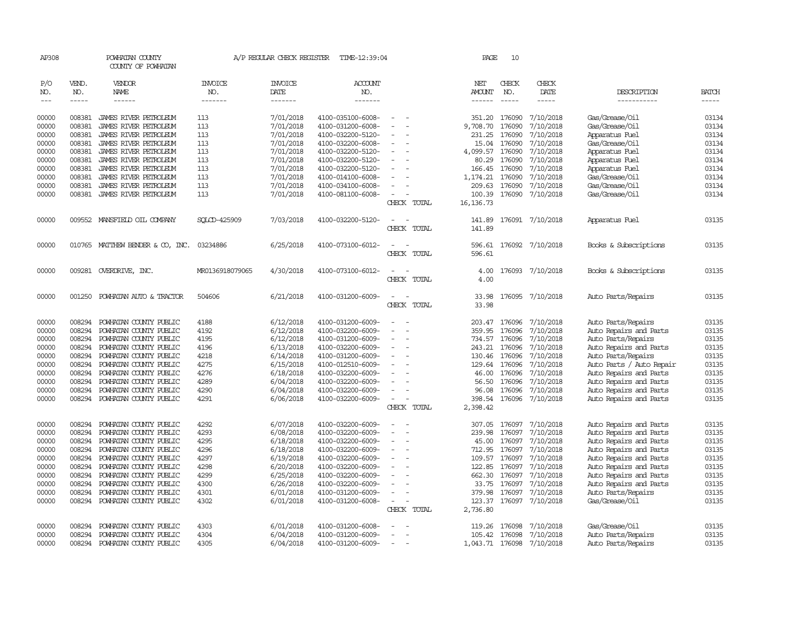| AP308      |              | POWHATAN COUNTY<br>COUNTY OF POWHATAN |                 | A/P REGULAR CHECK REGISTER | TIME-12:39:04         |                          | PAGE                 | 10            |                  |                          |              |
|------------|--------------|---------------------------------------|-----------------|----------------------------|-----------------------|--------------------------|----------------------|---------------|------------------|--------------------------|--------------|
| P/O<br>NO. | VEND.<br>NO. | VENDOR<br>NAME                        | INVOICE<br>NO.  | <b>INVOICE</b><br>DATE     | <b>ACCOUNT</b><br>NO. |                          | NET<br><b>AMOUNT</b> | CHECK<br>NO.  | CHECK<br>DATE    | DESCRIPTION              | <b>BATCH</b> |
| $---$      | $- - - - -$  | ------                                | -------         | -------                    | -------               |                          | $- - - - - -$        | $\frac{1}{2}$ | -----            | -----------              | -----        |
| 00000      | 008381       | JAMES RIVER PETROLEUM                 | 113             | 7/01/2018                  | 4100-035100-6008-     |                          |                      | 351.20 176090 | 7/10/2018        | Gas/Grease/Oil           | 03134        |
| 00000      | 008381       | JAMES RIVER PETROLEUM                 | 113             | 7/01/2018                  | 4100-031200-6008-     | $\overline{\phantom{a}}$ | 9,708.70             | 176090        | 7/10/2018        | Gas/Grease/Oil           | 03134        |
| 00000      | 008381       | JAMES RIVER PETROLEUM                 | 113             | 7/01/2018                  | 4100-032200-5120-     |                          | 231.25               | 176090        | 7/10/2018        | Apparatus Fuel           | 03134        |
| 00000      | 008381       | JAMES RIVER PETROLEUM                 | 113             | 7/01/2018                  | 4100-032200-6008-     | $\sim$                   | 15.04                | 176090        | 7/10/2018        | Gas/Grease/Oil           | 03134        |
| 00000      | 008381       | JAMES RIVER PETROLEUM                 | 113             | 7/01/2018                  | 4100-032200-5120-     | $\sim$                   | 4,099.57             | 176090        | 7/10/2018        | Apparatus Fuel           | 03134        |
| 00000      | 008381       | JAMES RIVER PETROLEUM                 | 113             | 7/01/2018                  | 4100-032200-5120-     |                          | 80.29                | 176090        | 7/10/2018        | Apparatus Fuel           | 03134        |
| 00000      | 008381       | JAMES RIVER PETROLEUM                 | 113             | 7/01/2018                  | 4100-032200-5120-     |                          | 166.45               | 176090        | 7/10/2018        | Apparatus Fuel           | 03134        |
| 00000      | 008381       | JAMES RIVER PETROLEUM                 | 113             | 7/01/2018                  | 4100-014100-6008-     | $\sim$                   | 1,174.21             | 176090        | 7/10/2018        | Gas/Grease/Oil           | 03134        |
| 00000      | 008381       | JAMES RIVER PETROLEUM                 | 113             | 7/01/2018                  | 4100-034100-6008-     |                          | 209.63               | 176090        | 7/10/2018        | Gas/Grease/Oil           | 03134        |
| 00000      |              | 008381 JAMES RIVER PETROLEUM          | 113             | 7/01/2018                  | 4100-081100-6008-     | $\sim$                   | 100.39               | 176090        | 7/10/2018        | Gas/Grease/Oil           | 03134        |
|            |              |                                       |                 |                            |                       | CHECK TOTAL              | 16, 136.73           |               |                  |                          |              |
| 00000      |              | 009552 MANSFIELD OIL COMPANY          | SOLCD-425909    | 7/03/2018                  | 4100-032200-5120-     |                          | 141.89               |               | 176091 7/10/2018 | Apparatus Fuel           | 03135        |
|            |              |                                       |                 |                            |                       | CHECK TOTAL              | 141.89               |               |                  |                          |              |
| 00000      |              | 010765 MATTHEW BENDER & CO, INC.      | 03234886        | 6/25/2018                  | 4100-073100-6012-     |                          | 596.61               |               | 176092 7/10/2018 | Books & Subscriptions    | 03135        |
|            |              |                                       |                 |                            |                       | CHECK TOTAL              | 596.61               |               |                  |                          |              |
| 00000      | 009281       | OVERDRIVE, INC.                       | MR0136918079065 | 4/30/2018                  | 4100-073100-6012-     | $\sim$                   | 4.00                 | 176093        | 7/10/2018        | Books & Subscriptions    | 03135        |
|            |              |                                       |                 |                            |                       | CHECK TOTAL              | 4.00                 |               |                  |                          |              |
| 00000      | 001250       | POWHATAN AUTO & TRACTOR               | 504606          | 6/21/2018                  | 4100-031200-6009-     |                          | 33.98                | 176095        | 7/10/2018        | Auto Parts/Repairs       | 03135        |
|            |              |                                       |                 |                            |                       | CHECK TOTAL              | 33.98                |               |                  |                          |              |
| 00000      | 008294       | POWHATAN COUNTY PUBLIC                | 4188            | 6/12/2018                  | 4100-031200-6009-     | $\sim$                   |                      | 203.47 176096 | 7/10/2018        | Auto Parts/Repairs       | 03135        |
| 00000      | 008294       | POWHATAN COUNTY PUBLIC                | 4192            | 6/12/2018                  | 4100-032200-6009-     |                          | 359.95               | 176096        | 7/10/2018        | Auto Repairs and Parts   | 03135        |
| 00000      | 008294       | POWHATAN COUNTY PUBLIC                | 4195            | 6/12/2018                  | 4100-031200-6009-     |                          | 734.57               | 176096        | 7/10/2018        | Auto Parts/Repairs       | 03135        |
| 00000      | 008294       | POWHATAN COUNTY PUBLIC                | 4196            | 6/13/2018                  | 4100-032200-6009-     | $\overline{\phantom{a}}$ | 243.21               | 176096        | 7/10/2018        | Auto Repairs and Parts   | 03135        |
| 00000      | 008294       | POWHATAN COUNTY PUBLIC                | 4218            | 6/14/2018                  | 4100-031200-6009-     |                          | 130.46               | 176096        | 7/10/2018        | Auto Parts/Repairs       | 03135        |
| 00000      | 008294       | POWHATAN COUNTY PUBLIC                | 4275            | 6/15/2018                  | 4100-012510-6009-     |                          | 129.64               | 176096        | 7/10/2018        | Auto Parts / Auto Repair | 03135        |
| 00000      | 008294       | POWHATAN COUNTY PUBLIC                | 4276            | 6/18/2018                  | 4100-032200-6009-     |                          | 46.00                | 176096        | 7/10/2018        | Auto Repairs and Parts   | 03135        |
| 00000      | 008294       | POWHATAN COUNTY PUBLIC                | 4289            | 6/04/2018                  | 4100-032200-6009-     |                          | 56.50                | 176096        | 7/10/2018        | Auto Repairs and Parts   | 03135        |
| 00000      | 008294       | POWHATAN COUNTY PUBLIC                | 4290            | 6/04/2018                  | 4100-032200-6009-     |                          | 96.08                | 176096        | 7/10/2018        | Auto Repairs and Parts   | 03135        |
| 00000      | 008294       | POWHATAN COUNTY PUBLIC                | 4291            | 6/06/2018                  | 4100-032200-6009-     |                          | 398.54               | 176096        | 7/10/2018        | Auto Repairs and Parts   | 03135        |
|            |              |                                       |                 |                            |                       | CHECK TOTAL              | 2,398.42             |               |                  |                          |              |
| 00000      | 008294       | POWHATAN COUNTY PUBLIC                | 4292            | 6/07/2018                  | 4100-032200-6009-     |                          | 307.05               | 176097        | 7/10/2018        | Auto Repairs and Parts   | 03135        |
| 00000      | 008294       | POWHATAN COUNTY PUBLIC                | 4293            | 6/08/2018                  | 4100-032200-6009-     | $\sim$                   | 239.98               | 176097        | 7/10/2018        | Auto Repairs and Parts   | 03135        |
| 00000      | 008294       | POWHATAN COUNTY PUBLIC                | 4295            | 6/18/2018                  | 4100-032200-6009-     |                          | 45.00                | 176097        | 7/10/2018        | Auto Repairs and Parts   | 03135        |
| 00000      | 008294       | POWHATAN COUNTY PUBLIC                | 4296            | 6/18/2018                  | 4100-032200-6009-     |                          | 712.95               | 176097        | 7/10/2018        | Auto Repairs and Parts   | 03135        |
| 00000      | 008294       | POWHATAN COUNTY PUBLIC                | 4297            | 6/19/2018                  | 4100-032200-6009-     |                          |                      | 109.57 176097 | 7/10/2018        | Auto Repairs and Parts   | 03135        |
| 00000      | 008294       | POWHATAN COUNTY PUBLIC                | 4298            | 6/20/2018                  | 4100-032200-6009-     | $\sim$                   |                      | 122.85 176097 | 7/10/2018        | Auto Repairs and Parts   | 03135        |
| 00000      | 008294       | POWHATAN COUNTY PUBLIC                | 4299            | 6/25/2018                  | 4100-032200-6009-     |                          | 662.30               | 176097        | 7/10/2018        | Auto Repairs and Parts   | 03135        |
| 00000      | 008294       | POWHATAN COUNTY PUBLIC                | 4300            | 6/26/2018                  | 4100-032200-6009-     |                          | 33.75                | 176097        | 7/10/2018        | Auto Repairs and Parts   | 03135        |
| 00000      | 008294       | POWHATAN COUNTY PUBLIC                | 4301            | 6/01/2018                  | 4100-031200-6009-     | $\equiv$                 | 379.98               | 176097        | 7/10/2018        | Auto Parts/Repairs       | 03135        |
| 00000      | 008294       | POWHATAN COUNTY PUBLIC                | 4302            | 6/01/2018                  | 4100-031200-6008-     | $\sim$                   | 123.37               | 176097        | 7/10/2018        | Gas/Grease/Oil           | 03135        |
|            |              |                                       |                 |                            |                       | CHECK TOTAL              | 2,736.80             |               |                  |                          |              |
| 00000      | 008294       | POWHATAN COUNTY PUBLIC                | 4303            | 6/01/2018                  | 4100-031200-6008-     |                          | 119.26               | 176098        | 7/10/2018        | Gas/Grease/Oil           | 03135        |
| 00000      | 008294       | POWHATAN COUNTY PUBLIC                | 4304            | 6/04/2018                  | 4100-031200-6009-     |                          | 105.42               | 176098        | 7/10/2018        | Auto Parts/Repairs       | 03135        |
| 00000      | 008294       | POWHATAN COUNTY PUBLIC                | 4305            | 6/04/2018                  | 4100-031200-6009-     |                          | 1,043.71 176098      |               | 7/10/2018        | Auto Parts/Repairs       | 03135        |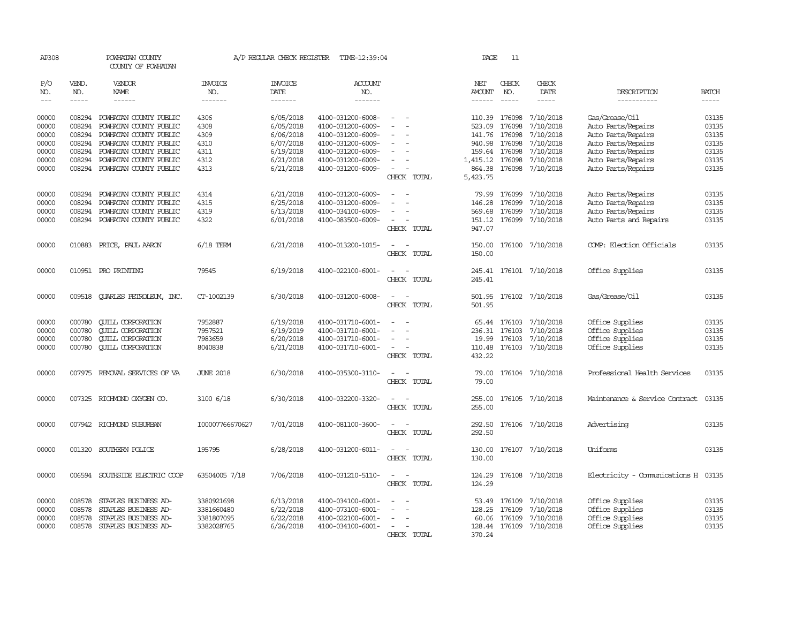| AP308      |                        | POWHATAN COUNTY<br>COUNTY OF POWHATAN |                       | A/P REGULAR CHECK REGISTER | TIME-12:39:04         |                                                      | PAGE            | -11           |                         |                                      |              |
|------------|------------------------|---------------------------------------|-----------------------|----------------------------|-----------------------|------------------------------------------------------|-----------------|---------------|-------------------------|--------------------------------------|--------------|
| P/O<br>NO. | VEND.<br>NO.           | VENDOR<br>NAME                        | <b>INVOICE</b><br>NO. | <b>INVOICE</b><br>DATE     | <b>ACCOUNT</b><br>NO. |                                                      | NET<br>AMOUNT   | CHECK<br>NO.  | CHECK<br>DATE           | DESCRIPTION                          | <b>BATCH</b> |
| $---$      | $\cdots \cdots \cdots$ | $- - - - - -$                         | -------               | -------                    | -------               |                                                      | $- - - - - -$   | $\frac{1}{2}$ | $- - - - -$             | -----------                          | $- - - - -$  |
| 00000      |                        | 008294 POWHATAN COUNTY PUBLIC         | 4306                  | 6/05/2018                  | 4100-031200-6008-     |                                                      |                 | 110.39 176098 | 7/10/2018               | Gas/Grease/Oil                       | 03135        |
| 00000      | 008294                 | POWHATAN COUNTY PUBLIC                | 4308                  | 6/05/2018                  | 4100-031200-6009-     |                                                      | 523.09          | 176098        | 7/10/2018               | Auto Parts/Repairs                   | 03135        |
| 00000      | 008294                 | POWHATAN COUNTY PUBLIC                | 4309                  | 6/06/2018                  | 4100-031200-6009-     | $\overline{\phantom{a}}$                             | 141.76          | 176098        | 7/10/2018               | Auto Parts/Repairs                   | 03135        |
| 00000      | 008294                 | POWHATAN COUNTY PUBLIC                | 4310                  | 6/07/2018                  | 4100-031200-6009-     | $\sim$                                               | 940.98          | 176098        | 7/10/2018               | Auto Parts/Repairs                   | 03135        |
| 00000      | 008294                 | POWHATAN COUNTY PUBLIC                | 4311                  | 6/19/2018                  | 4100-031200-6009-     |                                                      | 159.64          | 176098        | 7/10/2018               | Auto Parts/Repairs                   | 03135        |
| 00000      | 008294                 | POWHATAN COUNTY PUBLIC                | 4312                  | 6/21/2018                  | 4100-031200-6009-     | $\equiv$                                             | 1,415.12 176098 |               | 7/10/2018               | Auto Parts/Repairs                   | 03135        |
| 00000      |                        | 008294 POWHATAN COUNTY PUBLIC         | 4313                  | 6/21/2018                  | 4100-031200-6009-     | $\overline{\phantom{a}}$                             | 864.38          | 176098        | 7/10/2018               | Auto Parts/Repairs                   | 03135        |
|            |                        |                                       |                       |                            |                       | CHECK TOTAL                                          | 5,423.75        |               |                         |                                      |              |
| 00000      | 008294                 | POWHATAN COUNTY PUBLIC                | 4314                  | 6/21/2018                  | 4100-031200-6009-     | $\overline{a}$<br>$\sim$                             |                 | 79.99 176099  | 7/10/2018               | Auto Parts/Repairs                   | 03135        |
| 00000      | 008294                 | POWHATAN COUNTY PUBLIC                | 4315                  | 6/25/2018                  | 4100-031200-6009-     |                                                      | 146.28          | 176099        | 7/10/2018               | Auto Parts/Repairs                   | 03135        |
| 00000      | 008294                 | POWHATAN COUNTY PUBLIC                | 4319                  | 6/13/2018                  | 4100-034100-6009-     |                                                      | 569.68          | 176099        | 7/10/2018               | Auto Parts/Repairs                   | 03135        |
| 00000      |                        | 008294 POWHATAN COUNTY PUBLIC         | 4322                  | 6/01/2018                  | 4100-083500-6009-     | $\sim$                                               |                 | 151.12 176099 | 7/10/2018               | Auto Parts and Repairs               | 03135        |
|            |                        |                                       |                       |                            |                       | CHECK TOTAL                                          | 947.07          |               |                         |                                      |              |
| 00000      |                        | 010883 PRICE, PAUL AARON              | $6/18$ TERM           | 6/21/2018                  | 4100-013200-1015-     |                                                      |                 |               | 150.00 176100 7/10/2018 | COMP: Election Officials             | 03135        |
|            |                        |                                       |                       |                            |                       | CHECK TOTAL                                          | 150.00          |               |                         |                                      |              |
| 00000      |                        | 010951 PRO PRINTING                   | 79545                 | 6/19/2018                  | 4100-022100-6001-     | $\sim$<br>$\overline{\phantom{a}}$                   |                 |               | 245.41 176101 7/10/2018 | Office Supplies                      | 03135        |
|            |                        |                                       |                       |                            |                       | CHECK TOTAL                                          | 245.41          |               |                         |                                      |              |
| 00000      |                        | 009518 CUARLES PETROLEUM, INC.        | CT-1002139            | 6/30/2018                  | 4100-031200-6008-     | $\sim$<br>$\overline{\phantom{a}}$                   | 501.95          |               | 176102 7/10/2018        | Gas/Grease/Oil                       | 03135        |
|            |                        |                                       |                       |                            |                       | CHECK TOTAL                                          | 501.95          |               |                         |                                      |              |
| 00000      | 000780                 | <b>CUILL CORPORATION</b>              | 7952887               | 6/19/2018                  | 4100-031710-6001-     | $\overline{\phantom{a}}$<br>$\overline{\phantom{a}}$ |                 | 65.44 176103  | 7/10/2018               | Office Supplies                      | 03135        |
| 00000      | 000780                 | <b>CUILL CORPORATION</b>              | 7957521               | 6/19/2019                  | 4100-031710-6001-     | $\overline{\phantom{a}}$<br>$\sim$                   | 236.31          | 176103        | 7/10/2018               | Office Supplies                      | 03135        |
| 00000      | 000780                 | <b>CUILL CORPORATION</b>              | 7983659               | 6/20/2018                  | 4100-031710-6001-     |                                                      | 19.99           | 176103        | 7/10/2018               | Office Supplies                      | 03135        |
| 00000      | 000780                 | <b>QUILL CORPORATION</b>              | 8040838               | 6/21/2018                  | 4100-031710-6001-     | $\sim$                                               |                 |               | 110.48 176103 7/10/2018 | Office Supplies                      | 03135        |
|            |                        |                                       |                       |                            |                       | CHECK TOTAL                                          | 432.22          |               |                         |                                      |              |
| 00000      |                        | 007975 REMOVAL SERVICES OF VA         | <b>JUNE 2018</b>      | 6/30/2018                  | 4100-035300-3110-     | $\sim$<br>$\sim$                                     | 79.00           |               | 176104 7/10/2018        | Professional Health Services         | 03135        |
|            |                        |                                       |                       |                            |                       | CHECK TOTAL                                          | 79.00           |               |                         |                                      |              |
| 00000      |                        | 007325 RICHMOND OXYGEN CO.            | 3100 6/18             | 6/30/2018                  | 4100-032200-3320-     |                                                      | 255.00          |               | 176105 7/10/2018        | Maintenance & Service Contract 03135 |              |
|            |                        |                                       |                       |                            |                       | CHECK TOTAL                                          | 255.00          |               |                         |                                      |              |
| 00000      |                        | 007942 RICHMOND SUBURBAN              | I00007766670627       | 7/01/2018                  | 4100-081100-3600-     | $\sim$                                               | 292.50          |               | 176106 7/10/2018        | Advertising                          | 03135        |
|            |                        |                                       |                       |                            |                       | CHECK TOTAL                                          | 292.50          |               |                         |                                      |              |
| 00000      |                        | 001320 SOUTHERN POLICE                | 195795                | 6/28/2018                  | 4100-031200-6011-     | $\sim$<br>$\sim$                                     | 130.00          |               | 176107 7/10/2018        | Uniforms                             | 03135        |
|            |                        |                                       |                       |                            |                       | CHECK TOTAL                                          | 130.00          |               |                         |                                      |              |
| 00000      |                        | 006594 SOUTHSIDE ELECTRIC COOP        | 63504005 7/18         | 7/06/2018                  | 4100-031210-5110-     | $\overline{a}$<br>$\sim$                             | 124.29          |               | 176108 7/10/2018        | Electricity - Comunications H 03135  |              |
|            |                        |                                       |                       |                            |                       | CHECK TOTAL                                          | 124.29          |               |                         |                                      |              |
| 00000      |                        | 008578 STAPLES BUSINESS AD-           | 3380921698            | 6/13/2018                  | 4100-034100-6001-     |                                                      |                 | 53.49 176109  | 7/10/2018               | Office Supplies                      | 03135        |
| 00000      | 008578                 | STAPLES BUSINESS AD-                  | 3381660480            | 6/22/2018                  | 4100-073100-6001-     |                                                      | 128.25          | 176109        | 7/10/2018               | Office Supplies                      | 03135        |
| 00000      | 008578                 | STAPLES BUSINESS AD-                  | 3381807095            | 6/22/2018                  | 4100-022100-6001-     |                                                      | 60.06           | 176109        | 7/10/2018               | Office Supplies                      | 03135        |
| 00000      |                        | 008578 STAPLES BUSINESS AD-           | 3382028765            | 6/26/2018                  | 4100-034100-6001-     |                                                      |                 | 128.44 176109 | 7/10/2018               | Office Supplies                      | 03135        |
|            |                        |                                       |                       |                            |                       | CHECK TOTAL                                          | 370.24          |               |                         |                                      |              |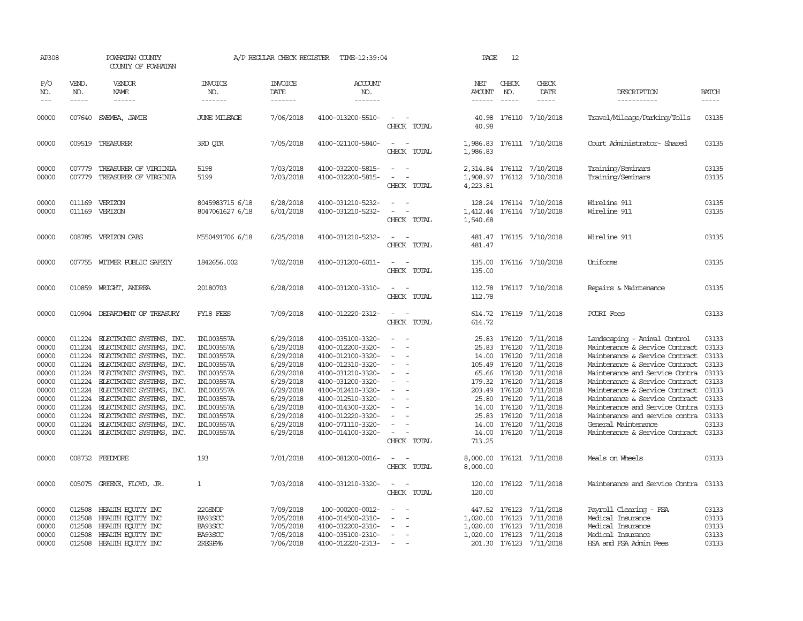| AP308                                                                                                    |                                      | POWHATAN COUNTY<br>COUNTY OF POWHATAN                                                                                                                                                                                                                                                                                                                                                                       |                                                                                                                                                                      | A/P REGULAR CHECK REGISTER                                                                                                                               | TIME-12:39:04                                                                                                                                                                                                                                            |                                                                                                                           | PAGE                                                                                           | 12                                                                                                        |                                                                                                                                                                       |                                                                                                                                                                                                                                                                                                                                                                                                                     |                                                                                        |
|----------------------------------------------------------------------------------------------------------|--------------------------------------|-------------------------------------------------------------------------------------------------------------------------------------------------------------------------------------------------------------------------------------------------------------------------------------------------------------------------------------------------------------------------------------------------------------|----------------------------------------------------------------------------------------------------------------------------------------------------------------------|----------------------------------------------------------------------------------------------------------------------------------------------------------|----------------------------------------------------------------------------------------------------------------------------------------------------------------------------------------------------------------------------------------------------------|---------------------------------------------------------------------------------------------------------------------------|------------------------------------------------------------------------------------------------|-----------------------------------------------------------------------------------------------------------|-----------------------------------------------------------------------------------------------------------------------------------------------------------------------|---------------------------------------------------------------------------------------------------------------------------------------------------------------------------------------------------------------------------------------------------------------------------------------------------------------------------------------------------------------------------------------------------------------------|----------------------------------------------------------------------------------------|
| P/O<br>NO.<br>$---$                                                                                      | VEND.<br>NO.<br>$- - - - -$          | VENDOR<br>NAME<br>------                                                                                                                                                                                                                                                                                                                                                                                    | <b>INVOICE</b><br>NO.<br>-------                                                                                                                                     | <b>INVOICE</b><br>DATE<br>-------                                                                                                                        | <b>ACCOUNT</b><br>NO.<br>-------                                                                                                                                                                                                                         |                                                                                                                           | NET<br><b>AMOUNT</b><br>------                                                                 | CHECK<br>NO.<br>$\frac{1}{2}$                                                                             | CHECK<br>DATE<br>$- - - - -$                                                                                                                                          | DESCRIPTION<br>-----------                                                                                                                                                                                                                                                                                                                                                                                          | <b>BATCH</b><br>-----                                                                  |
| 00000                                                                                                    | 007640                               | SWEMBA, JAMIE                                                                                                                                                                                                                                                                                                                                                                                               | <b>JUNE MILEAGE</b>                                                                                                                                                  | 7/06/2018                                                                                                                                                | 4100-013200-5510-                                                                                                                                                                                                                                        | $\sim$<br>CHECK TOTAL                                                                                                     | 40.98<br>40.98                                                                                 |                                                                                                           | 176110 7/10/2018                                                                                                                                                      | Travel/Mileage/Parking/Tolls                                                                                                                                                                                                                                                                                                                                                                                        | 03135                                                                                  |
| 00000                                                                                                    |                                      | 009519 TREASURER                                                                                                                                                                                                                                                                                                                                                                                            | 3RD OTR                                                                                                                                                              | 7/05/2018                                                                                                                                                | 4100-021100-5840-                                                                                                                                                                                                                                        | $\overline{\phantom{a}}$<br>$\overline{\phantom{a}}$<br>CHECK TOTAL                                                       | 1,986.83                                                                                       |                                                                                                           | 1,986.83 176111 7/10/2018                                                                                                                                             | Court Administrator-Shared                                                                                                                                                                                                                                                                                                                                                                                          | 03135                                                                                  |
| 00000<br>00000                                                                                           | 007779<br>007779                     | TREASURER OF VIRGINIA<br>TREASURER OF VIRGINIA                                                                                                                                                                                                                                                                                                                                                              | 5198<br>5199                                                                                                                                                         | 7/03/2018<br>7/03/2018                                                                                                                                   | 4100-032200-5815-<br>4100-032200-5815-                                                                                                                                                                                                                   | $\equiv$<br>$\sim$<br>CHECK TOTAL                                                                                         | 4,223.81                                                                                       |                                                                                                           | 2,314.84 176112 7/10/2018<br>1,908.97 176112 7/10/2018                                                                                                                | Training/Seminars<br>Training/Seminars                                                                                                                                                                                                                                                                                                                                                                              | 03135<br>03135                                                                         |
| 00000<br>00000                                                                                           | 011169<br>011169                     | VERIZON<br>VERIZON                                                                                                                                                                                                                                                                                                                                                                                          | 8045983715 6/18<br>8047061627 6/18                                                                                                                                   | 6/28/2018<br>6/01/2018                                                                                                                                   | 4100-031210-5232-<br>4100-031210-5232-                                                                                                                                                                                                                   | CHECK TOTAL                                                                                                               | 1,412.44<br>1,540.68                                                                           |                                                                                                           | 128.24 176114 7/10/2018<br>176114 7/10/2018                                                                                                                           | Wireline 911<br>Wireline 911                                                                                                                                                                                                                                                                                                                                                                                        | 03135<br>03135                                                                         |
| 00000                                                                                                    |                                      | 008785 VERIZON CABS                                                                                                                                                                                                                                                                                                                                                                                         | M550491706 6/18                                                                                                                                                      | 6/25/2018                                                                                                                                                | 4100-031210-5232-                                                                                                                                                                                                                                        | CHECK TOTAL                                                                                                               | 481.47<br>481.47                                                                               |                                                                                                           | 176115 7/10/2018                                                                                                                                                      | Wireline 911                                                                                                                                                                                                                                                                                                                                                                                                        | 03135                                                                                  |
| 00000                                                                                                    |                                      | 007755 WITMER PUBLIC SAFETY                                                                                                                                                                                                                                                                                                                                                                                 | 1842656.002                                                                                                                                                          | 7/02/2018                                                                                                                                                | 4100-031200-6011-                                                                                                                                                                                                                                        | CHECK TOTAL                                                                                                               | 135.00<br>135.00                                                                               |                                                                                                           | 176116 7/10/2018                                                                                                                                                      | Uniforms                                                                                                                                                                                                                                                                                                                                                                                                            | 03135                                                                                  |
| 00000                                                                                                    |                                      | 010859 WRIGHT, ANDREA                                                                                                                                                                                                                                                                                                                                                                                       | 20180703                                                                                                                                                             | 6/28/2018                                                                                                                                                | 4100-031200-3310-                                                                                                                                                                                                                                        | $\sim$<br>CHECK TOTAL                                                                                                     | 112.78                                                                                         |                                                                                                           | 112.78 176117 7/10/2018                                                                                                                                               | Repairs & Maintenance                                                                                                                                                                                                                                                                                                                                                                                               | 03135                                                                                  |
| 00000                                                                                                    |                                      | 010904 DEPARIMENT OF TREASURY                                                                                                                                                                                                                                                                                                                                                                               | FY18 FEES                                                                                                                                                            | 7/09/2018                                                                                                                                                | 4100-012220-2312-                                                                                                                                                                                                                                        | $\equiv$<br>$\sim$<br>CHECK TOTAL                                                                                         | 614.72                                                                                         |                                                                                                           | 614.72 176119 7/11/2018                                                                                                                                               | PCORI Fees                                                                                                                                                                                                                                                                                                                                                                                                          | 03133                                                                                  |
| 00000<br>00000<br>00000<br>00000<br>00000<br>00000<br>00000<br>00000<br>00000<br>00000<br>00000<br>00000 | 011224<br>011224<br>011224           | 011224 ELECTRONIC SYSTEMS, INC.<br>011224 ELECTRONIC SYSTEMS, INC.<br>ELECTRONIC SYSTEMS, INC.<br>011224 ELECTRONIC SYSTEMS, INC.<br>011224 ELECTRONIC SYSTEMS, INC.<br>011224 ELECTRONIC SYSTEMS, INC.<br>011224 ELECTRONIC SYSTEMS, INC.<br>011224 ELECTRONIC SYSTEMS, INC.<br>011224 ELECTRONIC SYSTEMS, INC.<br>ELECTRONIC SYSTEMS, INC.<br>ELECTRONIC SYSTEMS, INC.<br>011224 ELECTRONIC SYSTEMS, INC. | IN1003557A<br>IN1003557A<br>IN1003557A<br>IN1003557A<br>IN1003557A<br>IN1003557A<br>IN1003557A<br>IN1003557A<br>IN1003557A<br>IN1003557A<br>IN1003557A<br>IN1003557A | 6/29/2018<br>6/29/2018<br>6/29/2018<br>6/29/2018<br>6/29/2018<br>6/29/2018<br>6/29/2018<br>6/29/2018<br>6/29/2018<br>6/29/2018<br>6/29/2018<br>6/29/2018 | 4100-035100-3320-<br>4100-012200-3320-<br>4100-012100-3320-<br>4100-012310-3320-<br>4100-031210-3320-<br>4100-031200-3320-<br>4100-012410-3320-<br>4100-012510-3320-<br>4100-014300-3320-<br>4100-012220-3320-<br>4100-071110-3320-<br>4100-014100-3320- | $\sim$<br>$\sim$<br>$\overline{\phantom{a}}$<br>$\equiv$<br>$\sim$<br>$\overline{\phantom{a}}$<br>$\equiv$<br>CHECK TOTAL | 25.83<br>25.83<br>14.00<br>179.32 176120<br>203.49 176120<br>25.80<br>25.83<br>14.00<br>713.25 | 176120<br>176120<br>176120<br>105.49 176120<br>65.66 176120<br>176120<br>14.00 176120<br>176120<br>176120 | 7/11/2018<br>7/11/2018<br>7/11/2018<br>7/11/2018<br>7/11/2018<br>7/11/2018<br>7/11/2018<br>7/11/2018<br>7/11/2018<br>7/11/2018<br>7/11/2018<br>14.00 176120 7/11/2018 | Landscaping - Animal Control<br>Maintenance & Service Contract 03133<br>Maintenance & Service Contract<br>Maintenance & Service Contract<br>Maintenance and Service Contra<br>Maintenance & Service Contract<br>Maintenance & Service Contract 03133<br>Maintenance & Service Contract<br>Maintenance and Service Contra<br>Maintenance and service contra<br>General Maintenance<br>Maintenance & Service Contract | 03133<br>03133<br>03133<br>03133<br>03133<br>03133<br>03133<br>03133<br>03133<br>03133 |
| 00000                                                                                                    |                                      | 008732 FEEDMORE                                                                                                                                                                                                                                                                                                                                                                                             | 193                                                                                                                                                                  | 7/01/2018                                                                                                                                                | 4100-081200-0016-                                                                                                                                                                                                                                        | $\sim$<br>CHECK TOTAL                                                                                                     | 8,000.00                                                                                       |                                                                                                           | 8,000.00 176121 7/11/2018                                                                                                                                             | Meals on Wheels                                                                                                                                                                                                                                                                                                                                                                                                     | 03133                                                                                  |
| 00000                                                                                                    |                                      | 005075 GREENE, FLOYD, JR.                                                                                                                                                                                                                                                                                                                                                                                   | 1                                                                                                                                                                    | 7/03/2018                                                                                                                                                | 4100-031210-3320-                                                                                                                                                                                                                                        | CHECK TOTAL                                                                                                               | 120.00<br>120.00                                                                               |                                                                                                           | 176122 7/11/2018                                                                                                                                                      | Maintenance and Service Contra                                                                                                                                                                                                                                                                                                                                                                                      | 03133                                                                                  |
| 00000<br>00000<br>00000<br>00000<br>00000                                                                | 012508<br>012508<br>012508<br>012508 | 012508 HEALTH EQUITY INC<br>HEALTH EQUITY INC<br>HEALTH EQUITY INC<br>HEALTH ECUTTY INC<br>HEALTH EQUITY INC                                                                                                                                                                                                                                                                                                | 220SNOP<br>BA93SCC<br>BA93SCC<br>BA93SCC<br>2RESPM6                                                                                                                  | 7/09/2018<br>7/05/2018<br>7/05/2018<br>7/05/2018<br>7/06/2018                                                                                            | 100-000200-0012-<br>4100-014500-2310-<br>4100-032200-2310-<br>4100-035100-2310-<br>4100-012220-2313-                                                                                                                                                     | $\sim$                                                                                                                    | 1,020.00<br>1,020.00<br>1,020.00 176123                                                        | 176123<br>176123                                                                                          | 447.52 176123 7/11/2018<br>7/11/2018<br>7/11/2018<br>7/11/2018<br>201.30 176123 7/11/2018                                                                             | Payroll Clearing - FSA<br>Medical Insurance<br>Medical Insurance<br>Medical Insurance<br>HSA and FSA Admin Fees                                                                                                                                                                                                                                                                                                     | 03133<br>03133<br>03133<br>03133<br>03133                                              |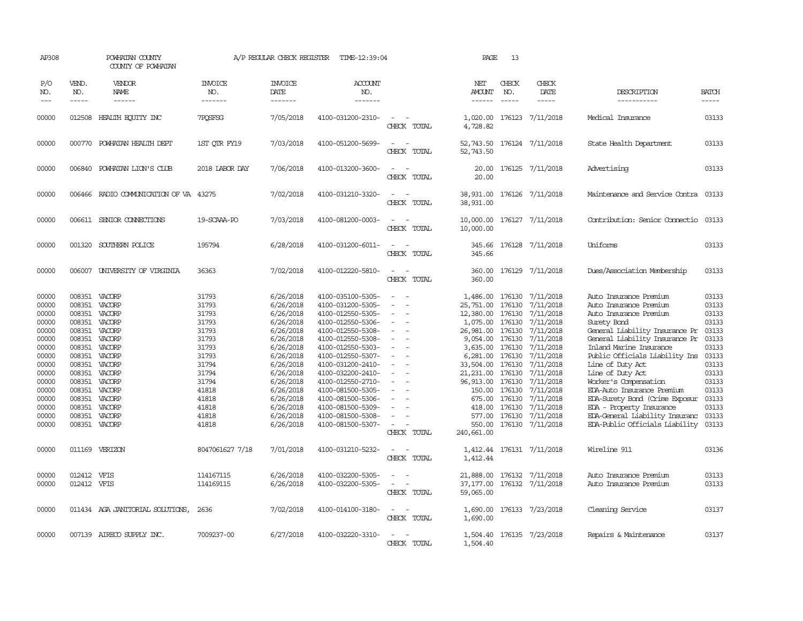| AP308                                                                                                                                        |                                                                                                                                          | POWHATAN COUNTY<br>COUNTY OF POWHATAN                                                                                                                                      |                                                                                                                                              | A/P REGULAR CHECK REGISTER                                                                                                                                                                                   | TIME-12:39:04                                                                                                                                                                                                                                                                                                                                |                                                                                                                                               | PAGE                                                                                                                                                                                     | 13                                                                           |                                                                                                                                                                                                                                                                               |                                                                                                                                                                                                                                                                                                                                                                                                                                                                    |                                                                                                                                              |
|----------------------------------------------------------------------------------------------------------------------------------------------|------------------------------------------------------------------------------------------------------------------------------------------|----------------------------------------------------------------------------------------------------------------------------------------------------------------------------|----------------------------------------------------------------------------------------------------------------------------------------------|--------------------------------------------------------------------------------------------------------------------------------------------------------------------------------------------------------------|----------------------------------------------------------------------------------------------------------------------------------------------------------------------------------------------------------------------------------------------------------------------------------------------------------------------------------------------|-----------------------------------------------------------------------------------------------------------------------------------------------|------------------------------------------------------------------------------------------------------------------------------------------------------------------------------------------|------------------------------------------------------------------------------|-------------------------------------------------------------------------------------------------------------------------------------------------------------------------------------------------------------------------------------------------------------------------------|--------------------------------------------------------------------------------------------------------------------------------------------------------------------------------------------------------------------------------------------------------------------------------------------------------------------------------------------------------------------------------------------------------------------------------------------------------------------|----------------------------------------------------------------------------------------------------------------------------------------------|
| P/O<br>NO.<br>$---$                                                                                                                          | VEND.<br>NO.<br>$- - - - -$                                                                                                              | VENDOR<br><b>NAME</b><br>$- - - - - -$                                                                                                                                     | <b>INVOICE</b><br>NO.<br>-------                                                                                                             | <b>INVOICE</b><br><b>DATE</b><br>-------                                                                                                                                                                     | <b>ACCOUNT</b><br>NO.<br>-------                                                                                                                                                                                                                                                                                                             |                                                                                                                                               | NET<br>AMOUNT<br>------                                                                                                                                                                  | CHECK<br>NO.<br>$\frac{1}{2}$                                                | CHECK<br>DATE<br>$- - - - -$                                                                                                                                                                                                                                                  | DESCRIPTION<br>-----------                                                                                                                                                                                                                                                                                                                                                                                                                                         | <b>BATCH</b><br>-----                                                                                                                        |
| 00000                                                                                                                                        | 012508                                                                                                                                   | HEALTH EQUITY INC                                                                                                                                                          | 7POSFSG                                                                                                                                      | 7/05/2018                                                                                                                                                                                                    | 4100-031200-2310-                                                                                                                                                                                                                                                                                                                            | $\overline{\phantom{a}}$<br>CHECK TOTAL                                                                                                       | 1,020.00<br>4,728.82                                                                                                                                                                     |                                                                              | 176123 7/11/2018                                                                                                                                                                                                                                                              | Medical Insurance                                                                                                                                                                                                                                                                                                                                                                                                                                                  | 03133                                                                                                                                        |
| 00000                                                                                                                                        |                                                                                                                                          | 000770 POWHATAN HEALTH DEPT                                                                                                                                                | 1ST OTR FY19                                                                                                                                 | 7/03/2018                                                                                                                                                                                                    | 4100-051200-5699-                                                                                                                                                                                                                                                                                                                            | $\overline{\phantom{a}}$<br>CHECK TOTAL                                                                                                       | 52,743.50                                                                                                                                                                                |                                                                              | 52,743.50 176124 7/11/2018                                                                                                                                                                                                                                                    | State Health Department                                                                                                                                                                                                                                                                                                                                                                                                                                            | 03133                                                                                                                                        |
| 00000                                                                                                                                        |                                                                                                                                          | 006840 POWHATAN LION'S CLUB                                                                                                                                                | 2018 LABOR DAY                                                                                                                               | 7/06/2018                                                                                                                                                                                                    | 4100-013200-3600-                                                                                                                                                                                                                                                                                                                            | CHECK TOTAL                                                                                                                                   | 20.00<br>20.00                                                                                                                                                                           |                                                                              | 176125 7/11/2018                                                                                                                                                                                                                                                              | Advertising                                                                                                                                                                                                                                                                                                                                                                                                                                                        | 03133                                                                                                                                        |
| 00000                                                                                                                                        |                                                                                                                                          | 006466 RADIO COMMUNICATION OF VA 43275                                                                                                                                     |                                                                                                                                              | 7/02/2018                                                                                                                                                                                                    | 4100-031210-3320-                                                                                                                                                                                                                                                                                                                            | $\equiv$<br>CHECK TOTAL                                                                                                                       | 38,931.00                                                                                                                                                                                |                                                                              | 38,931.00 176126 7/11/2018                                                                                                                                                                                                                                                    | Maintenance and Service Contra 03133                                                                                                                                                                                                                                                                                                                                                                                                                               |                                                                                                                                              |
| 00000                                                                                                                                        |                                                                                                                                          | 006611 SENIOR CONNECTIONS                                                                                                                                                  | 19-SCAAA-RO                                                                                                                                  | 7/03/2018                                                                                                                                                                                                    | 4100-081200-0003-                                                                                                                                                                                                                                                                                                                            | CHECK TOTAL                                                                                                                                   | 10,000.00<br>10,000.00                                                                                                                                                                   |                                                                              | 176127 7/11/2018                                                                                                                                                                                                                                                              | Contribution: Senior Connectio                                                                                                                                                                                                                                                                                                                                                                                                                                     | 03133                                                                                                                                        |
| 00000                                                                                                                                        |                                                                                                                                          | 001320 SOUTHERN POLICE                                                                                                                                                     | 195794                                                                                                                                       | 6/28/2018                                                                                                                                                                                                    | 4100-031200-6011-                                                                                                                                                                                                                                                                                                                            | $\sim$<br>$\sim$<br>CHECK TOTAL                                                                                                               | 345.66                                                                                                                                                                                   |                                                                              | 345.66 176128 7/11/2018                                                                                                                                                                                                                                                       | Uniforms                                                                                                                                                                                                                                                                                                                                                                                                                                                           | 03133                                                                                                                                        |
| 00000                                                                                                                                        | 006007                                                                                                                                   | UNIVERSITY OF VIRGINIA                                                                                                                                                     | 36363                                                                                                                                        | 7/02/2018                                                                                                                                                                                                    | 4100-012220-5810-                                                                                                                                                                                                                                                                                                                            | $\equiv$<br>CHECK TOTAL                                                                                                                       | 360.00<br>360,00                                                                                                                                                                         |                                                                              | 176129 7/11/2018                                                                                                                                                                                                                                                              | Dues/Association Membership                                                                                                                                                                                                                                                                                                                                                                                                                                        | 03133                                                                                                                                        |
| 00000<br>00000<br>00000<br>00000<br>00000<br>00000<br>00000<br>00000<br>00000<br>00000<br>00000<br>00000<br>00000<br>00000<br>00000<br>00000 | 008351<br>008351<br>008351<br>008351<br>008351<br>008351<br>008351<br>008351<br>008351<br>008351<br>008351<br>008351<br>008351<br>008351 | VACORP<br>VACORP<br>VACORP<br>008351 VACORP<br>VACORP<br>VACORP<br>VACORP<br>VACORP<br>VACORP<br>VACORP<br>VACORP<br>VACORP<br>VACORP<br>VACORP<br>VACORP<br>008351 VACORP | 31793<br>31793<br>31793<br>31793<br>31793<br>31793<br>31793<br>31793<br>31794<br>31794<br>31794<br>41818<br>41818<br>41818<br>41818<br>41818 | 6/26/2018<br>6/26/2018<br>6/26/2018<br>6/26/2018<br>6/26/2018<br>6/26/2018<br>6/26/2018<br>6/26/2018<br>6/26/2018<br>6/26/2018<br>6/26/2018<br>6/26/2018<br>6/26/2018<br>6/26/2018<br>6/26/2018<br>6/26/2018 | 4100-035100-5305-<br>4100-031200-5305-<br>4100-012550-5305-<br>4100-012550-5306-<br>4100-012550-5308-<br>4100-012550-5308-<br>4100-012550-5303-<br>4100-012550-5307-<br>4100-031200-2410-<br>4100-032200-2410-<br>4100-012550-2710-<br>4100-081500-5305-<br>4100-081500-5306-<br>4100-081500-5309-<br>4100-081500-5308-<br>4100-081500-5307- | $\overline{\phantom{a}}$<br>$\equiv$<br>$\equiv$<br>$\sim$<br>$\overline{\phantom{a}}$<br>$\overline{\phantom{a}}$<br>$\equiv$<br>CHECK TOTAL | 1,486.00<br>25,751.00<br>12,380.00<br>1,075.00<br>26,981.00<br>9,054.00<br>6,281.00<br>33,504.00<br>21,231.00<br>96, 913.00 176130<br>150.00<br>675.00<br>577.00<br>550.00<br>240,661.00 | 176130<br>176130<br>176130<br>176130<br>176130<br>176130<br>176130<br>176130 | 176130 7/11/2018<br>7/11/2018<br>7/11/2018<br>7/11/2018<br>7/11/2018<br>176130 7/11/2018<br>3,635.00 176130 7/11/2018<br>7/11/2018<br>7/11/2018<br>7/11/2018<br>7/11/2018<br>7/11/2018<br>176130 7/11/2018<br>418.00 176130 7/11/2018<br>176130 7/11/2018<br>176130 7/11/2018 | Auto Insurance Premium<br>Auto Insurance Premium<br>Auto Insurance Premium<br>Surety Bond<br>General Liability Insurance Pr<br>General Liability Insurance Pr<br>Inland Marine Insurance<br>Public Officials Liability Ins<br>Line of Duty Act<br>Line of Duty Act<br>Worker's Compensation<br>EDA-Auto Insurance Premium<br>EDA-Surety Bond (Crime Exposur<br><b>EDA - Property Insurance</b><br>EDA-General Liability Insuranc<br>EDA-Public Officials Liability | 03133<br>03133<br>03133<br>03133<br>03133<br>03133<br>03133<br>03133<br>03133<br>03133<br>03133<br>03133<br>03133<br>03133<br>03133<br>03133 |
| 00000                                                                                                                                        |                                                                                                                                          | 011169 VERIZON                                                                                                                                                             | 8047061627 7/18                                                                                                                              | 7/01/2018                                                                                                                                                                                                    | 4100-031210-5232-                                                                                                                                                                                                                                                                                                                            | CHECK TOTAL                                                                                                                                   | 1,412.44                                                                                                                                                                                 |                                                                              | 1,412.44 176131 7/11/2018                                                                                                                                                                                                                                                     | Wireline 911                                                                                                                                                                                                                                                                                                                                                                                                                                                       | 03136                                                                                                                                        |
| 00000<br>00000                                                                                                                               | 012412 VFIS<br>012412 VFIS                                                                                                               |                                                                                                                                                                            | 114167115<br>114169115                                                                                                                       | 6/26/2018<br>6/26/2018                                                                                                                                                                                       | 4100-032200-5305-<br>4100-032200-5305-                                                                                                                                                                                                                                                                                                       | $\overline{\phantom{a}}$<br>$\sim$<br>$\overline{\phantom{a}}$<br>CHECK TOTAL                                                                 | 21,888.00<br>37,177.00<br>59,065.00                                                                                                                                                      |                                                                              | 176132 7/11/2018<br>176132 7/11/2018                                                                                                                                                                                                                                          | Auto Insurance Premium<br>Auto Insurance Premium                                                                                                                                                                                                                                                                                                                                                                                                                   | 03133<br>03133                                                                                                                               |
| 00000                                                                                                                                        |                                                                                                                                          | 011434 AGA JANITORIAL SOLUTIONS,                                                                                                                                           | 2636                                                                                                                                         | 7/02/2018                                                                                                                                                                                                    | 4100-014100-3180-                                                                                                                                                                                                                                                                                                                            | $\sim$<br>CHECK TOTAL                                                                                                                         | 1,690.00<br>1,690.00                                                                                                                                                                     |                                                                              | 176133 7/23/2018                                                                                                                                                                                                                                                              | Cleaning Service                                                                                                                                                                                                                                                                                                                                                                                                                                                   | 03137                                                                                                                                        |
| 00000                                                                                                                                        |                                                                                                                                          | 007139 AIRECO SUPPLY INC.                                                                                                                                                  | 7009237-00                                                                                                                                   | 6/27/2018                                                                                                                                                                                                    | 4100-032220-3310-                                                                                                                                                                                                                                                                                                                            | $\overline{\phantom{a}}$<br>CHECK TOTAL                                                                                                       | 1,504.40<br>1,504.40                                                                                                                                                                     |                                                                              | 176135 7/23/2018                                                                                                                                                                                                                                                              | Repairs & Maintenance                                                                                                                                                                                                                                                                                                                                                                                                                                              | 03137                                                                                                                                        |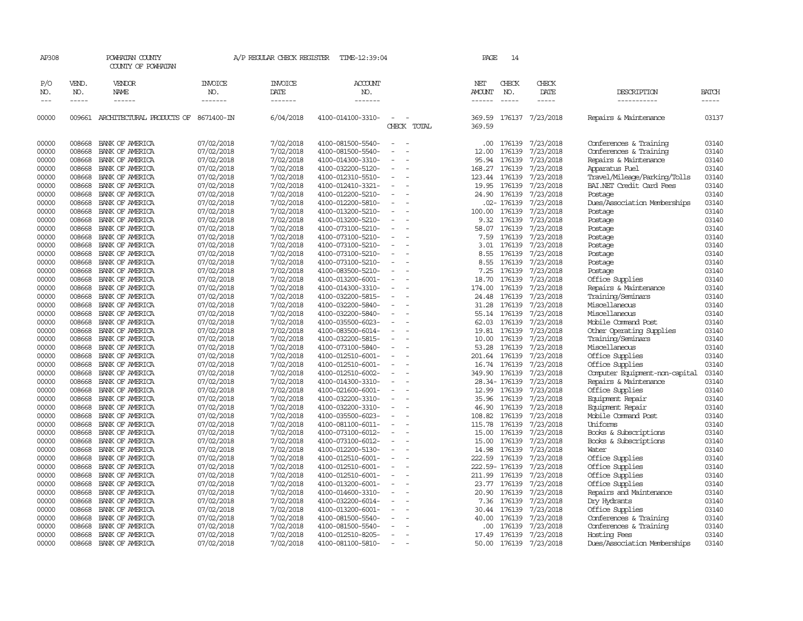|            |                       | COUNTY OF POWHATAN                          |                                  |                                   |                                  |                          |                                |                             |                              |                                               |                       |
|------------|-----------------------|---------------------------------------------|----------------------------------|-----------------------------------|----------------------------------|--------------------------|--------------------------------|-----------------------------|------------------------------|-----------------------------------------------|-----------------------|
| P/O<br>NO. | VEND.<br>NO.<br>----- | <b>VENDOR</b><br>NAME<br>$- - - - - -$      | <b>INVOICE</b><br>NO.<br>------- | <b>INVOICE</b><br>DATE<br>------- | <b>ACCOUNT</b><br>NO.<br>------- |                          | NET<br>AMOUNT<br>$- - - - - -$ | CHECK<br>NO.<br>$- - - - -$ | CHECK<br>DATE<br>$- - - - -$ | DESCRIPTION<br>-----------                    | <b>BATCH</b><br>----- |
| 00000      |                       | 009661 ARCHITECTURAL PRODUCTS OF 8671400-IN |                                  | 6/04/2018                         | 4100-014100-3310-                | CHECK TOTAL              | 369.59<br>369.59               |                             | 176137 7/23/2018             | Repairs & Maintenance                         | 03137                 |
| 00000      | 008668                | BANK OF AMERICA                             | 07/02/2018                       | 7/02/2018                         | 4100-081500-5540-                |                          | .00                            | 176139                      | 7/23/2018                    | Conferences & Training                        | 03140                 |
| 00000      | 008668                | BANK OF AMERICA                             | 07/02/2018                       | 7/02/2018                         | 4100-081500-5540-                |                          | 12.00                          | 176139                      | 7/23/2018                    | Conferences & Training                        | 03140                 |
| 00000      | 008668                | BANK OF AMERICA                             | 07/02/2018                       | 7/02/2018                         | 4100-014300-3310-                |                          | 95.94                          | 176139                      | 7/23/2018                    | Repairs & Maintenance                         | 03140                 |
| 00000      | 008668                | BANK OF AMERICA                             | 07/02/2018                       | 7/02/2018                         | 4100-032200-5120-                |                          | 168.27                         | 176139                      | 7/23/2018                    | Apparatus Fuel                                | 03140                 |
| 00000      | 008668                | BANK OF AMERICA                             | 07/02/2018                       | 7/02/2018                         | 4100-012310-5510-                | $\overline{\phantom{a}}$ | 123.44                         | 176139                      | 7/23/2018                    | Travel/Mileage/Parking/Tolls                  | 03140                 |
| 00000      | 008668                | BANK OF AMERICA                             | 07/02/2018                       | 7/02/2018                         | 4100-012410-3321-                |                          | 19.95                          | 176139                      | 7/23/2018                    | BAI.NET Credit Card Fees                      | 03140                 |
| 00000      | 008668                | BANK OF AMERICA                             | 07/02/2018                       | 7/02/2018                         | 4100-012200-5210-                |                          | 24.90                          | 176139                      | 7/23/2018                    | Postage                                       | 03140                 |
| 00000      | 008668                | BANK OF AMERICA                             | 07/02/2018                       | 7/02/2018                         | 4100-012200-5810-                |                          |                                | .02- 176139                 | 7/23/2018                    | Dues/Association Memberships                  | 03140                 |
| 00000      | 008668                | BANK OF AMERICA                             | 07/02/2018                       | 7/02/2018                         | 4100-013200-5210-                |                          | 100.00                         | 176139                      | 7/23/2018                    | Postage                                       | 03140                 |
| 00000      | 008668                | BANK OF AMERICA                             | 07/02/2018                       | 7/02/2018                         | 4100-013200-5210-                |                          | 9.32                           | 176139                      | 7/23/2018                    | Postage                                       | 03140                 |
| 00000      | 008668                | BANK OF AMERICA                             | 07/02/2018                       | 7/02/2018                         | 4100-073100-5210-                |                          | 58.07                          | 176139                      | 7/23/2018                    | Postage                                       | 03140                 |
| 00000      | 008668                | BANK OF AMERICA                             | 07/02/2018                       | 7/02/2018                         | 4100-073100-5210-                |                          | 7.59                           | 176139                      | 7/23/2018                    | Postage                                       | 03140                 |
| 00000      | 008668                | BANK OF AMERICA                             | 07/02/2018                       | 7/02/2018                         | 4100-073100-5210-                |                          | 3.01                           | 176139                      | 7/23/2018                    | Postage                                       | 03140                 |
| 00000      | 008668                | BANK OF AMERICA                             | 07/02/2018                       | 7/02/2018                         | 4100-073100-5210-                |                          | 8.55                           | 176139                      | 7/23/2018                    | Postage                                       | 03140                 |
| 00000      | 008668                | BANK OF AMERICA                             | 07/02/2018                       | 7/02/2018                         | 4100-073100-5210-                | $\overline{\phantom{a}}$ | 8.55                           | 176139                      | 7/23/2018                    | Postage                                       | 03140                 |
| 00000      | 008668                | BANK OF AMERICA                             | 07/02/2018                       | 7/02/2018                         | 4100-083500-5210-                |                          | 7.25                           | 176139                      | 7/23/2018                    | Postage                                       | 03140                 |
| 00000      | 008668                | BANK OF AMERICA                             | 07/02/2018                       | 7/02/2018                         | 4100-013200-6001-                |                          | 18.70                          | 176139                      | 7/23/2018                    | Office Supplies                               | 03140                 |
| 00000      | 008668                | BANK OF AMERICA                             | 07/02/2018                       | 7/02/2018                         | 4100-014300-3310-                | $\equiv$                 | 174.00                         | 176139                      | 7/23/2018                    | Repairs & Maintenance                         | 03140                 |
| 00000      | 008668                | BANK OF AMERICA                             | 07/02/2018                       | 7/02/2018                         | 4100-032200-5815-                |                          | 24.48                          | 176139                      | 7/23/2018                    | Training/Seminars                             | 03140                 |
| 00000      | 008668                | BANK OF AMERICA                             | 07/02/2018                       | 7/02/2018                         | 4100-032200-5840-                |                          | 31.28                          | 176139                      | 7/23/2018                    | Miscellaneous                                 | 03140                 |
| 00000      | 008668                | BANK OF AMERICA                             | 07/02/2018                       | 7/02/2018                         | 4100-032200-5840-                |                          | 55.14                          | 176139                      | 7/23/2018                    | Miscellaneous                                 | 03140                 |
| 00000      | 008668                |                                             |                                  |                                   |                                  |                          | 62.03                          |                             |                              |                                               | 03140                 |
|            |                       | BANK OF AMERICA                             | 07/02/2018                       | 7/02/2018                         | 4100-035500-6023-                |                          |                                | 176139                      | 7/23/2018                    | Mobile Command Post                           |                       |
| 00000      | 008668<br>008668      | BANK OF AMERICA                             | 07/02/2018                       | 7/02/2018<br>7/02/2018            | 4100-083500-6014-                |                          | 19.81                          | 176139                      | 7/23/2018<br>7/23/2018       | Other Operating Supplies<br>Training/Seminars | 03140<br>03140        |
| 00000      |                       | BANK OF AMERICA                             | 07/02/2018                       |                                   | 4100-032200-5815-                |                          | 10.00                          | 176139                      |                              |                                               |                       |
| 00000      | 008668                | BANK OF AMERICA                             | 07/02/2018                       | 7/02/2018                         | 4100-073100-5840-                |                          | 53.28                          | 176139                      | 7/23/2018                    | Miscellaneous                                 | 03140                 |
| 00000      | 008668                | BANK OF AMERICA                             | 07/02/2018                       | 7/02/2018                         | 4100-012510-6001-                |                          | 201.64                         | 176139                      | 7/23/2018                    | Office Supplies                               | 03140                 |
| 00000      | 008668                | BANK OF AMERICA                             | 07/02/2018                       | 7/02/2018                         | 4100-012510-6001-                |                          | 16.74                          | 176139                      | 7/23/2018                    | Office Supplies                               | 03140                 |
| 00000      | 008668                | BANK OF AMERICA                             | 07/02/2018                       | 7/02/2018                         | 4100-012510-6002-                |                          | 349.90                         | 176139                      | 7/23/2018                    | Computer Equipment-non-capital                | 03140                 |
| 00000      | 008668                | BANK OF AMERICA                             | 07/02/2018                       | 7/02/2018                         | 4100-014300-3310-                |                          |                                | 28.34-176139                | 7/23/2018                    | Repairs & Maintenance                         | 03140                 |
| 00000      | 008668                | BANK OF AMERICA                             | 07/02/2018                       | 7/02/2018                         | 4100-021600-6001-                |                          | 12.99                          | 176139                      | 7/23/2018                    | Office Supplies                               | 03140                 |
| 00000      | 008668                | BANK OF AMERICA                             | 07/02/2018                       | 7/02/2018                         | 4100-032200-3310-                | $\sim$                   | 35.96                          | 176139                      | 7/23/2018                    | Equipment Repair                              | 03140                 |
| 00000      | 008668                | BANK OF AMERICA                             | 07/02/2018                       | 7/02/2018                         | 4100-032200-3310-                |                          | 46.90                          | 176139                      | 7/23/2018                    | Equipment Repair                              | 03140                 |
| 00000      | 008668                | BANK OF AMERICA                             | 07/02/2018                       | 7/02/2018                         | 4100-035500-6023-                |                          | 108.82                         | 176139                      | 7/23/2018                    | Mobile Command Post                           | 03140                 |
| 00000      | 008668                | BANK OF AMERICA                             | 07/02/2018                       | 7/02/2018                         | 4100-081100-6011-                | $\overline{\phantom{a}}$ | 115.78                         | 176139                      | 7/23/2018                    | Uniforms                                      | 03140                 |
| 00000      | 008668                | BANK OF AMERICA                             | 07/02/2018                       | 7/02/2018                         | 4100-073100-6012-                |                          | 15.00                          | 176139                      | 7/23/2018                    | Books & Subscriptions                         | 03140                 |
| 00000      | 008668                | BANK OF AMERICA                             | 07/02/2018                       | 7/02/2018                         | 4100-073100-6012-                |                          | 15.00                          | 176139                      | 7/23/2018                    | Books & Subscriptions                         | 03140                 |
| 00000      | 008668                | BANK OF AMERICA                             | 07/02/2018                       | 7/02/2018                         | 4100-012200-5130-                |                          | 14.98                          | 176139                      | 7/23/2018                    | Water                                         | 03140                 |
| 00000      | 008668                | BANK OF AMERICA                             | 07/02/2018                       | 7/02/2018                         | 4100-012510-6001-                |                          | 222.59                         | 176139                      | 7/23/2018                    | Office Supplies                               | 03140                 |
| 00000      | 008668                | BANK OF AMERICA                             | 07/02/2018                       | 7/02/2018                         | 4100-012510-6001-                |                          |                                | 222.59-176139               | 7/23/2018                    | Office Supplies                               | 03140                 |
| 00000      | 008668                | BANK OF AMERICA                             | 07/02/2018                       | 7/02/2018                         | 4100-012510-6001-                |                          | 211.99                         | 176139                      | 7/23/2018                    | Office Supplies                               | 03140                 |
| 00000      | 008668                | BANK OF AMERICA                             | 07/02/2018                       | 7/02/2018                         | 4100-013200-6001-                |                          | 23.77                          | 176139                      | 7/23/2018                    | Office Supplies                               | 03140                 |
| 00000      | 008668                | BANK OF AMERICA                             | 07/02/2018                       | 7/02/2018                         | 4100-014600-3310-                |                          | 20.90                          | 176139                      | 7/23/2018                    | Repairs and Maintenance                       | 03140                 |
| 00000      | 008668                | BANK OF AMERICA                             | 07/02/2018                       | 7/02/2018                         | 4100-032200-6014-                |                          | 7.36                           | 176139                      | 7/23/2018                    | Dry Hydrants                                  | 03140                 |
| 00000      | 008668                | BANK OF AMERICA                             | 07/02/2018                       | 7/02/2018                         | 4100-013200-6001-                | $\sim$                   | 30.44                          | 176139                      | 7/23/2018                    | Office Supplies                               | 03140                 |
| 00000      | 008668                | BANK OF AMERICA                             | 07/02/2018                       | 7/02/2018                         | 4100-081500-5540-                |                          | 40.00                          | 176139                      | 7/23/2018                    | Conferences & Training                        | 03140                 |
| 00000      | 008668                | BANK OF AMERICA                             | 07/02/2018                       | 7/02/2018                         | 4100-081500-5540-                |                          | .00                            | 176139                      | 7/23/2018                    | Conferences & Training                        | 03140                 |
| 00000      | 008668                | BANK OF AMERICA                             | 07/02/2018                       | 7/02/2018                         | 4100-012510-8205-                | $\equiv$                 | 17.49                          | 176139                      | 7/23/2018                    | Hosting Fees                                  | 03140                 |
| 00000      | 008668                | BANK OF AMERICA                             | 07/02/2018                       | 7/02/2018                         | 4100-081100-5810-                | $\overline{\phantom{a}}$ | 50.00                          | 176139                      | 7/23/2018                    | Dues/Association Memberships                  | 03140                 |
|            |                       |                                             |                                  |                                   |                                  |                          |                                |                             |                              |                                               |                       |

AP308 POWHATAN COUNTY A/P REGULAR CHECK REGISTER TIME-12:39:04 PAGE 14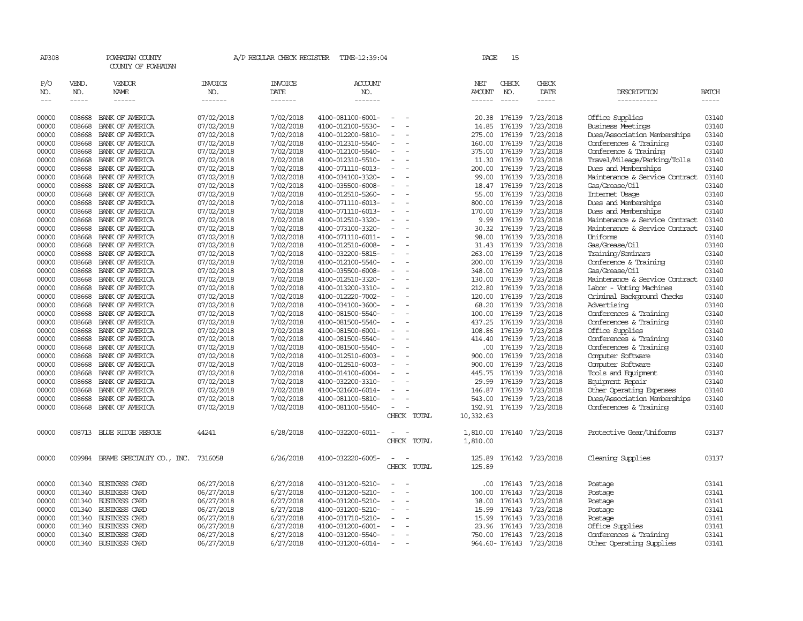| AP308                       |                             | POWHATAN COUNTY<br>COUNTY OF POWHATAN |                                  | A/P REGULAR CHECK REGISTER        | TIME-12:39:04                          |                                                      |             | PAGE                    | 15                            |                              |                                        |                       |
|-----------------------------|-----------------------------|---------------------------------------|----------------------------------|-----------------------------------|----------------------------------------|------------------------------------------------------|-------------|-------------------------|-------------------------------|------------------------------|----------------------------------------|-----------------------|
| P/O<br>NO.<br>$\frac{1}{2}$ | VEND.<br>NO.<br>$- - - - -$ | VENDOR<br><b>NAME</b>                 | <b>INVOICE</b><br>NO.<br>------- | <b>INVOICE</b><br>DATE<br>------- | <b>ACCOUNT</b><br>NO.<br>-------       |                                                      |             | NET<br>AMOUNT<br>------ | CHECK<br>NO.<br>$\frac{1}{2}$ | CHECK<br>DATE<br>$- - - - -$ | DESCRIPTION<br>-----------             | <b>BATCH</b><br>----- |
| 00000                       | 008668                      | BANK OF AMERICA                       | 07/02/2018                       | 7/02/2018                         | 4100-081100-6001-                      |                                                      |             | 20.38                   | 176139                        | 7/23/2018                    | Office Supplies                        | 03140                 |
| 00000                       | 008668                      | BANK OF AMERICA                       | 07/02/2018                       | 7/02/2018                         | 4100-012100-5530-                      |                                                      |             | 14.85                   | 176139                        | 7/23/2018                    | <b>Business Meetings</b>               | 03140                 |
| 00000                       | 008668                      | BANK OF AMERICA                       | 07/02/2018                       | 7/02/2018                         | 4100-012200-5810-                      | $\sim$                                               |             | 275.00                  | 176139                        | 7/23/2018                    | Dues/Association Memberships           | 03140                 |
| 00000                       | 008668                      | BANK OF AMERICA                       | 07/02/2018                       | 7/02/2018                         | 4100-012310-5540-                      | $\overline{\phantom{a}}$                             |             | 160.00                  | 176139                        | 7/23/2018                    | Conferences & Training                 | 03140                 |
| 00000                       | 008668                      | BANK OF AMERICA                       | 07/02/2018                       | 7/02/2018                         | 4100-012100-5540-                      | $\equiv$                                             |             | 375.00                  | 176139                        | 7/23/2018                    | Conference & Training                  | 03140                 |
| 00000                       | 008668                      | BANK OF AMERICA                       | 07/02/2018                       | 7/02/2018                         | 4100-012310-5510-                      | $\overline{\phantom{a}}$                             |             | 11.30                   | 176139                        | 7/23/2018                    | Travel/Mileage/Parking/Tolls           | 03140                 |
| 00000                       | 008668                      | BANK OF AMERICA                       | 07/02/2018                       | 7/02/2018                         | 4100-071110-6013-                      | $\sim$                                               |             | 200.00                  | 176139                        | 7/23/2018                    | Dues and Memberships                   | 03140                 |
| 00000                       | 008668                      | BANK OF AMERICA                       | 07/02/2018                       | 7/02/2018                         | 4100-034100-3320-                      | $\equiv$                                             |             | 99.00                   | 176139                        | 7/23/2018                    | Maintenance & Service Contract         | 03140                 |
| 00000                       | 008668                      | BANK OF AMERICA                       | 07/02/2018                       | 7/02/2018                         | 4100-035500-6008-                      |                                                      |             | 18.47                   | 176139                        | 7/23/2018                    | Gas/Grease/0il                         | 03140                 |
| 00000                       | 008668                      | BANK OF AMERICA                       | 07/02/2018                       | 7/02/2018                         | 4100-012510-5260-                      | $\equiv$                                             |             | 55.00                   | 176139                        | 7/23/2018                    | Internet Usage                         | 03140                 |
| 00000                       | 008668                      | BANK OF AMERICA                       | 07/02/2018                       | 7/02/2018                         | 4100-071110-6013-                      | $\sim$                                               |             | 800.00                  | 176139                        | 7/23/2018                    | Dues and Memberships                   | 03140                 |
| 00000                       | 008668                      | BANK OF AMERICA                       | 07/02/2018                       | 7/02/2018                         | 4100-071110-6013-                      | $\overline{\phantom{a}}$                             |             | 170.00                  | 176139                        | 7/23/2018                    | Dues and Memberships                   | 03140                 |
| 00000                       | 008668                      | BANK OF AMERICA                       | 07/02/2018                       | 7/02/2018                         | 4100-012510-3320-                      | $\equiv$                                             |             | 9.99                    | 176139                        | 7/23/2018                    | Maintenance & Service Contract         | 03140                 |
| 00000                       | 008668                      | BANK OF AMERICA                       | 07/02/2018                       | 7/02/2018                         | 4100-073100-3320-                      | $\overline{\phantom{a}}$                             |             | 30.32                   | 176139                        | 7/23/2018                    | Maintenance & Service Contract         | 03140                 |
| 00000                       | 008668                      | BANK OF AMERICA                       | 07/02/2018                       | 7/02/2018                         | 4100-071110-6011-                      | $\overline{\phantom{a}}$                             |             | 98.00                   | 176139                        | 7/23/2018                    | Uniforms                               | 03140                 |
| 00000                       | 008668                      | BANK OF AMERICA                       | 07/02/2018                       | 7/02/2018                         | 4100-012510-6008-                      |                                                      |             | 31.43                   | 176139                        | 7/23/2018                    | Gas/Grease/Oil                         | 03140                 |
| 00000                       | 008668                      | BANK OF AMERICA                       | 07/02/2018                       | 7/02/2018                         | 4100-032200-5815-                      | $\sim$                                               |             | 263.00                  | 176139                        | 7/23/2018                    | Training/Seminars                      | 03140                 |
| 00000                       | 008668                      | BANK OF AMERICA                       | 07/02/2018                       | 7/02/2018                         | 4100-012100-5540-                      | $\overline{\phantom{a}}$                             |             | 200.00                  | 176139                        | 7/23/2018                    | Conference & Training                  | 03140                 |
| 00000                       | 008668                      | BANK OF AMERICA                       | 07/02/2018                       | 7/02/2018                         | 4100-035500-6008-                      | $\overline{\phantom{a}}$                             |             | 348.00                  | 176139                        | 7/23/2018                    | Gas/Grease/Oil                         | 03140                 |
| 00000                       | 008668                      | BANK OF AMERICA                       | 07/02/2018                       | 7/02/2018                         | 4100-012510-3320-                      | $\overline{\phantom{a}}$                             |             | 130.00                  | 176139                        | 7/23/2018                    | Maintenance & Service Contract         | 03140                 |
| 00000                       | 008668                      | BANK OF AMERICA                       | 07/02/2018                       | 7/02/2018                         | 4100-013200-3310-                      | $\overline{\phantom{a}}$                             |             | 212.80                  | 176139                        | 7/23/2018                    | Labor - Voting Machines                | 03140                 |
| 00000                       | 008668                      | BANK OF AMERICA                       | 07/02/2018                       | 7/02/2018                         | 4100-012220-7002-                      | $\sim$                                               |             | 120.00                  | 176139                        | 7/23/2018                    | Criminal Background Checks             | 03140                 |
| 00000                       | 008668                      | BANK OF AMERICA                       | 07/02/2018                       | 7/02/2018                         | 4100-034100-3600-                      | $\overline{\phantom{a}}$                             |             | 68.20                   | 176139                        | 7/23/2018                    | Advertising                            | 03140                 |
| 00000                       | 008668                      | BANK OF AMERICA                       | 07/02/2018                       | 7/02/2018                         | 4100-081500-5540-                      | $\equiv$                                             |             | 100.00                  | 176139                        | 7/23/2018                    | Conferences & Training                 | 03140                 |
| 00000                       | 008668                      | BANK OF AMERICA                       | 07/02/2018                       | 7/02/2018                         | 4100-081500-5540-                      | $\overline{\phantom{a}}$                             |             | 437.25                  | 176139                        | 7/23/2018                    | Conferences & Training                 | 03140                 |
| 00000                       | 008668                      | BANK OF AMERICA                       | 07/02/2018                       | 7/02/2018                         | 4100-081500-6001-                      | $\equiv$<br>$\overline{\phantom{a}}$                 |             | 108.86                  | 176139                        | 7/23/2018                    | Office Supplies                        | 03140                 |
| 00000                       | 008668                      | BANK OF AMERICA                       | 07/02/2018                       | 7/02/2018                         | 4100-081500-5540-                      |                                                      |             | 414.40                  | 176139                        | 7/23/2018                    | Conferences & Training                 | 03140                 |
| 00000<br>00000              | 008668<br>008668            | BANK OF AMERICA                       | 07/02/2018                       | 7/02/2018                         | 4100-081500-5540-                      | $\overline{\phantom{a}}$<br>$\overline{\phantom{a}}$ |             | .00.                    | 176139                        | 7/23/2018                    | Conferences & Training                 | 03140<br>03140        |
| 00000                       | 008668                      | BANK OF AMERICA<br>BANK OF AMERICA    | 07/02/2018                       | 7/02/2018<br>7/02/2018            | 4100-012510-6003-<br>4100-012510-6003- |                                                      |             | 900.00                  | 176139<br>176139              | 7/23/2018<br>7/23/2018       | Computer Software<br>Computer Software | 03140                 |
| 00000                       | 008668                      | BANK OF AMERICA                       | 07/02/2018<br>07/02/2018         | 7/02/2018                         |                                        | $\sim$                                               |             | 900.00                  | 176139                        | 7/23/2018                    | Tools and Equipment                    | 03140                 |
| 00000                       | 008668                      | BANK OF AMERICA                       | 07/02/2018                       | 7/02/2018                         | 4100-014100-6004-<br>4100-032200-3310- | $\sim$                                               |             | 445.75<br>29.99         | 176139                        | 7/23/2018                    | Equipment Repair                       | 03140                 |
| 00000                       | 008668                      | BANK OF AMERICA                       | 07/02/2018                       | 7/02/2018                         | 4100-021600-6014-                      | $\overline{\phantom{a}}$                             |             | 146.87                  | 176139                        | 7/23/2018                    | Other Operating Expenses               | 03140                 |
| 00000                       | 008668                      | BANK OF AMERICA                       | 07/02/2018                       | 7/02/2018                         | 4100-081100-5810-                      | $\equiv$                                             |             | 543.00                  | 176139                        | 7/23/2018                    | Dues/Association Memberships           | 03140                 |
| 00000                       | 008668                      | BANK OF AMERICA                       | 07/02/2018                       | 7/02/2018                         | 4100-081100-5540-                      | $\overline{\phantom{a}}$                             |             | 192.91                  |                               | 176139 7/23/2018             | Conferences & Training                 | 03140                 |
|                             |                             |                                       |                                  |                                   |                                        |                                                      | CHECK TOTAL | 10,332.63               |                               |                              |                                        |                       |
|                             |                             |                                       |                                  |                                   |                                        |                                                      |             |                         |                               |                              |                                        |                       |
| 00000                       |                             | 008713 BLUE RIDGE RESCUE              | 44241                            | 6/28/2018                         | 4100-032200-6011-                      | $\overline{\phantom{a}}$<br>CHECK                    | TOTAL       | 1,810.00<br>1,810.00    |                               | 176140 7/23/2018             | Protective Gear/Uniforms               | 03137                 |
| 00000                       | 009984                      | BRAME SPECIALITY CO., INC.            | 7316058                          | 6/26/2018                         | 4100-032220-6005-                      | $\overline{\phantom{a}}$                             | CHECK TOTAL | 125.89<br>125.89        |                               | 176142 7/23/2018             | Cleaning Supplies                      | 03137                 |
| 00000                       | 001340                      | <b>BUSINESS CARD</b>                  | 06/27/2018                       | 6/27/2018                         | 4100-031200-5210-                      |                                                      |             | .00                     | 176143                        | 7/23/2018                    | Postage                                | 03141                 |
| 00000                       | 001340                      | <b>BUSINESS CARD</b>                  | 06/27/2018                       | 6/27/2018                         | 4100-031200-5210-                      | $\overline{\phantom{a}}$                             |             | 100.00                  | 176143                        | 7/23/2018                    | Postage                                | 03141                 |
| 00000                       | 001340                      | <b>BUSINESS CARD</b>                  | 06/27/2018                       | 6/27/2018                         | 4100-031200-5210-                      |                                                      |             | 38.00                   | 176143                        | 7/23/2018                    | Postage                                | 03141                 |
| 00000                       | 001340                      | BUSINESS CARD                         | 06/27/2018                       | 6/27/2018                         | 4100-031200-5210-                      |                                                      |             | 15.99                   | 176143                        | 7/23/2018                    | Postage                                | 03141                 |
| 00000                       | 001340                      | <b>BUSINESS CARD</b>                  | 06/27/2018                       | 6/27/2018                         | 4100-031710-5210-                      | $\equiv$                                             |             | 15.99                   | 176143                        | 7/23/2018                    | Postage                                | 03141                 |
| 00000                       | 001340                      | <b>BUSINESS CARD</b>                  | 06/27/2018                       | 6/27/2018                         | 4100-031200-6001-                      |                                                      |             | 23.96                   | 176143                        | 7/23/2018                    | Office Supplies                        | 03141                 |
| 00000                       | 001340                      | BUSINESS CARD                         | 06/27/2018                       | 6/27/2018                         | 4100-031200-5540-                      | $\overline{\phantom{a}}$                             |             | 750.00                  | 176143                        | 7/23/2018                    | Conferences & Training                 | 03141                 |
| 00000                       | 001340                      | <b>BUSINESS CARD</b>                  | 06/27/2018                       | 6/27/2018                         | 4100-031200-6014-                      | $\sim$                                               |             |                         |                               | 964.60-176143 7/23/2018      | Other Operating Supplies               | 03141                 |
|                             |                             |                                       |                                  |                                   |                                        |                                                      |             |                         |                               |                              |                                        |                       |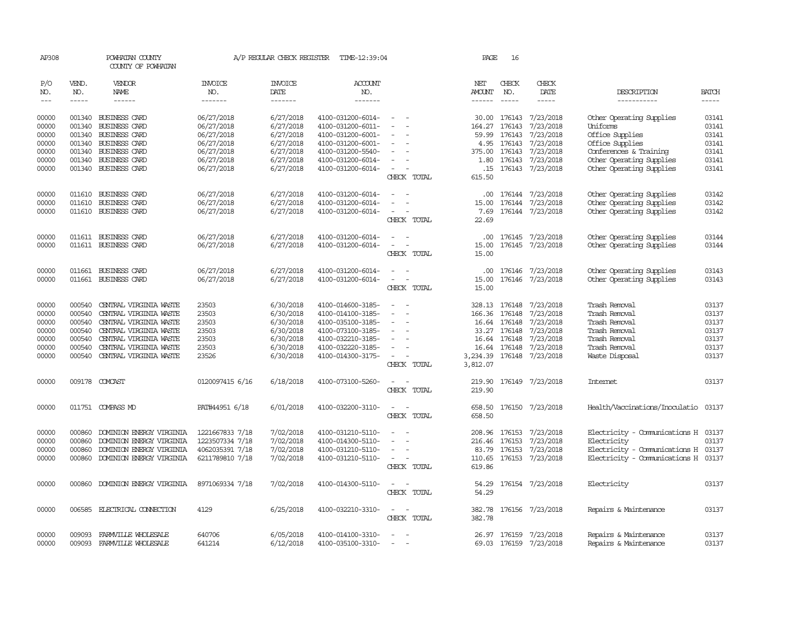| AP308      |              | POWHATAN COUNTY<br>COUNTY OF POWHATAN |                       | A/P REGULAR CHECK REGISTER | TIME-12:39:04         |                                                      | PAGE                 | 16            |                         |                                      |              |
|------------|--------------|---------------------------------------|-----------------------|----------------------------|-----------------------|------------------------------------------------------|----------------------|---------------|-------------------------|--------------------------------------|--------------|
| P/O<br>NO. | VEND.<br>NO. | <b>VENDOR</b><br>NAME                 | <b>INVOICE</b><br>NO. | <b>INVOICE</b><br>DATE     | <b>ACCOUNT</b><br>NO. |                                                      | NET<br>AMOUNT        | CHECK<br>NO.  | CHECK<br>DATE           | DESCRIPTION                          | <b>BATCH</b> |
| $---$      | $- - - - -$  | $- - - - - -$                         | -------               | $- - - - - - -$            | -------               |                                                      | $- - - - - -$        | $- - - - -$   | $- - - - -$             | -----------                          | $- - - - -$  |
| 00000      |              | 001340 BUSINESS CARD                  | 06/27/2018            | 6/27/2018                  | 4100-031200-6014-     | $\overline{\phantom{0}}$                             |                      |               | 30.00 176143 7/23/2018  | Other Operating Supplies             | 03141        |
| 00000      | 001340       | <b>BUSINESS CARD</b>                  | 06/27/2018            | 6/27/2018                  | 4100-031200-6011-     | $\sim$                                               | 164.27               | 176143        | 7/23/2018               | Uniforms                             | 03141        |
| 00000      | 001340       | BUSINESS CARD                         | 06/27/2018            | 6/27/2018                  | 4100-031200-6001-     |                                                      |                      | 59.99 176143  | 7/23/2018               | Office Supplies                      | 03141        |
| 00000      |              | 001340 BUSINESS CARD                  | 06/27/2018            | 6/27/2018                  | 4100-031200-6001-     | $\overline{\phantom{a}}$<br>$\overline{\phantom{a}}$ |                      | 4.95 176143   | 7/23/2018               | Office Supplies                      | 03141        |
| 00000      |              | 001340 BUSINESS CARD                  | 06/27/2018            | 6/27/2018                  | 4100-031200-5540-     | $\sim$                                               |                      | 375.00 176143 | 7/23/2018               | Conferences & Training               | 03141        |
| 00000      |              | 001340 BUSINESS CARD                  | 06/27/2018            | 6/27/2018                  | 4100-031200-6014-     | $\hspace{0.1mm}-\hspace{0.1mm}$                      |                      | 1.80 176143   | 7/23/2018               | Other Operating Supplies             | 03141        |
| 00000      |              | 001340 BUSINESS CARD                  | 06/27/2018            | 6/27/2018                  | 4100-031200-6014-     | $\sim$<br>$\overline{\phantom{a}}$                   |                      |               | .15 176143 7/23/2018    | Other Operating Supplies             | 03141        |
|            |              |                                       |                       |                            |                       | CHECK TOTAL                                          | 615.50               |               |                         |                                      |              |
| 00000      |              | 011610 BUSINESS CARD                  | 06/27/2018            | 6/27/2018                  | 4100-031200-6014-     |                                                      |                      |               | .00 176144 7/23/2018    | Other Operating Supplies             | 03142        |
| 00000      |              | 011610 BUSINESS CARD                  | 06/27/2018            | 6/27/2018                  | 4100-031200-6014-     | $\sim$<br>$\sim$                                     | 15.00                |               | 176144 7/23/2018        | Other Operating Supplies             | 03142        |
| 00000      |              | 011610 BUSINESS CARD                  | 06/27/2018            | 6/27/2018                  | 4100-031200-6014-     | $\sim$                                               | 7.69                 |               | 176144 7/23/2018        | Other Operating Supplies             | 03142        |
|            |              |                                       |                       |                            |                       | CHECK TOTAL                                          | 22.69                |               |                         |                                      |              |
| 00000      |              | 011611 BUSINESS CARD                  | 06/27/2018            | 6/27/2018                  | 4100-031200-6014-     | $\equiv$<br>$\sim$                                   | $.00 \,$             | 176145        | 7/23/2018               | Other Operating Supplies             | 03144        |
| 00000      |              | 011611 BUSINESS CARD                  | 06/27/2018            | 6/27/2018                  | 4100-031200-6014-     | $\sim$<br>$\sim$                                     | 15.00                |               | 176145 7/23/2018        | Other Operating Supplies             | 03144        |
|            |              |                                       |                       |                            |                       | CHECK TOTAL                                          | 15.00                |               |                         |                                      |              |
| 00000      | 011661       | <b>BUSINESS CARD</b>                  | 06/27/2018            | 6/27/2018                  | 4100-031200-6014-     | $\overline{\phantom{a}}$                             | .00.                 | 176146        | 7/23/2018               | Other Operating Supplies             | 03143        |
| 00000      |              | 011661 BUSINESS CARD                  | 06/27/2018            | 6/27/2018                  | 4100-031200-6014-     | $\sim$<br>$\overline{\phantom{a}}$                   | 15.00                |               | 176146 7/23/2018        | Other Operating Supplies             | 03143        |
|            |              |                                       |                       |                            |                       | CHECK TOTAL                                          | 15.00                |               |                         |                                      |              |
| 00000      | 000540       | CENTRAL VIRGINIA WASTE                | 23503                 | 6/30/2018                  | 4100-014600-3185-     |                                                      |                      | 328.13 176148 | 7/23/2018               | Trash Removal                        | 03137        |
| 00000      | 000540       | CENTRAL VIRGINIA WASTE                | 23503                 | 6/30/2018                  | 4100-014100-3185-     |                                                      |                      | 166.36 176148 | 7/23/2018               | Trash Removal                        | 03137        |
| 00000      |              | 000540 CENTRAL VIRGINIA WASTE         | 23503                 | 6/30/2018                  | 4100-035100-3185-     | $\sim$                                               |                      | 16.64 176148  | 7/23/2018               | Trash Removal                        | 03137        |
| 00000      | 000540       | CENTRAL VIRGINIA WASTE                | 23503                 | 6/30/2018                  | 4100-073100-3185-     |                                                      |                      | 33.27 176148  | 7/23/2018               | Trash Removal                        | 03137        |
| 00000      | 000540       | CENTRAL VIRGINIA WASTE                | 23503                 | 6/30/2018                  | 4100-032210-3185-     |                                                      |                      | 16.64 176148  | 7/23/2018               | Trash Removal                        | 03137        |
| 00000      | 000540       | CENTRAL VIRGINIA WASTE                | 23503                 | 6/30/2018                  | 4100-032220-3185-     | $\sim$                                               |                      |               | 16.64 176148 7/23/2018  | Trash Removal                        | 03137        |
| 00000      | 000540       | CENTRAL VIRGINIA WASTE                | 23526                 | 6/30/2018                  | 4100-014300-3175-     | $\sim$<br>CHECK TOTAL                                | 3,234.39<br>3,812.07 | 176148        | 7/23/2018               | Waste Disposal                       | 03137        |
| 00000      |              | 009178 COMCAST                        | 0120097415 6/16       | 6/18/2018                  | 4100-073100-5260-     | $\overline{\phantom{a}}$                             | 219.90               | 176149        | 7/23/2018               | <b>Internet</b>                      | 03137        |
|            |              |                                       |                       |                            |                       | CHECK TOTAL                                          | 219.90               |               |                         |                                      |              |
| 00000      |              | 011751 COMPASS MD                     | PAT#44951 6/18        | 6/01/2018                  | 4100-032200-3110-     | $\sim$                                               |                      |               | 658.50 176150 7/23/2018 | Health/Vaccinations/Inoculatio 03137 |              |
|            |              |                                       |                       |                            |                       | CHECK TOTAL                                          | 658.50               |               |                         |                                      |              |
| 00000      | 000860       | DOMINION ENERGY VIRGINIA              | 1221667833 7/18       | 7/02/2018                  | 4100-031210-5110-     | $\sim$                                               |                      |               | 208.96 176153 7/23/2018 | Electricity - Comunications H 03137  |              |
| 00000      | 000860       | DOMINION ENERGY VIRGINIA              | 1223507334 7/18       | 7/02/2018                  | 4100-014300-5110-     | $\sim$<br>$\overline{\phantom{a}}$                   |                      | 216.46 176153 | 7/23/2018               | Electricity                          | 03137        |
| 00000      | 000860       | DOMINION ENERGY VIRGINIA              | 4062035391 7/18       | 7/02/2018                  | 4100-031210-5110-     | $\sim$                                               |                      | 83.79 176153  | 7/23/2018               | Electricity - Comunications H 03137  |              |
| 00000      |              | 000860 DOMINION ENERGY VIRGINIA       | 6211789810 7/18       | 7/02/2018                  | 4100-031210-5110-     | $\sim$<br>$\overline{\phantom{a}}$                   |                      |               | 110.65 176153 7/23/2018 | Electricity - Comunications H 03137  |              |
|            |              |                                       |                       |                            |                       | CHECK TOTAL                                          | 619.86               |               |                         |                                      |              |
| 00000      |              | 000860 DOMINION ENERGY VIRGINIA       | 8971069334 7/18       | 7/02/2018                  | 4100-014300-5110-     | $\sim$ $\sim$                                        |                      |               | 54.29 176154 7/23/2018  | Electricity                          | 03137        |
|            |              |                                       |                       |                            |                       | CHECK TOTAL                                          | 54.29                |               |                         |                                      |              |
| 00000      |              | 006585 ELECTRICAL CONNECTION          | 4129                  | 6/25/2018                  | 4100-032210-3310-     | $\sim$<br>$\sim$                                     |                      |               | 382.78 176156 7/23/2018 | Repairs & Maintenance                | 03137        |
|            |              |                                       |                       |                            |                       | CHECK TOTAL                                          | 382.78               |               |                         |                                      |              |
| 00000      |              | 009093 FARMVILLE WHOLESALE            | 640706                | 6/05/2018                  | 4100-014100-3310-     |                                                      |                      | 26.97 176159  | 7/23/2018               | Repairs & Maintenance                | 03137        |
| 00000      | 009093       | FARMVILLE WHOLESALE                   | 641214                | 6/12/2018                  | 4100-035100-3310-     | $\sim$                                               |                      |               | 69.03 176159 7/23/2018  | Repairs & Maintenance                | 03137        |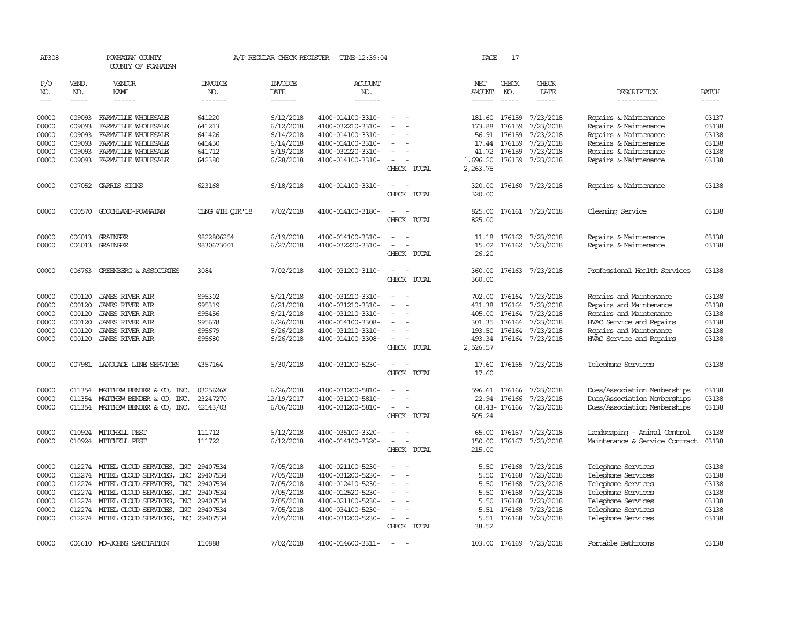| AP308          |                  | POWHATAN COUNTY<br>COUNTY OF POWHATAN     |                       | A/P REGULAR CHECK REGISTER | TIME-12:39:04                          |                                                      | PAGE             | 17               |                         |                                                |                |
|----------------|------------------|-------------------------------------------|-----------------------|----------------------------|----------------------------------------|------------------------------------------------------|------------------|------------------|-------------------------|------------------------------------------------|----------------|
| P/O<br>NO.     | VEND.<br>NO.     | VENDOR<br>NAME                            | <b>INVOICE</b><br>NO. | <b>INVOICE</b><br>DATE     | <b>ACCOUNT</b><br>NO.                  |                                                      | NET<br>AMOUNT    | CHECK<br>NO.     | CHECK<br>DATE           | DESCRIPTION                                    | <b>BATCH</b>   |
| $\frac{1}{2}$  | $- - - - -$      | ------                                    | -------               | -------                    | -------                                |                                                      |                  | $\frac{1}{2}$    | $\cdots\cdots\cdots$    | -----------                                    | $- - - - -$    |
| 00000          | 009093           | FARMVILLE WHOLESALE                       | 641220                | 6/12/2018                  | 4100-014100-3310-                      | $\overline{\phantom{a}}$                             |                  | 181.60 176159    | 7/23/2018               | Repairs & Maintenance                          | 03137          |
| 00000<br>00000 | 009093<br>009093 | FARMILLE WHOLESALE<br>FARMVILLE WHOLESALE | 641213<br>641426      | 6/12/2018                  | 4100-032210-3310-                      |                                                      | 173.88           | 176159<br>176159 | 7/23/2018               | Repairs & Maintenance                          | 03138          |
| 00000          | 009093           | FARMILLE WHOLESALE                        | 641450                | 6/14/2018<br>6/14/2018     | 4100-014100-3310-<br>4100-014100-3310- | $\equiv$<br>$\overline{\phantom{a}}$                 | 56.91<br>17.44   | 176159           | 7/23/2018<br>7/23/2018  | Repairs & Maintenance<br>Repairs & Maintenance | 03138<br>03138 |
| 00000          | 009093           | FARMVILLE WHOLESALE                       | 641712                | 6/19/2018                  | 4100-032220-3310-                      |                                                      | 41.72            | 176159           | 7/23/2018               | Repairs & Maintenance                          | 03138          |
| 00000          | 009093           | FARMVILLE WHOLESALE                       | 642380                | 6/28/2018                  | 4100-014100-3310-                      |                                                      | 1,696.20         | 176159           | 7/23/2018               | Repairs & Maintenance                          | 03138          |
|                |                  |                                           |                       |                            |                                        | CHECK TOTAL                                          | 2,263.75         |                  |                         |                                                |                |
| 00000          |                  | 007052 GARRIS SIGNS                       | 623168                | 6/18/2018                  | 4100-014100-3310-                      | CHECK TOTAL                                          | 320.00<br>320.00 | 176160           | 7/23/2018               | Repairs & Maintenance                          | 03138          |
| 00000          |                  | 000570 GOOCHLAND-POWHATAN                 | CING 4TH OTR'18       | 7/02/2018                  | 4100-014100-3180-                      | CHECK TOTAL                                          | 825.00<br>825.00 |                  | 176161 7/23/2018        | Cleaning Service                               | 03138          |
| 00000          |                  | 006013 GRAINGER                           | 9822806254            | 6/19/2018                  | 4100-014100-3310-                      | $\sim$<br>$\sim$                                     | 11.18            | 176162           | 7/23/2018               | Repairs & Maintenance                          | 03138          |
| 00000          |                  | 006013 GRAINGER                           | 9830673001            | 6/27/2018                  | 4100-032220-3310-                      | $\sim$<br>$\overline{\phantom{a}}$                   | 15.02            | 176162           | 7/23/2018               | Repairs & Maintenance                          | 03138          |
|                |                  |                                           |                       |                            |                                        | CHECK TOTAL                                          | 26.20            |                  |                         |                                                |                |
| 00000          |                  | 006763 GREENBERG & ASSOCIATES             | 3084                  | 7/02/2018                  | 4100-031200-3110-                      | $\overline{\phantom{a}}$<br>$\sim$<br>CHECK TOTAL    | 360.00<br>360.00 | 176163           | 7/23/2018               | Professional Health Services                   | 03138          |
| 00000          | 000120           | <b>JAMES RIVER AIR</b>                    | S95302                | 6/21/2018                  | 4100-031210-3310-                      |                                                      | 702.00           | 176164           | 7/23/2018               | Repairs and Maintenance                        | 03138          |
| 00000          | 000120           | JAMES RIVER AIR                           | S95319                | 6/21/2018                  | 4100-031210-3310-                      |                                                      | 431.38           | 176164           | 7/23/2018               | Repairs and Maintenance                        | 03138          |
| 00000          | 000120           | <b>JAMES RIVER AIR</b>                    | S95456                | 6/21/2018                  | 4100-031210-3310-                      |                                                      | 405.00           | 176164           | 7/23/2018               | Repairs and Maintenance                        | 03138          |
| 00000          | 000120           | JAMES RIVER AIR                           | S95678                | 6/26/2018                  | 4100-014100-3308-                      |                                                      | 301.35           | 176164           | 7/23/2018               | HVAC Service and Repairs                       | 03138          |
| 00000          | 000120           | JAMES RIVER AIR                           | S95679                | 6/26/2018                  | 4100-031210-3310-                      |                                                      | 193.50           | 176164           | 7/23/2018               | Repairs and Maintenance                        | 03138          |
| 00000          | 000120           | JAMES RIVER AIR                           | S95680                | 6/26/2018                  | 4100-014100-3308-                      |                                                      |                  |                  | 493.34 176164 7/23/2018 | HVAC Service and Repairs                       | 03138          |
|                |                  |                                           |                       |                            |                                        | CHECK TOTAL                                          | 2,526.57         |                  |                         |                                                |                |
| 00000          |                  | 007981 LANGUAGE LINE SERVICES             | 4357164               | 6/30/2018                  | 4100-031200-5230-                      | $\overline{\phantom{a}}$<br>$\overline{\phantom{a}}$ | 17.60            | 176165           | 7/23/2018               | Telephone Services                             | 03138          |
|                |                  |                                           |                       |                            |                                        | CHECK TOTAL                                          | 17.60            |                  |                         |                                                |                |
| 00000          | 011354           | MATTHEW BENDER & CO, INC.                 | 0325626X              | 6/26/2018                  | 4100-031200-5810-                      |                                                      |                  | 596.61 176166    | 7/23/2018               | Dues/Association Memberships                   | 03138          |
| 00000          | 011354           | MATTHEW BENDER & CO, INC.                 | 23247270              | 12/19/2017                 | 4100-031200-5810-                      |                                                      |                  | 22.94-176166     | 7/23/2018               | Dues/Association Memberships                   | 03138          |
| 00000          |                  | 011354 MATTHEW BENDER & CO, INC.          | 42143/03              | 6/06/2018                  | 4100-031200-5810-                      | $\sim$                                               |                  | 68.43-176166     | 7/23/2018               | Dues/Association Memberships                   | 03138          |
|                |                  |                                           |                       |                            |                                        | CHECK TOTAL                                          | 505.24           |                  |                         |                                                |                |
| 00000          |                  | 010924 MITCHELL PEST                      | 111712                | 6/12/2018                  | 4100-035100-3320-                      |                                                      | 65.00            |                  | 176167 7/23/2018        | Landscaping - Animal Control                   | 03138          |
| 00000          |                  | 010924 MITCHELL PEST                      | 111722                | 6/12/2018                  | 4100-014100-3320-                      | $\overline{\phantom{a}}$<br>CHECK TOTAL              | 150.00<br>215.00 | 176167           | 7/23/2018               | Maintenance & Service Contract                 | 03138          |
| 00000          | 012274           | MITEL CLOUD SERVICES, INC                 | 29407534              | 7/05/2018                  | 4100-021100-5230-                      | $\overline{a}$                                       | 5.50             | 176168           | 7/23/2018               | Telephone Services                             | 03138          |
| 00000          | 012274           | MITEL CLOUD SERVICES, INC                 | 29407534              | 7/05/2018                  | 4100-031200-5230-                      | $\sim$                                               | 5.50             | 176168           | 7/23/2018               | Telephone Services                             | 03138          |
| 00000          | 012274           | MITEL CLOUD SERVICES, INC                 | 29407534              | 7/05/2018                  | 4100-012410-5230-                      |                                                      | 5.50             | 176168           | 7/23/2018               | Telephone Services                             | 03138          |
| 00000          | 012274           | MITEL CLOUD SERVICES, INC                 | 29407534              | 7/05/2018                  | 4100-012520-5230-                      | $\equiv$                                             | 5.50             | 176168           | 7/23/2018               | Telephone Services                             | 03138          |
| 00000          | 012274           | MITEL CLOUD SERVICES, INC                 | 29407534              | 7/05/2018                  | 4100-021100-5230-                      |                                                      | 5.50             | 176168           | 7/23/2018               | Telephone Services                             | 03138          |
| 00000          | 012274           | MITEL CLOUD SERVICES, INC                 | 29407534              | 7/05/2018                  | 4100-034100-5230-                      |                                                      | 5.51             | 176168           | 7/23/2018               | Telephone Services                             | 03138          |
| 00000          |                  | 012274 MITEL CLOUD SERVICES, INC 29407534 |                       | 7/05/2018                  | 4100-031200-5230-                      | $\overline{\phantom{a}}$                             | 5.51             | 176168           | 7/23/2018               | Telephone Services                             | 03138          |
|                |                  |                                           |                       |                            |                                        | CHECK TOTAL                                          | 38.52            |                  |                         |                                                |                |
| 00000          |                  | 006610 MO-JOHNS SANITATION                | 110888                | 7/02/2018                  | 4100-014600-3311-                      |                                                      |                  | 103.00 176169    | 7/23/2018               | Portable Bathrooms                             | 03138          |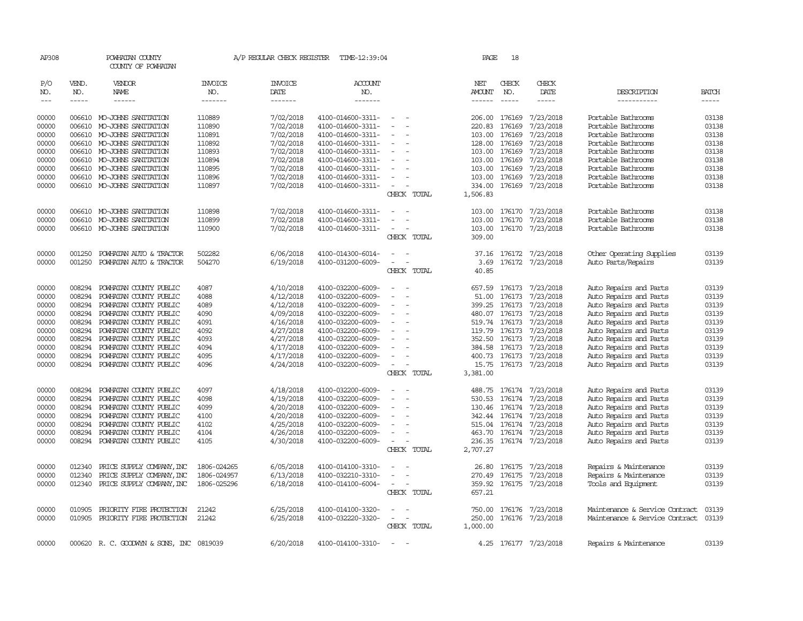| AP308         |              | POWHATAN COUNTY<br>COUNTY OF POWHATAN    |                | A/P REGULAR CHECK REGISTER | TIME-12:39:04         |                          |             | PAGE          |               | 18 |                         |                                |              |
|---------------|--------------|------------------------------------------|----------------|----------------------------|-----------------------|--------------------------|-------------|---------------|---------------|----|-------------------------|--------------------------------|--------------|
| P/O<br>NO.    | VEND.<br>NO. | VENDOR<br>NAME                           | INVOICE<br>NO. | <b>INVOICE</b><br>DATE     | <b>ACCOUNT</b><br>NO. |                          |             | NET<br>AMOUNT | CHECK<br>NO.  |    | CHECK<br>DATE           | DESCRIPTION                    | <b>BATCH</b> |
| $\frac{1}{2}$ | $- - - - -$  | ------                                   | -------        | -------                    | -------               |                          |             | ------        | $- - - - -$   |    | -----                   | -----------                    | -----        |
| 00000         | 006610       | MO-JOHNS SANITATION                      | 110889         | 7/02/2018                  | 4100-014600-3311-     | $\equiv$                 |             | 206.00        | 176169        |    | 7/23/2018               | Portable Bathrooms             | 03138        |
| 00000         | 006610       | MO-JOHNS SANITATION                      | 110890         | 7/02/2018                  | 4100-014600-3311-     |                          |             | 220.83        | 176169        |    | 7/23/2018               | Portable Bathrooms             | 03138        |
| 00000         | 006610       | MO-JOHNS SANITATION                      | 110891         | 7/02/2018                  | 4100-014600-3311-     |                          |             | 103.00        | 176169        |    | 7/23/2018               | Portable Bathrooms             | 03138        |
| 00000         | 006610       | MO-JOHNS SANITATION                      | 110892         | 7/02/2018                  | 4100-014600-3311-     | $\equiv$                 |             | 128.00        | 176169        |    | 7/23/2018               | Portable Bathrooms             | 03138        |
| 00000         | 006610       | MO-JOHNS SANITATION                      | 110893         | 7/02/2018                  | 4100-014600-3311-     |                          |             | 103.00        | 176169        |    | 7/23/2018               | Portable Bathrooms             | 03138        |
| 00000         | 006610       | MO-JOHNS SANITATION                      | 110894         | 7/02/2018                  | 4100-014600-3311-     |                          |             | 103.00        | 176169        |    | 7/23/2018               | Portable Bathrooms             | 03138        |
| 00000         |              | 006610 MO-JOHNS SANITATION               | 110895         | 7/02/2018                  | 4100-014600-3311-     | $\sim$                   |             | 103.00        | 176169        |    | 7/23/2018               | Portable Bathrooms             | 03138        |
| 00000         | 006610       | MO-JOHNS SANITATION                      | 110896         | 7/02/2018                  | 4100-014600-3311-     |                          |             | 103.00        | 176169        |    | 7/23/2018               | Portable Bathrooms             | 03138        |
| 00000         |              | 006610 MO-JOHNS SANITATION               | 110897         | 7/02/2018                  | 4100-014600-3311-     | $\sim$                   |             | 334.00        | 176169        |    | 7/23/2018               | Portable Bathrooms             | 03138        |
|               |              |                                          |                |                            |                       |                          | CHECK TOTAL | 1,506.83      |               |    |                         |                                |              |
| 00000         | 006610       | MO-JOHNS SANITATION                      | 110898         | 7/02/2018                  | 4100-014600-3311-     |                          |             | 103.00        |               |    | 176170 7/23/2018        | Portable Bathrooms             | 03138        |
| 00000         | 006610       | MO-JOHNS SANITATION                      | 110899         | 7/02/2018                  | 4100-014600-3311-     |                          |             | 103.00        | 176170        |    | 7/23/2018               | Portable Bathrooms             | 03138        |
| 00000         |              | 006610 MO-JOHNS SANITATION               | 110900         | 7/02/2018                  | 4100-014600-3311-     | $\equiv$                 |             | 103.00        |               |    | 176170 7/23/2018        | Portable Bathrooms             | 03138        |
|               |              |                                          |                |                            |                       |                          | CHECK TOTAL | 309.00        |               |    |                         |                                |              |
| 00000         | 001250       | POWHATAN AUTO & TRACTOR                  | 502282         | 6/06/2018                  | 4100-014300-6014-     |                          |             | 37.16         |               |    | 176172 7/23/2018        | Other Operating Supplies       | 03139        |
| 00000         | 001250       | POWHATAN AUTO & TRACTOR                  | 504270         | 6/19/2018                  | 4100-031200-6009-     | $\overline{\phantom{a}}$ |             | 3.69          |               |    | 176172 7/23/2018        | Auto Parts/Repairs             | 03139        |
|               |              |                                          |                |                            |                       |                          | CHECK TOTAL | 40.85         |               |    |                         |                                |              |
| 00000         | 008294       | POWHATAN COUNTY PUBLIC                   | 4087           | 4/10/2018                  | 4100-032200-6009-     | $\sim$                   |             | 657.59        |               |    | 176173 7/23/2018        | Auto Repairs and Parts         | 03139        |
| 00000         | 008294       | POWHATAN COUNTY PUBLIC                   | 4088           | 4/12/2018                  | 4100-032200-6009-     |                          |             | 51.00         | 176173        |    | 7/23/2018               | Auto Repairs and Parts         | 03139        |
| 00000         | 008294       | POWHATAN COUNTY PUBLIC                   | 4089           | 4/12/2018                  | 4100-032200-6009-     |                          |             | 399.25        | 176173        |    | 7/23/2018               | Auto Repairs and Parts         | 03139        |
| 00000         | 008294       | POWHATAN COUNTY PUBLIC                   | 4090           | 4/09/2018                  | 4100-032200-6009-     |                          |             | 480.07        | 176173        |    | 7/23/2018               | Auto Repairs and Parts         | 03139        |
| 00000         | 008294       | POWHATAN COUNTY PUBLIC                   | 4091           | 4/16/2018                  | 4100-032200-6009-     | $\overline{\phantom{a}}$ |             |               | 519.74 176173 |    | 7/23/2018               | Auto Repairs and Parts         | 03139        |
| 00000         | 008294       | POWHATAN COUNTY PUBLIC                   | 4092           | 4/27/2018                  | 4100-032200-6009-     |                          |             | 119.79        | 176173        |    | 7/23/2018               | Auto Repairs and Parts         | 03139        |
| 00000         | 008294       | POWHATAN COUNTY PUBLIC                   | 4093           | 4/27/2018                  | 4100-032200-6009-     |                          |             | 352.50        | 176173        |    | 7/23/2018               | Auto Repairs and Parts         | 03139        |
| 00000         | 008294       | POWHATAN COUNTY PUBLIC                   | 4094           | 4/17/2018                  | 4100-032200-6009-     | $\sim$                   |             | 384.58        | 176173        |    | 7/23/2018               | Auto Repairs and Parts         | 03139        |
| 00000         | 008294       | POWHATAN COUNTY PUBLIC                   | 4095           | 4/17/2018                  | 4100-032200-6009-     | $\sim$                   |             | 400.73        | 176173        |    | 7/23/2018               | Auto Repairs and Parts         | 03139        |
| 00000         | 008294       | POWHATAN COUNTY PUBLIC                   | 4096           | 4/24/2018                  | 4100-032200-6009-     | $\overline{\phantom{a}}$ |             |               |               |    | 15.75 176173 7/23/2018  | Auto Repairs and Parts         | 03139        |
|               |              |                                          |                |                            |                       |                          | CHECK TOTAL | 3,381.00      |               |    |                         |                                |              |
| 00000         | 008294       | POWHATAN COUNTY PUBLIC                   | 4097           | 4/18/2018                  | 4100-032200-6009-     |                          |             | 488.75        | 176174        |    | 7/23/2018               | Auto Repairs and Parts         | 03139        |
| 00000         | 008294       | POWHATAN COUNTY PUBLIC                   | 4098           | 4/19/2018                  | 4100-032200-6009-     |                          |             | 530.53        | 176174        |    | 7/23/2018               | Auto Repairs and Parts         | 03139        |
| 00000         | 008294       | POWHATAN COUNTY PUBLIC                   | 4099           | 4/20/2018                  | 4100-032200-6009-     |                          |             |               |               |    | 130.46 176174 7/23/2018 | Auto Repairs and Parts         | 03139        |
| 00000         | 008294       | POWHATAN COUNTY PUBLIC                   | 4100           | 4/20/2018                  | 4100-032200-6009-     |                          |             |               |               |    | 342.44 176174 7/23/2018 | Auto Repairs and Parts         | 03139        |
| 00000         | 008294       | POWHATAN COUNTY PUBLIC                   | 4102           | 4/25/2018                  | 4100-032200-6009-     |                          |             | 515.04        |               |    | 176174 7/23/2018        | Auto Repairs and Parts         | 03139        |
| 00000         | 008294       | POWHATAN COUNTY PUBLIC                   | 4104           | 4/26/2018                  | 4100-032200-6009-     |                          |             | 463.70        |               |    | 176174 7/23/2018        | Auto Repairs and Parts         | 03139        |
| 00000         | 008294       | POWHATAN COUNTY PUBLIC                   | 4105           | 4/30/2018                  | 4100-032200-6009-     | $\sim$                   |             | 236.35        |               |    | 176174 7/23/2018        | Auto Repairs and Parts         | 03139        |
|               |              |                                          |                |                            |                       |                          | CHECK TOTAL | 2,707.27      |               |    |                         |                                |              |
| 00000         | 012340       | PRICE SUPPLY COMPANY, INC                | 1806-024265    | 6/05/2018                  | 4100-014100-3310-     |                          |             | 26.80         | 176175        |    | 7/23/2018               | Repairs & Maintenance          | 03139        |
| 00000         | 012340       | PRICE SUPPLY COMPANY, INC                | 1806-024957    | 6/13/2018                  | 4100-032210-3310-     | $\sim$                   |             | 270.49        | 176175        |    | 7/23/2018               | Repairs & Maintenance          | 03139        |
| 00000         |              | 012340 PRICE SUPPLY COMPANY, INC         | 1806-025296    | 6/18/2018                  | 4100-014100-6004-     | $\equiv$                 |             | 359.92        |               |    | 176175 7/23/2018        | Tools and Equipment            | 03139        |
|               |              |                                          |                |                            |                       |                          | CHECK TOTAL | 657.21        |               |    |                         |                                |              |
| 00000         | 010905       | PRIORITY FIRE PROTECTION                 | 21242          | 6/25/2018                  | 4100-014100-3320-     |                          |             | 750.00        | 176176        |    | 7/23/2018               | Maintenance & Service Contract | 03139        |
| 00000         | 010905       | PRIORITY FIRE PROTECTION                 | 21242          | 6/25/2018                  | 4100-032220-3320-     |                          |             | 250.00        |               |    | 176176 7/23/2018        | Maintenance & Service Contract | 03139        |
|               |              |                                          |                |                            |                       |                          | CHECK TOTAL | 1,000.00      |               |    |                         |                                |              |
| 00000         |              | 000620 R. C. GOODWYN & SONS, INC 0819039 |                | 6/20/2018                  | 4100-014100-3310-     | $\equiv$                 |             |               |               |    | 4.25 176177 7/23/2018   | Repairs & Maintenance          | 03139        |
|               |              |                                          |                |                            |                       |                          |             |               |               |    |                         |                                |              |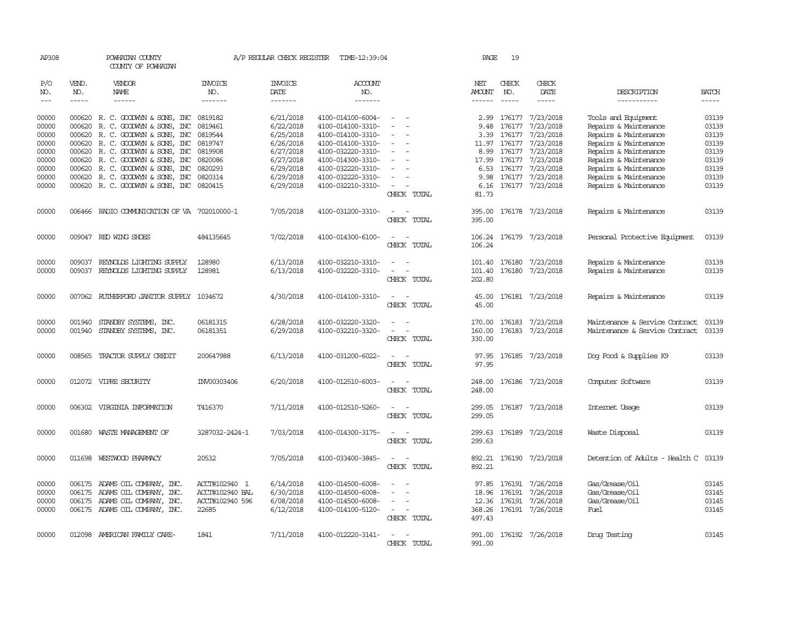| AP308      |              | POWHATAN COUNTY<br>COUNTY OF POWHATAN        |                 | A/P REGULAR CHECK REGISTER | TIME-12:39:04         |                                            | PAGE             | 19            |                         |                                |              |
|------------|--------------|----------------------------------------------|-----------------|----------------------------|-----------------------|--------------------------------------------|------------------|---------------|-------------------------|--------------------------------|--------------|
| P/O<br>NO. | VEND.<br>NO. | VENDOR<br>NAME                               | INVOICE<br>NO.  | <b>INVOICE</b><br>DATE     | <b>ACCOUNT</b><br>NO. |                                            | NET<br>AMOUNT    | CHECK<br>NO.  | CHECK<br>DATE           | DESCRIPTION                    | <b>BATCH</b> |
| $---$      | $- - - - -$  | $- - - - - -$                                | -------         | -------                    | -------               |                                            | ------           | $\frac{1}{2}$ | -----                   | -----------                    | $\cdots$     |
| 00000      |              | 000620 R. C. GOODWYN & SONS, INC             | 0819182         | 6/21/2018                  | 4100-014100-6004-     | $\sim$                                     |                  |               | 2.99 176177 7/23/2018   | Tools and Equipment            | 03139        |
| 00000      | 000620       | R. C. GOODWYN & SONS, INC                    | 0819461         | 6/22/2018                  | 4100-014100-3310-     | $\sim$                                     | 9.48             | 176177        | 7/23/2018               | Repairs & Maintenance          | 03139        |
| 00000      | 000620       | R. C. GOODWYN & SONS, INC                    | 0819544         | 6/25/2018                  | 4100-014100-3310-     |                                            | 3.39             | 176177        | 7/23/2018               | Repairs & Maintenance          | 03139        |
| 00000      | 000620       | R. C. GOODWYN & SONS, INC                    | 0819747         | 6/26/2018                  | 4100-014100-3310-     | $\sim$                                     |                  |               | 11.97 176177 7/23/2018  | Repairs & Maintenance          | 03139        |
| 00000      | 000620       | R. C. GOODWYN & SONS, INC                    | 0819908         | 6/27/2018                  | 4100-032220-3310-     |                                            | 8.99             |               | 176177 7/23/2018        | Repairs & Maintenance          | 03139        |
| 00000      |              | 000620 R.C. GOODWYN & SONS, INC              | 0820086         | 6/27/2018                  | 4100-014300-3310-     |                                            |                  | 17.99 176177  | 7/23/2018               | Repairs & Maintenance          | 03139        |
| 00000      | 000620       | R. C. GOODWYN & SONS, INC                    | 0820293         | 6/29/2018                  | 4100-032220-3310-     |                                            |                  |               | 6.53 176177 7/23/2018   | Repairs & Maintenance          | 03139        |
| 00000      | 000620       | R. C. GOODWYN & SONS, INC                    | 0820314         | 6/29/2018                  | 4100-032220-3310-     | $\equiv$                                   | 9.98             |               | 176177 7/23/2018        | Repairs & Maintenance          | 03139        |
| 00000      |              | 000620 R.C. GOODWYN & SONS, INC              | 0820415         | 6/29/2018                  | 4100-032210-3310-     | $\overline{\phantom{0}}$                   | 6.16             |               | 176177 7/23/2018        | Repairs & Maintenance          | 03139        |
|            |              |                                              |                 |                            |                       | CHECK TOTAL                                | 81.73            |               |                         |                                |              |
| 00000      |              | 006466 RADIO COMMUNICATION OF VA 702010000-1 |                 | 7/05/2018                  | 4100-031200-3310-     | $\overline{a}$<br>$\sim$<br>CHECK TOTAL    | 395.00<br>395.00 |               | 176178 7/23/2018        | Repairs & Maintenance          | 03139        |
| 00000      |              | 009047 RED WING SHOES                        | 484135645       | 7/02/2018                  | 4100-014300-6100-     | $\sim$<br>$\sim$                           |                  |               |                         |                                | 03139        |
|            |              |                                              |                 |                            |                       | CHECK TOTAL                                | 106.24<br>106.24 |               | 176179 7/23/2018        | Personal Protective Equipment  |              |
|            |              |                                              |                 |                            |                       |                                            |                  |               |                         |                                |              |
| 00000      | 009037       | REYNOLDS LIGHTING SUPPLY                     | 128980          | 6/13/2018                  | 4100-032210-3310-     | $\overline{a}$<br>$\overline{\phantom{a}}$ |                  | 101.40 176180 | 7/23/2018               | Repairs & Maintenance          | 03139        |
| 00000      | 009037       | REYNOLDS LIGHTING SUPPLY                     | 128981          | 6/13/2018                  | 4100-032220-3310-     | $\sim$<br>$\overline{\phantom{a}}$         | 101.40           | 176180        | 7/23/2018               | Repairs & Maintenance          | 03139        |
|            |              |                                              |                 |                            |                       | CHECK TOTAL                                | 202.80           |               |                         |                                |              |
| 00000      |              | 007062 RUIHERFORD JANITOR SUPPLY 1034672     |                 | 4/30/2018                  | 4100-014100-3310-     | $\sim$<br>$\sim$                           | 45.00            |               | 176181 7/23/2018        | Repairs & Maintenance          | 03139        |
|            |              |                                              |                 |                            |                       | CHECK TOTAL                                | 45.00            |               |                         |                                |              |
| 00000      | 001940       | STANDBY SYSTEMS, INC.                        | 06181315        | 6/28/2018                  | 4100-032220-3320-     |                                            | 170.00           | 176183        | 7/23/2018               | Maintenance & Service Contract | 03139        |
| 00000      | 001940       | STANDBY SYSTEMS, INC.                        | 06181351        | 6/29/2018                  | 4100-032210-3320-     |                                            | 160.00           | 176183        | 7/23/2018               | Maintenance & Service Contract | 03139        |
|            |              |                                              |                 |                            |                       | CHECK TOTAL                                | 330.00           |               |                         |                                |              |
| 00000      | 008565       | TRACTOR SUPPLY CREDIT                        | 200647988       | 6/13/2018                  | 4100-031200-6022-     |                                            | 97.95            |               | 176185 7/23/2018        | Dog Food & Supplies K9         | 03139        |
|            |              |                                              |                 |                            |                       | CHECK TOTAL                                | 97.95            |               |                         |                                |              |
| 00000      |              | 012072 VIPRE SECURITY                        | INV00303406     | 6/20/2018                  | 4100-012510-6003-     |                                            | 248.00           |               | 176186 7/23/2018        | Computer Software              | 03139        |
|            |              |                                              |                 |                            |                       | CHECK TOTAL                                | 248.00           |               |                         |                                |              |
|            |              |                                              |                 |                            |                       |                                            |                  |               |                         |                                |              |
| 00000      |              | 006302 VIRGINIA INFORMATION                  | T416370         | 7/11/2018                  | 4100-012510-5260-     |                                            |                  |               | 299.05 176187 7/23/2018 | Internet Usage                 | 03139        |
|            |              |                                              |                 |                            |                       | CHECK TOTAL                                | 299.05           |               |                         |                                |              |
| 00000      |              | 001680 WASTE MANAGEMENT OF                   | 3287032-2424-1  | 7/03/2018                  | 4100-014300-3175-     | $\equiv$<br>$\sim$                         |                  |               | 299.63 176189 7/23/2018 | Waste Disposal                 | 03139        |
|            |              |                                              |                 |                            |                       | CHECK TOTAL                                | 299.63           |               |                         |                                |              |
| 00000      |              | 011698 WESTWOOD PHARMACY                     | 20532           | 7/05/2018                  | 4100-033400-3845-     | $\sim$<br>$\sim$                           | 892.21           |               | 176190 7/23/2018        | Detention of Adults - Health C | 03139        |
|            |              |                                              |                 |                            |                       | CHECK TOTAL                                | 892.21           |               |                         |                                |              |
| 00000      |              | 006175 ADAMS OIL COMPANY, INC.               | ACCT#102940 1   | 6/14/2018                  | 4100-014500-6008-     |                                            |                  | 97.85 176191  | 7/26/2018               | Gas/Grease/Oil                 | 03145        |
| 00000      |              | 006175 ADAMS OIL COMPANY, INC.               | ACCT#102940 BAL | 6/30/2018                  | 4100-014500-6008-     | $\equiv$<br>$\overline{\phantom{a}}$       |                  | 18.96 176191  | 7/26/2018               | Gas/Grease/Oil                 | 03145        |
| 00000      | 006175       | ADAMS OIL COMPANY, INC.                      | ACCT#102940 596 | 6/08/2018                  | 4100-014500-6008-     | $\overline{\phantom{a}}$                   | 12.36            | 176191        | 7/26/2018               | Gas/Grease/Oil                 | 03145        |
| 00000      |              | 006175 ADAMS OIL COMPANY, INC.               | 22685           | 6/12/2018                  | 4100-014100-5120-     | $\sim$<br>$\sim$                           |                  |               | 368.26 176191 7/26/2018 | Fuel                           | 03145        |
|            |              |                                              |                 |                            |                       | CHECK TOTAL                                | 497.43           |               |                         |                                |              |
| 00000      |              | 012098 AMERICAN FAMILY CARE-                 | 1841            | 7/11/2018                  | 4100-012220-3141-     | $\sim$                                     |                  |               | 991.00 176192 7/26/2018 | Drug Testing                   | 03145        |
|            |              |                                              |                 |                            |                       | CHECK TOTAL                                | 991.00           |               |                         |                                |              |
|            |              |                                              |                 |                            |                       |                                            |                  |               |                         |                                |              |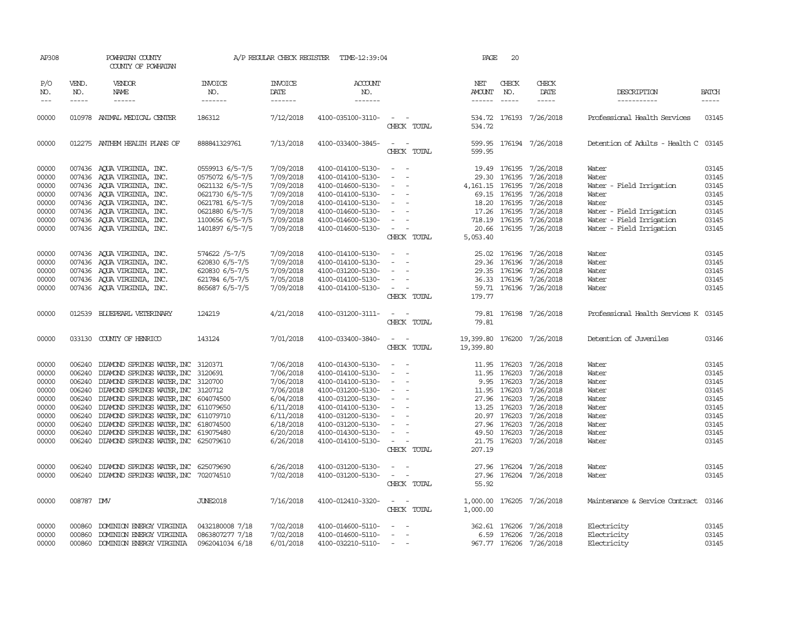| AP308                       |              | POWHATAN COUNTY<br>COUNTY OF POWHATAN       |                                  | A/P REGULAR CHECK REGISTER | TIME-12:39:04                    |                                             | PAGE                       | 20                          |                                                                                                                                                                                                                                                                                                                                                                                                                                                                           |                                      |                                                                                                                                                                                                                                                                                                                                                                                                                                                                         |
|-----------------------------|--------------|---------------------------------------------|----------------------------------|----------------------------|----------------------------------|---------------------------------------------|----------------------------|-----------------------------|---------------------------------------------------------------------------------------------------------------------------------------------------------------------------------------------------------------------------------------------------------------------------------------------------------------------------------------------------------------------------------------------------------------------------------------------------------------------------|--------------------------------------|-------------------------------------------------------------------------------------------------------------------------------------------------------------------------------------------------------------------------------------------------------------------------------------------------------------------------------------------------------------------------------------------------------------------------------------------------------------------------|
| P/O<br>NO.<br>$\frac{1}{2}$ | VEND.<br>NO. | <b>VENDOR</b><br>NAME                       | <b>INVOICE</b><br>NO.<br>------- | <b>INVOICE</b><br>DATE     | <b>ACCOUNT</b><br>NO.<br>------- |                                             | NET<br>AMOUNT              | CHECK<br>NO.<br>$- - - - -$ | CHECK<br>DATE<br>$\begin{tabular}{ccccc} \multicolumn{2}{c }{\multicolumn{2}{c }{\multicolumn{2}{c }{\multicolumn{2}{c}}{\hspace{-2.2cm}}}} \multicolumn{2}{c }{\multicolumn{2}{c }{\hspace{-2.2cm}}\hline \multicolumn{2}{c }{\hspace{-2.2cm}}}} \multicolumn{2}{c }{\hspace{-2.2cm}}\hline \multicolumn{2}{c }{\hspace{-2.2cm}}\hline \multicolumn{2}{c }{\hspace{-2.2cm}}\hline \multicolumn{2}{c }{\hspace{-2.2cm}}\hline \multicolumn{2}{c }{\hspace{-2.2cm}}\hline$ | DESCRIPTION<br>-----------           | <b>BATCH</b><br>$\begin{tabular}{ccccc} \multicolumn{2}{c }{\multicolumn{2}{c }{\multicolumn{2}{c }{\multicolumn{2}{c}}{\hspace{-2.2cm}}}} \multicolumn{2}{c }{\multicolumn{2}{c }{\hspace{-2.2cm}}\hline} \multicolumn{2}{c }{\hspace{-2.2cm}}\hline \multicolumn{2}{c }{\hspace{-2.2cm}}\hline \multicolumn{2}{c }{\hspace{-2.2cm}}\hline \multicolumn{2}{c }{\hspace{-2.2cm}}\hline \multicolumn{2}{c }{\hspace{-2.2cm}}\hline \multicolumn{2}{c }{\hspace{-2.2cm}}$ |
| 00000                       |              | 010978 ANIMAL MEDICAL CENTER                | 186312                           | 7/12/2018                  | 4100-035100-3110-                | $\sim$ $ \sim$                              |                            |                             | 534.72 176193 7/26/2018                                                                                                                                                                                                                                                                                                                                                                                                                                                   | Professional Health Services         | 03145                                                                                                                                                                                                                                                                                                                                                                                                                                                                   |
|                             |              |                                             |                                  |                            |                                  | CHECK TOTAL                                 | 534.72                     |                             |                                                                                                                                                                                                                                                                                                                                                                                                                                                                           |                                      |                                                                                                                                                                                                                                                                                                                                                                                                                                                                         |
| 00000                       |              | 012275 ANTHEM HEALTH PLANS OF               | 888841329761                     | 7/13/2018                  | 4100-033400-3845-                | $\sim$ $\sim$<br>CHECK TOTAL                | 599.95                     |                             | 599.95 176194 7/26/2018                                                                                                                                                                                                                                                                                                                                                                                                                                                   | Detention of Adults - Health C 03145 |                                                                                                                                                                                                                                                                                                                                                                                                                                                                         |
| 00000                       |              | 007436 AQUA VIRGINIA, INC.                  | 0559913 6/5-7/5                  | 7/09/2018                  | 4100-014100-5130-                | $\overline{a}$<br>$\overline{\phantom{a}}$  |                            |                             | 19.49 176195 7/26/2018                                                                                                                                                                                                                                                                                                                                                                                                                                                    | Water                                | 03145                                                                                                                                                                                                                                                                                                                                                                                                                                                                   |
| 00000                       |              | 007436 AQUA VIRGINIA, INC.                  | 0575072 6/5-7/5                  | 7/09/2018                  | 4100-014100-5130-                | $\sim$<br>$\sim$                            |                            |                             | 29.30 176195 7/26/2018                                                                                                                                                                                                                                                                                                                                                                                                                                                    | Water                                | 03145                                                                                                                                                                                                                                                                                                                                                                                                                                                                   |
| 00000                       |              | 007436 AQUA VIRGINIA, INC.                  | 0621132 6/5-7/5                  | 7/09/2018                  | 4100-014600-5130-                | $\sim$ $ \sim$                              |                            |                             | 4, 161. 15 176195 7/26/2018                                                                                                                                                                                                                                                                                                                                                                                                                                               | Water - Field Irrigation             | 03145                                                                                                                                                                                                                                                                                                                                                                                                                                                                   |
| 00000                       |              | 007436 AQUA VIRGINIA, INC.                  | 0621730 6/5-7/5                  | 7/09/2018                  | 4100-014100-5130-                | $\sim$ $-$                                  |                            |                             | 69.15 176195 7/26/2018                                                                                                                                                                                                                                                                                                                                                                                                                                                    | Water                                | 03145                                                                                                                                                                                                                                                                                                                                                                                                                                                                   |
| 00000                       |              | 007436 AQUA VIRGINIA, INC.                  | 0621781 6/5-7/5                  | 7/09/2018                  | 4100-014100-5130-                | $\sim$ $ \sim$<br>$\overline{\phantom{a}}$  |                            | 18.20 176195                | 7/26/2018                                                                                                                                                                                                                                                                                                                                                                                                                                                                 | Water                                | 03145                                                                                                                                                                                                                                                                                                                                                                                                                                                                   |
| 00000                       |              | 007436 AQUA VIRGINIA, INC.                  | 0621880 6/5-7/5                  | 7/09/2018                  | 4100-014600-5130-                | $\sim$                                      |                            | 17.26 176195                | 7/26/2018                                                                                                                                                                                                                                                                                                                                                                                                                                                                 | Water - Field Irrigation             | 03145                                                                                                                                                                                                                                                                                                                                                                                                                                                                   |
| 00000                       |              | 007436 AQUA VIRGINIA, INC.                  | 1100656 6/5-7/5                  | 7/09/2018                  | 4100-014600-5130-                | $\sim$                                      |                            |                             | 718.19 176195 7/26/2018                                                                                                                                                                                                                                                                                                                                                                                                                                                   | Water - Field Irrigation             | 03145                                                                                                                                                                                                                                                                                                                                                                                                                                                                   |
| 00000                       |              | 007436 AQUA VIRGINIA, INC.                  | 1401897 6/5-7/5                  | 7/09/2018                  | 4100-014600-5130-                | $\alpha = 1$ , $\alpha = 1$                 |                            |                             | 20.66 176195 7/26/2018                                                                                                                                                                                                                                                                                                                                                                                                                                                    | Water - Field Irrigation             | 03145                                                                                                                                                                                                                                                                                                                                                                                                                                                                   |
|                             |              |                                             |                                  |                            |                                  | CHECK TOTAL                                 | 5,053.40                   |                             |                                                                                                                                                                                                                                                                                                                                                                                                                                                                           |                                      |                                                                                                                                                                                                                                                                                                                                                                                                                                                                         |
| 00000                       |              | 007436 AQUA VIRGINIA, INC.                  | 574622 /5-7/5                    | 7/09/2018                  | 4100-014100-5130-                | $\sim$                                      |                            |                             | 25.02 176196 7/26/2018                                                                                                                                                                                                                                                                                                                                                                                                                                                    | Water                                | 03145                                                                                                                                                                                                                                                                                                                                                                                                                                                                   |
| 00000                       |              | 007436 AQUA VIRGINIA, INC.                  | 620830 6/5-7/5                   | 7/09/2018                  | 4100-014100-5130-                | $\sim$<br>$\overline{\phantom{a}}$          |                            | 29.36 176196                | 7/26/2018                                                                                                                                                                                                                                                                                                                                                                                                                                                                 | Water                                | 03145                                                                                                                                                                                                                                                                                                                                                                                                                                                                   |
| 00000                       |              | 007436 AQUA VIRGINIA, INC.                  | 620830 6/5-7/5                   | 7/09/2018                  | 4100-031200-5130-                | $\sim$                                      |                            | 29.35 176196                | 7/26/2018                                                                                                                                                                                                                                                                                                                                                                                                                                                                 | Water                                | 03145                                                                                                                                                                                                                                                                                                                                                                                                                                                                   |
| 00000                       |              | 007436 AQUA VIRGINIA, INC.                  | 621784 6/5-7/5                   | 7/05/2018                  | 4100-014100-5130-                | $\omega_{\rm{max}}$ and $\omega_{\rm{max}}$ |                            |                             | 36.33 176196 7/26/2018                                                                                                                                                                                                                                                                                                                                                                                                                                                    | Water                                | 03145                                                                                                                                                                                                                                                                                                                                                                                                                                                                   |
| 00000                       |              | 007436 AQUA VIRGINIA, INC.                  | 865687 6/5-7/5                   | 7/09/2018                  | 4100-014100-5130-                | $\sim$ $ -$                                 |                            |                             | 59.71 176196 7/26/2018                                                                                                                                                                                                                                                                                                                                                                                                                                                    | Water                                | 03145                                                                                                                                                                                                                                                                                                                                                                                                                                                                   |
|                             |              |                                             |                                  |                            |                                  | CHECK TOTAL                                 | 179.77                     |                             |                                                                                                                                                                                                                                                                                                                                                                                                                                                                           |                                      |                                                                                                                                                                                                                                                                                                                                                                                                                                                                         |
| 00000                       |              | 012539 BLUEPEARL VETERINARY                 | 124219                           | 4/21/2018                  | 4100-031200-3111-                | $\sim$<br>$\sim$                            |                            |                             | 79.81 176198 7/26/2018                                                                                                                                                                                                                                                                                                                                                                                                                                                    | Professional Health Services K 03145 |                                                                                                                                                                                                                                                                                                                                                                                                                                                                         |
|                             |              |                                             |                                  |                            |                                  | CHECK TOTAL                                 | 79.81                      |                             |                                                                                                                                                                                                                                                                                                                                                                                                                                                                           |                                      |                                                                                                                                                                                                                                                                                                                                                                                                                                                                         |
| 00000                       |              | 033130 COUNTY OF HENRICO                    | 143124                           | 7/01/2018                  | 4100-033400-3840-                | $\sim$ $ \sim$                              | 19,399.80 176200 7/26/2018 |                             |                                                                                                                                                                                                                                                                                                                                                                                                                                                                           | Detention of Juveniles               | 03146                                                                                                                                                                                                                                                                                                                                                                                                                                                                   |
|                             |              |                                             |                                  |                            |                                  | CHECK TOTAL                                 | 19,399.80                  |                             |                                                                                                                                                                                                                                                                                                                                                                                                                                                                           |                                      |                                                                                                                                                                                                                                                                                                                                                                                                                                                                         |
| 00000                       |              | 006240 DIAMOND SPRINGS WATER, INC 3120371   |                                  | 7/06/2018                  | 4100-014300-5130-                | $\overline{\phantom{a}}$<br>$\sim$          |                            |                             | 11.95 176203 7/26/2018                                                                                                                                                                                                                                                                                                                                                                                                                                                    | Water                                | 03145                                                                                                                                                                                                                                                                                                                                                                                                                                                                   |
| 00000                       |              | 006240 DIAMOND SPRINGS WATER, INC 3120691   |                                  | 7/06/2018                  | 4100-014100-5130-                | $\sim$<br>$\sim$                            | 11.95                      | 176203                      | 7/26/2018                                                                                                                                                                                                                                                                                                                                                                                                                                                                 | Water                                | 03145                                                                                                                                                                                                                                                                                                                                                                                                                                                                   |
| 00000                       |              | 006240 DIAMOND SPRINGS WATER, INC 3120700   |                                  | 7/06/2018                  | 4100-014100-5130-                | <b>Service</b>                              |                            | 9.95 176203                 | 7/26/2018                                                                                                                                                                                                                                                                                                                                                                                                                                                                 | Water                                | 03145                                                                                                                                                                                                                                                                                                                                                                                                                                                                   |
| 00000                       |              | 006240 DIAMOND SPRINGS WATER, INC 3120712   |                                  | 7/06/2018                  | 4100-031200-5130-                | and the contract of                         |                            | 11.95 176203                | 7/26/2018                                                                                                                                                                                                                                                                                                                                                                                                                                                                 | Water                                | 03145                                                                                                                                                                                                                                                                                                                                                                                                                                                                   |
| 00000                       |              | 006240 DIAMOND SPRINGS WATER, INC 604074500 |                                  | 6/04/2018                  | 4100-031200-5130-                | $\sim$<br>$\sim$                            |                            | 27.96 176203                | 7/26/2018                                                                                                                                                                                                                                                                                                                                                                                                                                                                 | Water                                | 03145                                                                                                                                                                                                                                                                                                                                                                                                                                                                   |
| 00000                       |              | 006240 DIAMOND SPRINGS WATER, INC 611079650 |                                  | 6/11/2018                  | 4100-014100-5130-                | $\sim$ $ \sim$<br>$\sim$                    |                            | 13.25 176203                | 7/26/2018                                                                                                                                                                                                                                                                                                                                                                                                                                                                 | Water                                | 03145                                                                                                                                                                                                                                                                                                                                                                                                                                                                   |
| 00000                       |              | 006240 DIAMOND SPRINGS WATER, INC           | 611079710                        | 6/11/2018                  | 4100-031200-5130-                | $\sim$ $-$                                  |                            | 20.97 176203                | 7/26/2018                                                                                                                                                                                                                                                                                                                                                                                                                                                                 | Water                                | 03145                                                                                                                                                                                                                                                                                                                                                                                                                                                                   |
| 00000                       |              | 006240 DIAMOND SPRINGS WATER, INC 618074500 |                                  | 6/18/2018                  | 4100-031200-5130-                |                                             |                            | 27.96 176203                | 7/26/2018                                                                                                                                                                                                                                                                                                                                                                                                                                                                 | Water                                | 03145                                                                                                                                                                                                                                                                                                                                                                                                                                                                   |
| 00000                       |              | 006240 DIAMOND SPRINGS WATER, INC 619075480 |                                  | 6/20/2018                  | 4100-014300-5130-                | $\sim$ $-$<br>$\sim$                        |                            | 49.50 176203                | 7/26/2018                                                                                                                                                                                                                                                                                                                                                                                                                                                                 | Water                                | 03145                                                                                                                                                                                                                                                                                                                                                                                                                                                                   |
| 00000                       |              | 006240 DIAMOND SPRINGS WATER, INC 625079610 |                                  | 6/26/2018                  | 4100-014100-5130-                | $\alpha = 1$ , $\alpha = 1$                 |                            |                             | 21.75 176203 7/26/2018                                                                                                                                                                                                                                                                                                                                                                                                                                                    | Water                                | 03145                                                                                                                                                                                                                                                                                                                                                                                                                                                                   |
|                             |              |                                             |                                  |                            |                                  | CHECK TOTAL                                 | 207.19                     |                             |                                                                                                                                                                                                                                                                                                                                                                                                                                                                           |                                      |                                                                                                                                                                                                                                                                                                                                                                                                                                                                         |
| 00000                       | 006240       | DIAMOND SPRINGS WATER, INC 625079690        |                                  | 6/26/2018                  | 4100-031200-5130-                | $\overline{\phantom{a}}$                    |                            |                             | 27.96 176204 7/26/2018                                                                                                                                                                                                                                                                                                                                                                                                                                                    | Water                                | 03145                                                                                                                                                                                                                                                                                                                                                                                                                                                                   |
| 00000                       |              | 006240 DIAMOND SPRINGS WATER, INC 702074510 |                                  | 7/02/2018                  | 4100-031200-5130-                | $\sim$<br>$\sim$                            |                            |                             | 27.96 176204 7/26/2018                                                                                                                                                                                                                                                                                                                                                                                                                                                    | Water                                | 03145                                                                                                                                                                                                                                                                                                                                                                                                                                                                   |
|                             |              |                                             |                                  |                            |                                  | CHECK TOTAL                                 | 55.92                      |                             |                                                                                                                                                                                                                                                                                                                                                                                                                                                                           |                                      |                                                                                                                                                                                                                                                                                                                                                                                                                                                                         |
| 00000                       | 008787 DMV   |                                             | <b>JUNE2018</b>                  | 7/16/2018                  | 4100-012410-3320-                | $\overline{\phantom{a}}$                    | 1,000.00                   |                             | 176205 7/26/2018                                                                                                                                                                                                                                                                                                                                                                                                                                                          | Maintenance & Service Contract       | 03146                                                                                                                                                                                                                                                                                                                                                                                                                                                                   |
|                             |              |                                             |                                  |                            |                                  | CHECK TOTAL                                 | 1,000.00                   |                             |                                                                                                                                                                                                                                                                                                                                                                                                                                                                           |                                      |                                                                                                                                                                                                                                                                                                                                                                                                                                                                         |
| 00000                       | 000860       | DOMINION ENERGY VIRGINIA                    | 0432180008 7/18                  | 7/02/2018                  | 4100-014600-5110-                |                                             |                            |                             | 362.61 176206 7/26/2018                                                                                                                                                                                                                                                                                                                                                                                                                                                   | Electricity                          | 03145                                                                                                                                                                                                                                                                                                                                                                                                                                                                   |
| 00000                       |              | 000860 DOMINION ENERGY VIRGINIA             | 0863807277 7/18                  | 7/02/2018                  | 4100-014600-5110-                | $\sim$                                      |                            |                             | 6.59 176206 7/26/2018                                                                                                                                                                                                                                                                                                                                                                                                                                                     | Electricity                          | 03145                                                                                                                                                                                                                                                                                                                                                                                                                                                                   |
| 00000                       |              | 000860 DOMINION ENERGY VIRGINIA             | 0962041034 6/18                  | 6/01/2018                  | 4100-032210-5110-                | $\sim$                                      |                            |                             | 967.77 176206 7/26/2018                                                                                                                                                                                                                                                                                                                                                                                                                                                   | Electricity                          | 03145                                                                                                                                                                                                                                                                                                                                                                                                                                                                   |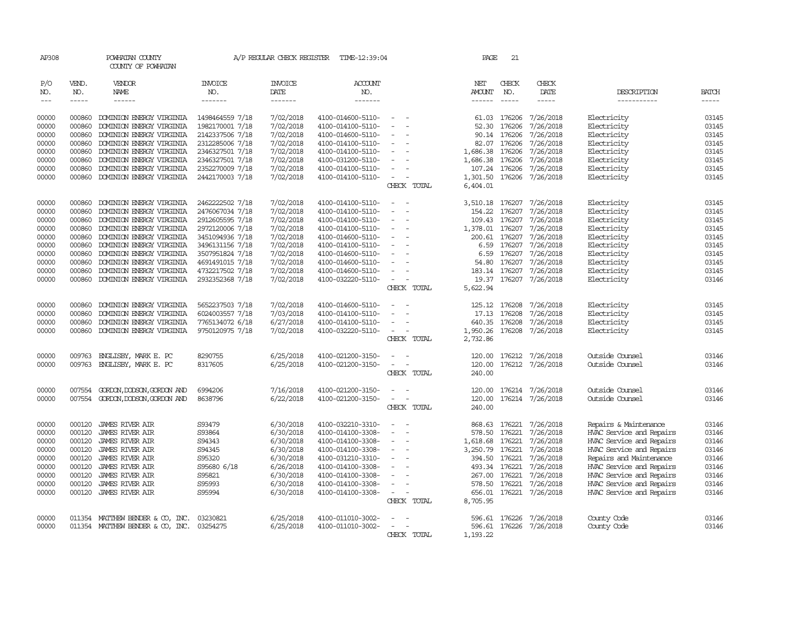| VEND.<br><b>INVOICE</b><br><b>INVOICE</b><br>CHECK<br>CHECK<br>P/O<br>VENDOR<br>ACCOUNT<br>NET<br>NO.<br><b>NAME</b><br>NO.<br>DATE<br>NO.<br>NO.<br>DATE<br>DESCRIPTION<br><b>BATCH</b><br>NO.<br>AMOUNT<br>$\cdots$<br>$- - - - - -$<br>-------<br>-------<br>-------<br>$\frac{1}{2}$<br>-----<br>$- - - - -$<br>$\frac{1}{2}$<br>-----------<br>7/02/2018<br>DOMINION ENERGY VIRGINIA<br>1498464559 7/18<br>4100-014600-5110-<br>61.03 176206<br>7/26/2018<br>Electricity<br>03145<br>00000<br>000860<br>$\overline{\phantom{a}}$<br>1982170001 7/18<br>7/02/2018<br>Electricity<br>03145<br>00000<br>000860<br>DOMINION ENERGY VIRGINIA<br>4100-014100-5110-<br>52.30<br>176206<br>7/26/2018<br>$\overline{\phantom{a}}$<br>2142337506 7/18<br>7/02/2018<br>7/26/2018<br>Electricity<br>03145<br>00000<br>000860<br>DOMINION ENERGY VIRGINIA<br>4100-014600-5110-<br>90.14 176206<br>2312285006 7/18<br>7/02/2018<br>7/26/2018<br>Electricity<br>03145<br>00000<br>000860<br>DOMINION ENERGY VIRGINIA<br>4100-014100-5110-<br>82.07<br>176206<br>$\sim$<br>7/02/2018<br>03145<br>00000<br>2346327501 7/18<br>176206<br>7/26/2018<br>Electricity<br>000860<br>DOMINION ENERGY VIRGINIA<br>4100-014100-5110-<br>1,686.38<br>$\overline{\phantom{a}}$<br>2346327501 7/18<br>00000<br>000860<br>DOMINION ENERGY VIRGINIA<br>7/02/2018<br>4100-031200-5110-<br>1,686.38<br>176206<br>7/26/2018<br>Electricity<br>03145<br>2352270009 7/18<br>7/02/2018<br>7/26/2018<br>Electricity<br>03145<br>00000<br>000860<br>DOMINION ENERGY VIRGINIA<br>4100-014100-5110-<br>$\sim$<br>107.24<br>176206<br>7/02/2018<br>03145<br>00000<br>000860<br>DOMINION ENERGY VIRGINIA<br>2442170003 7/18<br>1,301.50<br>176206<br>7/26/2018<br>Electricity<br>4100-014100-5110-<br>$\overline{\phantom{a}}$<br>CHECK TOTAL<br>6,404.01<br>7/02/2018<br>00000<br>000860<br>DOMINION ENERGY VIRGINIA<br>2462222502 7/18<br>4100-014100-5110-<br>7/26/2018<br>Electricity<br>03145<br>3,510.18 176207<br>2476067034 7/18<br>7/02/2018<br>7/26/2018<br>Electricity<br>00000<br>000860<br>DOMINION ENERGY VIRGINIA<br>4100-014100-5110-<br>154.22<br>03145<br>176207<br>$\sim$<br>7/02/2018<br>03145<br>2912605595 7/18<br>7/26/2018<br>Electricity<br>00000<br>000860<br>DOMINION ENERGY VIRGINIA<br>4100-014100-5110-<br>109.43<br>176207<br>$\sim$<br>00000<br>000860<br>DOMINION ENERGY VIRGINIA<br>2972120006 7/18<br>7/02/2018<br>4100-014100-5110-<br>1,378.01<br>7/26/2018<br>Electricity<br>03145<br>$\sim$<br>176207<br>3451094936 7/18<br>7/02/2018<br>7/26/2018<br>Electricity<br>03145<br>00000<br>000860<br>DOMINION ENERGY VIRGINIA<br>4100-014600-5110-<br>200.61 176207<br>$\overline{\phantom{a}}$<br>7/02/2018<br>7/26/2018<br>03145<br>3496131156 7/18<br>176207<br>Electricity<br>00000<br>000860<br>DOMINION ENERGY VIRGINIA<br>4100-014100-5110-<br>6.59<br>$\overline{\phantom{a}}$<br>000860<br>DOMINION ENERGY VIRGINIA<br>3507951824 7/18<br>7/02/2018<br>176207<br>7/26/2018<br>Electricity<br>03145<br>00000<br>4100-014600-5110-<br>$\sim$<br>6.59<br>00000<br>4691491015 7/18<br>7/02/2018<br>176207<br>7/26/2018<br>Electricity<br>03145<br>000860<br>DOMINION ENERGY VIRGINIA<br>4100-014600-5110-<br>54.80<br>$\sim$<br>7/02/2018<br>03145<br>00000<br>000860<br>DOMINION ENERGY VIRGINIA<br>4732217502 7/18<br>4100-014600-5110-<br>183.14<br>176207<br>7/26/2018<br>Electricity<br>$\equiv$<br>7/02/2018<br>7/26/2018<br>00000<br>2932352368 7/18<br>4100-032220-5110-<br>19.37<br>176207<br>Electricity<br>03146<br>000860<br>DOMINION ENERGY VIRGINIA<br>$\overline{\phantom{a}}$<br>CHECK TOTAL<br>5,622.94<br>5652237503 7/18<br>7/02/2018<br>7/26/2018<br>03145<br>00000<br>000860<br>DOMINION ENERGY VIRGINIA<br>4100-014600-5110-<br>176208<br>Electricity<br>125.12<br>7/03/2018<br>7/26/2018<br>03145<br>6024003557 7/18<br>176208<br>Electricity<br>00000<br>000860<br>DOMINION ENERGY VIRGINIA<br>4100-014100-5110-<br>17.13<br>$\sim$<br>7765134072 6/18<br>6/27/2018<br>7/26/2018<br>Electricity<br>03145<br>00000<br>000860<br>DOMINION ENERGY VIRGINIA<br>4100-014100-5110-<br>640.35<br>176208<br>9750120975 7/18<br>7/02/2018<br>4100-032220-5110-<br>1,950.26<br>176208<br>7/26/2018<br>Electricity<br>03145<br>00000<br>000860<br>DOMINION ENERGY VIRGINIA<br>$\sim$<br>CHECK TOTAL<br>2,732.86<br>6/25/2018<br>Outside Counsel<br>03146<br>00000<br>009763<br>ENGLISBY, MARK E. PC<br>8290755<br>4100-021200-3150-<br>120.00<br>176212<br>7/26/2018<br>00000<br>ENGLISBY, MARK E. PC<br>8317605<br>6/25/2018<br>4100-021200-3150-<br>120.00<br>176212<br>7/26/2018<br>Outside Counsel<br>03146<br>009763<br>$\overline{\phantom{a}}$<br>$\overline{\phantom{a}}$<br>CHECK TOTAL<br>240.00<br>GORDON, DODSON, GORDON AND<br>6994206<br>7/16/2018<br>4100-021200-3150-<br>176214 7/26/2018<br>Outside Counsel<br>03146<br>007554<br>120.00<br>6/22/2018<br>Outside Counsel<br>00000<br>007554 GORDON, DODSON, GORDON AND<br>8638796<br>4100-021200-3150-<br>120.00<br>176214 7/26/2018<br>03146<br>$\equiv$<br>CHECK TOTAL<br>240.00<br>6/30/2018<br>03146<br>00000<br>000120<br><b>JAMES RIVER AIR</b><br>S93479<br>4100-032210-3310-<br>868.63<br>176221<br>7/26/2018<br>Repairs & Maintenance<br>6/30/2018<br>7/26/2018<br>03146<br>00000<br>000120<br><b>JAMES RIVER AIR</b><br>S93864<br>4100-014100-3308-<br>578.50<br>176221<br>HVAC Service and Repairs<br>6/30/2018<br>7/26/2018<br>03146<br>000120<br>4100-014100-3308-<br>1,618.68<br>HVAC Service and Repairs<br>00000<br><b>JAMES RIVER AIR</b><br>S94343<br>$\overline{\phantom{a}}$<br>176221<br>000120<br>6/30/2018<br>176221<br>7/26/2018<br>03146<br>00000<br><b>JAMES RIVER AIR</b><br>S94345<br>4100-014100-3308-<br>3,250.79<br>HVAC Service and Repairs<br>$\overline{\phantom{a}}$<br>000120<br><b>JAMES RIVER AIR</b><br>S95320<br>6/30/2018<br>4100-031210-3310-<br>394.50<br>176221<br>7/26/2018<br>Repairs and Maintenance<br>03146<br>00000<br>6/26/2018<br>7/26/2018<br>HVAC Service and Repairs<br>03146<br>00000<br>000120<br><b>JAMES RIVER AIR</b><br>S95680 6/18<br>4100-014100-3308-<br>493.34 176221<br>$\sim$<br>$\overline{\phantom{a}}$<br>6/30/2018<br>7/26/2018<br>03146<br>00000<br>000120<br><b>JAMES RIVER AIR</b><br>S95821<br>176221<br>HVAC Service and Repairs<br>4100-014100-3308-<br>267.00<br>$\sim$<br>000120<br>6/30/2018<br>578.50<br>176221<br>7/26/2018<br>HVAC Service and Repairs<br>03146<br>00000<br><b>JAMES RIVER AIR</b><br>S95993<br>4100-014100-3308-<br>03146<br>00000<br>000120<br><b>JAMES RIVER AIR</b><br>S95994<br>6/30/2018<br>4100-014100-3308-<br>$\sim$<br>656.01 176221 7/26/2018<br>HVAC Service and Repairs<br>CHECK TOTAL<br>8,705.95<br>6/25/2018<br>03146<br>00000<br>MATTHEW BENDER & CO, INC.<br>03230821<br>4100-011010-3002-<br>596.61 176226<br>7/26/2018<br>County Code<br>011354<br>00000<br>6/25/2018<br>4100-011010-3002-<br>03146<br>011354 MATTHEW BENDER & CO, INC.<br>03254275<br>596.61<br>176226<br>7/26/2018<br>County Code<br>$\equiv$<br>$\overline{\phantom{a}}$<br>CHECK TOTAL<br>1,193.22 | AP308 | POWHATAN COUNTY<br>COUNTY OF POWHATAN | A/P REGULAR CHECK REGISTER | TIME-12:39:04 | PAGE | 21 |  |  |
|-------------------------------------------------------------------------------------------------------------------------------------------------------------------------------------------------------------------------------------------------------------------------------------------------------------------------------------------------------------------------------------------------------------------------------------------------------------------------------------------------------------------------------------------------------------------------------------------------------------------------------------------------------------------------------------------------------------------------------------------------------------------------------------------------------------------------------------------------------------------------------------------------------------------------------------------------------------------------------------------------------------------------------------------------------------------------------------------------------------------------------------------------------------------------------------------------------------------------------------------------------------------------------------------------------------------------------------------------------------------------------------------------------------------------------------------------------------------------------------------------------------------------------------------------------------------------------------------------------------------------------------------------------------------------------------------------------------------------------------------------------------------------------------------------------------------------------------------------------------------------------------------------------------------------------------------------------------------------------------------------------------------------------------------------------------------------------------------------------------------------------------------------------------------------------------------------------------------------------------------------------------------------------------------------------------------------------------------------------------------------------------------------------------------------------------------------------------------------------------------------------------------------------------------------------------------------------------------------------------------------------------------------------------------------------------------------------------------------------------------------------------------------------------------------------------------------------------------------------------------------------------------------------------------------------------------------------------------------------------------------------------------------------------------------------------------------------------------------------------------------------------------------------------------------------------------------------------------------------------------------------------------------------------------------------------------------------------------------------------------------------------------------------------------------------------------------------------------------------------------------------------------------------------------------------------------------------------------------------------------------------------------------------------------------------------------------------------------------------------------------------------------------------------------------------------------------------------------------------------------------------------------------------------------------------------------------------------------------------------------------------------------------------------------------------------------------------------------------------------------------------------------------------------------------------------------------------------------------------------------------------------------------------------------------------------------------------------------------------------------------------------------------------------------------------------------------------------------------------------------------------------------------------------------------------------------------------------------------------------------------------------------------------------------------------------------------------------------------------------------------------------------------------------------------------------------------------------------------------------------------------------------------------------------------------------------------------------------------------------------------------------------------------------------------------------------------------------------------------------------------------------------------------------------------------------------------------------------------------------------------------------------------------------------------------------------------------------------------------------------------------------------------------------------------------------------------------------------------------------------------------------------------------------------------------------------------------------------------------------------------------------------------------------------------------------------------------------------------------------------------------------------------------------------------------------------------------------------------------------------------------------------------------------------------------------------------------------------------------------------------------------------------------------------------------------------------------------------------------------------------------------------------------------------------------------------------------------------------------------------------------------------------------------------------------------------------------------------------------------------------------------------------------------------------------------------------------------------------------------------------------------------------------------------------------------------------------------------------------------------------------------------------------------------------------------------------------------------------------------------------------------------------------------------------------------------------------------------------------------------------------------------------------------------------------------------------------------------------------------------------------------------------------------------------------------------------------|-------|---------------------------------------|----------------------------|---------------|------|----|--|--|
|                                                                                                                                                                                                                                                                                                                                                                                                                                                                                                                                                                                                                                                                                                                                                                                                                                                                                                                                                                                                                                                                                                                                                                                                                                                                                                                                                                                                                                                                                                                                                                                                                                                                                                                                                                                                                                                                                                                                                                                                                                                                                                                                                                                                                                                                                                                                                                                                                                                                                                                                                                                                                                                                                                                                                                                                                                                                                                                                                                                                                                                                                                                                                                                                                                                                                                                                                                                                                                                                                                                                                                                                                                                                                                                                                                                                                                                                                                                                                                                                                                                                                                                                                                                                                                                                                                                                                                                                                                                                                                                                                                                                                                                                                                                                                                                                                                                                                                                                                                                                                                                                                                                                                                                                                                                                                                                                                                                                                                                                                                                                                                                                                                                                                                                                                                                                                                                                                                                                                                                                                                                                                                                                                                                                                                                                                                                                                                                                                                                                                                                                                                                                                                                                                                                                                                                                                                                                                                                                                                                                                                                                               |       |                                       |                            |               |      |    |  |  |
|                                                                                                                                                                                                                                                                                                                                                                                                                                                                                                                                                                                                                                                                                                                                                                                                                                                                                                                                                                                                                                                                                                                                                                                                                                                                                                                                                                                                                                                                                                                                                                                                                                                                                                                                                                                                                                                                                                                                                                                                                                                                                                                                                                                                                                                                                                                                                                                                                                                                                                                                                                                                                                                                                                                                                                                                                                                                                                                                                                                                                                                                                                                                                                                                                                                                                                                                                                                                                                                                                                                                                                                                                                                                                                                                                                                                                                                                                                                                                                                                                                                                                                                                                                                                                                                                                                                                                                                                                                                                                                                                                                                                                                                                                                                                                                                                                                                                                                                                                                                                                                                                                                                                                                                                                                                                                                                                                                                                                                                                                                                                                                                                                                                                                                                                                                                                                                                                                                                                                                                                                                                                                                                                                                                                                                                                                                                                                                                                                                                                                                                                                                                                                                                                                                                                                                                                                                                                                                                                                                                                                                                                               |       |                                       |                            |               |      |    |  |  |
|                                                                                                                                                                                                                                                                                                                                                                                                                                                                                                                                                                                                                                                                                                                                                                                                                                                                                                                                                                                                                                                                                                                                                                                                                                                                                                                                                                                                                                                                                                                                                                                                                                                                                                                                                                                                                                                                                                                                                                                                                                                                                                                                                                                                                                                                                                                                                                                                                                                                                                                                                                                                                                                                                                                                                                                                                                                                                                                                                                                                                                                                                                                                                                                                                                                                                                                                                                                                                                                                                                                                                                                                                                                                                                                                                                                                                                                                                                                                                                                                                                                                                                                                                                                                                                                                                                                                                                                                                                                                                                                                                                                                                                                                                                                                                                                                                                                                                                                                                                                                                                                                                                                                                                                                                                                                                                                                                                                                                                                                                                                                                                                                                                                                                                                                                                                                                                                                                                                                                                                                                                                                                                                                                                                                                                                                                                                                                                                                                                                                                                                                                                                                                                                                                                                                                                                                                                                                                                                                                                                                                                                                               |       |                                       |                            |               |      |    |  |  |
|                                                                                                                                                                                                                                                                                                                                                                                                                                                                                                                                                                                                                                                                                                                                                                                                                                                                                                                                                                                                                                                                                                                                                                                                                                                                                                                                                                                                                                                                                                                                                                                                                                                                                                                                                                                                                                                                                                                                                                                                                                                                                                                                                                                                                                                                                                                                                                                                                                                                                                                                                                                                                                                                                                                                                                                                                                                                                                                                                                                                                                                                                                                                                                                                                                                                                                                                                                                                                                                                                                                                                                                                                                                                                                                                                                                                                                                                                                                                                                                                                                                                                                                                                                                                                                                                                                                                                                                                                                                                                                                                                                                                                                                                                                                                                                                                                                                                                                                                                                                                                                                                                                                                                                                                                                                                                                                                                                                                                                                                                                                                                                                                                                                                                                                                                                                                                                                                                                                                                                                                                                                                                                                                                                                                                                                                                                                                                                                                                                                                                                                                                                                                                                                                                                                                                                                                                                                                                                                                                                                                                                                                               |       |                                       |                            |               |      |    |  |  |
|                                                                                                                                                                                                                                                                                                                                                                                                                                                                                                                                                                                                                                                                                                                                                                                                                                                                                                                                                                                                                                                                                                                                                                                                                                                                                                                                                                                                                                                                                                                                                                                                                                                                                                                                                                                                                                                                                                                                                                                                                                                                                                                                                                                                                                                                                                                                                                                                                                                                                                                                                                                                                                                                                                                                                                                                                                                                                                                                                                                                                                                                                                                                                                                                                                                                                                                                                                                                                                                                                                                                                                                                                                                                                                                                                                                                                                                                                                                                                                                                                                                                                                                                                                                                                                                                                                                                                                                                                                                                                                                                                                                                                                                                                                                                                                                                                                                                                                                                                                                                                                                                                                                                                                                                                                                                                                                                                                                                                                                                                                                                                                                                                                                                                                                                                                                                                                                                                                                                                                                                                                                                                                                                                                                                                                                                                                                                                                                                                                                                                                                                                                                                                                                                                                                                                                                                                                                                                                                                                                                                                                                                               |       |                                       |                            |               |      |    |  |  |
|                                                                                                                                                                                                                                                                                                                                                                                                                                                                                                                                                                                                                                                                                                                                                                                                                                                                                                                                                                                                                                                                                                                                                                                                                                                                                                                                                                                                                                                                                                                                                                                                                                                                                                                                                                                                                                                                                                                                                                                                                                                                                                                                                                                                                                                                                                                                                                                                                                                                                                                                                                                                                                                                                                                                                                                                                                                                                                                                                                                                                                                                                                                                                                                                                                                                                                                                                                                                                                                                                                                                                                                                                                                                                                                                                                                                                                                                                                                                                                                                                                                                                                                                                                                                                                                                                                                                                                                                                                                                                                                                                                                                                                                                                                                                                                                                                                                                                                                                                                                                                                                                                                                                                                                                                                                                                                                                                                                                                                                                                                                                                                                                                                                                                                                                                                                                                                                                                                                                                                                                                                                                                                                                                                                                                                                                                                                                                                                                                                                                                                                                                                                                                                                                                                                                                                                                                                                                                                                                                                                                                                                                               |       |                                       |                            |               |      |    |  |  |
|                                                                                                                                                                                                                                                                                                                                                                                                                                                                                                                                                                                                                                                                                                                                                                                                                                                                                                                                                                                                                                                                                                                                                                                                                                                                                                                                                                                                                                                                                                                                                                                                                                                                                                                                                                                                                                                                                                                                                                                                                                                                                                                                                                                                                                                                                                                                                                                                                                                                                                                                                                                                                                                                                                                                                                                                                                                                                                                                                                                                                                                                                                                                                                                                                                                                                                                                                                                                                                                                                                                                                                                                                                                                                                                                                                                                                                                                                                                                                                                                                                                                                                                                                                                                                                                                                                                                                                                                                                                                                                                                                                                                                                                                                                                                                                                                                                                                                                                                                                                                                                                                                                                                                                                                                                                                                                                                                                                                                                                                                                                                                                                                                                                                                                                                                                                                                                                                                                                                                                                                                                                                                                                                                                                                                                                                                                                                                                                                                                                                                                                                                                                                                                                                                                                                                                                                                                                                                                                                                                                                                                                                               |       |                                       |                            |               |      |    |  |  |
|                                                                                                                                                                                                                                                                                                                                                                                                                                                                                                                                                                                                                                                                                                                                                                                                                                                                                                                                                                                                                                                                                                                                                                                                                                                                                                                                                                                                                                                                                                                                                                                                                                                                                                                                                                                                                                                                                                                                                                                                                                                                                                                                                                                                                                                                                                                                                                                                                                                                                                                                                                                                                                                                                                                                                                                                                                                                                                                                                                                                                                                                                                                                                                                                                                                                                                                                                                                                                                                                                                                                                                                                                                                                                                                                                                                                                                                                                                                                                                                                                                                                                                                                                                                                                                                                                                                                                                                                                                                                                                                                                                                                                                                                                                                                                                                                                                                                                                                                                                                                                                                                                                                                                                                                                                                                                                                                                                                                                                                                                                                                                                                                                                                                                                                                                                                                                                                                                                                                                                                                                                                                                                                                                                                                                                                                                                                                                                                                                                                                                                                                                                                                                                                                                                                                                                                                                                                                                                                                                                                                                                                                               |       |                                       |                            |               |      |    |  |  |
|                                                                                                                                                                                                                                                                                                                                                                                                                                                                                                                                                                                                                                                                                                                                                                                                                                                                                                                                                                                                                                                                                                                                                                                                                                                                                                                                                                                                                                                                                                                                                                                                                                                                                                                                                                                                                                                                                                                                                                                                                                                                                                                                                                                                                                                                                                                                                                                                                                                                                                                                                                                                                                                                                                                                                                                                                                                                                                                                                                                                                                                                                                                                                                                                                                                                                                                                                                                                                                                                                                                                                                                                                                                                                                                                                                                                                                                                                                                                                                                                                                                                                                                                                                                                                                                                                                                                                                                                                                                                                                                                                                                                                                                                                                                                                                                                                                                                                                                                                                                                                                                                                                                                                                                                                                                                                                                                                                                                                                                                                                                                                                                                                                                                                                                                                                                                                                                                                                                                                                                                                                                                                                                                                                                                                                                                                                                                                                                                                                                                                                                                                                                                                                                                                                                                                                                                                                                                                                                                                                                                                                                                               |       |                                       |                            |               |      |    |  |  |
|                                                                                                                                                                                                                                                                                                                                                                                                                                                                                                                                                                                                                                                                                                                                                                                                                                                                                                                                                                                                                                                                                                                                                                                                                                                                                                                                                                                                                                                                                                                                                                                                                                                                                                                                                                                                                                                                                                                                                                                                                                                                                                                                                                                                                                                                                                                                                                                                                                                                                                                                                                                                                                                                                                                                                                                                                                                                                                                                                                                                                                                                                                                                                                                                                                                                                                                                                                                                                                                                                                                                                                                                                                                                                                                                                                                                                                                                                                                                                                                                                                                                                                                                                                                                                                                                                                                                                                                                                                                                                                                                                                                                                                                                                                                                                                                                                                                                                                                                                                                                                                                                                                                                                                                                                                                                                                                                                                                                                                                                                                                                                                                                                                                                                                                                                                                                                                                                                                                                                                                                                                                                                                                                                                                                                                                                                                                                                                                                                                                                                                                                                                                                                                                                                                                                                                                                                                                                                                                                                                                                                                                                               |       |                                       |                            |               |      |    |  |  |
|                                                                                                                                                                                                                                                                                                                                                                                                                                                                                                                                                                                                                                                                                                                                                                                                                                                                                                                                                                                                                                                                                                                                                                                                                                                                                                                                                                                                                                                                                                                                                                                                                                                                                                                                                                                                                                                                                                                                                                                                                                                                                                                                                                                                                                                                                                                                                                                                                                                                                                                                                                                                                                                                                                                                                                                                                                                                                                                                                                                                                                                                                                                                                                                                                                                                                                                                                                                                                                                                                                                                                                                                                                                                                                                                                                                                                                                                                                                                                                                                                                                                                                                                                                                                                                                                                                                                                                                                                                                                                                                                                                                                                                                                                                                                                                                                                                                                                                                                                                                                                                                                                                                                                                                                                                                                                                                                                                                                                                                                                                                                                                                                                                                                                                                                                                                                                                                                                                                                                                                                                                                                                                                                                                                                                                                                                                                                                                                                                                                                                                                                                                                                                                                                                                                                                                                                                                                                                                                                                                                                                                                                               |       |                                       |                            |               |      |    |  |  |
|                                                                                                                                                                                                                                                                                                                                                                                                                                                                                                                                                                                                                                                                                                                                                                                                                                                                                                                                                                                                                                                                                                                                                                                                                                                                                                                                                                                                                                                                                                                                                                                                                                                                                                                                                                                                                                                                                                                                                                                                                                                                                                                                                                                                                                                                                                                                                                                                                                                                                                                                                                                                                                                                                                                                                                                                                                                                                                                                                                                                                                                                                                                                                                                                                                                                                                                                                                                                                                                                                                                                                                                                                                                                                                                                                                                                                                                                                                                                                                                                                                                                                                                                                                                                                                                                                                                                                                                                                                                                                                                                                                                                                                                                                                                                                                                                                                                                                                                                                                                                                                                                                                                                                                                                                                                                                                                                                                                                                                                                                                                                                                                                                                                                                                                                                                                                                                                                                                                                                                                                                                                                                                                                                                                                                                                                                                                                                                                                                                                                                                                                                                                                                                                                                                                                                                                                                                                                                                                                                                                                                                                                               |       |                                       |                            |               |      |    |  |  |
|                                                                                                                                                                                                                                                                                                                                                                                                                                                                                                                                                                                                                                                                                                                                                                                                                                                                                                                                                                                                                                                                                                                                                                                                                                                                                                                                                                                                                                                                                                                                                                                                                                                                                                                                                                                                                                                                                                                                                                                                                                                                                                                                                                                                                                                                                                                                                                                                                                                                                                                                                                                                                                                                                                                                                                                                                                                                                                                                                                                                                                                                                                                                                                                                                                                                                                                                                                                                                                                                                                                                                                                                                                                                                                                                                                                                                                                                                                                                                                                                                                                                                                                                                                                                                                                                                                                                                                                                                                                                                                                                                                                                                                                                                                                                                                                                                                                                                                                                                                                                                                                                                                                                                                                                                                                                                                                                                                                                                                                                                                                                                                                                                                                                                                                                                                                                                                                                                                                                                                                                                                                                                                                                                                                                                                                                                                                                                                                                                                                                                                                                                                                                                                                                                                                                                                                                                                                                                                                                                                                                                                                                               |       |                                       |                            |               |      |    |  |  |
|                                                                                                                                                                                                                                                                                                                                                                                                                                                                                                                                                                                                                                                                                                                                                                                                                                                                                                                                                                                                                                                                                                                                                                                                                                                                                                                                                                                                                                                                                                                                                                                                                                                                                                                                                                                                                                                                                                                                                                                                                                                                                                                                                                                                                                                                                                                                                                                                                                                                                                                                                                                                                                                                                                                                                                                                                                                                                                                                                                                                                                                                                                                                                                                                                                                                                                                                                                                                                                                                                                                                                                                                                                                                                                                                                                                                                                                                                                                                                                                                                                                                                                                                                                                                                                                                                                                                                                                                                                                                                                                                                                                                                                                                                                                                                                                                                                                                                                                                                                                                                                                                                                                                                                                                                                                                                                                                                                                                                                                                                                                                                                                                                                                                                                                                                                                                                                                                                                                                                                                                                                                                                                                                                                                                                                                                                                                                                                                                                                                                                                                                                                                                                                                                                                                                                                                                                                                                                                                                                                                                                                                                               |       |                                       |                            |               |      |    |  |  |
|                                                                                                                                                                                                                                                                                                                                                                                                                                                                                                                                                                                                                                                                                                                                                                                                                                                                                                                                                                                                                                                                                                                                                                                                                                                                                                                                                                                                                                                                                                                                                                                                                                                                                                                                                                                                                                                                                                                                                                                                                                                                                                                                                                                                                                                                                                                                                                                                                                                                                                                                                                                                                                                                                                                                                                                                                                                                                                                                                                                                                                                                                                                                                                                                                                                                                                                                                                                                                                                                                                                                                                                                                                                                                                                                                                                                                                                                                                                                                                                                                                                                                                                                                                                                                                                                                                                                                                                                                                                                                                                                                                                                                                                                                                                                                                                                                                                                                                                                                                                                                                                                                                                                                                                                                                                                                                                                                                                                                                                                                                                                                                                                                                                                                                                                                                                                                                                                                                                                                                                                                                                                                                                                                                                                                                                                                                                                                                                                                                                                                                                                                                                                                                                                                                                                                                                                                                                                                                                                                                                                                                                                               |       |                                       |                            |               |      |    |  |  |
|                                                                                                                                                                                                                                                                                                                                                                                                                                                                                                                                                                                                                                                                                                                                                                                                                                                                                                                                                                                                                                                                                                                                                                                                                                                                                                                                                                                                                                                                                                                                                                                                                                                                                                                                                                                                                                                                                                                                                                                                                                                                                                                                                                                                                                                                                                                                                                                                                                                                                                                                                                                                                                                                                                                                                                                                                                                                                                                                                                                                                                                                                                                                                                                                                                                                                                                                                                                                                                                                                                                                                                                                                                                                                                                                                                                                                                                                                                                                                                                                                                                                                                                                                                                                                                                                                                                                                                                                                                                                                                                                                                                                                                                                                                                                                                                                                                                                                                                                                                                                                                                                                                                                                                                                                                                                                                                                                                                                                                                                                                                                                                                                                                                                                                                                                                                                                                                                                                                                                                                                                                                                                                                                                                                                                                                                                                                                                                                                                                                                                                                                                                                                                                                                                                                                                                                                                                                                                                                                                                                                                                                                               |       |                                       |                            |               |      |    |  |  |
|                                                                                                                                                                                                                                                                                                                                                                                                                                                                                                                                                                                                                                                                                                                                                                                                                                                                                                                                                                                                                                                                                                                                                                                                                                                                                                                                                                                                                                                                                                                                                                                                                                                                                                                                                                                                                                                                                                                                                                                                                                                                                                                                                                                                                                                                                                                                                                                                                                                                                                                                                                                                                                                                                                                                                                                                                                                                                                                                                                                                                                                                                                                                                                                                                                                                                                                                                                                                                                                                                                                                                                                                                                                                                                                                                                                                                                                                                                                                                                                                                                                                                                                                                                                                                                                                                                                                                                                                                                                                                                                                                                                                                                                                                                                                                                                                                                                                                                                                                                                                                                                                                                                                                                                                                                                                                                                                                                                                                                                                                                                                                                                                                                                                                                                                                                                                                                                                                                                                                                                                                                                                                                                                                                                                                                                                                                                                                                                                                                                                                                                                                                                                                                                                                                                                                                                                                                                                                                                                                                                                                                                                               |       |                                       |                            |               |      |    |  |  |
|                                                                                                                                                                                                                                                                                                                                                                                                                                                                                                                                                                                                                                                                                                                                                                                                                                                                                                                                                                                                                                                                                                                                                                                                                                                                                                                                                                                                                                                                                                                                                                                                                                                                                                                                                                                                                                                                                                                                                                                                                                                                                                                                                                                                                                                                                                                                                                                                                                                                                                                                                                                                                                                                                                                                                                                                                                                                                                                                                                                                                                                                                                                                                                                                                                                                                                                                                                                                                                                                                                                                                                                                                                                                                                                                                                                                                                                                                                                                                                                                                                                                                                                                                                                                                                                                                                                                                                                                                                                                                                                                                                                                                                                                                                                                                                                                                                                                                                                                                                                                                                                                                                                                                                                                                                                                                                                                                                                                                                                                                                                                                                                                                                                                                                                                                                                                                                                                                                                                                                                                                                                                                                                                                                                                                                                                                                                                                                                                                                                                                                                                                                                                                                                                                                                                                                                                                                                                                                                                                                                                                                                                               |       |                                       |                            |               |      |    |  |  |
|                                                                                                                                                                                                                                                                                                                                                                                                                                                                                                                                                                                                                                                                                                                                                                                                                                                                                                                                                                                                                                                                                                                                                                                                                                                                                                                                                                                                                                                                                                                                                                                                                                                                                                                                                                                                                                                                                                                                                                                                                                                                                                                                                                                                                                                                                                                                                                                                                                                                                                                                                                                                                                                                                                                                                                                                                                                                                                                                                                                                                                                                                                                                                                                                                                                                                                                                                                                                                                                                                                                                                                                                                                                                                                                                                                                                                                                                                                                                                                                                                                                                                                                                                                                                                                                                                                                                                                                                                                                                                                                                                                                                                                                                                                                                                                                                                                                                                                                                                                                                                                                                                                                                                                                                                                                                                                                                                                                                                                                                                                                                                                                                                                                                                                                                                                                                                                                                                                                                                                                                                                                                                                                                                                                                                                                                                                                                                                                                                                                                                                                                                                                                                                                                                                                                                                                                                                                                                                                                                                                                                                                                               |       |                                       |                            |               |      |    |  |  |
|                                                                                                                                                                                                                                                                                                                                                                                                                                                                                                                                                                                                                                                                                                                                                                                                                                                                                                                                                                                                                                                                                                                                                                                                                                                                                                                                                                                                                                                                                                                                                                                                                                                                                                                                                                                                                                                                                                                                                                                                                                                                                                                                                                                                                                                                                                                                                                                                                                                                                                                                                                                                                                                                                                                                                                                                                                                                                                                                                                                                                                                                                                                                                                                                                                                                                                                                                                                                                                                                                                                                                                                                                                                                                                                                                                                                                                                                                                                                                                                                                                                                                                                                                                                                                                                                                                                                                                                                                                                                                                                                                                                                                                                                                                                                                                                                                                                                                                                                                                                                                                                                                                                                                                                                                                                                                                                                                                                                                                                                                                                                                                                                                                                                                                                                                                                                                                                                                                                                                                                                                                                                                                                                                                                                                                                                                                                                                                                                                                                                                                                                                                                                                                                                                                                                                                                                                                                                                                                                                                                                                                                                               |       |                                       |                            |               |      |    |  |  |
|                                                                                                                                                                                                                                                                                                                                                                                                                                                                                                                                                                                                                                                                                                                                                                                                                                                                                                                                                                                                                                                                                                                                                                                                                                                                                                                                                                                                                                                                                                                                                                                                                                                                                                                                                                                                                                                                                                                                                                                                                                                                                                                                                                                                                                                                                                                                                                                                                                                                                                                                                                                                                                                                                                                                                                                                                                                                                                                                                                                                                                                                                                                                                                                                                                                                                                                                                                                                                                                                                                                                                                                                                                                                                                                                                                                                                                                                                                                                                                                                                                                                                                                                                                                                                                                                                                                                                                                                                                                                                                                                                                                                                                                                                                                                                                                                                                                                                                                                                                                                                                                                                                                                                                                                                                                                                                                                                                                                                                                                                                                                                                                                                                                                                                                                                                                                                                                                                                                                                                                                                                                                                                                                                                                                                                                                                                                                                                                                                                                                                                                                                                                                                                                                                                                                                                                                                                                                                                                                                                                                                                                                               |       |                                       |                            |               |      |    |  |  |
|                                                                                                                                                                                                                                                                                                                                                                                                                                                                                                                                                                                                                                                                                                                                                                                                                                                                                                                                                                                                                                                                                                                                                                                                                                                                                                                                                                                                                                                                                                                                                                                                                                                                                                                                                                                                                                                                                                                                                                                                                                                                                                                                                                                                                                                                                                                                                                                                                                                                                                                                                                                                                                                                                                                                                                                                                                                                                                                                                                                                                                                                                                                                                                                                                                                                                                                                                                                                                                                                                                                                                                                                                                                                                                                                                                                                                                                                                                                                                                                                                                                                                                                                                                                                                                                                                                                                                                                                                                                                                                                                                                                                                                                                                                                                                                                                                                                                                                                                                                                                                                                                                                                                                                                                                                                                                                                                                                                                                                                                                                                                                                                                                                                                                                                                                                                                                                                                                                                                                                                                                                                                                                                                                                                                                                                                                                                                                                                                                                                                                                                                                                                                                                                                                                                                                                                                                                                                                                                                                                                                                                                                               |       |                                       |                            |               |      |    |  |  |
|                                                                                                                                                                                                                                                                                                                                                                                                                                                                                                                                                                                                                                                                                                                                                                                                                                                                                                                                                                                                                                                                                                                                                                                                                                                                                                                                                                                                                                                                                                                                                                                                                                                                                                                                                                                                                                                                                                                                                                                                                                                                                                                                                                                                                                                                                                                                                                                                                                                                                                                                                                                                                                                                                                                                                                                                                                                                                                                                                                                                                                                                                                                                                                                                                                                                                                                                                                                                                                                                                                                                                                                                                                                                                                                                                                                                                                                                                                                                                                                                                                                                                                                                                                                                                                                                                                                                                                                                                                                                                                                                                                                                                                                                                                                                                                                                                                                                                                                                                                                                                                                                                                                                                                                                                                                                                                                                                                                                                                                                                                                                                                                                                                                                                                                                                                                                                                                                                                                                                                                                                                                                                                                                                                                                                                                                                                                                                                                                                                                                                                                                                                                                                                                                                                                                                                                                                                                                                                                                                                                                                                                                               |       |                                       |                            |               |      |    |  |  |
|                                                                                                                                                                                                                                                                                                                                                                                                                                                                                                                                                                                                                                                                                                                                                                                                                                                                                                                                                                                                                                                                                                                                                                                                                                                                                                                                                                                                                                                                                                                                                                                                                                                                                                                                                                                                                                                                                                                                                                                                                                                                                                                                                                                                                                                                                                                                                                                                                                                                                                                                                                                                                                                                                                                                                                                                                                                                                                                                                                                                                                                                                                                                                                                                                                                                                                                                                                                                                                                                                                                                                                                                                                                                                                                                                                                                                                                                                                                                                                                                                                                                                                                                                                                                                                                                                                                                                                                                                                                                                                                                                                                                                                                                                                                                                                                                                                                                                                                                                                                                                                                                                                                                                                                                                                                                                                                                                                                                                                                                                                                                                                                                                                                                                                                                                                                                                                                                                                                                                                                                                                                                                                                                                                                                                                                                                                                                                                                                                                                                                                                                                                                                                                                                                                                                                                                                                                                                                                                                                                                                                                                                               |       |                                       |                            |               |      |    |  |  |
|                                                                                                                                                                                                                                                                                                                                                                                                                                                                                                                                                                                                                                                                                                                                                                                                                                                                                                                                                                                                                                                                                                                                                                                                                                                                                                                                                                                                                                                                                                                                                                                                                                                                                                                                                                                                                                                                                                                                                                                                                                                                                                                                                                                                                                                                                                                                                                                                                                                                                                                                                                                                                                                                                                                                                                                                                                                                                                                                                                                                                                                                                                                                                                                                                                                                                                                                                                                                                                                                                                                                                                                                                                                                                                                                                                                                                                                                                                                                                                                                                                                                                                                                                                                                                                                                                                                                                                                                                                                                                                                                                                                                                                                                                                                                                                                                                                                                                                                                                                                                                                                                                                                                                                                                                                                                                                                                                                                                                                                                                                                                                                                                                                                                                                                                                                                                                                                                                                                                                                                                                                                                                                                                                                                                                                                                                                                                                                                                                                                                                                                                                                                                                                                                                                                                                                                                                                                                                                                                                                                                                                                                               |       |                                       |                            |               |      |    |  |  |
|                                                                                                                                                                                                                                                                                                                                                                                                                                                                                                                                                                                                                                                                                                                                                                                                                                                                                                                                                                                                                                                                                                                                                                                                                                                                                                                                                                                                                                                                                                                                                                                                                                                                                                                                                                                                                                                                                                                                                                                                                                                                                                                                                                                                                                                                                                                                                                                                                                                                                                                                                                                                                                                                                                                                                                                                                                                                                                                                                                                                                                                                                                                                                                                                                                                                                                                                                                                                                                                                                                                                                                                                                                                                                                                                                                                                                                                                                                                                                                                                                                                                                                                                                                                                                                                                                                                                                                                                                                                                                                                                                                                                                                                                                                                                                                                                                                                                                                                                                                                                                                                                                                                                                                                                                                                                                                                                                                                                                                                                                                                                                                                                                                                                                                                                                                                                                                                                                                                                                                                                                                                                                                                                                                                                                                                                                                                                                                                                                                                                                                                                                                                                                                                                                                                                                                                                                                                                                                                                                                                                                                                                               |       |                                       |                            |               |      |    |  |  |
|                                                                                                                                                                                                                                                                                                                                                                                                                                                                                                                                                                                                                                                                                                                                                                                                                                                                                                                                                                                                                                                                                                                                                                                                                                                                                                                                                                                                                                                                                                                                                                                                                                                                                                                                                                                                                                                                                                                                                                                                                                                                                                                                                                                                                                                                                                                                                                                                                                                                                                                                                                                                                                                                                                                                                                                                                                                                                                                                                                                                                                                                                                                                                                                                                                                                                                                                                                                                                                                                                                                                                                                                                                                                                                                                                                                                                                                                                                                                                                                                                                                                                                                                                                                                                                                                                                                                                                                                                                                                                                                                                                                                                                                                                                                                                                                                                                                                                                                                                                                                                                                                                                                                                                                                                                                                                                                                                                                                                                                                                                                                                                                                                                                                                                                                                                                                                                                                                                                                                                                                                                                                                                                                                                                                                                                                                                                                                                                                                                                                                                                                                                                                                                                                                                                                                                                                                                                                                                                                                                                                                                                                               |       |                                       |                            |               |      |    |  |  |
|                                                                                                                                                                                                                                                                                                                                                                                                                                                                                                                                                                                                                                                                                                                                                                                                                                                                                                                                                                                                                                                                                                                                                                                                                                                                                                                                                                                                                                                                                                                                                                                                                                                                                                                                                                                                                                                                                                                                                                                                                                                                                                                                                                                                                                                                                                                                                                                                                                                                                                                                                                                                                                                                                                                                                                                                                                                                                                                                                                                                                                                                                                                                                                                                                                                                                                                                                                                                                                                                                                                                                                                                                                                                                                                                                                                                                                                                                                                                                                                                                                                                                                                                                                                                                                                                                                                                                                                                                                                                                                                                                                                                                                                                                                                                                                                                                                                                                                                                                                                                                                                                                                                                                                                                                                                                                                                                                                                                                                                                                                                                                                                                                                                                                                                                                                                                                                                                                                                                                                                                                                                                                                                                                                                                                                                                                                                                                                                                                                                                                                                                                                                                                                                                                                                                                                                                                                                                                                                                                                                                                                                                               |       |                                       |                            |               |      |    |  |  |
|                                                                                                                                                                                                                                                                                                                                                                                                                                                                                                                                                                                                                                                                                                                                                                                                                                                                                                                                                                                                                                                                                                                                                                                                                                                                                                                                                                                                                                                                                                                                                                                                                                                                                                                                                                                                                                                                                                                                                                                                                                                                                                                                                                                                                                                                                                                                                                                                                                                                                                                                                                                                                                                                                                                                                                                                                                                                                                                                                                                                                                                                                                                                                                                                                                                                                                                                                                                                                                                                                                                                                                                                                                                                                                                                                                                                                                                                                                                                                                                                                                                                                                                                                                                                                                                                                                                                                                                                                                                                                                                                                                                                                                                                                                                                                                                                                                                                                                                                                                                                                                                                                                                                                                                                                                                                                                                                                                                                                                                                                                                                                                                                                                                                                                                                                                                                                                                                                                                                                                                                                                                                                                                                                                                                                                                                                                                                                                                                                                                                                                                                                                                                                                                                                                                                                                                                                                                                                                                                                                                                                                                                               |       |                                       |                            |               |      |    |  |  |
|                                                                                                                                                                                                                                                                                                                                                                                                                                                                                                                                                                                                                                                                                                                                                                                                                                                                                                                                                                                                                                                                                                                                                                                                                                                                                                                                                                                                                                                                                                                                                                                                                                                                                                                                                                                                                                                                                                                                                                                                                                                                                                                                                                                                                                                                                                                                                                                                                                                                                                                                                                                                                                                                                                                                                                                                                                                                                                                                                                                                                                                                                                                                                                                                                                                                                                                                                                                                                                                                                                                                                                                                                                                                                                                                                                                                                                                                                                                                                                                                                                                                                                                                                                                                                                                                                                                                                                                                                                                                                                                                                                                                                                                                                                                                                                                                                                                                                                                                                                                                                                                                                                                                                                                                                                                                                                                                                                                                                                                                                                                                                                                                                                                                                                                                                                                                                                                                                                                                                                                                                                                                                                                                                                                                                                                                                                                                                                                                                                                                                                                                                                                                                                                                                                                                                                                                                                                                                                                                                                                                                                                                               |       |                                       |                            |               |      |    |  |  |
|                                                                                                                                                                                                                                                                                                                                                                                                                                                                                                                                                                                                                                                                                                                                                                                                                                                                                                                                                                                                                                                                                                                                                                                                                                                                                                                                                                                                                                                                                                                                                                                                                                                                                                                                                                                                                                                                                                                                                                                                                                                                                                                                                                                                                                                                                                                                                                                                                                                                                                                                                                                                                                                                                                                                                                                                                                                                                                                                                                                                                                                                                                                                                                                                                                                                                                                                                                                                                                                                                                                                                                                                                                                                                                                                                                                                                                                                                                                                                                                                                                                                                                                                                                                                                                                                                                                                                                                                                                                                                                                                                                                                                                                                                                                                                                                                                                                                                                                                                                                                                                                                                                                                                                                                                                                                                                                                                                                                                                                                                                                                                                                                                                                                                                                                                                                                                                                                                                                                                                                                                                                                                                                                                                                                                                                                                                                                                                                                                                                                                                                                                                                                                                                                                                                                                                                                                                                                                                                                                                                                                                                                               |       |                                       |                            |               |      |    |  |  |
|                                                                                                                                                                                                                                                                                                                                                                                                                                                                                                                                                                                                                                                                                                                                                                                                                                                                                                                                                                                                                                                                                                                                                                                                                                                                                                                                                                                                                                                                                                                                                                                                                                                                                                                                                                                                                                                                                                                                                                                                                                                                                                                                                                                                                                                                                                                                                                                                                                                                                                                                                                                                                                                                                                                                                                                                                                                                                                                                                                                                                                                                                                                                                                                                                                                                                                                                                                                                                                                                                                                                                                                                                                                                                                                                                                                                                                                                                                                                                                                                                                                                                                                                                                                                                                                                                                                                                                                                                                                                                                                                                                                                                                                                                                                                                                                                                                                                                                                                                                                                                                                                                                                                                                                                                                                                                                                                                                                                                                                                                                                                                                                                                                                                                                                                                                                                                                                                                                                                                                                                                                                                                                                                                                                                                                                                                                                                                                                                                                                                                                                                                                                                                                                                                                                                                                                                                                                                                                                                                                                                                                                                               |       |                                       |                            |               |      |    |  |  |
|                                                                                                                                                                                                                                                                                                                                                                                                                                                                                                                                                                                                                                                                                                                                                                                                                                                                                                                                                                                                                                                                                                                                                                                                                                                                                                                                                                                                                                                                                                                                                                                                                                                                                                                                                                                                                                                                                                                                                                                                                                                                                                                                                                                                                                                                                                                                                                                                                                                                                                                                                                                                                                                                                                                                                                                                                                                                                                                                                                                                                                                                                                                                                                                                                                                                                                                                                                                                                                                                                                                                                                                                                                                                                                                                                                                                                                                                                                                                                                                                                                                                                                                                                                                                                                                                                                                                                                                                                                                                                                                                                                                                                                                                                                                                                                                                                                                                                                                                                                                                                                                                                                                                                                                                                                                                                                                                                                                                                                                                                                                                                                                                                                                                                                                                                                                                                                                                                                                                                                                                                                                                                                                                                                                                                                                                                                                                                                                                                                                                                                                                                                                                                                                                                                                                                                                                                                                                                                                                                                                                                                                                               |       |                                       |                            |               |      |    |  |  |
|                                                                                                                                                                                                                                                                                                                                                                                                                                                                                                                                                                                                                                                                                                                                                                                                                                                                                                                                                                                                                                                                                                                                                                                                                                                                                                                                                                                                                                                                                                                                                                                                                                                                                                                                                                                                                                                                                                                                                                                                                                                                                                                                                                                                                                                                                                                                                                                                                                                                                                                                                                                                                                                                                                                                                                                                                                                                                                                                                                                                                                                                                                                                                                                                                                                                                                                                                                                                                                                                                                                                                                                                                                                                                                                                                                                                                                                                                                                                                                                                                                                                                                                                                                                                                                                                                                                                                                                                                                                                                                                                                                                                                                                                                                                                                                                                                                                                                                                                                                                                                                                                                                                                                                                                                                                                                                                                                                                                                                                                                                                                                                                                                                                                                                                                                                                                                                                                                                                                                                                                                                                                                                                                                                                                                                                                                                                                                                                                                                                                                                                                                                                                                                                                                                                                                                                                                                                                                                                                                                                                                                                                               | 00000 |                                       |                            |               |      |    |  |  |
|                                                                                                                                                                                                                                                                                                                                                                                                                                                                                                                                                                                                                                                                                                                                                                                                                                                                                                                                                                                                                                                                                                                                                                                                                                                                                                                                                                                                                                                                                                                                                                                                                                                                                                                                                                                                                                                                                                                                                                                                                                                                                                                                                                                                                                                                                                                                                                                                                                                                                                                                                                                                                                                                                                                                                                                                                                                                                                                                                                                                                                                                                                                                                                                                                                                                                                                                                                                                                                                                                                                                                                                                                                                                                                                                                                                                                                                                                                                                                                                                                                                                                                                                                                                                                                                                                                                                                                                                                                                                                                                                                                                                                                                                                                                                                                                                                                                                                                                                                                                                                                                                                                                                                                                                                                                                                                                                                                                                                                                                                                                                                                                                                                                                                                                                                                                                                                                                                                                                                                                                                                                                                                                                                                                                                                                                                                                                                                                                                                                                                                                                                                                                                                                                                                                                                                                                                                                                                                                                                                                                                                                                               |       |                                       |                            |               |      |    |  |  |
|                                                                                                                                                                                                                                                                                                                                                                                                                                                                                                                                                                                                                                                                                                                                                                                                                                                                                                                                                                                                                                                                                                                                                                                                                                                                                                                                                                                                                                                                                                                                                                                                                                                                                                                                                                                                                                                                                                                                                                                                                                                                                                                                                                                                                                                                                                                                                                                                                                                                                                                                                                                                                                                                                                                                                                                                                                                                                                                                                                                                                                                                                                                                                                                                                                                                                                                                                                                                                                                                                                                                                                                                                                                                                                                                                                                                                                                                                                                                                                                                                                                                                                                                                                                                                                                                                                                                                                                                                                                                                                                                                                                                                                                                                                                                                                                                                                                                                                                                                                                                                                                                                                                                                                                                                                                                                                                                                                                                                                                                                                                                                                                                                                                                                                                                                                                                                                                                                                                                                                                                                                                                                                                                                                                                                                                                                                                                                                                                                                                                                                                                                                                                                                                                                                                                                                                                                                                                                                                                                                                                                                                                               |       |                                       |                            |               |      |    |  |  |
|                                                                                                                                                                                                                                                                                                                                                                                                                                                                                                                                                                                                                                                                                                                                                                                                                                                                                                                                                                                                                                                                                                                                                                                                                                                                                                                                                                                                                                                                                                                                                                                                                                                                                                                                                                                                                                                                                                                                                                                                                                                                                                                                                                                                                                                                                                                                                                                                                                                                                                                                                                                                                                                                                                                                                                                                                                                                                                                                                                                                                                                                                                                                                                                                                                                                                                                                                                                                                                                                                                                                                                                                                                                                                                                                                                                                                                                                                                                                                                                                                                                                                                                                                                                                                                                                                                                                                                                                                                                                                                                                                                                                                                                                                                                                                                                                                                                                                                                                                                                                                                                                                                                                                                                                                                                                                                                                                                                                                                                                                                                                                                                                                                                                                                                                                                                                                                                                                                                                                                                                                                                                                                                                                                                                                                                                                                                                                                                                                                                                                                                                                                                                                                                                                                                                                                                                                                                                                                                                                                                                                                                                               |       |                                       |                            |               |      |    |  |  |
|                                                                                                                                                                                                                                                                                                                                                                                                                                                                                                                                                                                                                                                                                                                                                                                                                                                                                                                                                                                                                                                                                                                                                                                                                                                                                                                                                                                                                                                                                                                                                                                                                                                                                                                                                                                                                                                                                                                                                                                                                                                                                                                                                                                                                                                                                                                                                                                                                                                                                                                                                                                                                                                                                                                                                                                                                                                                                                                                                                                                                                                                                                                                                                                                                                                                                                                                                                                                                                                                                                                                                                                                                                                                                                                                                                                                                                                                                                                                                                                                                                                                                                                                                                                                                                                                                                                                                                                                                                                                                                                                                                                                                                                                                                                                                                                                                                                                                                                                                                                                                                                                                                                                                                                                                                                                                                                                                                                                                                                                                                                                                                                                                                                                                                                                                                                                                                                                                                                                                                                                                                                                                                                                                                                                                                                                                                                                                                                                                                                                                                                                                                                                                                                                                                                                                                                                                                                                                                                                                                                                                                                                               |       |                                       |                            |               |      |    |  |  |
|                                                                                                                                                                                                                                                                                                                                                                                                                                                                                                                                                                                                                                                                                                                                                                                                                                                                                                                                                                                                                                                                                                                                                                                                                                                                                                                                                                                                                                                                                                                                                                                                                                                                                                                                                                                                                                                                                                                                                                                                                                                                                                                                                                                                                                                                                                                                                                                                                                                                                                                                                                                                                                                                                                                                                                                                                                                                                                                                                                                                                                                                                                                                                                                                                                                                                                                                                                                                                                                                                                                                                                                                                                                                                                                                                                                                                                                                                                                                                                                                                                                                                                                                                                                                                                                                                                                                                                                                                                                                                                                                                                                                                                                                                                                                                                                                                                                                                                                                                                                                                                                                                                                                                                                                                                                                                                                                                                                                                                                                                                                                                                                                                                                                                                                                                                                                                                                                                                                                                                                                                                                                                                                                                                                                                                                                                                                                                                                                                                                                                                                                                                                                                                                                                                                                                                                                                                                                                                                                                                                                                                                                               |       |                                       |                            |               |      |    |  |  |
|                                                                                                                                                                                                                                                                                                                                                                                                                                                                                                                                                                                                                                                                                                                                                                                                                                                                                                                                                                                                                                                                                                                                                                                                                                                                                                                                                                                                                                                                                                                                                                                                                                                                                                                                                                                                                                                                                                                                                                                                                                                                                                                                                                                                                                                                                                                                                                                                                                                                                                                                                                                                                                                                                                                                                                                                                                                                                                                                                                                                                                                                                                                                                                                                                                                                                                                                                                                                                                                                                                                                                                                                                                                                                                                                                                                                                                                                                                                                                                                                                                                                                                                                                                                                                                                                                                                                                                                                                                                                                                                                                                                                                                                                                                                                                                                                                                                                                                                                                                                                                                                                                                                                                                                                                                                                                                                                                                                                                                                                                                                                                                                                                                                                                                                                                                                                                                                                                                                                                                                                                                                                                                                                                                                                                                                                                                                                                                                                                                                                                                                                                                                                                                                                                                                                                                                                                                                                                                                                                                                                                                                                               |       |                                       |                            |               |      |    |  |  |
|                                                                                                                                                                                                                                                                                                                                                                                                                                                                                                                                                                                                                                                                                                                                                                                                                                                                                                                                                                                                                                                                                                                                                                                                                                                                                                                                                                                                                                                                                                                                                                                                                                                                                                                                                                                                                                                                                                                                                                                                                                                                                                                                                                                                                                                                                                                                                                                                                                                                                                                                                                                                                                                                                                                                                                                                                                                                                                                                                                                                                                                                                                                                                                                                                                                                                                                                                                                                                                                                                                                                                                                                                                                                                                                                                                                                                                                                                                                                                                                                                                                                                                                                                                                                                                                                                                                                                                                                                                                                                                                                                                                                                                                                                                                                                                                                                                                                                                                                                                                                                                                                                                                                                                                                                                                                                                                                                                                                                                                                                                                                                                                                                                                                                                                                                                                                                                                                                                                                                                                                                                                                                                                                                                                                                                                                                                                                                                                                                                                                                                                                                                                                                                                                                                                                                                                                                                                                                                                                                                                                                                                                               |       |                                       |                            |               |      |    |  |  |
|                                                                                                                                                                                                                                                                                                                                                                                                                                                                                                                                                                                                                                                                                                                                                                                                                                                                                                                                                                                                                                                                                                                                                                                                                                                                                                                                                                                                                                                                                                                                                                                                                                                                                                                                                                                                                                                                                                                                                                                                                                                                                                                                                                                                                                                                                                                                                                                                                                                                                                                                                                                                                                                                                                                                                                                                                                                                                                                                                                                                                                                                                                                                                                                                                                                                                                                                                                                                                                                                                                                                                                                                                                                                                                                                                                                                                                                                                                                                                                                                                                                                                                                                                                                                                                                                                                                                                                                                                                                                                                                                                                                                                                                                                                                                                                                                                                                                                                                                                                                                                                                                                                                                                                                                                                                                                                                                                                                                                                                                                                                                                                                                                                                                                                                                                                                                                                                                                                                                                                                                                                                                                                                                                                                                                                                                                                                                                                                                                                                                                                                                                                                                                                                                                                                                                                                                                                                                                                                                                                                                                                                                               |       |                                       |                            |               |      |    |  |  |
|                                                                                                                                                                                                                                                                                                                                                                                                                                                                                                                                                                                                                                                                                                                                                                                                                                                                                                                                                                                                                                                                                                                                                                                                                                                                                                                                                                                                                                                                                                                                                                                                                                                                                                                                                                                                                                                                                                                                                                                                                                                                                                                                                                                                                                                                                                                                                                                                                                                                                                                                                                                                                                                                                                                                                                                                                                                                                                                                                                                                                                                                                                                                                                                                                                                                                                                                                                                                                                                                                                                                                                                                                                                                                                                                                                                                                                                                                                                                                                                                                                                                                                                                                                                                                                                                                                                                                                                                                                                                                                                                                                                                                                                                                                                                                                                                                                                                                                                                                                                                                                                                                                                                                                                                                                                                                                                                                                                                                                                                                                                                                                                                                                                                                                                                                                                                                                                                                                                                                                                                                                                                                                                                                                                                                                                                                                                                                                                                                                                                                                                                                                                                                                                                                                                                                                                                                                                                                                                                                                                                                                                                               |       |                                       |                            |               |      |    |  |  |
|                                                                                                                                                                                                                                                                                                                                                                                                                                                                                                                                                                                                                                                                                                                                                                                                                                                                                                                                                                                                                                                                                                                                                                                                                                                                                                                                                                                                                                                                                                                                                                                                                                                                                                                                                                                                                                                                                                                                                                                                                                                                                                                                                                                                                                                                                                                                                                                                                                                                                                                                                                                                                                                                                                                                                                                                                                                                                                                                                                                                                                                                                                                                                                                                                                                                                                                                                                                                                                                                                                                                                                                                                                                                                                                                                                                                                                                                                                                                                                                                                                                                                                                                                                                                                                                                                                                                                                                                                                                                                                                                                                                                                                                                                                                                                                                                                                                                                                                                                                                                                                                                                                                                                                                                                                                                                                                                                                                                                                                                                                                                                                                                                                                                                                                                                                                                                                                                                                                                                                                                                                                                                                                                                                                                                                                                                                                                                                                                                                                                                                                                                                                                                                                                                                                                                                                                                                                                                                                                                                                                                                                                               |       |                                       |                            |               |      |    |  |  |
|                                                                                                                                                                                                                                                                                                                                                                                                                                                                                                                                                                                                                                                                                                                                                                                                                                                                                                                                                                                                                                                                                                                                                                                                                                                                                                                                                                                                                                                                                                                                                                                                                                                                                                                                                                                                                                                                                                                                                                                                                                                                                                                                                                                                                                                                                                                                                                                                                                                                                                                                                                                                                                                                                                                                                                                                                                                                                                                                                                                                                                                                                                                                                                                                                                                                                                                                                                                                                                                                                                                                                                                                                                                                                                                                                                                                                                                                                                                                                                                                                                                                                                                                                                                                                                                                                                                                                                                                                                                                                                                                                                                                                                                                                                                                                                                                                                                                                                                                                                                                                                                                                                                                                                                                                                                                                                                                                                                                                                                                                                                                                                                                                                                                                                                                                                                                                                                                                                                                                                                                                                                                                                                                                                                                                                                                                                                                                                                                                                                                                                                                                                                                                                                                                                                                                                                                                                                                                                                                                                                                                                                                               |       |                                       |                            |               |      |    |  |  |
|                                                                                                                                                                                                                                                                                                                                                                                                                                                                                                                                                                                                                                                                                                                                                                                                                                                                                                                                                                                                                                                                                                                                                                                                                                                                                                                                                                                                                                                                                                                                                                                                                                                                                                                                                                                                                                                                                                                                                                                                                                                                                                                                                                                                                                                                                                                                                                                                                                                                                                                                                                                                                                                                                                                                                                                                                                                                                                                                                                                                                                                                                                                                                                                                                                                                                                                                                                                                                                                                                                                                                                                                                                                                                                                                                                                                                                                                                                                                                                                                                                                                                                                                                                                                                                                                                                                                                                                                                                                                                                                                                                                                                                                                                                                                                                                                                                                                                                                                                                                                                                                                                                                                                                                                                                                                                                                                                                                                                                                                                                                                                                                                                                                                                                                                                                                                                                                                                                                                                                                                                                                                                                                                                                                                                                                                                                                                                                                                                                                                                                                                                                                                                                                                                                                                                                                                                                                                                                                                                                                                                                                                               |       |                                       |                            |               |      |    |  |  |
|                                                                                                                                                                                                                                                                                                                                                                                                                                                                                                                                                                                                                                                                                                                                                                                                                                                                                                                                                                                                                                                                                                                                                                                                                                                                                                                                                                                                                                                                                                                                                                                                                                                                                                                                                                                                                                                                                                                                                                                                                                                                                                                                                                                                                                                                                                                                                                                                                                                                                                                                                                                                                                                                                                                                                                                                                                                                                                                                                                                                                                                                                                                                                                                                                                                                                                                                                                                                                                                                                                                                                                                                                                                                                                                                                                                                                                                                                                                                                                                                                                                                                                                                                                                                                                                                                                                                                                                                                                                                                                                                                                                                                                                                                                                                                                                                                                                                                                                                                                                                                                                                                                                                                                                                                                                                                                                                                                                                                                                                                                                                                                                                                                                                                                                                                                                                                                                                                                                                                                                                                                                                                                                                                                                                                                                                                                                                                                                                                                                                                                                                                                                                                                                                                                                                                                                                                                                                                                                                                                                                                                                                               |       |                                       |                            |               |      |    |  |  |
|                                                                                                                                                                                                                                                                                                                                                                                                                                                                                                                                                                                                                                                                                                                                                                                                                                                                                                                                                                                                                                                                                                                                                                                                                                                                                                                                                                                                                                                                                                                                                                                                                                                                                                                                                                                                                                                                                                                                                                                                                                                                                                                                                                                                                                                                                                                                                                                                                                                                                                                                                                                                                                                                                                                                                                                                                                                                                                                                                                                                                                                                                                                                                                                                                                                                                                                                                                                                                                                                                                                                                                                                                                                                                                                                                                                                                                                                                                                                                                                                                                                                                                                                                                                                                                                                                                                                                                                                                                                                                                                                                                                                                                                                                                                                                                                                                                                                                                                                                                                                                                                                                                                                                                                                                                                                                                                                                                                                                                                                                                                                                                                                                                                                                                                                                                                                                                                                                                                                                                                                                                                                                                                                                                                                                                                                                                                                                                                                                                                                                                                                                                                                                                                                                                                                                                                                                                                                                                                                                                                                                                                                               |       |                                       |                            |               |      |    |  |  |
|                                                                                                                                                                                                                                                                                                                                                                                                                                                                                                                                                                                                                                                                                                                                                                                                                                                                                                                                                                                                                                                                                                                                                                                                                                                                                                                                                                                                                                                                                                                                                                                                                                                                                                                                                                                                                                                                                                                                                                                                                                                                                                                                                                                                                                                                                                                                                                                                                                                                                                                                                                                                                                                                                                                                                                                                                                                                                                                                                                                                                                                                                                                                                                                                                                                                                                                                                                                                                                                                                                                                                                                                                                                                                                                                                                                                                                                                                                                                                                                                                                                                                                                                                                                                                                                                                                                                                                                                                                                                                                                                                                                                                                                                                                                                                                                                                                                                                                                                                                                                                                                                                                                                                                                                                                                                                                                                                                                                                                                                                                                                                                                                                                                                                                                                                                                                                                                                                                                                                                                                                                                                                                                                                                                                                                                                                                                                                                                                                                                                                                                                                                                                                                                                                                                                                                                                                                                                                                                                                                                                                                                                               |       |                                       |                            |               |      |    |  |  |
|                                                                                                                                                                                                                                                                                                                                                                                                                                                                                                                                                                                                                                                                                                                                                                                                                                                                                                                                                                                                                                                                                                                                                                                                                                                                                                                                                                                                                                                                                                                                                                                                                                                                                                                                                                                                                                                                                                                                                                                                                                                                                                                                                                                                                                                                                                                                                                                                                                                                                                                                                                                                                                                                                                                                                                                                                                                                                                                                                                                                                                                                                                                                                                                                                                                                                                                                                                                                                                                                                                                                                                                                                                                                                                                                                                                                                                                                                                                                                                                                                                                                                                                                                                                                                                                                                                                                                                                                                                                                                                                                                                                                                                                                                                                                                                                                                                                                                                                                                                                                                                                                                                                                                                                                                                                                                                                                                                                                                                                                                                                                                                                                                                                                                                                                                                                                                                                                                                                                                                                                                                                                                                                                                                                                                                                                                                                                                                                                                                                                                                                                                                                                                                                                                                                                                                                                                                                                                                                                                                                                                                                                               |       |                                       |                            |               |      |    |  |  |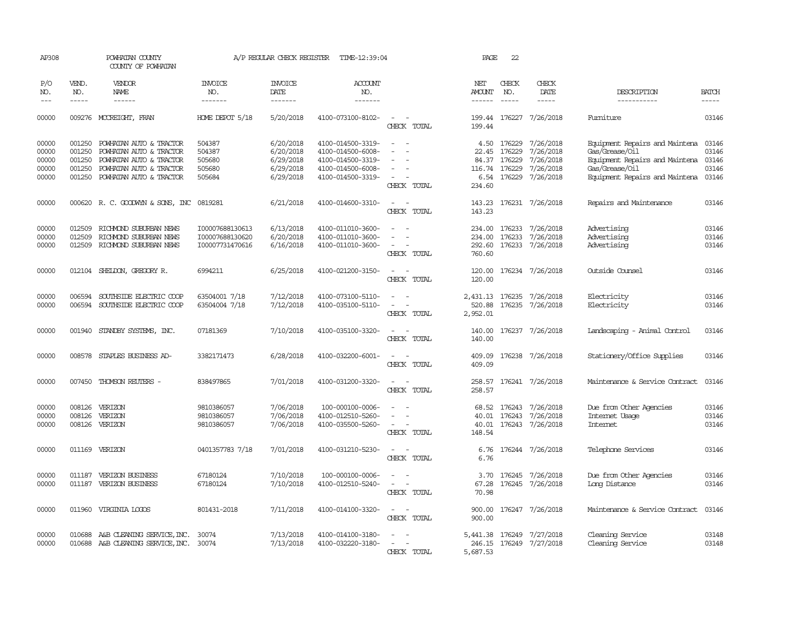| AP308                                     |                                                | POWHATAN COUNTY<br>COUNTY OF POWHATAN                                                                                               |                                                       | A/P REGULAR CHECK REGISTER                                    | TIME-12:39:04                                                                                         |                                                                       | PAGE                                              | 22                         |                                                                           |                                                                                                                                        |                                           |
|-------------------------------------------|------------------------------------------------|-------------------------------------------------------------------------------------------------------------------------------------|-------------------------------------------------------|---------------------------------------------------------------|-------------------------------------------------------------------------------------------------------|-----------------------------------------------------------------------|---------------------------------------------------|----------------------------|---------------------------------------------------------------------------|----------------------------------------------------------------------------------------------------------------------------------------|-------------------------------------------|
| P/O<br>NO.                                | VEND.<br>NO.                                   | VENDOR<br><b>NAME</b>                                                                                                               | INVOICE<br>NO.                                        | <b>INVOICE</b><br>DATE                                        | ACCOUNT<br>NO.                                                                                        |                                                                       | NET<br>AMOUNT                                     | CHECK<br>NO.               | CHECK<br>DATE                                                             | DESCRIPTION                                                                                                                            | <b>BATCH</b>                              |
| $---$                                     | $- - - - -$                                    | $- - - - - -$                                                                                                                       | -------                                               | -------                                                       | -------                                                                                               |                                                                       | $- - - - - -$                                     | $- - - - -$                | $- - - - -$                                                               | -----------                                                                                                                            | -----                                     |
| 00000                                     |                                                | 009276 MCCREIGHT, FRAN                                                                                                              | HOME DEPOT 5/18                                       | 5/20/2018                                                     | 4100-073100-8102-                                                                                     | $\overline{\phantom{a}}$<br>CHECK TOTAL                               | 199.44                                            |                            | 199.44 176227 7/26/2018                                                   | Fumiture                                                                                                                               | 03146                                     |
| 00000<br>00000<br>00000<br>00000<br>00000 | 001250<br>001250<br>001250<br>001250<br>001250 | POWHATAN AUTO & TRACTOR<br>POWHATAN AUTO & TRACTOR<br>POWHATAN AUTO & TRACTOR<br>POWHATAN AUTO & TRACTOR<br>POWHATAN AUTO & TRACTOR | 504387<br>504387<br>505680<br>505680<br>505684        | 6/20/2018<br>6/20/2018<br>6/29/2018<br>6/29/2018<br>6/29/2018 | 4100-014500-3319-<br>4100-014500-6008-<br>4100-014500-3319-<br>4100-014500-6008-<br>4100-014500-3319- | $\overline{\phantom{a}}$<br>$\overline{\phantom{a}}$<br>CHECK TOTAL   | 4.50<br>22.45<br>84.37<br>116.74 176229<br>234.60 | 176229<br>176229<br>176229 | 7/26/2018<br>7/26/2018<br>7/26/2018<br>7/26/2018<br>6.54 176229 7/26/2018 | Equipment Repairs and Maintena<br>Gas/Grease/Oil<br>Equipment Repairs and Maintena<br>Gas/Grease/Oil<br>Equipment Repairs and Maintena | 03146<br>03146<br>03146<br>03146<br>03146 |
| 00000                                     |                                                | 000620 R. C. GOODWYN & SONS, INC 0819281                                                                                            |                                                       | 6/21/2018                                                     | 4100-014600-3310-                                                                                     | $\overline{\phantom{a}}$<br>CHECK TOTAL                               | 143.23                                            |                            | 143.23 176231 7/26/2018                                                   | Repairs and Maintenance                                                                                                                | 03146                                     |
| 00000<br>00000<br>00000                   | 012509<br>012509<br>012509                     | RICHMOND SUBURBAN NEWS<br>RICHMOND SUBURBAN NEWS<br>RICHMOND SUBURBAN NEWS                                                          | I00007688130613<br>I00007688130620<br>I00007731470616 | 6/13/2018<br>6/20/2018<br>6/16/2018                           | 4100-011010-3600-<br>4100-011010-3600-<br>4100-011010-3600-                                           | CHECK TOTAL                                                           | 234.00<br>234.00<br>292.60<br>760.60              |                            | 176233 7/26/2018<br>176233 7/26/2018<br>176233 7/26/2018                  | Advertising<br>Advertising<br>Advertising                                                                                              | 03146<br>03146<br>03146                   |
| 00000                                     |                                                | 012104 SHELDON, GREGORY R.                                                                                                          | 6994211                                               | 6/25/2018                                                     | 4100-021200-3150-                                                                                     | $\sim$<br>CHECK TOTAL                                                 | 120.00<br>120.00                                  |                            | 176234 7/26/2018                                                          | Outside Counsel                                                                                                                        | 03146                                     |
| 00000<br>00000                            | 006594<br>006594                               | SOUTHSIDE ELECTRIC COOP<br>SOUTHSIDE ELECTRIC COOP                                                                                  | 63504001 7/18<br>63504004 7/18                        | 7/12/2018<br>7/12/2018                                        | 4100-073100-5110-<br>4100-035100-5110-                                                                | $\sim$<br>$\sim$ 100 $\mu$<br>$\overline{\phantom{a}}$<br>CHECK TOTAL | 520.88<br>2,952.01                                |                            | 2,431.13 176235 7/26/2018<br>176235 7/26/2018                             | Electricity<br>Electricity                                                                                                             | 03146<br>03146                            |
| 00000                                     | 001940                                         | STANDBY SYSTEMS, INC.                                                                                                               | 07181369                                              | 7/10/2018                                                     | 4100-035100-3320-                                                                                     | $\equiv$<br>CHECK TOTAL                                               | 140.00<br>140.00                                  |                            | 176237 7/26/2018                                                          | Landscaping - Animal Control                                                                                                           | 03146                                     |
| 00000                                     | 008578                                         | STAPLES BUSINESS AD-                                                                                                                | 3382171473                                            | 6/28/2018                                                     | 4100-032200-6001-                                                                                     | $\sim$<br>CHECK TOTAL                                                 | 409.09<br>409.09                                  |                            | 176238 7/26/2018                                                          | Stationery/Office Supplies                                                                                                             | 03146                                     |
| 00000                                     |                                                | 007450 THOMSON REUTERS -                                                                                                            | 838497865                                             | 7/01/2018                                                     | 4100-031200-3320-                                                                                     | $\equiv$<br>CHECK TOTAL                                               | 258.57                                            |                            | 258.57 176241 7/26/2018                                                   | Maintenance & Service Contract                                                                                                         | 03146                                     |
| 00000<br>00000<br>00000                   | 008126<br>008126                               | VERIZON<br>VERIZON<br>008126 VERIZON                                                                                                | 9810386057<br>9810386057<br>9810386057                | 7/06/2018<br>7/06/2018<br>7/06/2018                           | 100-000100-0006-<br>4100-012510-5260-<br>4100-035500-5260-                                            | $\equiv$<br>$\sim$<br>CHECK TOTAL                                     | 40.01<br>40.01<br>148.54                          | 176243                     | 68.52 176243 7/26/2018<br>7/26/2018<br>176243 7/26/2018                   | Due from Other Agencies<br>Internet Usage<br><b>Intemet</b>                                                                            | 03146<br>03146<br>03146                   |
| 00000                                     |                                                | 011169 VERIZON                                                                                                                      | 0401357783 7/18                                       | 7/01/2018                                                     | 4100-031210-5230-                                                                                     | $\sim$<br>CHECK TOTAL                                                 | 6.76                                              |                            | 6.76 176244 7/26/2018                                                     | Telephone Services                                                                                                                     | 03146                                     |
| 00000<br>00000                            | 011187                                         | VERIZON BUSINESS<br>011187 VERIZON BUSINESS                                                                                         | 67180124<br>67180124                                  | 7/10/2018<br>7/10/2018                                        | 100-000100-0006-<br>4100-012510-5240-                                                                 | $\sim$<br>CHECK TOTAL                                                 | 3.70<br>67.28<br>70.98                            |                            | 176245 7/26/2018<br>176245 7/26/2018                                      | Due from Other Agencies<br>Long Distance                                                                                               | 03146<br>03146                            |
| 00000                                     |                                                | 011960 VIRGINIA LOGOS                                                                                                               | 801431-2018                                           | 7/11/2018                                                     | 4100-014100-3320-                                                                                     | $\sim$ $\sim$<br>CHECK TOTAL                                          | 900.00<br>900.00                                  |                            | 176247 7/26/2018                                                          | Maintenance & Service Contract                                                                                                         | 03146                                     |
| 00000<br>00000                            | 010688                                         | A&B CLEANING SERVICE, INC.<br>010688 A&B CLEANING SERVICE, INC. 30074                                                               | 30074                                                 | 7/13/2018<br>7/13/2018                                        | 4100-014100-3180-<br>4100-032220-3180-                                                                | CHECK TOTAL                                                           | 246.15<br>5,687.53                                |                            | 5,441.38 176249 7/27/2018<br>176249 7/27/2018                             | Cleaning Service<br>Cleaning Service                                                                                                   | 03148<br>03148                            |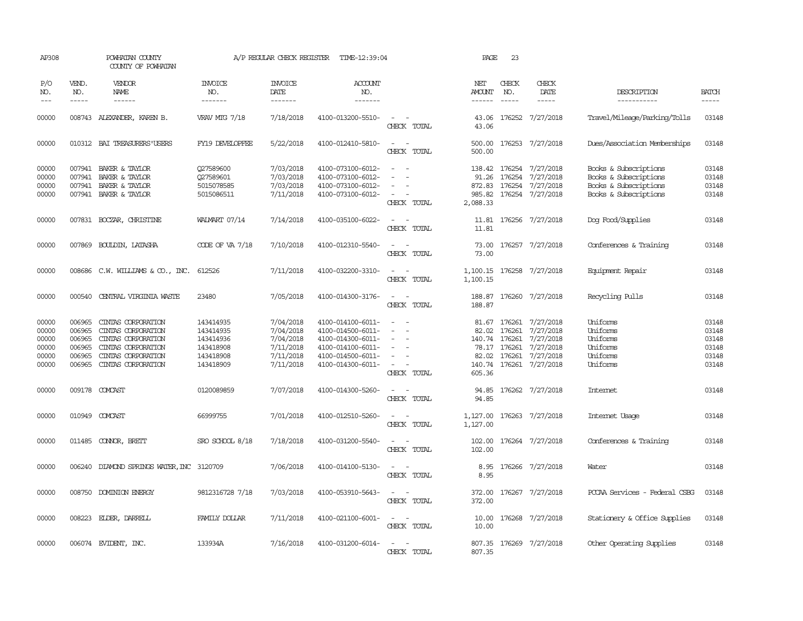| AP308                                              |                                                | POWHATAN COUNTY<br>COUNTY OF POWHATAN                                                                                                   |                                                                            | A/P REGULAR CHECK REGISTER                                                 | TIME-12:39:04                                                                                                              |                                                                                                                             | PAGE                        | 23                            |                                                                                                                                 |                                                                                                  |                                                    |
|----------------------------------------------------|------------------------------------------------|-----------------------------------------------------------------------------------------------------------------------------------------|----------------------------------------------------------------------------|----------------------------------------------------------------------------|----------------------------------------------------------------------------------------------------------------------------|-----------------------------------------------------------------------------------------------------------------------------|-----------------------------|-------------------------------|---------------------------------------------------------------------------------------------------------------------------------|--------------------------------------------------------------------------------------------------|----------------------------------------------------|
| P/O<br>NO.<br>$---$                                | VEND.<br>NO.<br>$\frac{1}{2}$                  | VENDOR<br>NAME<br>------                                                                                                                | <b>INVOICE</b><br>NO.<br>-------                                           | <b>INVOICE</b><br>DATE<br>-------                                          | <b>ACCOUNT</b><br>NO.<br>-------                                                                                           |                                                                                                                             | NET<br>AMOUNT<br>------     | CHECK<br>NO.<br>$\frac{1}{2}$ | CHECK<br>DATE<br>-----                                                                                                          | DESCRIPTION<br>-----------                                                                       | <b>BATCH</b><br>-----                              |
| 00000                                              |                                                | 008743 ALEXANDER, KAREN B.                                                                                                              | VRAV MIG 7/18                                                              | 7/18/2018                                                                  | 4100-013200-5510-                                                                                                          | $\overline{\phantom{a}}$<br>CHECK TOTAL                                                                                     | 43.06<br>43.06              |                               | 176252 7/27/2018                                                                                                                | Travel/Mileage/Parking/Tolls                                                                     | 03148                                              |
| 00000                                              |                                                | 010312 BAI TREASURERS USERS                                                                                                             | FY19 DEVELOPFEE                                                            | 5/22/2018                                                                  | 4100-012410-5810-                                                                                                          | $\sim$<br>$\sim$<br>CHECK TOTAL                                                                                             | 500.00                      |                               | 500.00 176253 7/27/2018                                                                                                         | Dues/Association Memberships                                                                     | 03148                                              |
| 00000<br>00000<br>00000<br>00000                   |                                                | 007941 BAKER & TAYLOR<br>007941 BAKER & TAYLOR<br>007941 BAKER & TAYLOR<br>007941 BAKER & TAYLOR                                        | Q27589600<br>Q27589601<br>5015078585<br>5015086511                         | 7/03/2018<br>7/03/2018<br>7/03/2018<br>7/11/2018                           | 4100-073100-6012-<br>4100-073100-6012-<br>4100-073100-6012-<br>4100-073100-6012-                                           | $\sim$<br>CHECK TOTAL                                                                                                       | 91.26<br>872.83<br>2,088.33 | 176254                        | 138.42 176254 7/27/2018<br>7/27/2018<br>176254 7/27/2018<br>985.82 176254 7/27/2018                                             | Books & Subscriptions<br>Books & Subscriptions<br>Books & Subscriptions<br>Books & Subscriptions | 03148<br>03148<br>03148<br>03148                   |
| 00000                                              |                                                | 007831 BOCZAR, CHRISTINE                                                                                                                | WALMART 07/14                                                              | 7/14/2018                                                                  | 4100-035100-6022-                                                                                                          | CHECK TOTAL                                                                                                                 | 11.81                       |                               | 11.81 176256 7/27/2018                                                                                                          | Dog Food/Supplies                                                                                | 03148                                              |
| 00000                                              | 007869                                         | BOULDIN, LATASHA                                                                                                                        | CODE OF VA 7/18                                                            | 7/10/2018                                                                  | 4100-012310-5540-                                                                                                          | CHECK TOTAL                                                                                                                 | 73.00<br>73.00              |                               | 176257 7/27/2018                                                                                                                | Conferences & Training                                                                           | 03148                                              |
| 00000                                              |                                                | 008686 C.W. WILLIAMS & CO., INC.                                                                                                        | 612526                                                                     | 7/11/2018                                                                  | 4100-032200-3310-                                                                                                          | $\frac{1}{2} \left( \frac{1}{2} \right) \left( \frac{1}{2} \right) = \frac{1}{2} \left( \frac{1}{2} \right)$<br>CHECK TOTAL | 1,100.15                    |                               | 1,100.15 176258 7/27/2018                                                                                                       | Equipment Repair                                                                                 | 03148                                              |
| 00000                                              |                                                | 000540 CENTRAL VIRGINIA WASTE                                                                                                           | 23480                                                                      | 7/05/2018                                                                  | 4100-014300-3176-                                                                                                          | $\frac{1}{2} \left( \frac{1}{2} \right) \left( \frac{1}{2} \right) = \frac{1}{2} \left( \frac{1}{2} \right)$<br>CHECK TOTAL | 188.87                      |                               | 188.87 176260 7/27/2018                                                                                                         | Recycling Pulls                                                                                  | 03148                                              |
| 00000<br>00000<br>00000<br>00000<br>00000<br>00000 | 006965<br>006965<br>006965<br>006965<br>006965 | CINIAS CORPORATION<br>CINIAS CORPORATION<br>CINTAS CORPORATION<br>CINIAS CORPORATION<br>CINIAS CORPORATION<br>006965 CINTAS CORPORATION | 143414935<br>143414935<br>143414936<br>143418908<br>143418908<br>143418909 | 7/04/2018<br>7/04/2018<br>7/04/2018<br>7/11/2018<br>7/11/2018<br>7/11/2018 | 4100-014100-6011-<br>4100-014500-6011-<br>4100-014300-6011-<br>4100-014100-6011-<br>4100-014500-6011-<br>4100-014300-6011- | $\equiv$<br>$\sim$<br>CHECK TOTAL                                                                                           | 82.02<br>605.36             | 176261<br>140.74 176261       | 81.67 176261 7/27/2018<br>7/27/2018<br>7/27/2018<br>78.17 176261 7/27/2018<br>82.02 176261 7/27/2018<br>140.74 176261 7/27/2018 | Uniforms<br>Uniforms<br>Uniforms<br>Uniforms<br>Uniforms<br>Uniforms                             | 03148<br>03148<br>03148<br>03148<br>03148<br>03148 |
| 00000                                              |                                                | 009178 COMCAST                                                                                                                          | 0120089859                                                                 | 7/07/2018                                                                  | 4100-014300-5260-                                                                                                          | CHECK TOTAL                                                                                                                 | 94.85<br>94.85              |                               | 176262 7/27/2018                                                                                                                | Internet                                                                                         | 03148                                              |
| 00000                                              |                                                | 010949 COMCAST                                                                                                                          | 66999755                                                                   | 7/01/2018                                                                  | 4100-012510-5260-                                                                                                          | CHECK TOTAL                                                                                                                 | 1,127.00<br>1,127.00        |                               | 176263 7/27/2018                                                                                                                | Internet Usage                                                                                   | 03148                                              |
| 00000                                              |                                                | 011485 CONNOR, BRETT                                                                                                                    | SRO SCHOOL 8/18                                                            | 7/18/2018                                                                  | 4100-031200-5540-                                                                                                          | CHECK TOTAL                                                                                                                 | 102.00<br>102.00            |                               | 176264 7/27/2018                                                                                                                | Conferences & Training                                                                           | 03148                                              |
| 00000                                              |                                                | 006240 DIAMOND SPRINGS WATER, INC 3120709                                                                                               |                                                                            | 7/06/2018                                                                  | 4100-014100-5130-                                                                                                          | CHECK TOTAL                                                                                                                 | 8.95<br>8.95                |                               | 176266 7/27/2018                                                                                                                | Water                                                                                            | 03148                                              |
| 00000                                              |                                                | 008750 DOMINION ENERGY                                                                                                                  | 9812316728 7/18                                                            | 7/03/2018                                                                  | 4100-053910-5643-                                                                                                          | CHECK TOTAL                                                                                                                 | 372.00<br>372.00            |                               | 176267 7/27/2018                                                                                                                | PCCAA Services - Federal CSBG                                                                    | 03148                                              |
| 00000                                              |                                                | 008223 ELDER, DARRELL                                                                                                                   | FAMILY DOLLAR                                                              | 7/11/2018                                                                  | 4100-021100-6001-                                                                                                          | $\overline{\phantom{a}}$<br>CHECK TOTAL                                                                                     | 10.00<br>10.00              |                               | 176268 7/27/2018                                                                                                                | Stationery & Office Supplies                                                                     | 03148                                              |
| 00000                                              |                                                | 006074 EVIDENT, INC.                                                                                                                    | 133934A                                                                    | 7/16/2018                                                                  | 4100-031200-6014-                                                                                                          | $\sim$<br>$\sim$<br>CHECK TOTAL                                                                                             | 807.35                      |                               | 807.35 176269 7/27/2018                                                                                                         | Other Operating Supplies                                                                         | 03148                                              |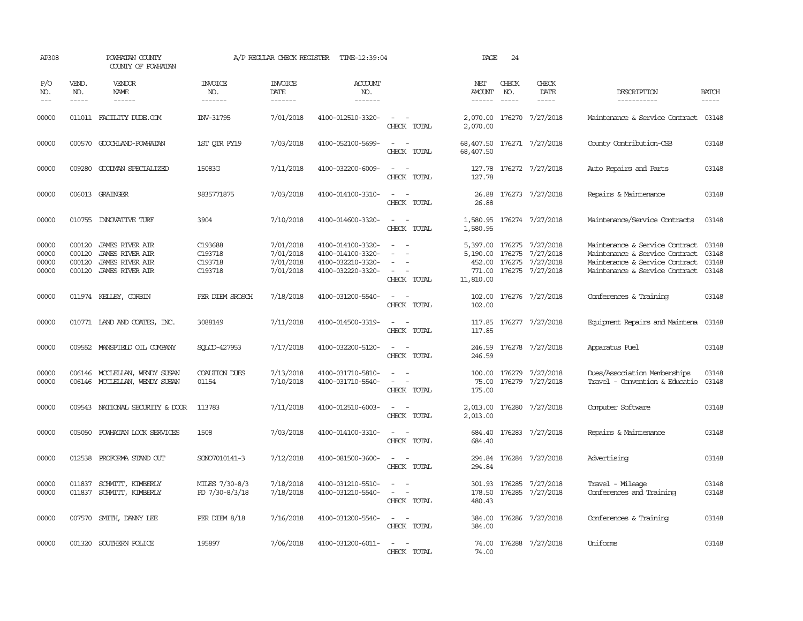| AP308                            |                                      | POWHATAN COUNTY<br>COUNTY OF POWHATAN                                           |                                          | A/P REGULAR CHECK REGISTER                       | TIME-12:39:04                                                                    |                                                                                                                             | PAGE                           | 24                            |                                                                                              |                                                                                                                                      |                                  |
|----------------------------------|--------------------------------------|---------------------------------------------------------------------------------|------------------------------------------|--------------------------------------------------|----------------------------------------------------------------------------------|-----------------------------------------------------------------------------------------------------------------------------|--------------------------------|-------------------------------|----------------------------------------------------------------------------------------------|--------------------------------------------------------------------------------------------------------------------------------------|----------------------------------|
| P/O<br>NO.<br>$---$              | VEND.<br>NO.<br>$\frac{1}{2}$        | <b>VENDOR</b><br>NAME<br>$- - - - - -$                                          | <b>INVOICE</b><br>NO.<br>-------         | <b>INVOICE</b><br>DATE<br>$- - - - - - -$        | <b>ACCOUNT</b><br>NO.<br>-------                                                 |                                                                                                                             | NET<br>AMOUNT<br>$- - - - - -$ | CHECK<br>NO.<br>$\frac{1}{2}$ | CHECK<br>DATE<br>$- - - - -$                                                                 | DESCRIPTION<br>-----------                                                                                                           | <b>BATCH</b><br>$- - - - -$      |
|                                  |                                      |                                                                                 |                                          |                                                  |                                                                                  |                                                                                                                             |                                |                               |                                                                                              |                                                                                                                                      |                                  |
| 00000                            |                                      | 011011 FACILITY DUDE.COM                                                        | INV-31795                                | 7/01/2018                                        | 4100-012510-3320-                                                                | $\sim$ $ \sim$<br>CHECK TOTAL                                                                                               | 2,070.00                       |                               | 2,070.00 176270 7/27/2018                                                                    | Maintenance & Service Contract 03148                                                                                                 |                                  |
| 00000                            |                                      | 000570 GOOCHLAND-POWHATAN                                                       | 1ST OIR FY19                             | 7/03/2018                                        | 4100-052100-5699-                                                                | $\sim$ 100 $\sim$<br>CHECK TOTAL                                                                                            | 68,407.50                      |                               | 68,407.50 176271 7/27/2018                                                                   | County Contribution-CSB                                                                                                              | 03148                            |
| 00000                            | 009280                               | GOODMAN SPECIALIZED                                                             | 15083G                                   | 7/11/2018                                        | 4100-032200-6009-                                                                | $\sim$ $ \sim$<br>CHECK TOTAL                                                                                               | 127.78                         |                               | 127.78 176272 7/27/2018                                                                      | Auto Repairs and Parts                                                                                                               | 03148                            |
| 00000                            |                                      | 006013 GRAINGER                                                                 | 9835771875                               | 7/03/2018                                        | 4100-014100-3310-                                                                | $ -$<br>CHECK TOTAL                                                                                                         | 26.88                          |                               | 26.88 176273 7/27/2018                                                                       | Repairs & Maintenance                                                                                                                | 03148                            |
| 00000                            |                                      | 010755 INNOVATIVE TURF                                                          | 3904                                     | 7/10/2018                                        | 4100-014600-3320-                                                                | $\sim$<br>$\sim$<br>CHECK TOTAL                                                                                             | 1,580.95<br>1,580.95           |                               | 176274 7/27/2018                                                                             | Maintenance/Service Contracts                                                                                                        | 03148                            |
| 00000<br>00000<br>00000<br>00000 | 000120<br>000120<br>000120<br>000120 | JAMES RIVER AIR<br>JAMES RIVER AIR<br>JAMES RIVER AIR<br><b>JAMES RIVER AIR</b> | C193688<br>C193718<br>C193718<br>C193718 | 7/01/2018<br>7/01/2018<br>7/01/2018<br>7/01/2018 | 4100-014100-3320-<br>4100-014100-3320-<br>4100-032210-3320-<br>4100-032220-3320- | $\overline{\phantom{a}}$<br>$\equiv$<br>$\overline{\phantom{a}}$<br>CHECK TOTAL                                             | 5,190.00<br>11,810.00          | 176275                        | 5,397.00 176275 7/27/2018<br>7/27/2018<br>452.00 176275 7/27/2018<br>771.00 176275 7/27/2018 | Maintenance & Service Contract<br>Maintenance & Service Contract<br>Maintenance & Service Contract<br>Maintenance & Service Contract | 03148<br>03148<br>03148<br>03148 |
| 00000                            |                                      | 011974 KELLEY, CORBIN                                                           | PER DIEM SROSCH                          | 7/18/2018                                        | 4100-031200-5540-                                                                | CHECK TOTAL                                                                                                                 | 102.00                         |                               | 102.00 176276 7/27/2018                                                                      | Conferences & Training                                                                                                               | 03148                            |
| 00000                            |                                      | 010771 LAND AND COATES, INC.                                                    | 3088149                                  | 7/11/2018                                        | 4100-014500-3319-                                                                | $\sim$ 100 $\sim$<br>CHECK TOTAL                                                                                            | 117.85                         |                               | 117.85 176277 7/27/2018                                                                      | Equipment Repairs and Maintena 03148                                                                                                 |                                  |
| 00000                            |                                      | 009552 MANSFIELD OIL COMPANY                                                    | SOLCD-427953                             | 7/17/2018                                        | 4100-032200-5120-                                                                | $\overline{\phantom{a}}$<br>CHECK TOTAL                                                                                     | 246.59<br>246.59               |                               | 176278 7/27/2018                                                                             | Apparatus Fuel                                                                                                                       | 03148                            |
| 00000<br>00000                   |                                      | 006146 MCCLELLAN, WENDY SUSAN<br>006146 MCCLELLAN, WENDY SUSAN                  | <b>COALTION DUES</b><br>01154            | 7/13/2018<br>7/10/2018                           | 4100-031710-5810-<br>4100-031710-5540-                                           | $\sim$ $ \sim$<br>$\sim$ $ -$<br>CHECK TOTAL                                                                                | 75.00<br>175.00                |                               | 100.00 176279 7/27/2018<br>176279 7/27/2018                                                  | Dues/Association Memberships<br>Travel - Convention & Educatio                                                                       | 03148<br>03148                   |
| 00000                            |                                      | 009543 NATIONAL SECURITY & DOOR                                                 | 113783                                   | 7/11/2018                                        | 4100-012510-6003-                                                                | $\sim$ $ -$<br>CHECK TOTAL                                                                                                  | 2,013.00<br>2,013.00           |                               | 176280 7/27/2018                                                                             | Computer Software                                                                                                                    | 03148                            |
| 00000                            | 005050                               | POWHATAN LOCK SERVICES                                                          | 1508                                     | 7/03/2018                                        | 4100-014100-3310-                                                                | $\sim$ $ \sim$<br>CHECK TOTAL                                                                                               | 684.40                         |                               | 684.40 176283 7/27/2018                                                                      | Repairs & Maintenance                                                                                                                | 03148                            |
| 00000                            |                                      | 012538 PROFORMA STAND OUT                                                       | SONO7010141-3                            | 7/12/2018                                        | 4100-081500-3600-                                                                | $\omega_{\rm{max}}$ and $\omega_{\rm{max}}$<br>CHECK TOTAL                                                                  | 294.84                         |                               | 294.84 176284 7/27/2018                                                                      | Advertising                                                                                                                          | 03148                            |
| 00000<br>00000                   | 011837                               | SCHMITT, KIMBERLY<br>011837 SCHMITT, KIMBERLY                                   | MILES 7/30-8/3<br>PD 7/30-8/3/18         | 7/18/2018<br>7/18/2018                           | 4100-031210-5510-<br>4100-031210-5540-                                           | $\equiv$<br>$\omega_{\rm{max}}$<br>CHECK TOTAL                                                                              | 301.93<br>480.43               |                               | 176285 7/27/2018<br>178.50 176285 7/27/2018                                                  | Travel - Mileage<br>Conferences and Training                                                                                         | 03148<br>03148                   |
| 00000                            |                                      | 007570 SMITH, DANNY LEE                                                         | PER DIEM 8/18                            | 7/16/2018                                        | 4100-031200-5540-                                                                | $\frac{1}{2} \left( \frac{1}{2} \right) \left( \frac{1}{2} \right) = \frac{1}{2} \left( \frac{1}{2} \right)$<br>CHECK TOTAL | 384.00<br>384.00               |                               | 176286 7/27/2018                                                                             | Conferences & Training                                                                                                               | 03148                            |
| 00000                            |                                      | 001320 SOUTHERN POLICE                                                          | 195897                                   | 7/06/2018                                        | 4100-031200-6011-                                                                | $\sim$ $ \sim$<br>CHECK TOTAL                                                                                               | 74.00                          |                               | 74.00 176288 7/27/2018                                                                       | Uniforms                                                                                                                             | 03148                            |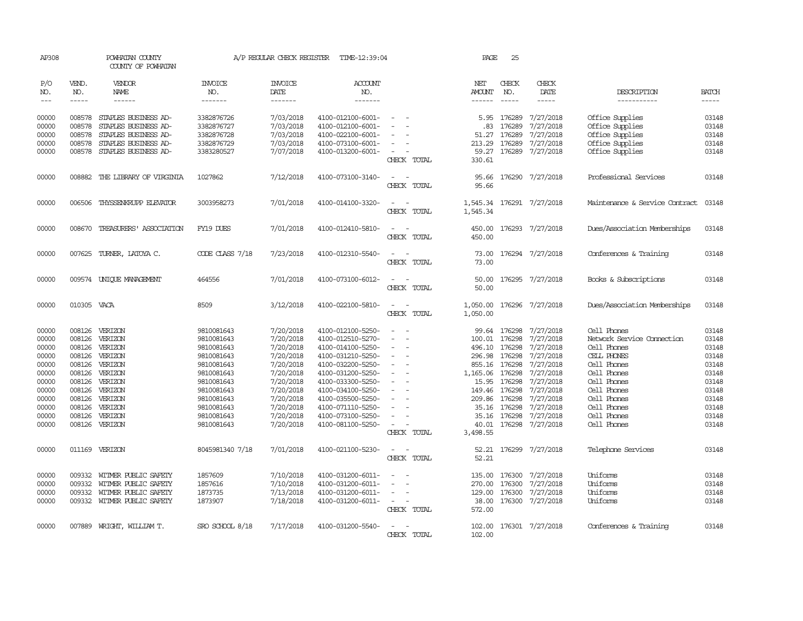| AP308                       |                       | POWHATAN COUNTY<br>COUNTY OF POWHATAN |                           | A/P REGULAR CHECK REGISTER                | TIME-12:39:04                            |                                                                                                                             | PAGE                           | 25                            |                           |                                |                             |
|-----------------------------|-----------------------|---------------------------------------|---------------------------|-------------------------------------------|------------------------------------------|-----------------------------------------------------------------------------------------------------------------------------|--------------------------------|-------------------------------|---------------------------|--------------------------------|-----------------------------|
| P/O<br>NO.<br>$\frac{1}{2}$ | VEND.<br>NO.<br>----- | VENDOR<br>NAME<br>------              | INVOICE<br>NO.<br>------- | <b>INVOICE</b><br>DATE<br>$- - - - - - -$ | <b>ACCOUNT</b><br>NO.<br>$- - - - - - -$ |                                                                                                                             | NET<br><b>AMOUNT</b><br>------ | CHECK<br>NO.<br>$\frac{1}{2}$ | CHECK<br>DATE<br>-----    | DESCRIPTION<br>-----------     | <b>BATCH</b><br>$- - - - -$ |
| 00000                       | 008578                | STAPLES BUSINESS AD-                  | 3382876726                | 7/03/2018                                 | 4100-012100-6001-                        |                                                                                                                             | 5.95                           | 176289                        | 7/27/2018                 | Office Supplies                | 03148                       |
| 00000                       | 008578                | STAPLES BUSINESS AD-                  | 3382876727                | 7/03/2018                                 | 4100-012100-6001-                        |                                                                                                                             | .83                            | 176289                        | 7/27/2018                 | Office Supplies                | 03148                       |
| 00000                       | 008578                | STAPLES BUSINESS AD-                  | 3382876728                | 7/03/2018                                 | 4100-022100-6001-                        | $\sim$                                                                                                                      | 51.27                          | 176289                        | 7/27/2018                 | Office Supplies                | 03148                       |
| 00000                       | 008578                | STAPLES BUSINESS AD-                  | 3382876729                | 7/03/2018                                 | 4100-073100-6001-                        |                                                                                                                             | 213.29                         | 176289                        | 7/27/2018                 | Office Supplies                | 03148                       |
| 00000                       | 008578                | STAPLES BUSINESS AD-                  | 3383280527                | 7/07/2018                                 | 4100-013200-6001-                        | CHECK TOTAL                                                                                                                 | 330.61                         |                               | 59.27 176289 7/27/2018    | Office Supplies                | 03148                       |
| 00000                       |                       | 008882 THE LIBRARY OF VIRGINIA        | 1027862                   | 7/12/2018                                 | 4100-073100-3140-                        | $\sim$<br>CHECK TOTAL                                                                                                       | 95.66                          |                               | 95.66 176290 7/27/2018    | Professional Services          | 03148                       |
| 00000                       | 006506                | THYSSENKRUPP ELEVATOR                 | 3003958273                | 7/01/2018                                 | 4100-014100-3320-                        | $\sim$<br>CHECK TOTAL                                                                                                       | 1,545.34                       |                               | 1,545.34 176291 7/27/2018 | Maintenance & Service Contract | 03148                       |
| 00000                       |                       | 008670 TREASURERS' ASSOCIATION        | FY19 DUES                 | 7/01/2018                                 | 4100-012410-5810-                        | $\sim$<br>CHECK TOTAL                                                                                                       | 450.00                         |                               | 450.00 176293 7/27/2018   | Dues/Association Memberships   | 03148                       |
| 00000                       |                       | 007625 TURNER, LATOYA C.              | CODE CLASS 7/18           | 7/23/2018                                 | 4100-012310-5540-                        |                                                                                                                             | 73.00                          |                               | 176294 7/27/2018          | Conferences & Training         | 03148                       |
|                             |                       |                                       |                           |                                           |                                          | CHECK TOTAL                                                                                                                 | 73.00                          |                               |                           |                                |                             |
| 00000                       |                       | 009574 UNIQUE MANAGEMENT              | 464556                    | 7/01/2018                                 | 4100-073100-6012-                        | CHECK TOTAL                                                                                                                 | 50.00<br>50.00                 | 176295                        | 7/27/2018                 | Books & Subscriptions          | 03148                       |
| 00000                       | 010305 VACA           |                                       | 8509                      | 3/12/2018                                 | 4100-022100-5810-                        | CHECK TOTAL                                                                                                                 | 1,050.00<br>1,050.00           | 176296                        | 7/27/2018                 | Dues/Association Memberships   | 03148                       |
| 00000                       | 008126                | VERIZON                               | 9810081643                | 7/20/2018                                 | 4100-012100-5250-                        |                                                                                                                             | 99.64                          | 176298                        | 7/27/2018                 | Cell Phones                    | 03148                       |
| 00000                       | 008126                | VERIZON                               | 9810081643                | 7/20/2018                                 | 4100-012510-5270-                        |                                                                                                                             | 100.01                         | 176298                        | 7/27/2018                 | Network Service Connection     | 03148                       |
| 00000                       | 008126                | VERIZON                               | 9810081643                | 7/20/2018                                 | 4100-014100-5250-                        | $\overline{\phantom{a}}$                                                                                                    |                                | 496.10 176298                 | 7/27/2018                 | Cell Phones                    | 03148                       |
| 00000                       |                       | 008126 VERIZON                        | 9810081643                | 7/20/2018                                 | 4100-031210-5250-                        |                                                                                                                             | 296.98                         | 176298                        | 7/27/2018                 | CELL PHONES                    | 03148                       |
| 00000<br>00000              | 008126                | VERIZON<br>008126 VERIZON             | 9810081643                | 7/20/2018                                 | 4100-032200-5250-                        |                                                                                                                             | 855.16                         | 176298<br>176298              | 7/27/2018                 | Cell Phones<br>Cell Phones     | 03148<br>03148              |
| 00000                       |                       | 008126 VERIZON                        | 9810081643<br>9810081643  | 7/20/2018<br>7/20/2018                    | 4100-031200-5250-<br>4100-033300-5250-   |                                                                                                                             | 1,165.06<br>15.95              | 176298                        | 7/27/2018<br>7/27/2018    | Cell Phones                    | 03148                       |
| 00000                       | 008126                | VERIZON                               | 9810081643                | 7/20/2018                                 | 4100-034100-5250-                        |                                                                                                                             | 149.46                         | 176298                        | 7/27/2018                 | Cell Phones                    | 03148                       |
| 00000                       | 008126                | VERIZON                               | 9810081643                | 7/20/2018                                 | 4100-035500-5250-                        |                                                                                                                             | 209.86                         | 176298                        | 7/27/2018                 | Cell Phones                    | 03148                       |
| 00000                       | 008126                | VERIZON                               | 9810081643                | 7/20/2018                                 | 4100-071110-5250-                        |                                                                                                                             | 35.16                          | 176298                        | 7/27/2018                 | Cell Phones                    | 03148                       |
| 00000                       | 008126                | VERIZON                               | 9810081643                | 7/20/2018                                 | 4100-073100-5250-                        | $\sim$                                                                                                                      |                                | 35.16 176298                  | 7/27/2018                 | Cell Phones                    | 03148                       |
| 00000                       |                       | 008126 VERIZON                        | 9810081643                | 7/20/2018                                 | 4100-081100-5250-                        |                                                                                                                             | 40.01                          |                               | 176298 7/27/2018          | Cell Phones                    | 03148                       |
|                             |                       |                                       |                           |                                           |                                          | CHECK TOTAL                                                                                                                 | 3,498.55                       |                               |                           |                                |                             |
| 00000                       |                       | 011169 VERIZON                        | 8045981340 7/18           | 7/01/2018                                 | 4100-021100-5230-                        | $\frac{1}{2} \left( \frac{1}{2} \right) \left( \frac{1}{2} \right) = \frac{1}{2} \left( \frac{1}{2} \right)$<br>CHECK TOTAL | 52.21<br>52.21                 |                               | 176299 7/27/2018          | Telephone Services             | 03148                       |
| 00000                       | 009332                | WITMER PUBLIC SAFETY                  | 1857609                   | 7/10/2018                                 | 4100-031200-6011-                        |                                                                                                                             | 135.00                         | 176300                        | 7/27/2018                 | Uniforms                       | 03148                       |
| 00000                       | 009332                | WITMER PUBLIC SAFETY                  | 1857616                   | 7/10/2018                                 | 4100-031200-6011-                        |                                                                                                                             | 270.00                         | 176300                        | 7/27/2018                 | Uniforms                       | 03148                       |
| 00000                       | 009332                | WITMER PUBLIC SAFETY                  | 1873735                   | 7/13/2018                                 | 4100-031200-6011-                        |                                                                                                                             | 129.00                         | 176300                        | 7/27/2018                 | Uniforms                       | 03148                       |
| 00000                       |                       | 009332 WITMER PUBLIC SAFETY           | 1873907                   | 7/18/2018                                 | 4100-031200-6011-                        | CHECK TOTAL                                                                                                                 | 38.00<br>572.00                |                               | 176300 7/27/2018          | Uniforms                       | 03148                       |
| 00000                       |                       | 007889 WRIGHT, WILLIAM T.             | SRO SCHOOL 8/18           | 7/17/2018                                 | 4100-031200-5540-                        | CHECK TOTAL                                                                                                                 | 102.00                         |                               | 102.00 176301 7/27/2018   | Conferences & Training         | 03148                       |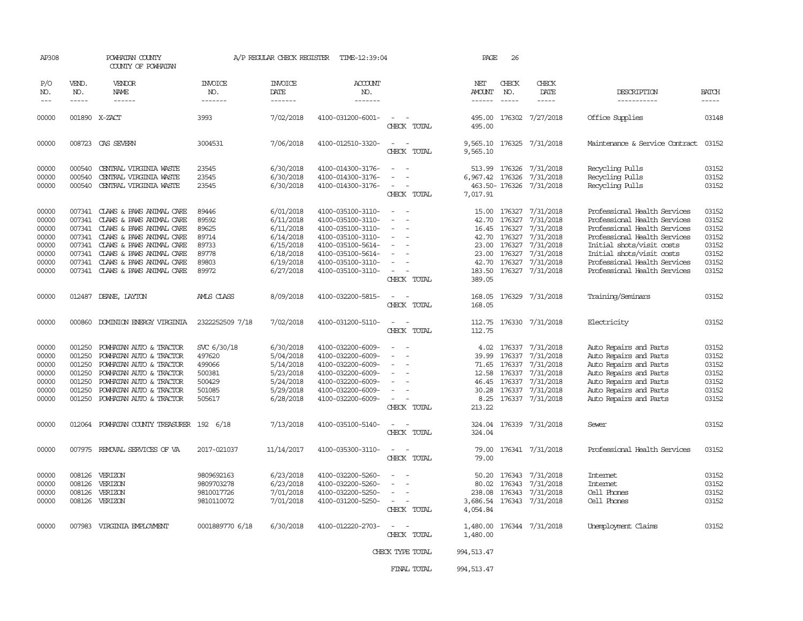| AP308                       |                             | POWHATAN COUNTY<br>COUNTY OF POWHATAN |                                   | A/P REGULAR CHECK REGISTER         | TIME-12:39:04                            |                          | PAGE                           | 26                          |                              |                                |                       |
|-----------------------------|-----------------------------|---------------------------------------|-----------------------------------|------------------------------------|------------------------------------------|--------------------------|--------------------------------|-----------------------------|------------------------------|--------------------------------|-----------------------|
| P/O<br>NO.<br>$\frac{1}{2}$ | VEND.<br>NO.<br>$- - - - -$ | VENDOR<br>NAME<br>------              | INVOICE<br>NO.<br>$- - - - - - -$ | <b>INVOICE</b><br>DATE<br>-------- | <b>ACCOUNT</b><br>NO.<br>$- - - - - - -$ |                          | NET<br>AMOUNT<br>$- - - - - -$ | CHECK<br>NO.<br>$- - - - -$ | CHECK<br>DATE<br>$- - - - -$ | DESCRIPTION<br>-----------     | <b>BATCH</b><br>----- |
|                             |                             |                                       |                                   |                                    |                                          |                          |                                |                             |                              |                                |                       |
| 00000                       |                             | 001890 X-ZACT                         | 3993                              | 7/02/2018                          | 4100-031200-6001-                        | CHECK TOTAL              | 495.00                         |                             | 495.00 176302 7/27/2018      | Office Supplies                | 03148                 |
| 00000                       | 008723                      | CAS SEVERN                            | 3004531                           | 7/06/2018                          | 4100-012510-3320-                        | CHECK TOTAL              | 9,565.10<br>9,565.10           |                             | 176325 7/31/2018             | Maintenance & Service Contract | 03152                 |
| 00000                       | 000540                      | CENTRAL VIRGINIA WASTE                | 23545                             | 6/30/2018                          | 4100-014300-3176-                        |                          | 513.99                         | 176326                      | 7/31/2018                    | Recycling Pulls                | 03152                 |
| 00000                       | 000540                      | CENTRAL VIRGINIA WASTE                | 23545                             | 6/30/2018                          | 4100-014300-3176-                        | $\equiv$                 | 6,967.42 176326                |                             | 7/31/2018                    | Recycling Pulls                | 03152                 |
| 00000                       | 000540                      | CENTRAL VIRGINIA WASTE                | 23545                             | 6/30/2018                          | 4100-014300-3176-                        | $\overline{\phantom{a}}$ |                                | 463.50-176326               | 7/31/2018                    | Recycling Pulls                | 03152                 |
|                             |                             |                                       |                                   |                                    |                                          | CHECK TOTAL              | 7,017.91                       |                             |                              |                                |                       |
| 00000                       |                             | 007341 CLAWS & PAWS ANIMAL CARE       | 89446                             | 6/01/2018                          | 4100-035100-3110-                        | $\overline{\phantom{a}}$ |                                | 15.00 176327                | 7/31/2018                    | Professional Health Services   | 03152                 |
| 00000                       | 007341                      | CLAWS & PAWS ANIMAL CARE              | 89592                             | 6/11/2018                          | 4100-035100-3110-                        |                          | 42.70                          | 176327                      | 7/31/2018                    | Professional Health Services   | 03152                 |
| 00000                       | 007341                      | CLAWS & PAWS ANIMAL CARE              | 89625                             | 6/11/2018                          | 4100-035100-3110-                        |                          | 16.45                          | 176327                      | 7/31/2018                    | Professional Health Services   | 03152                 |
| 00000                       | 007341                      | CLAWS & PAWS ANIMAL CARE              | 89714                             | 6/14/2018                          | 4100-035100-3110-                        |                          |                                | 42.70 176327                | 7/31/2018                    | Professional Health Services   | 03152                 |
| 00000                       | 007341                      | CLAWS & PAWS ANIMAL CARE              | 89733                             | 6/15/2018                          | 4100-035100-5614-                        |                          |                                | 23.00 176327                | 7/31/2018                    | Initial shots/visit costs      | 03152                 |
| 00000                       | 007341                      | CLAWS & PAWS ANIMAL CARE              | 89778                             | 6/18/2018                          | 4100-035100-5614-                        |                          | 23.00                          | 176327                      | 7/31/2018                    | Initial shots/visit costs      | 03152                 |
| 00000                       |                             | 007341 CLAWS & PAWS ANIMAL CARE       | 89803                             | 6/19/2018                          | 4100-035100-3110-                        |                          | 42.70                          | 176327                      | 7/31/2018                    | Professional Health Services   | 03152                 |
| 00000                       |                             | 007341 CLAWS & PAWS ANIMAL CARE       | 89972                             | 6/27/2018                          | 4100-035100-3110-                        | $\equiv$                 | 183.50                         |                             | 176327 7/31/2018             | Professional Health Services   | 03152                 |
|                             |                             |                                       |                                   |                                    |                                          | CHECK TOTAL              | 389.05                         |                             |                              |                                |                       |
| 00000                       | 012487                      | DEANE, LAYTON                         | <b>AMLS CLASS</b>                 | 8/09/2018                          | 4100-032200-5815-                        | CHECK TOTAL              | 168.05<br>168.05               |                             | 176329 7/31/2018             | Training/Seminars              | 03152                 |
| 00000                       |                             | 000860 DOMINION ENERGY VIRGINIA       | 2322252509 7/18                   | 7/02/2018                          | 4100-031200-5110-                        |                          |                                |                             | 112.75 176330 7/31/2018      | Electricity                    | 03152                 |
|                             |                             |                                       |                                   |                                    |                                          | CHECK TOTAL              | 112.75                         |                             |                              |                                |                       |
| 00000                       | 001250                      | POWHATAN AUTO & TRACTOR               | SVC 6/30/18                       | 6/30/2018                          | 4100-032200-6009-                        |                          |                                |                             | 4.02 176337 7/31/2018        | Auto Repairs and Parts         | 03152                 |
| 00000                       | 001250                      | POWHATAN AUTO & TRACTOR               | 497620                            | 5/04/2018                          | 4100-032200-6009-                        |                          | 39.99                          | 176337                      | 7/31/2018                    | Auto Repairs and Parts         | 03152                 |
| 00000                       | 001250                      | POWHATAN AUTO & TRACTOR               | 499066                            | 5/14/2018                          | 4100-032200-6009-                        |                          | 71.65                          | 176337                      | 7/31/2018                    | Auto Repairs and Parts         | 03152                 |
| 00000                       | 001250                      | POWHATAN AUTO & TRACTOR               | 500381                            | 5/23/2018                          | 4100-032200-6009-                        |                          | 12.58                          | 176337                      | 7/31/2018                    | Auto Repairs and Parts         | 03152                 |
| 00000                       | 001250                      | POWHATAN AUTO & TRACTOR               | 500429                            | 5/24/2018                          | 4100-032200-6009-                        |                          | 46.45                          | 176337                      | 7/31/2018                    | Auto Repairs and Parts         | 03152                 |
| 00000                       | 001250                      | POWHATAN AUTO & TRACTOR               | 501085                            | 5/29/2018                          | 4100-032200-6009-                        |                          | 30.28                          |                             | 176337 7/31/2018             | Auto Repairs and Parts         | 03152                 |
| 00000                       | 001250                      | POWHATAN AUTO & TRACTOR               | 505617                            | 6/28/2018                          | 4100-032200-6009-                        |                          | 8.25                           |                             | 176337 7/31/2018             | Auto Repairs and Parts         | 03152                 |
|                             |                             |                                       |                                   |                                    |                                          | CHECK TOTAL              | 213.22                         |                             |                              |                                |                       |
| 00000                       | 012064                      | POWHATAN COUNTY TREASURER 192 6/18    |                                   | 7/13/2018                          | 4100-035100-5140-                        |                          | 324.04                         |                             | 176339 7/31/2018             | Sewer                          | 03152                 |
|                             |                             |                                       |                                   |                                    |                                          | CHECK TOTAL              | 324.04                         |                             |                              |                                |                       |
| 00000                       | 007975                      | REMOVAL SERVICES OF VA                | 2017-021037                       | 11/14/2017                         | 4100-035300-3110-                        |                          | 79.00                          |                             | 176341 7/31/2018             | Professional Health Services   | 03152                 |
|                             |                             |                                       |                                   |                                    |                                          | CHECK TOTAL              | 79.00                          |                             |                              |                                |                       |
| 00000                       | 008126                      | VERIZON                               | 9809692163                        | 6/23/2018                          | 4100-032200-5260-                        |                          | 50.20                          |                             | 176343 7/31/2018             | Internet                       | 03152                 |
| 00000                       | 008126                      | VERIZON                               | 9809703278                        | 6/23/2018                          | 4100-032200-5260-                        |                          | 80.02                          | 176343                      | 7/31/2018                    | Internet                       | 03152                 |
| 00000                       | 008126                      | VERIZON                               | 9810017726                        | 7/01/2018                          | 4100-032200-5250-                        |                          |                                | 238.08 176343               | 7/31/2018                    | Cell Phones                    | 03152                 |
| 00000                       |                             | 008126 VERIZON                        | 9810110072                        | 7/01/2018                          | 4100-031200-5250-                        |                          |                                |                             | 3,686.54 176343 7/31/2018    | Cell Phones                    | 03152                 |
|                             |                             |                                       |                                   |                                    |                                          | CHECK TOTAL              | 4,054.84                       |                             |                              |                                |                       |
| 00000                       |                             | 007983 VIRGINIA EMPLOYMENT            | 0001889770 6/18                   | 6/30/2018                          | 4100-012220-2703-                        |                          | 1,480.00                       |                             | 176344 7/31/2018             | Unemployment Claims            | 03152                 |
|                             |                             |                                       |                                   |                                    |                                          | CHECK TOTAL              | 1,480.00                       |                             |                              |                                |                       |
|                             |                             |                                       |                                   |                                    |                                          | CHECK TYPE TOTAL         | 994, 513.47                    |                             |                              |                                |                       |
|                             |                             |                                       |                                   |                                    |                                          | FINAL TOTAL              | 994, 513.47                    |                             |                              |                                |                       |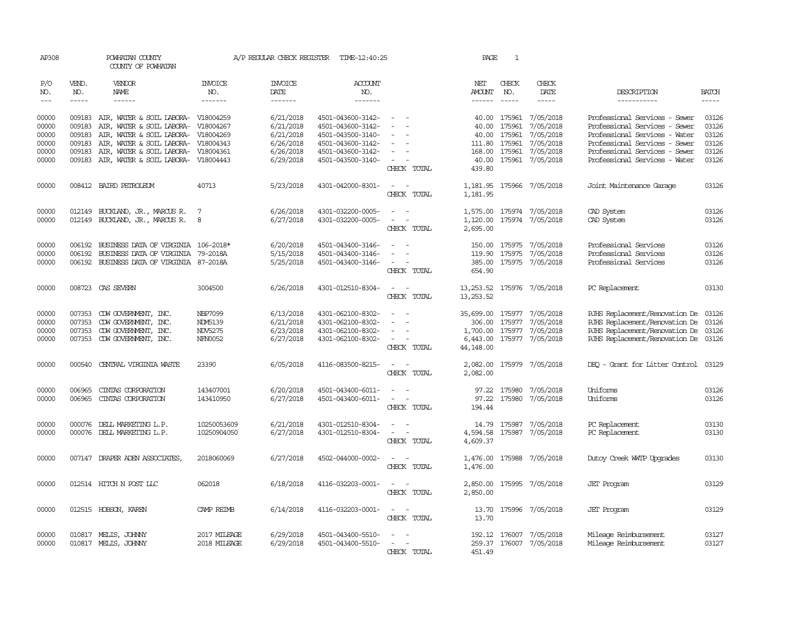| AP308                             |                               | POWHATAN COUNTY<br>COUNTY OF POWHATAN        |                                  | A/P REGULAR CHECK REGISTER | TIME-12:40:25                          |                                                                     | PAGE                           | $\mathbf{1}$                  |                                                    |                                                |                             |
|-----------------------------------|-------------------------------|----------------------------------------------|----------------------------------|----------------------------|----------------------------------------|---------------------------------------------------------------------|--------------------------------|-------------------------------|----------------------------------------------------|------------------------------------------------|-----------------------------|
| P/O<br>NO.<br>$\qquad \qquad - -$ | VEND.<br>NO.<br>$\frac{1}{2}$ | VENDOR<br>NAME<br>$- - - - - -$              | <b>INVOICE</b><br>NO.<br>------- | <b>INVOICE</b><br>DATE     | <b>ACCOUNT</b><br>NO.<br>-------       |                                                                     | NET<br>AMOUNT<br>$- - - - - -$ | CHECK<br>NO.<br>$\frac{1}{2}$ | CHECK<br>DATE<br>$- - - - -$                       | DESCRIPTION<br>-----------                     | <b>BATCH</b><br>$- - - - -$ |
|                                   |                               |                                              |                                  |                            |                                        |                                                                     |                                |                               |                                                    |                                                |                             |
| 00000                             | 009183                        | AIR, WATER & SOIL LABORA-                    | V18004259                        | 6/21/2018                  | 4501-043600-3142-                      |                                                                     |                                |                               | 40.00 175961 7/05/2018                             | Professional Services - Sewer                  | 03126                       |
| 00000                             | 009183                        | AIR, WATER & SOIL LABORA-                    | V18004267                        | 6/21/2018                  | 4501-043600-3142-                      | $\overline{\phantom{a}}$                                            | 40.00                          | 175961                        | 7/05/2018                                          | Professional Services - Sewer                  | 03126                       |
| 00000                             | 009183                        | AIR, WATER & SOIL LABORA-                    | V18004269                        | 6/21/2018                  | 4501-043500-3140-                      |                                                                     | 40.00                          | 175961                        | 7/05/2018                                          | Professional Services - Water                  | 03126                       |
| 00000                             | 009183                        | AIR, WATER & SOIL LABORA-                    | V18004343                        | 6/26/2018                  | 4501-043600-3142-                      |                                                                     |                                | 111.80 175961                 | 7/05/2018                                          | Professional Services - Sewer                  | 03126                       |
| 00000                             | 009183                        | AIR, WATER & SOIL LABORA-                    | V18004361                        | 6/26/2018                  | 4501-043600-3142-                      | $\overline{\phantom{a}}$                                            | 168.00                         | 175961                        | 7/05/2018                                          | Professional Services - Sewer                  | 03126                       |
| 00000                             | 009183                        | AIR, WATER & SOIL LABORA-                    | V18004443                        | 6/29/2018                  | 4501-043500-3140-                      | $\sim$<br>CHECK TOTAL                                               | 40.00<br>439.80                |                               | 175961 7/05/2018                                   | Professional Services - Water                  | 03126                       |
| 00000                             |                               | 008412 BAIRD PETROLEUM                       | 40713                            | 5/23/2018                  | 4301-042000-8301-                      | $\sim$ $\sim$<br>CHECK TOTAL                                        | 1,181.95                       |                               | 1,181.95 175966 7/05/2018                          | Joint Maintenance Garage                       | 03126                       |
|                                   |                               |                                              |                                  |                            |                                        |                                                                     |                                |                               |                                                    |                                                |                             |
| 00000                             |                               | 012149 BUCKLAND, JR., MARCUS R.              | 7                                | 6/26/2018                  | 4301-032200-0005-                      | $\sim$                                                              |                                |                               | 1,575.00 175974 7/05/2018                          | CAD System                                     | 03126                       |
| 00000                             |                               | 012149 BUCKLAND, JR., MARCUS R.              | 8                                | 6/27/2018                  | 4301-032200-0005-                      | $\overline{\phantom{a}}$<br>$\overline{\phantom{0}}$<br>CHECK TOTAL | 1,120.00<br>2,695.00           |                               | 175974 7/05/2018                                   | CAD System                                     | 03126                       |
| 00000                             | 006192                        | BUSINESS DATA OF VIRGINIA 106-2018*          |                                  | 6/20/2018                  | 4501-043400-3146-                      |                                                                     | 150.00                         | 175975                        | 7/05/2018                                          | Professional Services                          | 03126                       |
| 00000                             | 006192                        | BUSINESS DATA OF VIRGINIA 79-2018A           |                                  | 5/15/2018                  | 4501-043400-3146-                      | $\sim$<br>$\sim$                                                    | 119.90                         | 175975                        | 7/05/2018                                          | Professional Services                          | 03126                       |
| 00000                             |                               | 006192 BUSINESS DATA OF VIRGINIA 87-2018A    |                                  | 5/25/2018                  | 4501-043400-3146-                      | $\sim$<br>$\overline{\phantom{a}}$<br>CHECK TOTAL                   | 385.00<br>654.90               |                               | 175975 7/05/2018                                   | Professional Services                          | 03126                       |
| 00000                             |                               | 008723 CAS SEVERN                            | 3004500                          | 6/26/2018                  | 4301-012510-8304-                      | $\overline{\phantom{a}}$<br>$\sim$<br>CHECK TOTAL                   | 13,253.52<br>13, 253.52        |                               | 175976 7/05/2018                                   | PC Replacement                                 | 03130                       |
| 00000                             | 007353                        | CDW GOVERNMENT, INC.                         | NBP7099                          | 6/13/2018                  | 4301-062100-8302-                      |                                                                     | 35,699.00                      |                               | 175977 7/05/2018                                   | RJHS Replacement/Renovation De 03126           |                             |
| 00000                             | 007353                        | CDW GOVERNMENT, INC.                         | NDM5139                          | 6/21/2018                  | 4301-062100-8302-                      | $\equiv$                                                            | 306.00                         |                               | 175977 7/05/2018                                   | RJHS Replacement/Renovation De                 | 03126                       |
| 00000                             | 007353                        | CDW GOVERNMENT, INC.                         | <b>NDV5275</b>                   | 6/23/2018                  | 4301-062100-8302-                      |                                                                     |                                |                               | 1,700.00 175977 7/05/2018                          | RJHS Replacement/Renovation De 03126           |                             |
| 00000                             |                               | 007353 CDW GOVERNMENT, INC.                  | NFN0052                          | 6/27/2018                  | 4301-062100-8302-                      | CHECK TOTAL                                                         | 44, 148.00                     |                               | 6,443.00 175977 7/05/2018                          | RJHS Replacement/Renovation De 03126           |                             |
| 00000                             | 000540                        | CENTRAL VIRGINIA WASTE                       | 23390                            | 6/05/2018                  | 4116-083500-8215-                      | $\overline{\phantom{a}}$<br>CHECK TOTAL                             | 2,082.00                       |                               | 2,082.00 175979 7/05/2018                          | DEO - Grant for Litter Control                 | 03129                       |
| 00000                             | 006965                        | CINIAS CORPORATION                           | 143407001                        | 6/20/2018                  | 4501-043400-6011-                      | $\sim$                                                              | 97.22                          | 175980                        | 7/05/2018                                          | Uniforms                                       | 03126                       |
| 00000                             |                               | 006965 CINIAS CORPORATION                    | 143410950                        | 6/27/2018                  | 4501-043400-6011-                      | $\overline{\phantom{a}}$<br>$\sim$<br>CHECK TOTAL                   | 194.44                         |                               | 97.22 175980 7/05/2018                             | Uniforms                                       | 03126                       |
| 00000                             | 000076                        | DELL MARKETING L.P.                          | 10250053609                      | 6/21/2018                  | 4301-012510-8304-                      |                                                                     | 14.79                          | 175987                        | 7/05/2018                                          | PC Replacement                                 | 03130                       |
| 00000                             |                               | 000076 DELL MARKETING L.P.                   | 10250904050                      | 6/27/2018                  | 4301-012510-8304-                      | CHECK TOTAL                                                         | 4,594.58<br>4,609.37           |                               | 175987 7/05/2018                                   | PC Replacement                                 | 03130                       |
| 00000                             | 007147                        | DRAPER ADEN ASSOCIATES,                      | 2018060069                       | 6/27/2018                  | 4502-044000-0002-                      | CHECK TOTAL                                                         | 1,476.00<br>1,476.00           |                               | 175988 7/05/2018                                   | Dutoy Creek WITP Upgrades                      | 03130                       |
| 00000                             |                               | 012514 HITCH N POST LLC                      | 062018                           | 6/18/2018                  | 4116-032203-0001-                      | CHECK TOTAL                                                         | 2,850.00<br>2,850.00           |                               | 175995 7/05/2018                                   | <b>JET Program</b>                             | 03129                       |
| 00000                             |                               | 012515 HOBSON, KAREN                         | <b>CAMP REIMB</b>                | 6/14/2018                  | 4116-032203-0001-                      | $\sim$<br>$\sim$<br>CHECK TOTAL                                     | 13.70                          |                               | 13.70 175996 7/05/2018                             | <b>JET Program</b>                             | 03129                       |
| 00000<br>00000                    |                               | 010817 MELIS, JOHNNY<br>010817 MELIS, JOHNNY | 2017 MILEAGE<br>2018 MILEAGE     | 6/29/2018<br>6/29/2018     | 4501-043400-5510-<br>4501-043400-5510- | $\sim$<br>$\overline{\phantom{a}}$<br>CHECK TOTAL                   | 451.49                         |                               | 192.12 176007 7/05/2018<br>259.37 176007 7/05/2018 | Mileage Reimbursement<br>Mileage Reimbursement | 03127<br>03127              |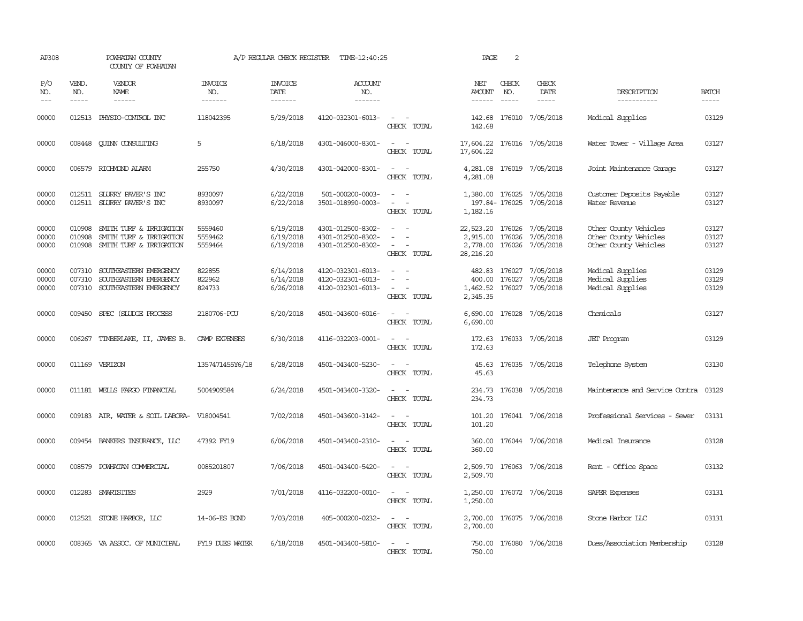| AP308                   |                             | POWHATAN COUNTY<br>COUNTY OF POWHATAN                                             |                                  | A/P REGULAR CHECK REGISTER          | TIME-12:40:25                                               |                                                                                                                                          | PAGE                    | 2                             |                                                                          |                                                                         |                             |
|-------------------------|-----------------------------|-----------------------------------------------------------------------------------|----------------------------------|-------------------------------------|-------------------------------------------------------------|------------------------------------------------------------------------------------------------------------------------------------------|-------------------------|-------------------------------|--------------------------------------------------------------------------|-------------------------------------------------------------------------|-----------------------------|
| P/O<br>NO.<br>$---$     | VEND.<br>NO.<br>$- - - - -$ | <b>VENDOR</b><br>NAME<br>$- - - - - -$                                            | <b>INVOICE</b><br>NO.<br>------- | <b>INVOICE</b><br>DATE<br>-------   | ACCOUNT<br>NO.<br>-------                                   |                                                                                                                                          | NET<br>AMOUNT<br>------ | CHECK<br>NO.<br>$\frac{1}{2}$ | CHECK<br>DATE<br>$- - - - -$                                             | DESCRIPTION<br>-----------                                              | <b>BATCH</b><br>$- - - - -$ |
| 00000                   |                             | 012513 PHYSIO-CONTROL INC                                                         | 118042395                        | 5/29/2018                           | 4120-032301-6013-                                           | $\sim$ $ \sim$<br>CHECK TOTAL                                                                                                            | 142.68                  |                               | 142.68 176010 7/05/2018                                                  | Medical Supplies                                                        | 03129                       |
| 00000                   |                             | 008448 CUINN CONSULTING                                                           | 5                                | 6/18/2018                           | 4301-046000-8301-                                           | $\sim$<br>$\sim$<br>CHECK TOTAL                                                                                                          | 17,604.22               |                               | 17,604.22 176016 7/05/2018                                               | Water Tower - Village Area                                              | 03127                       |
| 00000                   |                             | 006579 RICHMOND ALARM                                                             | 255750                           | 4/30/2018                           | 4301-042000-8301-                                           | $\sim$ 100 $\sim$<br>CHECK TOTAL                                                                                                         | 4,281.08                |                               | 4, 281.08 176019 7/05/2018                                               | Joint Maintenance Garage                                                | 03127                       |
| 00000<br>00000          |                             | 012511 SLURRY PAVER'S INC<br>012511 SLURRY PAVER'S INC                            | 8930097<br>8930097               | 6/22/2018<br>6/22/2018              | 501-000200-0003-<br>3501-018990-0003-                       | $\sim$<br>$\sim$ 100 $\mu$<br>CHECK TOTAL                                                                                                | 1,182.16                |                               | 1,380.00 176025 7/05/2018<br>197.84-176025 7/05/2018                     | Customer Deposits Payable<br>Water Revenue                              | 03127<br>03127              |
| 00000<br>00000<br>00000 | 010908<br>010908<br>010908  | SMITH TURF & IRRIGATION<br>SMITH TURF & IRRIGATION<br>SMITH TURF & IRRIGATION     | 5559460<br>5559462<br>5559464    | 6/19/2018<br>6/19/2018<br>6/19/2018 | 4301-012500-8302-<br>4301-012500-8302-<br>4301-012500-8302- | $\overline{\phantom{a}}$<br>$\sim$<br>CHECK TOTAL                                                                                        | 2,915.00<br>28, 216.20  | 176026                        | 22,523.20 176026 7/05/2018<br>7/05/2018<br>2,778.00 176026 7/05/2018     | Other County Vehicles<br>Other County Vehicles<br>Other County Vehicles | 03127<br>03127<br>03127     |
| 00000<br>00000<br>00000 | 007310<br>007310            | SOUTHEASTERN EMERGENCY<br>SOUTHEASTERN EMERGENCY<br>007310 SOUTHEASTERN EMERGENCY | 822855<br>822962<br>824733       | 6/14/2018<br>6/14/2018<br>6/26/2018 | 4120-032301-6013-<br>4120-032301-6013-<br>4120-032301-6013- | $\sim$<br>$\sim$ 100 $\sim$ 100 $\sim$<br>CHECK TOTAL                                                                                    | 400.00<br>2,345.35      |                               | 482.83 176027 7/05/2018<br>176027 7/05/2018<br>1,462.52 176027 7/05/2018 | Medical Supplies<br>Medical Supplies<br>Medical Supplies                | 03129<br>03129<br>03129     |
| 00000                   |                             | 009450 SPEC (SLUDGE PROCESS                                                       | 2180706-PCU                      | 6/20/2018                           | 4501-043600-6016-                                           | $\sim$<br>$\sim$<br>CHECK TOTAL                                                                                                          | 6,690.00<br>6,690.00    |                               | 176028 7/05/2018                                                         | Chemicals                                                               | 03127                       |
| 00000                   |                             | 006267 TIMBERLAKE, II, JAMES B.                                                   | CAMP EXPENSES                    | 6/30/2018                           | 4116-032203-0001-                                           | $\sim$<br>$\sim$<br>CHECK TOTAL                                                                                                          | 172.63                  |                               | 172.63 176033 7/05/2018                                                  | <b>JET</b> Program                                                      | 03129                       |
| 00000                   |                             | 011169 VERIZON                                                                    | 1357471455Y6/18                  | 6/28/2018                           | 4501-043400-5230-                                           | $ -$<br>CHECK TOTAL                                                                                                                      | 45.63                   |                               | 45.63 176035 7/05/2018                                                   | Telephone System                                                        | 03130                       |
| 00000                   |                             | 011181 WELLS FARGO FINANCIAL                                                      | 5004909584                       | 6/24/2018                           | 4501-043400-3320-                                           | $\frac{1}{2} \left( \frac{1}{2} \right) \left( \frac{1}{2} \right) \left( \frac{1}{2} \right) \left( \frac{1}{2} \right)$<br>CHECK TOTAL | 234.73                  |                               | 234.73 176038 7/05/2018                                                  | Maintenance and Service Contra                                          | 03129                       |
| 00000                   |                             | 009183 AIR, WATER & SOIL LABORA-                                                  | V18004541                        | 7/02/2018                           | 4501-043600-3142-                                           | $\frac{1}{2} \left( \frac{1}{2} \right) \left( \frac{1}{2} \right) = \frac{1}{2} \left( \frac{1}{2} \right)$<br>CHECK TOTAL              | 101.20                  |                               | 101.20 176041 7/06/2018                                                  | Professional Services - Sewer                                           | 03131                       |
| 00000                   |                             | 009454 BANKERS INSURANCE, LLC                                                     | 47392 FY19                       | 6/06/2018                           | 4501-043400-2310-                                           | CHECK TOTAL                                                                                                                              | 360.00<br>360.00        |                               | 176044 7/06/2018                                                         | Medical Insurance                                                       | 03128                       |
| 00000                   | 008579                      | POWHATAN COMMERCIAL                                                               | 0085201807                       | 7/06/2018                           | 4501-043400-5420-                                           | CHECK TOTAL                                                                                                                              | 2,509.70<br>2,509.70    |                               | 176063 7/06/2018                                                         | Rent - Office Space                                                     | 03132                       |
| 00000                   |                             | 012283 SMARTSITES                                                                 | 2929                             | 7/01/2018                           | 4116-032200-0010-                                           | $\frac{1}{2} \left( \frac{1}{2} \right) \left( \frac{1}{2} \right) = \frac{1}{2} \left( \frac{1}{2} \right)$<br>CHECK TOTAL              | 1,250.00                |                               | 1,250.00 176072 7/06/2018                                                | SAFER Expenses                                                          | 03131                       |
| 00000                   |                             | 012521 STONE HARBOR, LLC                                                          | 14-06-ES BOND                    | 7/03/2018                           | 405-000200-0232-                                            | CHECK TOTAL                                                                                                                              | 2,700.00                |                               | 2,700.00 176075 7/06/2018                                                | Stone Harbor LLC                                                        | 03131                       |
| 00000                   |                             | 008365 VA ASSOC. OF MUNICIPAL                                                     | FY19 DUES WATER                  | 6/18/2018                           | 4501-043400-5810-                                           | CHECK TOTAL                                                                                                                              | 750.00                  |                               | 750.00 176080 7/06/2018                                                  | Dues/Association Membership                                             | 03128                       |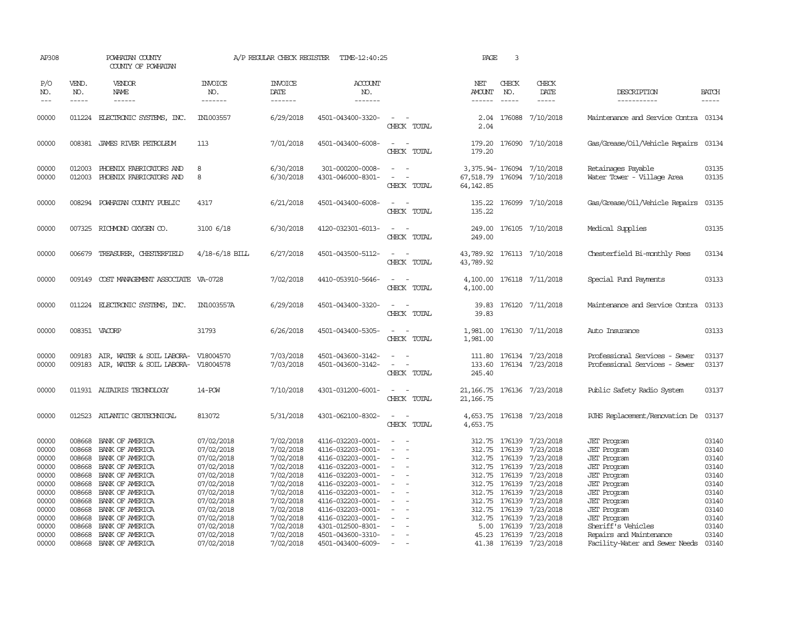| AP308                                                                                                             |                                                                                                                      | POWHATAN COUNTY<br>COUNTY OF POWHATAN                                                                                                                                                                                                                      |                                                                                                                                                                                    | A/P REGULAR CHECK REGISTER                                                                                                                                            | TIME-12:40:25                                                                                                                                                                                                                                                                 |                                                                                            | PAGE                                                                                       | 3                                                                                                    |                                                                                                                                                                                                         |                                                                                                                                                                                                                                                                                               |                                                                                                                   |
|-------------------------------------------------------------------------------------------------------------------|----------------------------------------------------------------------------------------------------------------------|------------------------------------------------------------------------------------------------------------------------------------------------------------------------------------------------------------------------------------------------------------|------------------------------------------------------------------------------------------------------------------------------------------------------------------------------------|-----------------------------------------------------------------------------------------------------------------------------------------------------------------------|-------------------------------------------------------------------------------------------------------------------------------------------------------------------------------------------------------------------------------------------------------------------------------|--------------------------------------------------------------------------------------------|--------------------------------------------------------------------------------------------|------------------------------------------------------------------------------------------------------|---------------------------------------------------------------------------------------------------------------------------------------------------------------------------------------------------------|-----------------------------------------------------------------------------------------------------------------------------------------------------------------------------------------------------------------------------------------------------------------------------------------------|-------------------------------------------------------------------------------------------------------------------|
| P/O<br>NO.<br>$---$                                                                                               | VEND.<br>NO.<br>$- - - - -$                                                                                          | <b>VENDOR</b><br>NAME<br>------                                                                                                                                                                                                                            | <b>INVOICE</b><br>NO.<br>-------                                                                                                                                                   | <b>INVOICE</b><br>DATE<br>-------                                                                                                                                     | ACCOUNT<br>NO.<br>-------                                                                                                                                                                                                                                                     |                                                                                            | NET<br>AMOUNT                                                                              | CHECK<br>NO.<br>$\frac{1}{2}$                                                                        | CHECK<br>DATE<br>-----                                                                                                                                                                                  | DESCRIPTION<br>-----------                                                                                                                                                                                                                                                                    | <b>BATCH</b><br>-----                                                                                             |
| 00000                                                                                                             |                                                                                                                      | 011224 ELECTRONIC SYSTEMS, INC.                                                                                                                                                                                                                            | IN1003557                                                                                                                                                                          | 6/29/2018                                                                                                                                                             | 4501-043400-3320-                                                                                                                                                                                                                                                             | CHECK TOTAL                                                                                | 2.04                                                                                       |                                                                                                      | 2.04 176088 7/10/2018                                                                                                                                                                                   | Maintenance and Service Contra 03134                                                                                                                                                                                                                                                          |                                                                                                                   |
| 00000                                                                                                             |                                                                                                                      | 008381 JAMES RIVER PEIROLEUM                                                                                                                                                                                                                               | 113                                                                                                                                                                                | 7/01/2018                                                                                                                                                             | 4501-043400-6008-                                                                                                                                                                                                                                                             | $\sim$<br>CHECK TOTAL                                                                      | 179.20<br>179.20                                                                           |                                                                                                      | 176090 7/10/2018                                                                                                                                                                                        | Gas/Grease/Oil/Vehicle Repairs 03134                                                                                                                                                                                                                                                          |                                                                                                                   |
| 00000<br>00000                                                                                                    | 012003<br>012003                                                                                                     | PHOENIX FABRICATORS AND<br>PHOENIX FABRICATORS AND                                                                                                                                                                                                         | 8<br>8                                                                                                                                                                             | 6/30/2018<br>6/30/2018                                                                                                                                                | 301-000200-0008-<br>4301-046000-8301-                                                                                                                                                                                                                                         | $\equiv$<br>CHECK TOTAL                                                                    | 67,518.79 176094 7/10/2018<br>64, 142, 85                                                  |                                                                                                      | 3,375.94-176094 7/10/2018                                                                                                                                                                               | Retainages Payable<br>Water Tower - Village Area                                                                                                                                                                                                                                              | 03135<br>03135                                                                                                    |
| 00000                                                                                                             | 008294                                                                                                               | POWHATAN COUNTY PUBLIC                                                                                                                                                                                                                                     | 4317                                                                                                                                                                               | 6/21/2018                                                                                                                                                             | 4501-043400-6008-                                                                                                                                                                                                                                                             | $\sim$<br>CHECK TOTAL                                                                      | 135.22<br>135.22                                                                           |                                                                                                      | 176099 7/10/2018                                                                                                                                                                                        | Gas/Grease/Oil/Vehicle Repairs                                                                                                                                                                                                                                                                | 03135                                                                                                             |
| 00000                                                                                                             |                                                                                                                      | 007325 RICHMOND OXYGEN CO.                                                                                                                                                                                                                                 | 3100 6/18                                                                                                                                                                          | 6/30/2018                                                                                                                                                             | 4120-032301-6013-                                                                                                                                                                                                                                                             | CHECK TOTAL                                                                                | 249.00<br>249.00                                                                           |                                                                                                      | 176105 7/10/2018                                                                                                                                                                                        | Medical Supplies                                                                                                                                                                                                                                                                              | 03135                                                                                                             |
| 00000                                                                                                             | 006679                                                                                                               | TREASURER, CHESTERFIELD                                                                                                                                                                                                                                    | $4/18 - 6/18$ BILL                                                                                                                                                                 | 6/27/2018                                                                                                                                                             | 4501-043500-5112-                                                                                                                                                                                                                                                             | CHECK TOTAL                                                                                | 43,789.92 176113 7/10/2018<br>43,789.92                                                    |                                                                                                      |                                                                                                                                                                                                         | Chesterfield Bi-monthly Fees                                                                                                                                                                                                                                                                  | 03134                                                                                                             |
| 00000                                                                                                             | 009149                                                                                                               | COST MANAGEMENT ASSOCIATE                                                                                                                                                                                                                                  | VA-0728                                                                                                                                                                            | 7/02/2018                                                                                                                                                             | 4410-053910-5646-                                                                                                                                                                                                                                                             | CHECK TOTAL                                                                                | 4,100.00<br>4,100.00                                                                       |                                                                                                      | 176118 7/11/2018                                                                                                                                                                                        | Special Fund Payments                                                                                                                                                                                                                                                                         | 03133                                                                                                             |
| 00000                                                                                                             |                                                                                                                      | 011224 ELECTRONIC SYSTEMS, INC.                                                                                                                                                                                                                            | IN1003557A                                                                                                                                                                         | 6/29/2018                                                                                                                                                             | 4501-043400-3320-                                                                                                                                                                                                                                                             | $\equiv$<br>CHECK TOTAL                                                                    | 39.83<br>39.83                                                                             |                                                                                                      | 176120 7/11/2018                                                                                                                                                                                        | Maintenance and Service Contra                                                                                                                                                                                                                                                                | 03133                                                                                                             |
| 00000                                                                                                             |                                                                                                                      | 008351 VACORP                                                                                                                                                                                                                                              | 31793                                                                                                                                                                              | 6/26/2018                                                                                                                                                             | 4501-043400-5305-                                                                                                                                                                                                                                                             | $\sim$<br>CHECK TOTAL                                                                      | 1,981.00<br>1,981.00                                                                       |                                                                                                      | 176130 7/11/2018                                                                                                                                                                                        | Auto Insurance                                                                                                                                                                                                                                                                                | 03133                                                                                                             |
| 00000<br>00000                                                                                                    |                                                                                                                      | 009183 AIR, WATER & SOIL LABORA-<br>009183 AIR, WATER & SOIL LABORA- V18004578                                                                                                                                                                             | V18004570                                                                                                                                                                          | 7/03/2018<br>7/03/2018                                                                                                                                                | 4501-043600-3142-<br>4501-043600-3142-                                                                                                                                                                                                                                        | $\equiv$<br>CHECK TOTAL                                                                    | 111.80<br>133.60<br>245.40                                                                 |                                                                                                      | 176134 7/23/2018<br>176134 7/23/2018                                                                                                                                                                    | Professional Services - Sewer<br>Professional Services - Sewer                                                                                                                                                                                                                                | 03137<br>03137                                                                                                    |
| 00000                                                                                                             |                                                                                                                      | 011931 ALTAIRIS TECHNOLOGY                                                                                                                                                                                                                                 | 14-POW                                                                                                                                                                             | 7/10/2018                                                                                                                                                             | 4301-031200-6001-                                                                                                                                                                                                                                                             | $\equiv$<br>CHECK TOTAL                                                                    | 21, 166.75 176136 7/23/2018<br>21, 166.75                                                  |                                                                                                      |                                                                                                                                                                                                         | Public Safety Radio System                                                                                                                                                                                                                                                                    | 03137                                                                                                             |
| 00000                                                                                                             |                                                                                                                      | 012523 ATLANTIC GEOTECHNICAL                                                                                                                                                                                                                               | 813072                                                                                                                                                                             | 5/31/2018                                                                                                                                                             | 4301-062100-8302-                                                                                                                                                                                                                                                             | CHECK TOTAL                                                                                | 4,653.75                                                                                   |                                                                                                      | 4,653.75 176138 7/23/2018                                                                                                                                                                               | RJHS Replacement/Renovation De                                                                                                                                                                                                                                                                | 03137                                                                                                             |
| 00000<br>00000<br>00000<br>00000<br>00000<br>00000<br>00000<br>00000<br>00000<br>00000<br>00000<br>00000<br>00000 | 008668<br>008668<br>008668<br>008668<br>008668<br>008668<br>008668<br>008668<br>008668<br>008668<br>008668<br>008668 | BANK OF AMERICA<br>BANK OF AMERICA<br>BANK OF AMERICA<br>BANK OF AMERICA<br>BANK OF AMERICA<br>BANK OF AMERICA<br>BANK OF AMERICA<br>BANK OF AMERICA<br>BANK OF AMERICA<br>BANK OF AMERICA<br>BANK OF AMERICA<br>BANK OF AMERICA<br>008668 BANK OF AMERICA | 07/02/2018<br>07/02/2018<br>07/02/2018<br>07/02/2018<br>07/02/2018<br>07/02/2018<br>07/02/2018<br>07/02/2018<br>07/02/2018<br>07/02/2018<br>07/02/2018<br>07/02/2018<br>07/02/2018 | 7/02/2018<br>7/02/2018<br>7/02/2018<br>7/02/2018<br>7/02/2018<br>7/02/2018<br>7/02/2018<br>7/02/2018<br>7/02/2018<br>7/02/2018<br>7/02/2018<br>7/02/2018<br>7/02/2018 | 4116-032203-0001-<br>4116-032203-0001-<br>4116-032203-0001-<br>4116-032203-0001-<br>4116-032203-0001-<br>4116-032203-0001-<br>4116-032203-0001-<br>4116-032203-0001-<br>4116-032203-0001-<br>4116-032203-0001-<br>4301-012500-8301-<br>4501-043600-3310-<br>4501-043400-6009- | $\overline{\phantom{a}}$<br>$\overline{\phantom{a}}$<br>$\sim$<br>$\overline{\phantom{a}}$ | 312.75<br>312.75 176139<br>312.75<br>312.75<br>312.75<br>312.75<br>312.75<br>5.00<br>45.23 | 176139<br>176139<br>176139<br>312.75 176139<br>176139<br>176139<br>312.75 176139<br>176139<br>176139 | 312.75 176139 7/23/2018<br>7/23/2018<br>7/23/2018<br>7/23/2018<br>7/23/2018<br>7/23/2018<br>7/23/2018<br>7/23/2018<br>176139 7/23/2018<br>7/23/2018<br>7/23/2018<br>7/23/2018<br>41.38 176139 7/23/2018 | JET Program<br>JET Program<br><b>JET</b> Program<br><b>JET</b> Program<br><b>JET</b> Program<br><b>JET</b> Program<br><b>JET</b> Program<br><b>JET</b> Program<br><b>JET</b> Program<br><b>JET</b> Program<br>Sheriff's Vehicles<br>Repairs and Maintenance<br>Facility-Water and Sewer Needs | 03140<br>03140<br>03140<br>03140<br>03140<br>03140<br>03140<br>03140<br>03140<br>03140<br>03140<br>03140<br>03140 |
|                                                                                                                   |                                                                                                                      |                                                                                                                                                                                                                                                            |                                                                                                                                                                                    |                                                                                                                                                                       |                                                                                                                                                                                                                                                                               |                                                                                            |                                                                                            |                                                                                                      |                                                                                                                                                                                                         |                                                                                                                                                                                                                                                                                               |                                                                                                                   |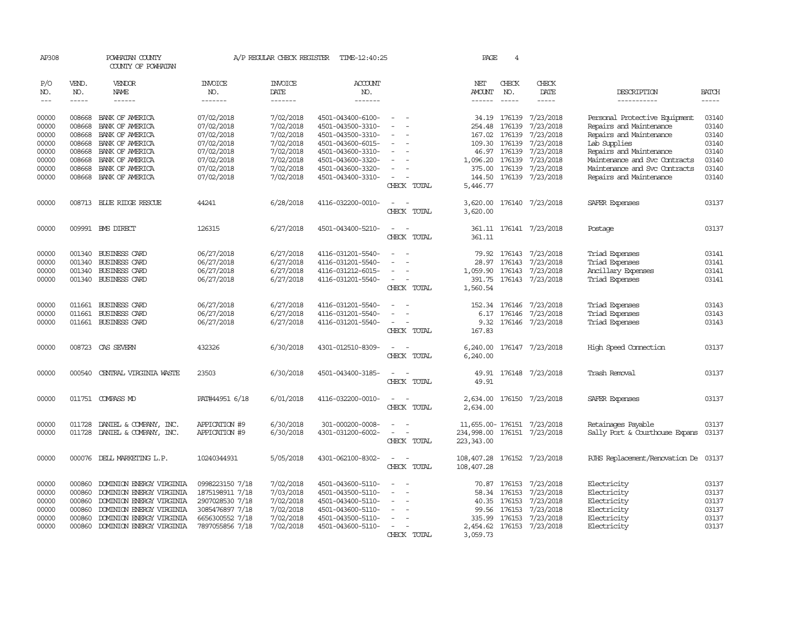| AP308                                     |                                                | POWHATAN COUNTY<br>COUNTY OF POWHATAN                                                                                                    |                                                                                             | A/P REGULAR CHECK REGISTER                                    | TIME-12:40:25                                                                                         |                                                                                                                             | PAGE                                                                      | 4                                |                                                                             |                                                                                           |                                                                                                                                                                                                                                                                                                                                                                                                                                                                                                     |
|-------------------------------------------|------------------------------------------------|------------------------------------------------------------------------------------------------------------------------------------------|---------------------------------------------------------------------------------------------|---------------------------------------------------------------|-------------------------------------------------------------------------------------------------------|-----------------------------------------------------------------------------------------------------------------------------|---------------------------------------------------------------------------|----------------------------------|-----------------------------------------------------------------------------|-------------------------------------------------------------------------------------------|-----------------------------------------------------------------------------------------------------------------------------------------------------------------------------------------------------------------------------------------------------------------------------------------------------------------------------------------------------------------------------------------------------------------------------------------------------------------------------------------------------|
| P/O<br>NO.<br>$---$                       | VEND.<br>NO.<br>$- - - - -$                    | VENDOR<br>NAME<br>$- - - - - -$                                                                                                          | <b>INVOICE</b><br>NO.<br>-------                                                            | <b>INVOICE</b><br>DATE<br>-------                             | <b>ACCOUNT</b><br>NO.<br>-------                                                                      |                                                                                                                             | NET<br><b>AMOUNT</b><br>------                                            | CHECK<br>NO.<br>$\frac{1}{2}$    | CHECK<br>DATE<br>-----                                                      | DESCRIPTION<br>-----------                                                                | <b>BATCH</b><br>$\begin{tabular}{ccccc} \multicolumn{2}{c}{} & \multicolumn{2}{c}{} & \multicolumn{2}{c}{} & \multicolumn{2}{c}{} & \multicolumn{2}{c}{} & \multicolumn{2}{c}{} & \multicolumn{2}{c}{} & \multicolumn{2}{c}{} & \multicolumn{2}{c}{} & \multicolumn{2}{c}{} & \multicolumn{2}{c}{} & \multicolumn{2}{c}{} & \multicolumn{2}{c}{} & \multicolumn{2}{c}{} & \multicolumn{2}{c}{} & \multicolumn{2}{c}{} & \multicolumn{2}{c}{} & \multicolumn{2}{c}{} & \multicolumn{2}{c}{} & \mult$ |
| 00000<br>00000<br>00000                   | 008668<br>008668                               | 008668 BANK OF AMERICA<br>BANK OF AMERICA<br>BANK OF AMERICA                                                                             | 07/02/2018<br>07/02/2018<br>07/02/2018                                                      | 7/02/2018<br>7/02/2018<br>7/02/2018                           | 4501-043400-6100-<br>4501-043500-3310-<br>4501-043500-3310-                                           |                                                                                                                             | 254.48<br>167.02                                                          | 34.19 176139<br>176139<br>176139 | 7/23/2018<br>7/23/2018<br>7/23/2018                                         | Personal Protective Equipment<br>Repairs and Maintenance<br>Repairs and Maintenance       | 03140<br>03140<br>03140                                                                                                                                                                                                                                                                                                                                                                                                                                                                             |
| 00000<br>00000                            | 008668<br>008668                               | BANK OF AMERICA<br>BANK OF AMERICA                                                                                                       | 07/02/2018<br>07/02/2018                                                                    | 7/02/2018<br>7/02/2018                                        | 4501-043600-6015-<br>4501-043600-3310-                                                                |                                                                                                                             | 109.30                                                                    | 176139<br>46.97 176139           | 7/23/2018<br>7/23/2018                                                      | Lab Supplies<br>Repairs and Maintenance                                                   | 03140<br>03140                                                                                                                                                                                                                                                                                                                                                                                                                                                                                      |
| 00000<br>00000<br>00000                   | 008668<br>008668                               | BANK OF AMERICA<br>BANK OF AMERICA<br>008668 BANK OF AMERICA                                                                             | 07/02/2018<br>07/02/2018<br>07/02/2018                                                      | 7/02/2018<br>7/02/2018<br>7/02/2018                           | 4501-043600-3320-<br>4501-043600-3320-<br>4501-043400-3310-                                           | $\equiv$<br>CHECK TOTAL                                                                                                     | 1,096.20<br>375.00<br>144.50<br>5,446.77                                  | 176139<br>176139                 | 7/23/2018<br>7/23/2018<br>176139 7/23/2018                                  | Maintenance and Svc Contracts<br>Maintenance and Svc Contracts<br>Repairs and Maintenance | 03140<br>03140<br>03140                                                                                                                                                                                                                                                                                                                                                                                                                                                                             |
| 00000                                     |                                                | 008713 BLUE RIDGE RESCUE                                                                                                                 | 44241                                                                                       | 6/28/2018                                                     | 4116-032200-0010-                                                                                     | CHECK TOTAL                                                                                                                 | 3,620.00<br>3,620.00                                                      |                                  | 176140 7/23/2018                                                            | SAFER Expenses                                                                            | 03137                                                                                                                                                                                                                                                                                                                                                                                                                                                                                               |
| 00000                                     |                                                | 009991 BMS DIRECT                                                                                                                        | 126315                                                                                      | 6/27/2018                                                     | 4501-043400-5210-                                                                                     | CHECK TOTAL                                                                                                                 | 361.11                                                                    |                                  | 361.11 176141 7/23/2018                                                     | Postage                                                                                   | 03137                                                                                                                                                                                                                                                                                                                                                                                                                                                                                               |
| 00000<br>00000<br>00000<br>00000          | 001340<br>001340<br>001340                     | <b>BUSINESS CARD</b><br><b>BUSINESS CARD</b><br>BUSINESS CARD<br>001340 BUSINESS CARD                                                    | 06/27/2018<br>06/27/2018<br>06/27/2018<br>06/27/2018                                        | 6/27/2018<br>6/27/2018<br>6/27/2018<br>6/27/2018              | 4116-031201-5540-<br>4116-031201-5540-<br>4116-031212-6015-<br>4116-031201-5540-                      | $\equiv$<br>CHECK TOTAL                                                                                                     | 79.92<br>28.97<br>1,059.90<br>391.75<br>1,560.54                          | 176143                           | 176143 7/23/2018<br>7/23/2018<br>176143 7/23/2018<br>176143 7/23/2018       | Triad Expenses<br>Triad Expenses<br>Ancillary Expenses<br>Triad Expenses                  | 03141<br>03141<br>03141<br>03141                                                                                                                                                                                                                                                                                                                                                                                                                                                                    |
| 00000<br>00000<br>00000                   | 011661<br>011661                               | BUSINESS CARD<br><b>BUSINESS CARD</b><br>011661 BUSINESS CARD                                                                            | 06/27/2018<br>06/27/2018<br>06/27/2018                                                      | 6/27/2018<br>6/27/2018<br>6/27/2018                           | 4116-031201-5540-<br>4116-031201-5540-<br>4116-031201-5540-                                           | CHECK TOTAL                                                                                                                 | 152.34<br>6.17<br>9.32<br>167.83                                          | 176146<br>176146                 | 7/23/2018<br>7/23/2018<br>176146 7/23/2018                                  | Triad Expenses<br>Triad Expenses<br>Triad Expenses                                        | 03143<br>03143<br>03143                                                                                                                                                                                                                                                                                                                                                                                                                                                                             |
| 00000                                     |                                                | 008723 CAS SEVERN                                                                                                                        | 432326                                                                                      | 6/30/2018                                                     | 4301-012510-8309-                                                                                     | . —<br>CHECK TOTAL                                                                                                          | 6,240.00<br>6,240.00                                                      |                                  | 176147 7/23/2018                                                            | High Speed Connection                                                                     | 03137                                                                                                                                                                                                                                                                                                                                                                                                                                                                                               |
| 00000                                     |                                                | 000540 CENTRAL VIRGINIA WASTE                                                                                                            | 23503                                                                                       | 6/30/2018                                                     | 4501-043400-3185-                                                                                     | CHECK TOTAL                                                                                                                 | 49.91                                                                     |                                  | 49.91 176148 7/23/2018                                                      | Trash Removal                                                                             | 03137                                                                                                                                                                                                                                                                                                                                                                                                                                                                                               |
| 00000                                     |                                                | 011751 COMPASS MD                                                                                                                        | PAT#44951 6/18                                                                              | 6/01/2018                                                     | 4116-032200-0010-                                                                                     | $\frac{1}{2} \left( \frac{1}{2} \right) \left( \frac{1}{2} \right) = \frac{1}{2} \left( \frac{1}{2} \right)$<br>CHECK TOTAL | 2,634.00                                                                  |                                  | 2,634.00 176150 7/23/2018                                                   | <b>SAFER Expenses</b>                                                                     | 03137                                                                                                                                                                                                                                                                                                                                                                                                                                                                                               |
| 00000<br>00000                            | 011728                                         | DANIEL & COMPANY, INC.<br>011728 DANIEL & COMPANY, INC.                                                                                  | APPICATION #9<br>APPICATION #9                                                              | 6/30/2018<br>6/30/2018                                        | 301-000200-0008-<br>4301-031200-6002-                                                                 | $\sim$<br>CHECK TOTAL                                                                                                       | 11,655.00-176151 7/23/2018<br>234,998.00 176151 7/23/2018<br>223, 343, 00 |                                  |                                                                             | Retainages Payable<br>Sally Port & Courthouse Expans                                      | 03137<br>03137                                                                                                                                                                                                                                                                                                                                                                                                                                                                                      |
| 00000                                     |                                                | 000076 DELL MARKETING L.P.                                                                                                               | 10240344931                                                                                 | 5/05/2018                                                     | 4301-062100-8302-                                                                                     | CHECK TOTAL                                                                                                                 | 108,407.28 176152 7/23/2018<br>108,407.28                                 |                                  |                                                                             | RJHS Replacement/Renovation De 03137                                                      |                                                                                                                                                                                                                                                                                                                                                                                                                                                                                                     |
| 00000<br>00000<br>00000<br>00000<br>00000 | 000860<br>000860<br>000860<br>000860<br>000860 | DOMINION ENERGY VIRGINIA<br>DOMINION ENERGY VIRGINIA<br>DOMINION ENERGY VIRGINIA<br>DOMINION ENERGY VIRGINIA<br>DOMINION ENERGY VIRGINIA | 0998223150 7/18<br>1875198911 7/18<br>2907028530 7/18<br>3085476897 7/18<br>6656300552 7/18 | 7/02/2018<br>7/03/2018<br>7/02/2018<br>7/02/2018<br>7/02/2018 | 4501-043600-5110-<br>4501-043500-5110-<br>4501-043400-5110-<br>4501-043600-5110-<br>4501-043500-5110- |                                                                                                                             | 70.87<br>58.34<br>40.35<br>99.56<br>335.99                                | 176153<br>176153<br>176153       | 176153 7/23/2018<br>7/23/2018<br>7/23/2018<br>176153 7/23/2018<br>7/23/2018 | Electricity<br>Electricity<br>Electricity<br>Electricity<br>Electricity                   | 03137<br>03137<br>03137<br>03137<br>03137                                                                                                                                                                                                                                                                                                                                                                                                                                                           |
| 00000                                     |                                                | 000860 DOMINION ENERGY VIRGINIA                                                                                                          | 7897055856 7/18                                                                             | 7/02/2018                                                     | 4501-043600-5110-                                                                                     | CHECK TOTAL                                                                                                                 | 3,059.73                                                                  |                                  | 2,454.62 176153 7/23/2018                                                   | Electricity                                                                               | 03137                                                                                                                                                                                                                                                                                                                                                                                                                                                                                               |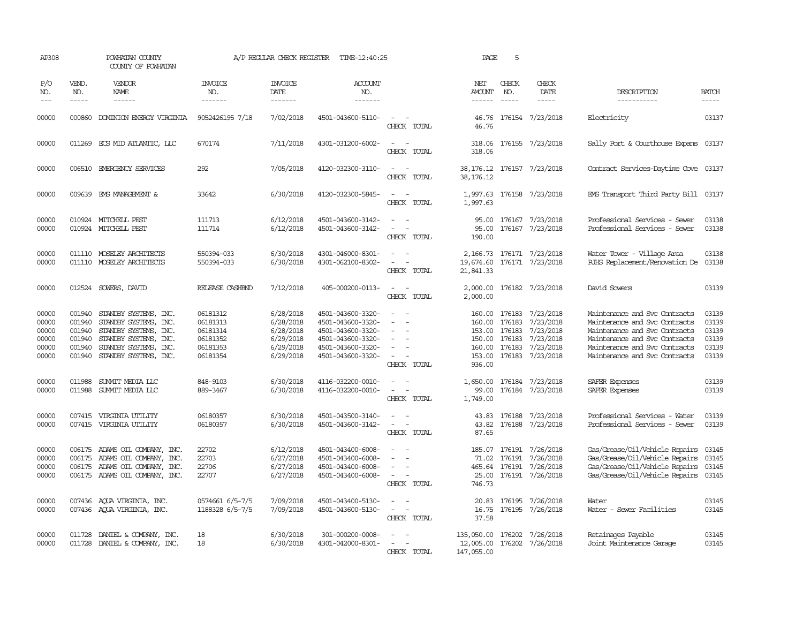| AP308                                              |                                                          | POWHATAN COUNTY<br>COUNTY OF POWHATAN                                                                                                              |                                                                      | A/P REGULAR CHECK REGISTER                                                 | TIME-12:40:25                                                                                                              |                                                                                           | PAGE                                                                             | 5                                              |                                                                            |                                                                                                                                                                                                    |                                                    |
|----------------------------------------------------|----------------------------------------------------------|----------------------------------------------------------------------------------------------------------------------------------------------------|----------------------------------------------------------------------|----------------------------------------------------------------------------|----------------------------------------------------------------------------------------------------------------------------|-------------------------------------------------------------------------------------------|----------------------------------------------------------------------------------|------------------------------------------------|----------------------------------------------------------------------------|----------------------------------------------------------------------------------------------------------------------------------------------------------------------------------------------------|----------------------------------------------------|
| P/O<br>NO.<br>$\frac{1}{2}$                        | VEND.<br>NO.<br>$- - - - -$                              | VENDOR<br><b>NAME</b><br>------                                                                                                                    | INVOICE<br>NO.<br>-------                                            | <b>INVOICE</b><br>DATE<br>-------                                          | ACCOUNT<br>NO.<br>-------                                                                                                  |                                                                                           | NET<br>AMOUNT<br>$- - - - - -$                                                   | CHECK<br>NO.<br>$\frac{1}{2}$                  | CHECK<br>DATE<br>$- - - - -$                                               | DESCRIPTION<br>-----------                                                                                                                                                                         | <b>BATCH</b><br>-----                              |
| 00000                                              |                                                          | 000860 DOMINION ENERGY VIRGINIA                                                                                                                    | 9052426195 7/18                                                      | 7/02/2018                                                                  | 4501-043600-5110-                                                                                                          | $\sim$ 100 $\mu$<br>CHECK TOTAL                                                           | 46.76                                                                            |                                                | 46.76 176154 7/23/2018                                                     | Electricity                                                                                                                                                                                        | 03137                                              |
| 00000                                              |                                                          | 011269 ECS MID ATLANTIC, LLC                                                                                                                       | 670174                                                               | 7/11/2018                                                                  | 4301-031200-6002-                                                                                                          | $\sim$ $\sim$<br>CHECK TOTAL                                                              | 318.06                                                                           |                                                | 318.06 176155 7/23/2018                                                    | Sally Port & Courthouse Expans 03137                                                                                                                                                               |                                                    |
| 00000                                              |                                                          | 006510 EMERGENCY SERVICES                                                                                                                          | 292                                                                  | 7/05/2018                                                                  | 4120-032300-3110-                                                                                                          | $ -$<br>CHECK TOTAL                                                                       | 38, 176. 12                                                                      |                                                | 38,176.12 176157 7/23/2018                                                 | Contract Services-Daytime Cove 03137                                                                                                                                                               |                                                    |
| 00000                                              |                                                          | 009639 EMS MANAGEMENT &                                                                                                                            | 33642                                                                | 6/30/2018                                                                  | 4120-032300-5845-                                                                                                          | $\sim$<br>$\sim$<br>CHECK TOTAL                                                           | 1,997.63<br>1,997.63                                                             |                                                | 176158 7/23/2018                                                           | EMS Transport Third Party Bill 03137                                                                                                                                                               |                                                    |
| 00000<br>00000                                     |                                                          | 010924 MITCHELL PEST<br>010924 MITCHELL PEST                                                                                                       | 111713<br>111714                                                     | 6/12/2018<br>6/12/2018                                                     | 4501-043600-3142-<br>4501-043600-3142-                                                                                     | $\equiv$<br>CHECK TOTAL                                                                   | 95.00<br>95.00<br>190.00                                                         |                                                | 176167 7/23/2018<br>176167 7/23/2018                                       | Professional Services - Sewer<br>Professional Services - Sewer                                                                                                                                     | 03138<br>03138                                     |
| 00000<br>00000                                     |                                                          | 011110 MOSELEY ARCHITECTS<br>011110 MOSELEY ARCHITECTS                                                                                             | 550394-033<br>550394-033                                             | 6/30/2018<br>6/30/2018                                                     | 4301-046000-8301-<br>4301-062100-8302-                                                                                     | $\sim$<br>$\sim$<br>CHECK TOTAL                                                           | 2,166.73<br>19,674.60<br>21,841.33                                               |                                                | 176171 7/23/2018<br>176171 7/23/2018                                       | Water Tower - Village Area<br>RJHS Replacement/Renovation De 03138                                                                                                                                 | 03138                                              |
| 00000                                              |                                                          | 012524 SOWERS, DAVID                                                                                                                               | RELEASE CASHEND                                                      | 7/12/2018                                                                  | 405-000200-0113-                                                                                                           | $\sim$<br>CHECK TOTAL                                                                     | 2,000.00<br>2,000.00                                                             |                                                | 176182 7/23/2018                                                           | David Sowers                                                                                                                                                                                       | 03139                                              |
| 00000<br>00000<br>00000<br>00000<br>00000<br>00000 | 001940<br>001940<br>001940<br>001940<br>001940<br>001940 | STANDBY SYSTEMS, INC.<br>STANDBY SYSTEMS, INC.<br>STANDBY SYSTEMS, INC.<br>STANDBY SYSTEMS, INC.<br>STANDBY SYSTEMS, INC.<br>STANDBY SYSTEMS, INC. | 06181312<br>06181313<br>06181314<br>06181352<br>06181353<br>06181354 | 6/28/2018<br>6/28/2018<br>6/28/2018<br>6/29/2018<br>6/29/2018<br>6/29/2018 | 4501-043600-3320-<br>4501-043600-3320-<br>4501-043600-3320-<br>4501-043600-3320-<br>4501-043600-3320-<br>4501-043600-3320- | $\overline{\phantom{a}}$<br>$\sim$<br>$\equiv$<br>$\overline{\phantom{a}}$<br>CHECK TOTAL | 160.00 176183<br>160.00<br>153.00 176183<br>150.00<br>160.00<br>153.00<br>936.00 | 176183<br>176183<br>176183<br>176183           | 7/23/2018<br>7/23/2018<br>7/23/2018<br>7/23/2018<br>7/23/2018<br>7/23/2018 | Maintenance and Svc Contracts<br>Maintenance and Svc Contracts<br>Maintenance and Svc Contracts<br>Maintenance and Svc Contracts<br>Maintenance and Svc Contracts<br>Maintenance and Svc Contracts | 03139<br>03139<br>03139<br>03139<br>03139<br>03139 |
| 00000<br>00000                                     | 011988<br>011988                                         | SUMMIT MEDIA LLC<br>SUMIT MEDIA LLC                                                                                                                | 848-9103<br>889-3467                                                 | 6/30/2018<br>6/30/2018                                                     | 4116-032200-0010-<br>4116-032200-0010-                                                                                     | $\equiv$<br>CHECK TOTAL                                                                   | 1,650.00<br>99.00<br>1,749.00                                                    |                                                | 176184 7/23/2018<br>176184 7/23/2018                                       | SAFER Expenses<br>SAFER Expenses                                                                                                                                                                   | 03139<br>03139                                     |
| 00000<br>00000                                     |                                                          | 007415 VIRGINIA UTILITY<br>007415 VIRGINIA UTILITY                                                                                                 | 06180357<br>06180357                                                 | 6/30/2018<br>6/30/2018                                                     | 4501-043500-3140-<br>4501-043600-3142-                                                                                     | $\sim$<br>CHECK TOTAL                                                                     | 87.65                                                                            |                                                | 43.83 176188 7/23/2018<br>43.82 176188 7/23/2018                           | Professional Services - Water<br>Professional Services - Sewer                                                                                                                                     | 03139<br>03139                                     |
| 00000<br>00000<br>00000<br>00000                   | 006175<br>006175                                         | 006175 ADAMS OIL COMPANY, INC.<br>ADAMS OIL COMPANY, INC.<br>ADAMS OIL COMPANY, INC.<br>006175 ADAMS OIL COMPANY, INC.                             | 22702<br>22703<br>22706<br>22707                                     | 6/12/2018<br>6/27/2018<br>6/27/2018<br>6/27/2018                           | 4501-043400-6008-<br>4501-043400-6008-<br>4501-043400-6008-<br>4501-043400-6008-                                           | $\sim$<br>CHECK TOTAL                                                                     | 746.73                                                                           | 185.07 176191<br>71.02 176191<br>465.64 176191 | 7/26/2018<br>7/26/2018<br>7/26/2018<br>25.00 176191 7/26/2018              | Gas/Grease/Oil/Vehicle Repairs<br>Gas/Grease/Oil/Vehicle Repairs<br>Gas/Grease/Oil/Vehicle Repairs<br>Gas/Grease/Oil/Vehicle Repairs                                                               | 03145<br>03145<br>03145<br>03145                   |
| 00000<br>00000                                     |                                                          | 007436 AQUA VIRGINIA, INC.<br>007436 AQUA VIRGINIA, INC.                                                                                           | 0574661 6/5-7/5<br>1188328 6/5-7/5                                   | 7/09/2018<br>7/09/2018                                                     | 4501-043400-5130-<br>4501-043600-5130-                                                                                     | $\equiv$<br>$\equiv$<br>CHECK TOTAL                                                       | 20.83<br>16.75<br>37.58                                                          | 176195                                         | 7/26/2018<br>176195 7/26/2018                                              | Water<br>Water - Sewer Facilities                                                                                                                                                                  | 03145<br>03145                                     |
| 00000<br>00000                                     | 011728                                                   | DANIEL & COMPANY, INC.<br>011728 DANIEL & COMPANY, INC.                                                                                            | 18<br>18                                                             | 6/30/2018<br>6/30/2018                                                     | 301-000200-0008-<br>4301-042000-8301-                                                                                      | CHECK TOTAL                                                                               | 135,050.00<br>12,005.00<br>147,055.00                                            |                                                | 176202 7/26/2018<br>176202 7/26/2018                                       | Retainages Payable<br>Joint Maintenance Garage                                                                                                                                                     | 03145<br>03145                                     |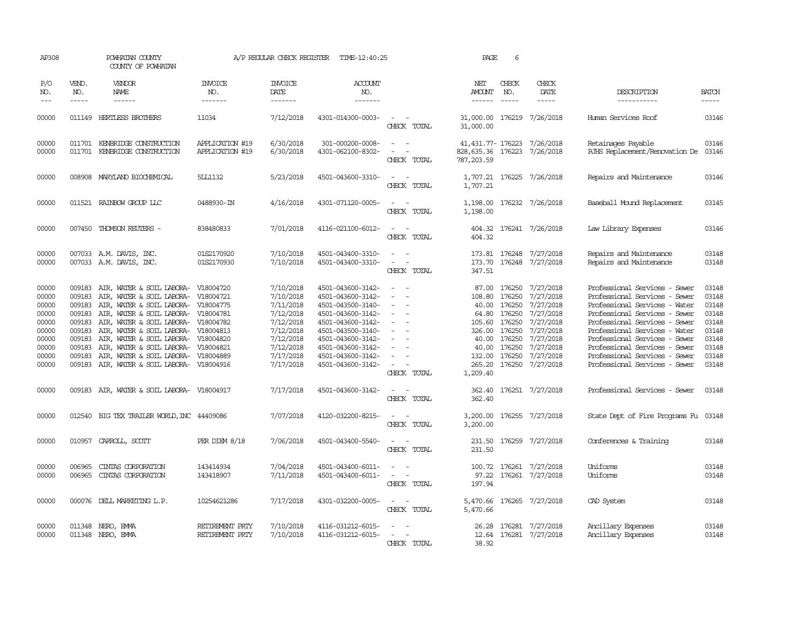| AP308                                                                                  | POWHATAN COUNTY<br>COUNTY OF POWHATAN                                        |                                                                                                                                                                                                                                                                                                                                                                          | A/P REGULAR CHECK REGISTER                       | TIME-12:40:25                                                                                                                  | PAGE                                                                                                                                                                                                           | 6                                                                                                                           |                                                                                                            |                                                                                |                                                                                                                                |                                                                                                                                                                                                                                                                                                                                        |                                                                                        |
|----------------------------------------------------------------------------------------|------------------------------------------------------------------------------|--------------------------------------------------------------------------------------------------------------------------------------------------------------------------------------------------------------------------------------------------------------------------------------------------------------------------------------------------------------------------|--------------------------------------------------|--------------------------------------------------------------------------------------------------------------------------------|----------------------------------------------------------------------------------------------------------------------------------------------------------------------------------------------------------------|-----------------------------------------------------------------------------------------------------------------------------|------------------------------------------------------------------------------------------------------------|--------------------------------------------------------------------------------|--------------------------------------------------------------------------------------------------------------------------------|----------------------------------------------------------------------------------------------------------------------------------------------------------------------------------------------------------------------------------------------------------------------------------------------------------------------------------------|----------------------------------------------------------------------------------------|
| P/O<br>NO.<br>$---$                                                                    | VEND.<br>NO.                                                                 | VENDOR<br>NAME<br>$- - - - - -$                                                                                                                                                                                                                                                                                                                                          | INVOICE<br>NO.<br>-------                        | <b>INVOICE</b><br>DATE<br>$- - - - - - -$                                                                                      | ACCOUNT<br>NO.<br>$- - - - - - -$                                                                                                                                                                              |                                                                                                                             | NET<br>AMOUNT<br>------                                                                                    | CHECK<br>NO.<br>$\frac{1}{2}$                                                  | CHECK<br>DATE<br>$- - - - -$                                                                                                   | DESCRIPTION<br>-----------                                                                                                                                                                                                                                                                                                             | <b>BATCH</b><br>-----                                                                  |
| 00000                                                                                  |                                                                              | 011149 HERTLESS BROTHERS                                                                                                                                                                                                                                                                                                                                                 | 11034                                            | 7/12/2018                                                                                                                      | 4301-014300-0003-                                                                                                                                                                                              | $\sim$ $ \sim$<br>CHECK TOTAL                                                                                               | 31,000.00 176219 7/26/2018<br>31,000.00                                                                    |                                                                                |                                                                                                                                | Human Services Roof                                                                                                                                                                                                                                                                                                                    | 03146                                                                                  |
| 00000<br>00000                                                                         |                                                                              | 011701 KENBRIDGE CONSTRUCTION<br>011701 KENBRIDGE CONSTRUCTION                                                                                                                                                                                                                                                                                                           | APPLICATION #19<br>APPLICATION #19               | 6/30/2018<br>6/30/2018                                                                                                         | 301-000200-0008-<br>4301-062100-8302-                                                                                                                                                                          | $\overline{\phantom{a}}$<br>CHECK TOTAL                                                                                     | 41,431.77-176223 7/26/2018<br>828,635.36 176223 7/26/2018<br>787, 203.59                                   |                                                                                |                                                                                                                                | Retainages Payable<br>RJHS Replacement/Renovation De                                                                                                                                                                                                                                                                                   | 03146<br>03146                                                                         |
| 00000                                                                                  |                                                                              | 008908 MARYLAND BIOCHEMICAL                                                                                                                                                                                                                                                                                                                                              | <b>5LL1132</b>                                   | 5/23/2018                                                                                                                      | 4501-043600-3310-                                                                                                                                                                                              | $ -$<br>CHECK TOTAL                                                                                                         | 1,707.21                                                                                                   |                                                                                | 1,707.21 176225 7/26/2018                                                                                                      | Repairs and Maintenance                                                                                                                                                                                                                                                                                                                | 03146                                                                                  |
| 00000                                                                                  |                                                                              | 011521 RAINBOW GROUP LLC                                                                                                                                                                                                                                                                                                                                                 | 0488930-IN                                       | 4/16/2018                                                                                                                      | 4301-071120-0005-                                                                                                                                                                                              | CHECK TOTAL                                                                                                                 | 1,198.00                                                                                                   |                                                                                | 1,198.00 176232 7/26/2018                                                                                                      | Baseball Mound Replacement                                                                                                                                                                                                                                                                                                             | 03145                                                                                  |
| 00000                                                                                  |                                                                              | 007450 THOMSON REUTERS -                                                                                                                                                                                                                                                                                                                                                 | 838480833                                        | 7/01/2018                                                                                                                      | 4116-021100-6012-                                                                                                                                                                                              | CHECK TOTAL                                                                                                                 | 404.32                                                                                                     |                                                                                | 404.32 176241 7/26/2018                                                                                                        | Law Library Expenses                                                                                                                                                                                                                                                                                                                   | 03146                                                                                  |
| 00000<br>00000                                                                         |                                                                              | 007033 A.M. DAVIS, INC.<br>007033 A.M. DAVIS, INC.                                                                                                                                                                                                                                                                                                                       | 01S2170920<br>01S2170930                         | 7/10/2018<br>7/10/2018                                                                                                         | 4501-043400-3310-<br>4501-043400-3310-                                                                                                                                                                         | $\sim$<br>$\overline{\phantom{a}}$<br>CHECK TOTAL                                                                           | 347.51                                                                                                     |                                                                                | 173.81 176248 7/27/2018<br>173.70 176248 7/27/2018                                                                             | Repairs and Maintenance<br>Repairs and Maintenance                                                                                                                                                                                                                                                                                     | 03148<br>03148                                                                         |
| 00000<br>00000<br>00000<br>00000<br>00000<br>00000<br>00000<br>00000<br>00000<br>00000 | 009183<br>009183<br>009183<br>009183<br>009183<br>009183<br>009183<br>009183 | AIR, WATER & SOIL LABORA-<br>AIR, WATER & SOIL LABORA- V18004721<br>009183 AIR, WATER & SOIL LABORA- V18004775<br>AIR, WATER & SOIL LABORA- V18004781<br>AIR, WATER & SOIL LABORA-<br>AIR, WATER & SOIL LABORA- V18004813<br>AIR, WATER & SOIL LABORA-<br>AIR, WATER & SOIL LABORA-<br>AIR, WATER & SOIL LABORA- V18004889<br>009183 AIR, WATER & SOIL LABORA- V18004916 | V18004720<br>V18004782<br>V18004820<br>V18004821 | 7/10/2018<br>7/10/2018<br>7/11/2018<br>7/12/2018<br>7/12/2018<br>7/12/2018<br>7/12/2018<br>7/12/2018<br>7/17/2018<br>7/17/2018 | 4501-043600-3142-<br>4501-043600-3142-<br>4501-043500-3140-<br>4501-043600-3142-<br>4501-043600-3142-<br>4501-043500-3140-<br>4501-043600-3142-<br>4501-043600-3142-<br>4501-043600-3142-<br>4501-043600-3142- | $\equiv$<br>$\sim$<br>$\sim$<br>$\overline{\phantom{a}}$<br>$\equiv$<br>$\sim$<br>CHECK TOTAL                               | 108.80 176250<br>40.00<br>105.60<br>326.00 176250<br>40.00<br>40.00<br>132.00 176250<br>265.20<br>1,209.40 | 87.00 176250<br>176250<br>64.80 176250<br>176250<br>176250<br>176250<br>176250 | 7/27/2018<br>7/27/2018<br>7/27/2018<br>7/27/2018<br>7/27/2018<br>7/27/2018<br>7/27/2018<br>7/27/2018<br>7/27/2018<br>7/27/2018 | Professional Services - Sewer<br>Professional Services - Sewer<br>Professional Services - Water<br>Professional Services - Sewer<br>Professional Services - Sewer<br>Professional Services - Water<br>Professional Services - Sewer<br>Professional Services - Sewer<br>Professional Services - Sewer<br>Professional Services - Sewer | 03148<br>03148<br>03148<br>03148<br>03148<br>03148<br>03148<br>03148<br>03148<br>03148 |
| 00000                                                                                  |                                                                              | 009183 AIR, WATER & SOIL LABORA- V18004917                                                                                                                                                                                                                                                                                                                               |                                                  | 7/17/2018                                                                                                                      | 4501-043600-3142-                                                                                                                                                                                              | $\frac{1}{2} \left( \frac{1}{2} \right) \left( \frac{1}{2} \right) = \frac{1}{2} \left( \frac{1}{2} \right)$<br>CHECK TOTAL | 362.40                                                                                                     |                                                                                | 362.40 176251 7/27/2018                                                                                                        | Professional Services - Sewer                                                                                                                                                                                                                                                                                                          | 03148                                                                                  |
| 00000                                                                                  |                                                                              | 012540 BIG TEX TRAILER WORLD, INC 44409086                                                                                                                                                                                                                                                                                                                               |                                                  | 7/07/2018                                                                                                                      | 4120-032200-8215-                                                                                                                                                                                              | CHECK TOTAL                                                                                                                 | 3,200.00                                                                                                   |                                                                                | 3,200.00 176255 7/27/2018                                                                                                      | State Dept of Fire Programs Fu 03148                                                                                                                                                                                                                                                                                                   |                                                                                        |
| 00000                                                                                  |                                                                              | 010957 CARROLL, SCOTT                                                                                                                                                                                                                                                                                                                                                    | PER DIEM 8/18                                    | 7/06/2018                                                                                                                      | 4501-043400-5540-                                                                                                                                                                                              | CHECK TOTAL                                                                                                                 | 231.50                                                                                                     |                                                                                | 231.50 176259 7/27/2018                                                                                                        | Conferences & Training                                                                                                                                                                                                                                                                                                                 | 03148                                                                                  |
| 00000<br>00000                                                                         | 006965<br>006965                                                             | CINIAS CORPORATION<br>CINIAS CORPORATION                                                                                                                                                                                                                                                                                                                                 | 143414934<br>143418907                           | 7/04/2018<br>7/11/2018                                                                                                         | 4501-043400-6011-<br>4501-043400-6011-                                                                                                                                                                         | $\sim$<br>CHECK TOTAL                                                                                                       | 97.22<br>197.94                                                                                            |                                                                                | 100.72 176261 7/27/2018<br>176261 7/27/2018                                                                                    | Uniforms<br>Uniforms                                                                                                                                                                                                                                                                                                                   | 03148<br>03148                                                                         |
| 00000                                                                                  |                                                                              | 000076 DELL MARKETING L.P.                                                                                                                                                                                                                                                                                                                                               | 10254621286                                      | 7/17/2018                                                                                                                      | 4301-032200-0005-                                                                                                                                                                                              | $\frac{1}{2} \left( \frac{1}{2} \right) \left( \frac{1}{2} \right) = \frac{1}{2} \left( \frac{1}{2} \right)$<br>CHECK TOTAL | 5,470.66                                                                                                   |                                                                                | 5,470.66 176265 7/27/2018                                                                                                      | CAD System                                                                                                                                                                                                                                                                                                                             | 03148                                                                                  |
| 00000<br>00000                                                                         |                                                                              | 011348 NERO, EMMA<br>011348 NERO, EMMA                                                                                                                                                                                                                                                                                                                                   | RETIREMENT PRTY<br>RETIREMENT PRIY               | 7/10/2018<br>7/10/2018                                                                                                         | 4116-031212-6015-<br>4116-031212-6015-                                                                                                                                                                         | CHECK TOTAL                                                                                                                 | 38.92                                                                                                      |                                                                                | 26.28 176281 7/27/2018<br>12.64 176281 7/27/2018                                                                               | Ancillary Expenses<br>Ancillary Expenses                                                                                                                                                                                                                                                                                               | 03148<br>03148                                                                         |